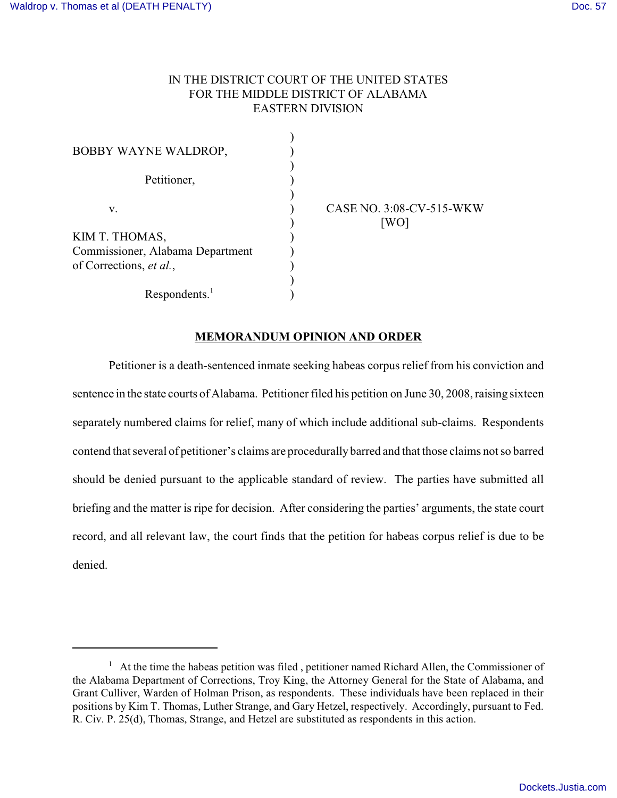# IN THE DISTRICT COURT OF THE UNITED STATES FOR THE MIDDLE DISTRICT OF ALABAMA EASTERN DIVISION

)

)

| BOBBY WAYNE WALDROP,                                                          |  |
|-------------------------------------------------------------------------------|--|
| Petitioner,                                                                   |  |
| V.                                                                            |  |
| KIM T. THOMAS,<br>Commissioner, Alabama Department<br>of Corrections, et al., |  |
| Respondents. <sup>1</sup>                                                     |  |

v. ) CASE NO. 3:08-CV-515-WKW ) [WO]

# **MEMORANDUM OPINION AND ORDER**

Petitioner is a death-sentenced inmate seeking habeas corpus relief from his conviction and sentence in the state courts of Alabama. Petitioner filed his petition on June 30, 2008, raising sixteen separately numbered claims for relief, many of which include additional sub-claims. Respondents contend that several of petitioner's claims are procedurally barred and that those claims not so barred should be denied pursuant to the applicable standard of review. The parties have submitted all briefing and the matter is ripe for decision. After considering the parties' arguments, the state court record, and all relevant law, the court finds that the petition for habeas corpus relief is due to be denied.

 $1$  At the time the habeas petition was filed, petitioner named Richard Allen, the Commissioner of the Alabama Department of Corrections, Troy King, the Attorney General for the State of Alabama, and Grant Culliver, Warden of Holman Prison, as respondents. These individuals have been replaced in their positions by Kim T. Thomas, Luther Strange, and Gary Hetzel, respectively. Accordingly, pursuant to Fed. R. Civ. P. 25(d), Thomas, Strange, and Hetzel are substituted as respondents in this action.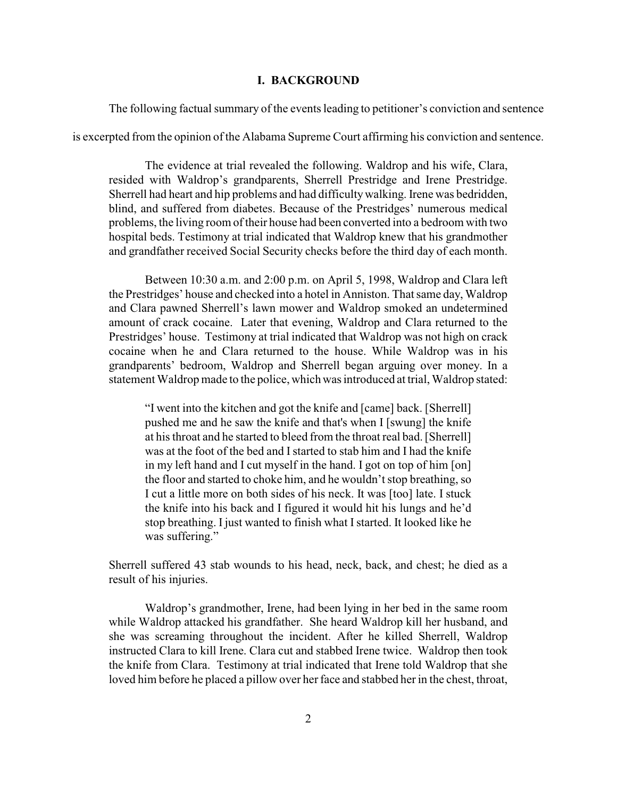#### **I. BACKGROUND**

The following factual summary of the events leading to petitioner's conviction and sentence

is excerpted from the opinion of the Alabama Supreme Court affirming his conviction and sentence.

The evidence at trial revealed the following. Waldrop and his wife, Clara, resided with Waldrop's grandparents, Sherrell Prestridge and Irene Prestridge. Sherrell had heart and hip problems and had difficultywalking. Irene was bedridden, blind, and suffered from diabetes. Because of the Prestridges' numerous medical problems, the living room of their house had been converted into a bedroom with two hospital beds. Testimony at trial indicated that Waldrop knew that his grandmother and grandfather received Social Security checks before the third day of each month.

Between 10:30 a.m. and 2:00 p.m. on April 5, 1998, Waldrop and Clara left the Prestridges' house and checked into a hotel in Anniston. That same day, Waldrop and Clara pawned Sherrell's lawn mower and Waldrop smoked an undetermined amount of crack cocaine. Later that evening, Waldrop and Clara returned to the Prestridges' house. Testimony at trial indicated that Waldrop was not high on crack cocaine when he and Clara returned to the house. While Waldrop was in his grandparents' bedroom, Waldrop and Sherrell began arguing over money. In a statement Waldrop made to the police, which was introduced at trial, Waldrop stated:

"I went into the kitchen and got the knife and [came] back. [Sherrell] pushed me and he saw the knife and that's when I [swung] the knife at his throat and he started to bleed from the throat real bad. [Sherrell] was at the foot of the bed and Istarted to stab him and I had the knife in my left hand and I cut myself in the hand. I got on top of him [on] the floor and started to choke him, and he wouldn't stop breathing, so I cut a little more on both sides of his neck. It was [too] late. I stuck the knife into his back and I figured it would hit his lungs and he'd stop breathing. I just wanted to finish what Istarted. It looked like he was suffering."

Sherrell suffered 43 stab wounds to his head, neck, back, and chest; he died as a result of his injuries.

Waldrop's grandmother, Irene, had been lying in her bed in the same room while Waldrop attacked his grandfather. She heard Waldrop kill her husband, and she was screaming throughout the incident. After he killed Sherrell, Waldrop instructed Clara to kill Irene. Clara cut and stabbed Irene twice. Waldrop then took the knife from Clara. Testimony at trial indicated that Irene told Waldrop that she loved him before he placed a pillow over her face and stabbed her in the chest, throat,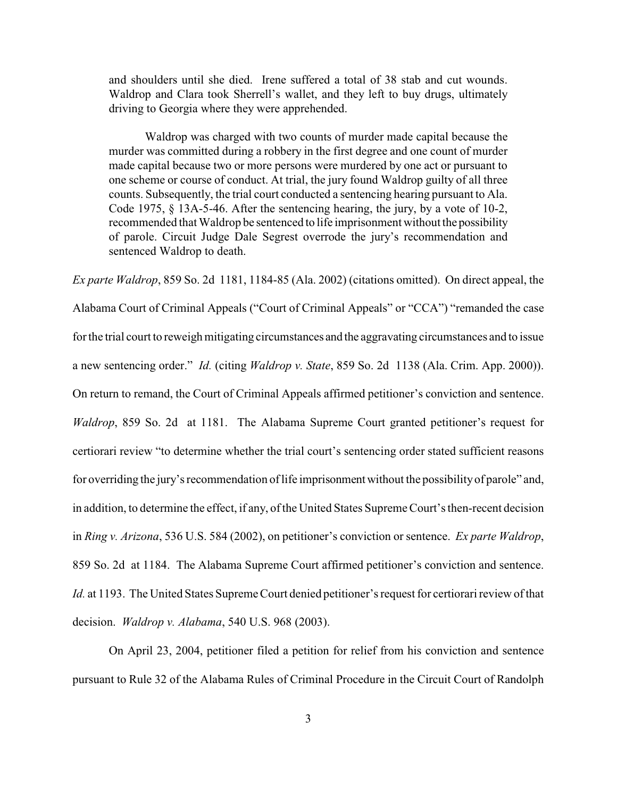and shoulders until she died. Irene suffered a total of 38 stab and cut wounds. Waldrop and Clara took Sherrell's wallet, and they left to buy drugs, ultimately driving to Georgia where they were apprehended.

Waldrop was charged with two counts of murder made capital because the murder was committed during a robbery in the first degree and one count of murder made capital because two or more persons were murdered by one act or pursuant to one scheme or course of conduct. At trial, the jury found Waldrop guilty of all three counts. Subsequently, the trial court conducted a sentencing hearing pursuant to Ala. Code 1975, § 13A-5-46. After the sentencing hearing, the jury, by a vote of 10-2, recommended that Waldrop be sentenced to life imprisonment without the possibility of parole. Circuit Judge Dale Segrest overrode the jury's recommendation and sentenced Waldrop to death.

*Ex parte Waldrop*, 859 So. 2d 1181, 1184-85 (Ala. 2002) (citations omitted). On direct appeal, the Alabama Court of Criminal Appeals ("Court of Criminal Appeals" or "CCA") "remanded the case for the trial court to reweigh mitigating circumstances and the aggravating circumstances and to issue a new sentencing order." *Id.* (citing *Waldrop v. State*, 859 So. 2d 1138 (Ala. Crim. App. 2000)). On return to remand, the Court of Criminal Appeals affirmed petitioner's conviction and sentence. *Waldrop*, 859 So. 2d at 1181. The Alabama Supreme Court granted petitioner's request for certiorari review "to determine whether the trial court's sentencing order stated sufficient reasons for overriding the jury's recommendation of life imprisonment without the possibilityof parole" and, in addition, to determine the effect, if any, of the United States Supreme Court's then-recent decision in *Ring v. Arizona*, 536 U.S. 584 (2002), on petitioner's conviction or sentence. *Ex parte Waldrop*, 859 So. 2d at 1184. The Alabama Supreme Court affirmed petitioner's conviction and sentence. *Id.* at 1193. The United States Supreme Court denied petitioner's request for certiorari review of that decision. *Waldrop v. Alabama*, 540 U.S. 968 (2003).

On April 23, 2004, petitioner filed a petition for relief from his conviction and sentence pursuant to Rule 32 of the Alabama Rules of Criminal Procedure in the Circuit Court of Randolph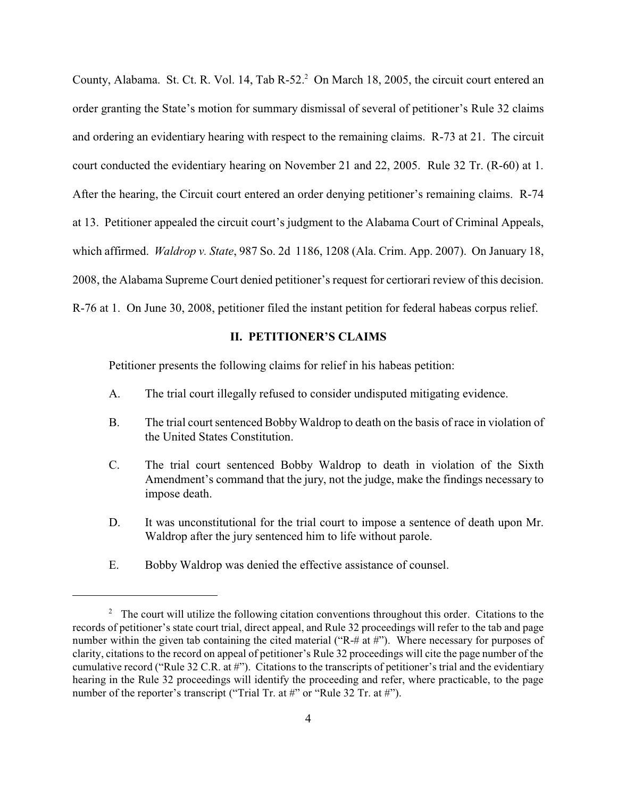County, Alabama. St. Ct. R. Vol. 14, Tab R-52.<sup>2</sup> On March 18, 2005, the circuit court entered an order granting the State's motion for summary dismissal of several of petitioner's Rule 32 claims and ordering an evidentiary hearing with respect to the remaining claims. R-73 at 21. The circuit court conducted the evidentiary hearing on November 21 and 22, 2005. Rule 32 Tr. (R-60) at 1. After the hearing, the Circuit court entered an order denying petitioner's remaining claims. R-74 at 13. Petitioner appealed the circuit court's judgment to the Alabama Court of Criminal Appeals, which affirmed. *Waldrop v. State*, 987 So. 2d 1186, 1208 (Ala. Crim. App. 2007). On January 18, 2008, the Alabama Supreme Court denied petitioner's request for certiorari review of this decision. R-76 at 1. On June 30, 2008, petitioner filed the instant petition for federal habeas corpus relief.

### **II. PETITIONER'S CLAIMS**

Petitioner presents the following claims for relief in his habeas petition:

- A. The trial court illegally refused to consider undisputed mitigating evidence.
- B. The trial court sentenced BobbyWaldrop to death on the basis of race in violation of the United States Constitution.
- C. The trial court sentenced Bobby Waldrop to death in violation of the Sixth Amendment's command that the jury, not the judge, make the findings necessary to impose death.
- D. It was unconstitutional for the trial court to impose a sentence of death upon Mr. Waldrop after the jury sentenced him to life without parole.
- E. Bobby Waldrop was denied the effective assistance of counsel.

 $2$  The court will utilize the following citation conventions throughout this order. Citations to the records of petitioner's state court trial, direct appeal, and Rule 32 proceedings will refer to the tab and page number within the given tab containing the cited material ("R-# at #"). Where necessary for purposes of clarity, citations to the record on appeal of petitioner's Rule 32 proceedings will cite the page number of the cumulative record ("Rule 32 C.R. at #"). Citations to the transcripts of petitioner's trial and the evidentiary hearing in the Rule 32 proceedings will identify the proceeding and refer, where practicable, to the page number of the reporter's transcript ("Trial Tr. at #" or "Rule 32 Tr. at #").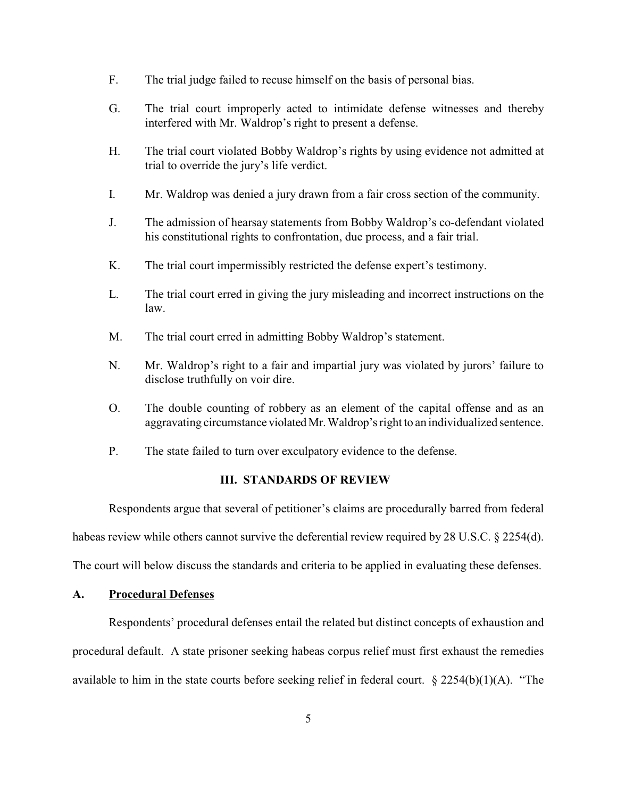- F. The trial judge failed to recuse himself on the basis of personal bias.
- G. The trial court improperly acted to intimidate defense witnesses and thereby interfered with Mr. Waldrop's right to present a defense.
- H. The trial court violated Bobby Waldrop's rights by using evidence not admitted at trial to override the jury's life verdict.
- I. Mr. Waldrop was denied a jury drawn from a fair cross section of the community.
- J. The admission of hearsay statements from Bobby Waldrop's co-defendant violated his constitutional rights to confrontation, due process, and a fair trial.
- K. The trial court impermissibly restricted the defense expert's testimony.
- L. The trial court erred in giving the jury misleading and incorrect instructions on the law.
- M. The trial court erred in admitting Bobby Waldrop's statement.
- N. Mr. Waldrop's right to a fair and impartial jury was violated by jurors' failure to disclose truthfully on voir dire.
- O. The double counting of robbery as an element of the capital offense and as an aggravating circumstance violated Mr. Waldrop's right to an individualized sentence.
- P. The state failed to turn over exculpatory evidence to the defense.

### **III. STANDARDS OF REVIEW**

Respondents argue that several of petitioner's claims are procedurally barred from federal habeas review while others cannot survive the deferential review required by 28 U.S.C. § 2254(d). The court will below discuss the standards and criteria to be applied in evaluating these defenses.

## **A. Procedural Defenses**

Respondents' procedural defenses entail the related but distinct concepts of exhaustion and procedural default. A state prisoner seeking habeas corpus relief must first exhaust the remedies available to him in the state courts before seeking relief in federal court.  $\S 2254(b)(1)(A)$ . "The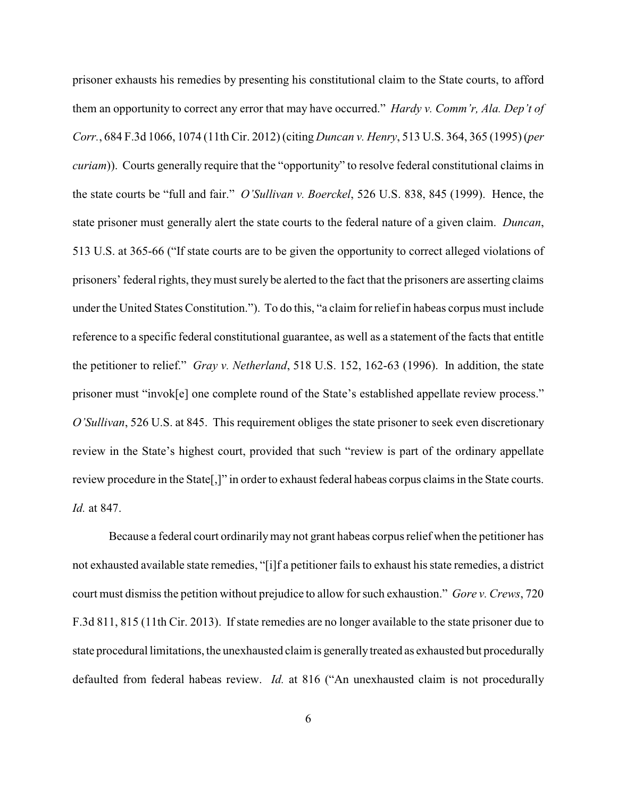prisoner exhausts his remedies by presenting his constitutional claim to the State courts, to afford them an opportunity to correct any error that may have occurred." *Hardy v. Comm'r, Ala. Dep't of Corr.*, 684 F.3d 1066, 1074 (11th Cir. 2012) (citing *Duncan v. Henry*, 513 U.S. 364, 365 (1995) (*per curiam*)). Courts generally require that the "opportunity" to resolve federal constitutional claims in the state courts be "full and fair." *O'Sullivan v. Boerckel*, 526 U.S. 838, 845 (1999). Hence, the state prisoner must generally alert the state courts to the federal nature of a given claim. *Duncan*, 513 U.S. at 365-66 ("If state courts are to be given the opportunity to correct alleged violations of prisoners' federal rights, theymust surely be alerted to the fact that the prisoners are asserting claims under the United States Constitution."). To do this, "a claim for reliefin habeas corpus must include reference to a specific federal constitutional guarantee, as well as a statement of the facts that entitle the petitioner to relief." *Gray v. Netherland*, 518 U.S. 152, 162-63 (1996). In addition, the state prisoner must "invok[e] one complete round of the State's established appellate review process." *O'Sullivan*, 526 U.S. at 845. This requirement obliges the state prisoner to seek even discretionary review in the State's highest court, provided that such "review is part of the ordinary appellate review procedure in the State[,]" in order to exhaust federal habeas corpus claims in the State courts. *Id.* at 847.

Because a federal court ordinarilymay not grant habeas corpus relief when the petitioner has not exhausted available state remedies, "[i]f a petitioner fails to exhaust his state remedies, a district court must dismissthe petition without prejudice to allow for such exhaustion." *Gore v. Crews*, 720 F.3d 811, 815 (11th Cir. 2013). If state remedies are no longer available to the state prisoner due to state procedural limitations, the unexhausted claim is generally treated as exhausted but procedurally defaulted from federal habeas review. *Id.* at 816 ("An unexhausted claim is not procedurally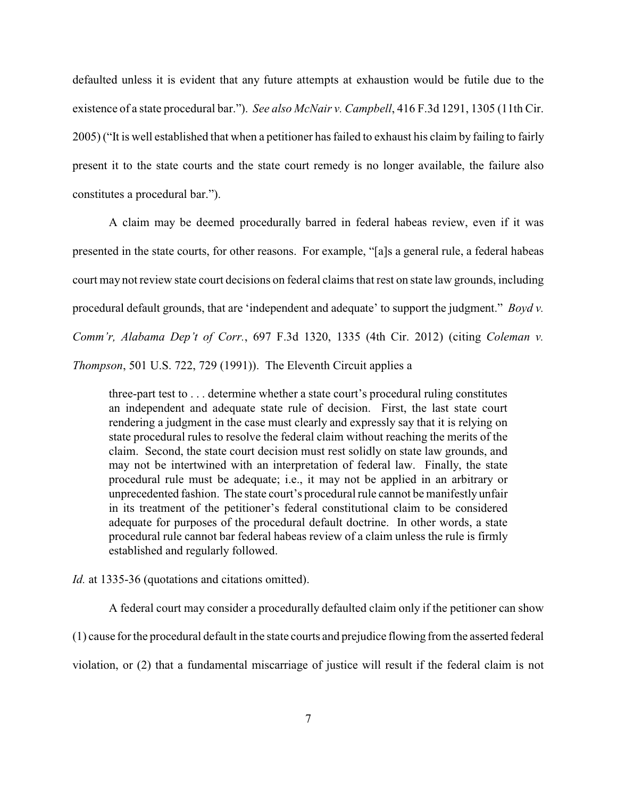defaulted unless it is evident that any future attempts at exhaustion would be futile due to the existence of a state procedural bar."). *See also McNair v. Campbell*, 416 F.3d 1291, 1305 (11th Cir. 2005) ("It is well established that when a petitioner has failed to exhaust his claim by failing to fairly present it to the state courts and the state court remedy is no longer available, the failure also constitutes a procedural bar.").

A claim may be deemed procedurally barred in federal habeas review, even if it was presented in the state courts, for other reasons. For example, "[a]s a general rule, a federal habeas court may not review state court decisions on federal claims that rest on state law grounds, including procedural default grounds, that are 'independent and adequate' to support the judgment." *Boyd v. Comm'r, Alabama Dep't of Corr.*, 697 F.3d 1320, 1335 (4th Cir. 2012) (citing *Coleman v. Thompson*, 501 U.S. 722, 729 (1991)). The Eleventh Circuit applies a

three-part test to . . . determine whether a state court's procedural ruling constitutes an independent and adequate state rule of decision. First, the last state court rendering a judgment in the case must clearly and expressly say that it is relying on state procedural rules to resolve the federal claim without reaching the merits of the claim. Second, the state court decision must rest solidly on state law grounds, and may not be intertwined with an interpretation of federal law. Finally, the state procedural rule must be adequate; i.e., it may not be applied in an arbitrary or unprecedented fashion. The state court's procedural rule cannot be manifestly unfair in its treatment of the petitioner's federal constitutional claim to be considered adequate for purposes of the procedural default doctrine. In other words, a state procedural rule cannot bar federal habeas review of a claim unless the rule is firmly established and regularly followed.

*Id.* at 1335-36 (quotations and citations omitted).

A federal court may consider a procedurally defaulted claim only if the petitioner can show (1) cause for the procedural default in the state courts and prejudice flowing from the asserted federal

violation, or (2) that a fundamental miscarriage of justice will result if the federal claim is not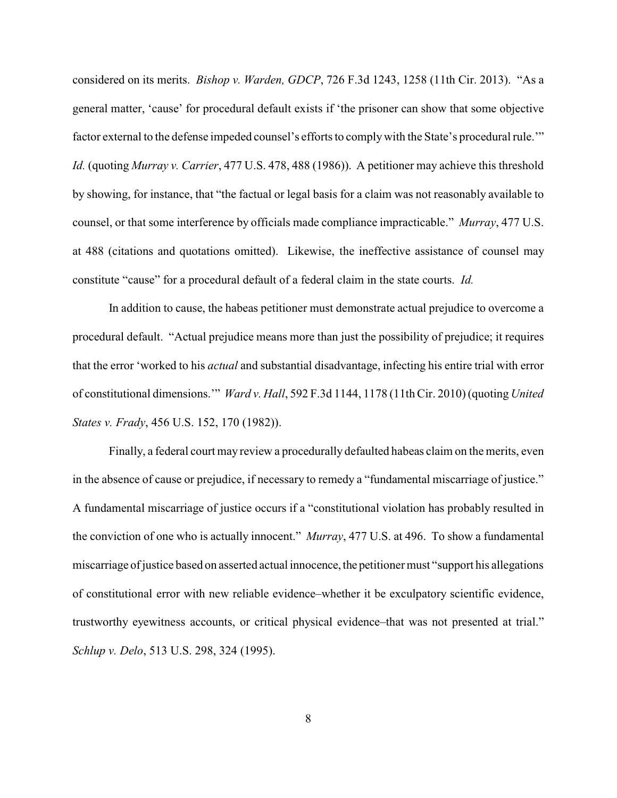considered on its merits. *Bishop v. Warden, GDCP*, 726 F.3d 1243, 1258 (11th Cir. 2013). "As a general matter, 'cause' for procedural default exists if 'the prisoner can show that some objective factor external to the defense impeded counsel's efforts to complywith the State's procedural rule.'" *Id.* (quoting *Murray v. Carrier*, 477 U.S. 478, 488 (1986)). A petitioner may achieve this threshold by showing, for instance, that "the factual or legal basis for a claim was not reasonably available to counsel, or that some interference by officials made compliance impracticable." *Murray*, 477 U.S. at 488 (citations and quotations omitted). Likewise, the ineffective assistance of counsel may constitute "cause" for a procedural default of a federal claim in the state courts. *Id.*

In addition to cause, the habeas petitioner must demonstrate actual prejudice to overcome a procedural default. "Actual prejudice means more than just the possibility of prejudice; it requires that the error 'worked to his *actual* and substantial disadvantage, infecting his entire trial with error of constitutional dimensions.'" *Ward v. Hall*, 592 F.3d 1144, 1178 (11th Cir. 2010) (quoting *United States v. Frady*, 456 U.S. 152, 170 (1982)).

Finally, a federal court may review a procedurally defaulted habeas claim on the merits, even in the absence of cause or prejudice, if necessary to remedy a "fundamental miscarriage of justice." A fundamental miscarriage of justice occurs if a "constitutional violation has probably resulted in the conviction of one who is actually innocent." *Murray*, 477 U.S. at 496. To show a fundamental miscarriage of justice based on asserted actual innocence, the petitioner must "support his allegations" of constitutional error with new reliable evidence–whether it be exculpatory scientific evidence, trustworthy eyewitness accounts, or critical physical evidence–that was not presented at trial." *Schlup v. Delo*, 513 U.S. 298, 324 (1995).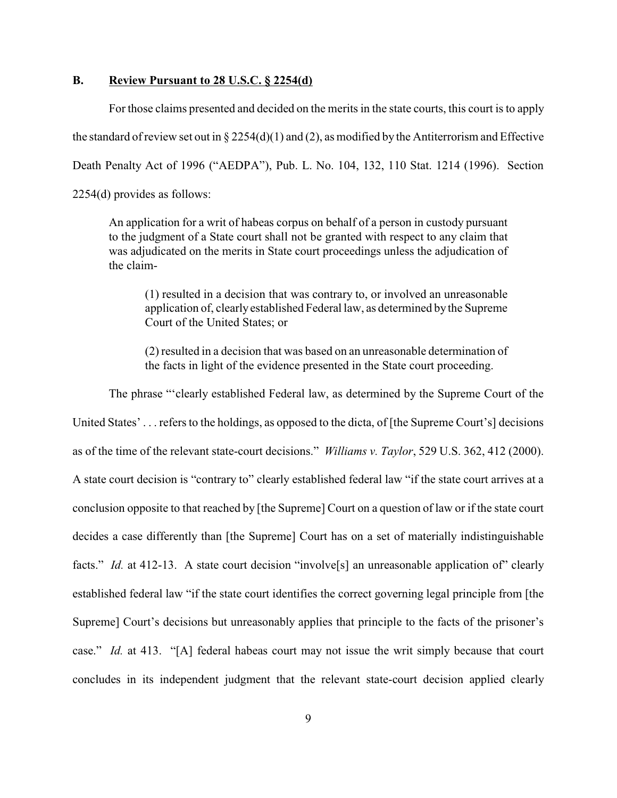### **B. Review Pursuant to 28 U.S.C. § 2254(d)**

For those claims presented and decided on the merits in the state courts, this court is to apply the standard of review set out in  $\S 2254(d)(1)$  and (2), as modified by the Antiterrorism and Effective Death Penalty Act of 1996 ("AEDPA"), Pub. L. No. 104, 132, 110 Stat. 1214 (1996). Section 2254(d) provides as follows:

An application for a writ of habeas corpus on behalf of a person in custody pursuant to the judgment of a State court shall not be granted with respect to any claim that was adjudicated on the merits in State court proceedings unless the adjudication of the claim-

(1) resulted in a decision that was contrary to, or involved an unreasonable application of, clearlyestablished Federal law, as determined by the Supreme Court of the United States; or

(2) resulted in a decision that was based on an unreasonable determination of the facts in light of the evidence presented in the State court proceeding.

The phrase "'clearly established Federal law, as determined by the Supreme Court of the United States' . . . refers to the holdings, as opposed to the dicta, of [the Supreme Court's] decisions as of the time of the relevant state-court decisions." *Williams v. Taylor*, 529 U.S. 362, 412 (2000). A state court decision is "contrary to" clearly established federal law "if the state court arrives at a conclusion opposite to that reached by [the Supreme] Court on a question of law or if the state court decides a case differently than [the Supreme] Court has on a set of materially indistinguishable facts." *Id.* at 412-13. A state court decision "involve<sup>[s]</sup> an unreasonable application of" clearly established federal law "if the state court identifies the correct governing legal principle from [the Supreme] Court's decisions but unreasonably applies that principle to the facts of the prisoner's case." *Id.* at 413. "[A] federal habeas court may not issue the writ simply because that court concludes in its independent judgment that the relevant state-court decision applied clearly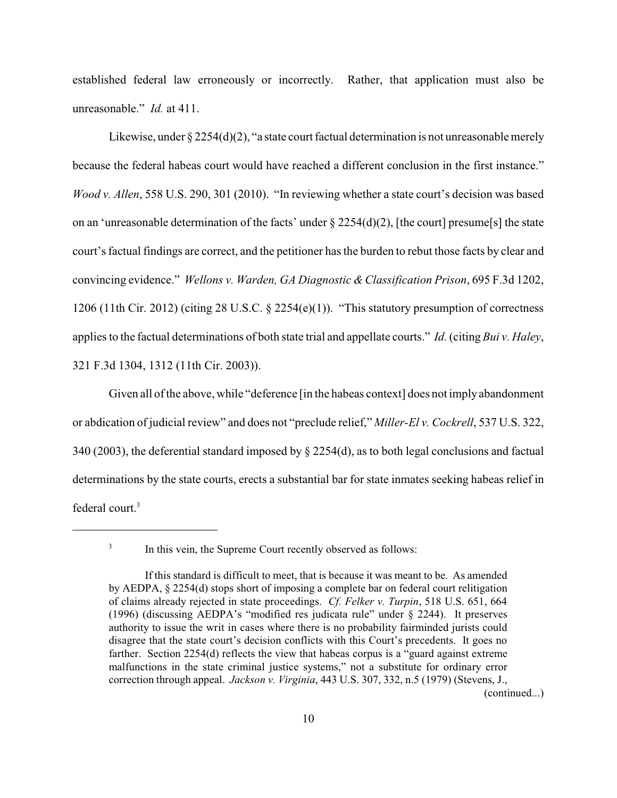established federal law erroneously or incorrectly. Rather, that application must also be unreasonable." *Id.* at 411.

Likewise, under § 2254(d)(2), "a state court factual determination is not unreasonable merely because the federal habeas court would have reached a different conclusion in the first instance." *Wood v. Allen*, 558 U.S. 290, 301 (2010). "In reviewing whether a state court's decision was based on an 'unreasonable determination of the facts' under  $\S 2254(d)(2)$ , [the court] presume[s] the state court's factual findings are correct, and the petitioner has the burden to rebut those facts by clear and convincing evidence." *Wellons v. Warden, GA Diagnostic &Classification Prison*, 695 F.3d 1202, 1206 (11th Cir. 2012) (citing 28 U.S.C. § 2254(e)(1)). "This statutory presumption of correctness applies to the factual determinations of both state trial and appellate courts." *Id.*(citing *Bui v. Haley*, 321 F.3d 1304, 1312 (11th Cir. 2003)).

Given all of the above, while "deference [in the habeas context] does not imply abandonment or abdication of judicial review" and does not "preclude relief," *Miller-El v. Cockrell*, 537 U.S. 322, 340 (2003), the deferential standard imposed by § 2254(d), as to both legal conclusions and factual determinations by the state courts, erects a substantial bar for state inmates seeking habeas relief in federal court.<sup>3</sup>

(continued...)

<sup>3</sup>

In this vein, the Supreme Court recently observed as follows:

If this standard is difficult to meet, that is because it was meant to be. As amended by AEDPA, § 2254(d) stops short of imposing a complete bar on federal court relitigation of claims already rejected in state proceedings. *Cf. Felker v. Turpin*, 518 U.S. 651, 664 (1996) (discussing AEDPA's "modified res judicata rule" under § 2244). It preserves authority to issue the writ in cases where there is no probability fairminded jurists could disagree that the state court's decision conflicts with this Court's precedents. It goes no farther. Section 2254(d) reflects the view that habeas corpus is a "guard against extreme malfunctions in the state criminal justice systems," not a substitute for ordinary error correction through appeal. *Jackson v. Virginia*, 443 U.S. 307, 332, n.5 (1979) (Stevens, J.,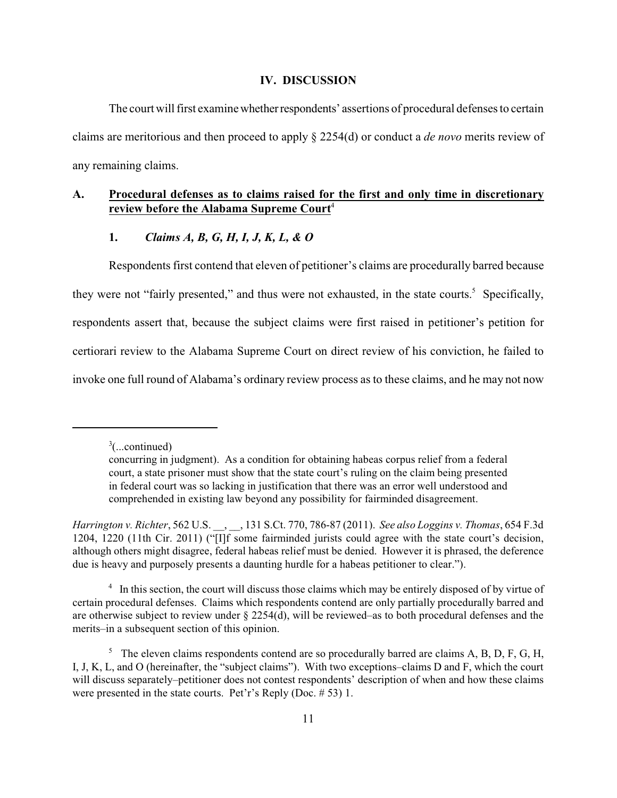#### **IV. DISCUSSION**

The court will first examine whether respondents' assertions of procedural defenses to certain claims are meritorious and then proceed to apply § 2254(d) or conduct a *de novo* merits review of any remaining claims.

## **A. Procedural defenses as to claims raised for the first and only time in discretionary review before the Alabama Supreme Court**<sup>4</sup>

## **1.** *Claims A, B, G, H, I, J, K, L, & O*

Respondents first contend that eleven of petitioner's claims are procedurally barred because they were not "fairly presented," and thus were not exhausted, in the state courts.<sup>5</sup> Specifically, respondents assert that, because the subject claims were first raised in petitioner's petition for certiorari review to the Alabama Supreme Court on direct review of his conviction, he failed to invoke one full round of Alabama's ordinary review process as to these claims, and he may not now

 $\frac{3}{2}$ (...continued)

concurring in judgment). As a condition for obtaining habeas corpus relief from a federal court, a state prisoner must show that the state court's ruling on the claim being presented in federal court was so lacking in justification that there was an error well understood and comprehended in existing law beyond any possibility for fairminded disagreement.

*Harrington v. Richter*, 562 U.S. \_\_, \_\_, 131 S.Ct. 770, 786-87 (2011). *See also Loggins v. Thomas*, 654 F.3d 1204, 1220 (11th Cir. 2011) ("[I]f some fairminded jurists could agree with the state court's decision, although others might disagree, federal habeas relief must be denied. However it is phrased, the deference due is heavy and purposely presents a daunting hurdle for a habeas petitioner to clear.").

 $\frac{4}{1}$  In this section, the court will discuss those claims which may be entirely disposed of by virtue of certain procedural defenses. Claims which respondents contend are only partially procedurally barred and are otherwise subject to review under § 2254(d), will be reviewed–as to both procedural defenses and the merits–in a subsequent section of this opinion.

 $\frac{5}{10}$ . The eleven claims respondents contend are so procedurally barred are claims A, B, D, F, G, H, I, J, K, L, and O (hereinafter, the "subject claims"). With two exceptions–claims D and F, which the court will discuss separately–petitioner does not contest respondents' description of when and how these claims were presented in the state courts. Pet'r's Reply (Doc. # 53) 1.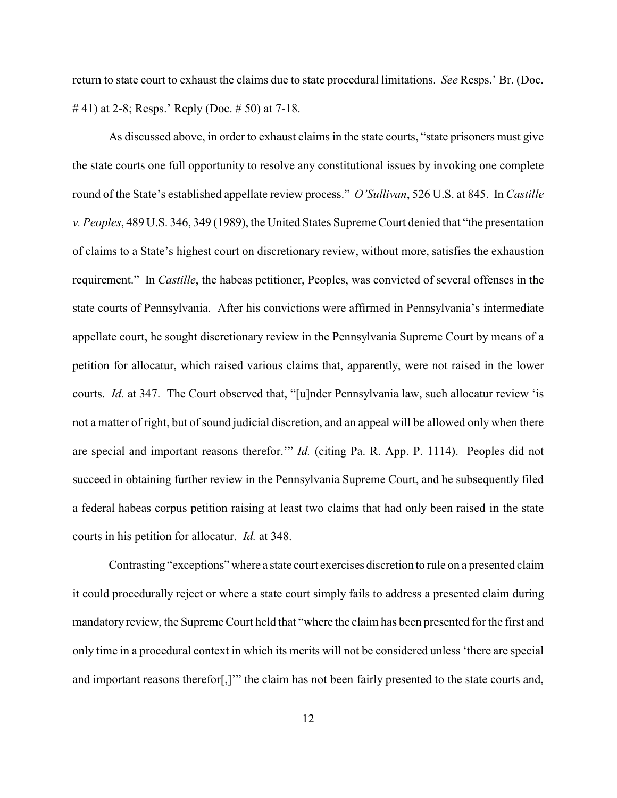return to state court to exhaust the claims due to state procedural limitations. *See* Resps.' Br. (Doc. # 41) at 2-8; Resps.' Reply (Doc. # 50) at 7-18.

As discussed above, in order to exhaust claims in the state courts, "state prisoners must give the state courts one full opportunity to resolve any constitutional issues by invoking one complete round of the State's established appellate review process." *O'Sullivan*, 526 U.S. at 845. In *Castille v. Peoples*, 489 U.S. 346, 349 (1989), the United States Supreme Court denied that "the presentation of claims to a State's highest court on discretionary review, without more, satisfies the exhaustion requirement." In *Castille*, the habeas petitioner, Peoples, was convicted of several offenses in the state courts of Pennsylvania. After his convictions were affirmed in Pennsylvania's intermediate appellate court, he sought discretionary review in the Pennsylvania Supreme Court by means of a petition for allocatur, which raised various claims that, apparently, were not raised in the lower courts. *Id.* at 347. The Court observed that, "[u]nder Pennsylvania law, such allocatur review 'is not a matter of right, but of sound judicial discretion, and an appeal will be allowed only when there are special and important reasons therefor.'" *Id.* (citing Pa. R. App. P. 1114). Peoples did not succeed in obtaining further review in the Pennsylvania Supreme Court, and he subsequently filed a federal habeas corpus petition raising at least two claims that had only been raised in the state courts in his petition for allocatur. *Id.* at 348.

Contrasting "exceptions" where a state court exercises discretion to rule on a presented claim it could procedurally reject or where a state court simply fails to address a presented claim during mandatory review, the Supreme Court held that "where the claim has been presented for the first and only time in a procedural context in which its merits will not be considered unless 'there are special and important reasons therefor[,]'" the claim has not been fairly presented to the state courts and,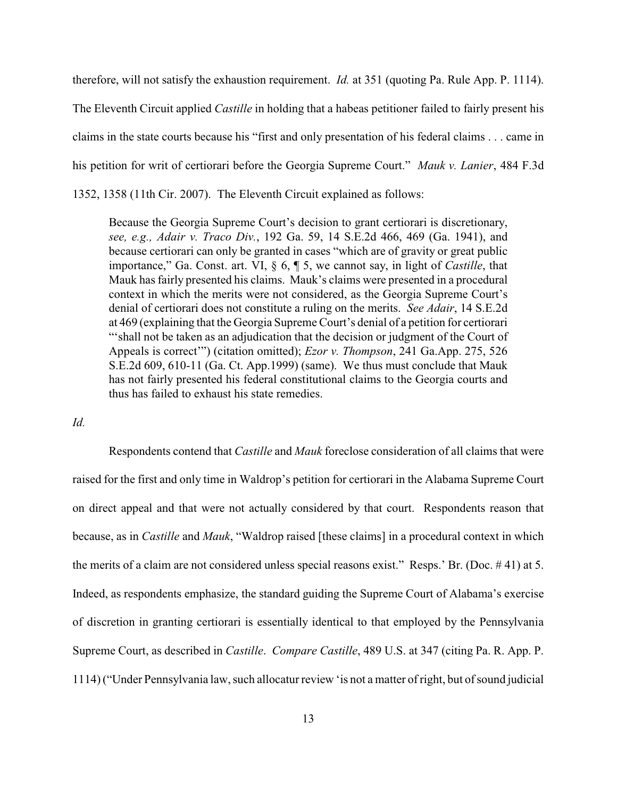therefore, will not satisfy the exhaustion requirement. *Id.* at 351 (quoting Pa. Rule App. P. 1114). The Eleventh Circuit applied *Castille* in holding that a habeas petitioner failed to fairly present his claims in the state courts because his "first and only presentation of his federal claims . . . came in his petition for writ of certiorari before the Georgia Supreme Court." *Mauk v. Lanier*, 484 F.3d 1352, 1358 (11th Cir. 2007). The Eleventh Circuit explained as follows:

Because the Georgia Supreme Court's decision to grant certiorari is discretionary, *see, e.g., Adair v. Traco Div.*, 192 Ga. 59, 14 S.E.2d 466, 469 (Ga. 1941), and because certiorari can only be granted in cases "which are of gravity or great public importance," Ga. Const. art. VI, § 6, ¶ 5, we cannot say, in light of *Castille*, that Mauk has fairly presented his claims. Mauk's claims were presented in a procedural context in which the merits were not considered, as the Georgia Supreme Court's denial of certiorari does not constitute a ruling on the merits. *See Adair*, 14 S.E.2d at 469 (explaining that the Georgia Supreme Court's denial of a petition for certiorari "'shall not be taken as an adjudication that the decision or judgment of the Court of Appeals is correct'") (citation omitted); *Ezor v. Thompson*, 241 Ga.App. 275, 526 S.E.2d 609, 610-11 (Ga. Ct. App.1999) (same). We thus must conclude that Mauk has not fairly presented his federal constitutional claims to the Georgia courts and thus has failed to exhaust his state remedies.

*Id.*

Respondents contend that *Castille* and *Mauk* foreclose consideration of all claims that were raised for the first and only time in Waldrop's petition for certiorari in the Alabama Supreme Court on direct appeal and that were not actually considered by that court. Respondents reason that because, as in *Castille* and *Mauk*, "Waldrop raised [these claims] in a procedural context in which the merits of a claim are not considered unless special reasons exist." Resps.' Br. (Doc. # 41) at 5. Indeed, as respondents emphasize, the standard guiding the Supreme Court of Alabama's exercise of discretion in granting certiorari is essentially identical to that employed by the Pennsylvania Supreme Court, as described in *Castille*. *Compare Castille*, 489 U.S. at 347 (citing Pa. R. App. P. 1114) ("Under Pennsylvania law, such allocaturreview 'is not a matter of right, but of sound judicial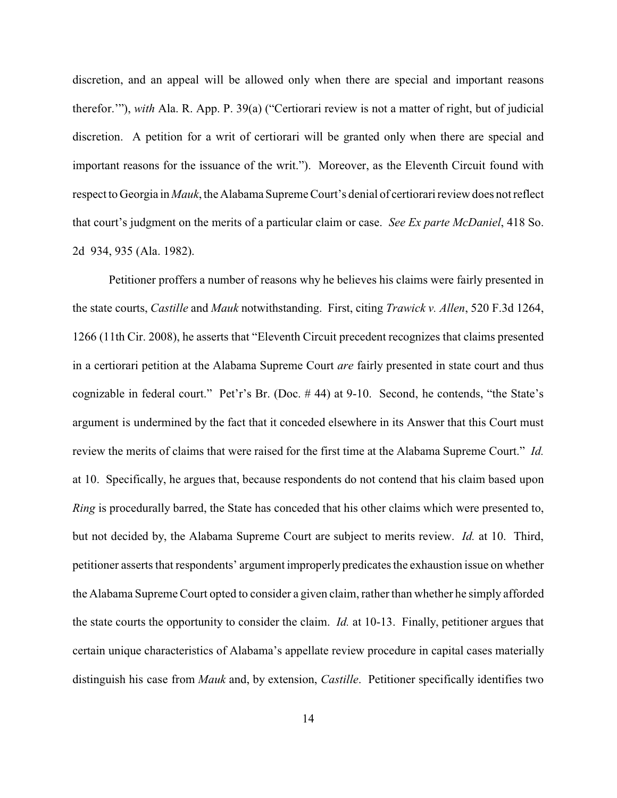discretion, and an appeal will be allowed only when there are special and important reasons therefor.'"), *with* Ala. R. App. P. 39(a) ("Certiorari review is not a matter of right, but of judicial discretion. A petition for a writ of certiorari will be granted only when there are special and important reasons for the issuance of the writ."). Moreover, as the Eleventh Circuit found with respect to Georgia in *Mauk*, the Alabama Supreme Court's denial of certiorari review does not reflect that court's judgment on the merits of a particular claim or case. *See Ex parte McDaniel*, 418 So. 2d 934, 935 (Ala. 1982).

Petitioner proffers a number of reasons why he believes his claims were fairly presented in the state courts, *Castille* and *Mauk* notwithstanding. First, citing *Trawick v. Allen*, 520 F.3d 1264, 1266 (11th Cir. 2008), he asserts that "Eleventh Circuit precedent recognizes that claims presented in a certiorari petition at the Alabama Supreme Court *are* fairly presented in state court and thus cognizable in federal court." Pet'r's Br. (Doc. # 44) at 9-10. Second, he contends, "the State's argument is undermined by the fact that it conceded elsewhere in its Answer that this Court must review the merits of claims that were raised for the first time at the Alabama Supreme Court." *Id.* at 10. Specifically, he argues that, because respondents do not contend that his claim based upon *Ring* is procedurally barred, the State has conceded that his other claims which were presented to, but not decided by, the Alabama Supreme Court are subject to merits review. *Id.* at 10. Third, petitioner asserts that respondents' argument improperly predicates the exhaustion issue on whether the Alabama Supreme Court opted to consider a given claim, rather than whether he simply afforded the state courts the opportunity to consider the claim. *Id.* at 10-13. Finally, petitioner argues that certain unique characteristics of Alabama's appellate review procedure in capital cases materially distinguish his case from *Mauk* and, by extension, *Castille*. Petitioner specifically identifies two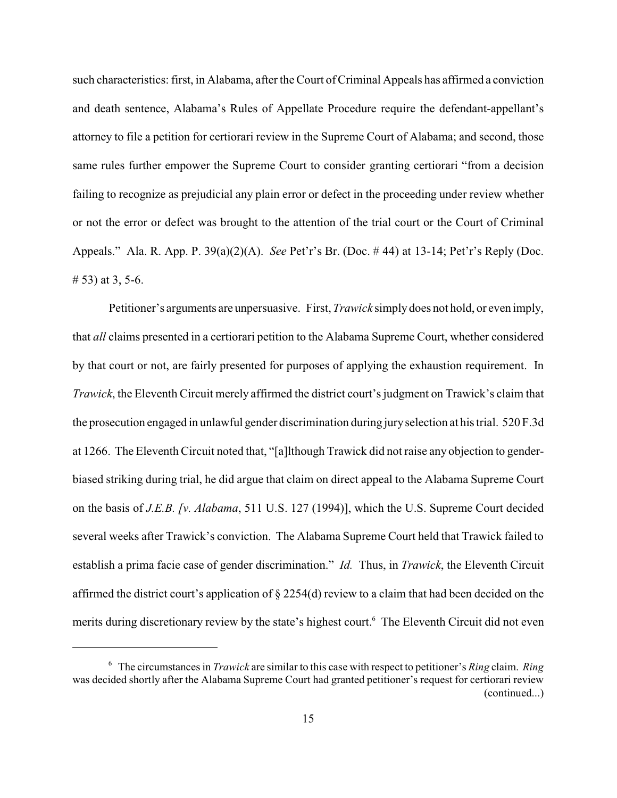such characteristics: first, in Alabama, after the Court of Criminal Appeals has affirmed a conviction and death sentence, Alabama's Rules of Appellate Procedure require the defendant-appellant's attorney to file a petition for certiorari review in the Supreme Court of Alabama; and second, those same rules further empower the Supreme Court to consider granting certiorari "from a decision failing to recognize as prejudicial any plain error or defect in the proceeding under review whether or not the error or defect was brought to the attention of the trial court or the Court of Criminal Appeals." Ala. R. App. P. 39(a)(2)(A). *See* Pet'r's Br. (Doc. # 44) at 13-14; Pet'r's Reply (Doc. # 53) at 3, 5-6.

Petitioner's arguments are unpersuasive. First, *Trawick* simply does not hold, or even imply, that *all* claims presented in a certiorari petition to the Alabama Supreme Court, whether considered by that court or not, are fairly presented for purposes of applying the exhaustion requirement. In *Trawick*, the Eleventh Circuit merely affirmed the district court's judgment on Trawick's claim that the prosecution engaged in unlawful gender discrimination during juryselection at his trial. 520 F.3d at 1266. The Eleventh Circuit noted that, "[a]lthough Trawick did not raise any objection to genderbiased striking during trial, he did argue that claim on direct appeal to the Alabama Supreme Court on the basis of *J.E.B. [v. Alabama*, 511 U.S. 127 (1994)], which the U.S. Supreme Court decided several weeks after Trawick's conviction. The Alabama Supreme Court held that Trawick failed to establish a prima facie case of gender discrimination." *Id.* Thus, in *Trawick*, the Eleventh Circuit affirmed the district court's application of § 2254(d) review to a claim that had been decided on the merits during discretionary review by the state's highest court.<sup>6</sup> The Eleventh Circuit did not even

The circumstances in *Trawick* are similar to this case with respect to petitioner's *Ring* claim. *Ring* 6 was decided shortly after the Alabama Supreme Court had granted petitioner's request for certiorari review (continued...)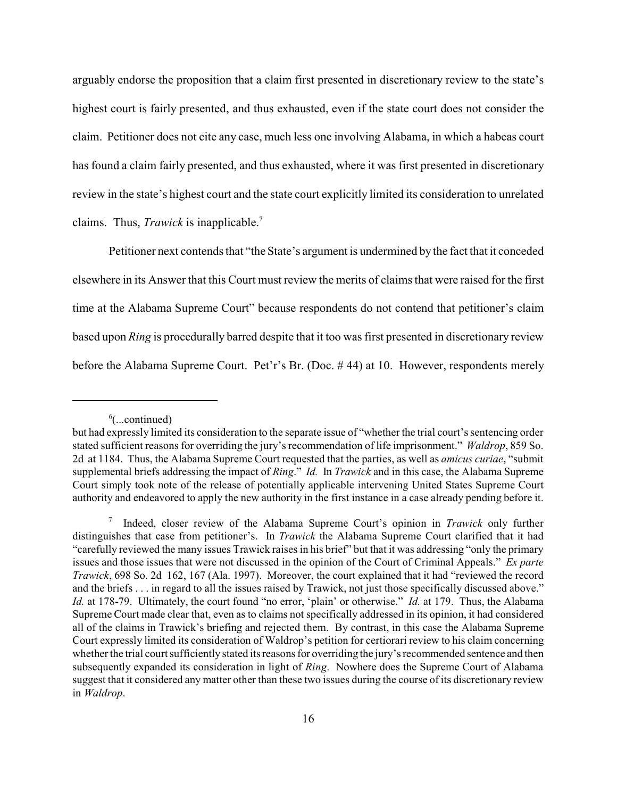arguably endorse the proposition that a claim first presented in discretionary review to the state's highest court is fairly presented, and thus exhausted, even if the state court does not consider the claim. Petitioner does not cite any case, much less one involving Alabama, in which a habeas court has found a claim fairly presented, and thus exhausted, where it was first presented in discretionary review in the state's highest court and the state court explicitly limited its consideration to unrelated claims. Thus, *Trawick* is inapplicable.<sup>7</sup>

Petitioner next contends that "the State's argument is undermined by the fact that it conceded elsewhere in its Answer that this Court must review the merits of claims that were raised for the first time at the Alabama Supreme Court" because respondents do not contend that petitioner's claim based upon *Ring* is procedurally barred despite that it too was first presented in discretionary review before the Alabama Supreme Court. Pet'r's Br. (Doc. # 44) at 10. However, respondents merely

 $\delta$ (...continued)

but had expressly limited its consideration to the separate issue of "whether the trial court's sentencing order stated sufficient reasons for overriding the jury's recommendation of life imprisonment." *Waldrop*, 859 So. 2d at 1184. Thus, the Alabama Supreme Court requested that the parties, as well as *amicus curiae*, "submit supplemental briefs addressing the impact of *Ring*." *Id.* In *Trawick* and in this case, the Alabama Supreme Court simply took note of the release of potentially applicable intervening United States Supreme Court authority and endeavored to apply the new authority in the first instance in a case already pending before it.

Indeed, closer review of the Alabama Supreme Court's opinion in *Trawick* only further 7 distinguishes that case from petitioner's. In *Trawick* the Alabama Supreme Court clarified that it had "carefully reviewed the many issues Trawick raises in his brief" but that it was addressing "only the primary issues and those issues that were not discussed in the opinion of the Court of Criminal Appeals." *Ex parte Trawick*, 698 So. 2d 162, 167 (Ala. 1997). Moreover, the court explained that it had "reviewed the record and the briefs . . . in regard to all the issues raised by Trawick, not just those specifically discussed above." *Id.* at 178-79. Ultimately, the court found "no error, 'plain' or otherwise." *Id.* at 179. Thus, the Alabama Supreme Court made clear that, even as to claims not specifically addressed in its opinion, it had considered all of the claims in Trawick's briefing and rejected them. By contrast, in this case the Alabama Supreme Court expressly limited its consideration of Waldrop's petition for certiorari review to his claim concerning whether the trial court sufficiently stated its reasons for overriding the jury's recommended sentence and then subsequently expanded its consideration in light of *Ring*. Nowhere does the Supreme Court of Alabama suggest that it considered any matter other than these two issues during the course of its discretionary review in *Waldrop*.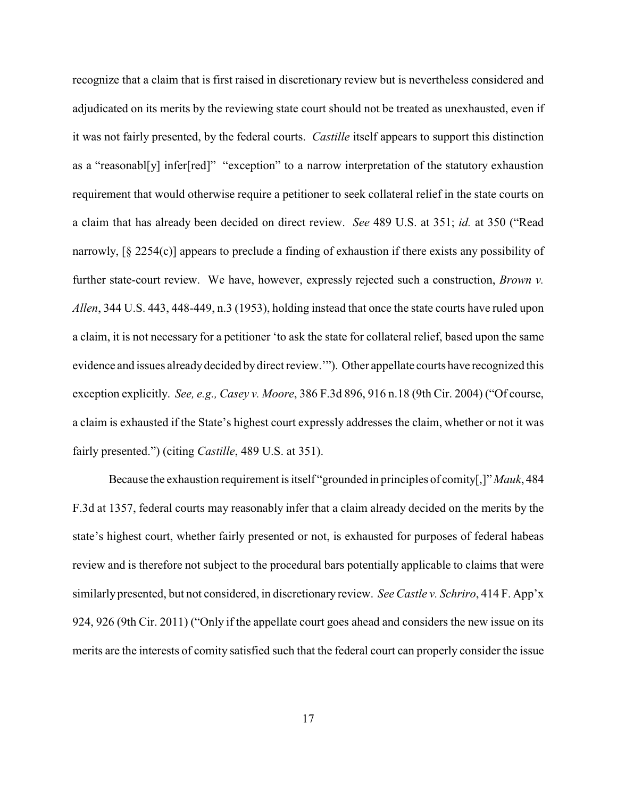recognize that a claim that is first raised in discretionary review but is nevertheless considered and adjudicated on its merits by the reviewing state court should not be treated as unexhausted, even if it was not fairly presented, by the federal courts. *Castille* itself appears to support this distinction as a "reasonabl[y] infer[red]" "exception" to a narrow interpretation of the statutory exhaustion requirement that would otherwise require a petitioner to seek collateral relief in the state courts on a claim that has already been decided on direct review. *See* 489 U.S. at 351; *id.* at 350 ("Read narrowly, [§ 2254(c)] appears to preclude a finding of exhaustion if there exists any possibility of further state-court review. We have, however, expressly rejected such a construction, *Brown v. Allen*, 344 U.S. 443, 448-449, n.3 (1953), holding instead that once the state courts have ruled upon a claim, it is not necessary for a petitioner 'to ask the state for collateral relief, based upon the same evidence and issues alreadydecided bydirect review.'"). Other appellate courts have recognized this exception explicitly. *See, e.g., Casey v. Moore*, 386 F.3d 896, 916 n.18 (9th Cir. 2004) ("Of course, a claim is exhausted if the State's highest court expressly addresses the claim, whether or not it was fairly presented.") (citing *Castille*, 489 U.S. at 351).

Because the exhaustion requirement is itself "grounded in principles of comity[,]" *Mauk*, 484 F.3d at 1357, federal courts may reasonably infer that a claim already decided on the merits by the state's highest court, whether fairly presented or not, is exhausted for purposes of federal habeas review and is therefore not subject to the procedural bars potentially applicable to claims that were similarly presented, but not considered, in discretionary review. *See Castle v. Schriro*, 414 F. App'x 924, 926 (9th Cir. 2011) ("Only if the appellate court goes ahead and considers the new issue on its merits are the interests of comity satisfied such that the federal court can properly consider the issue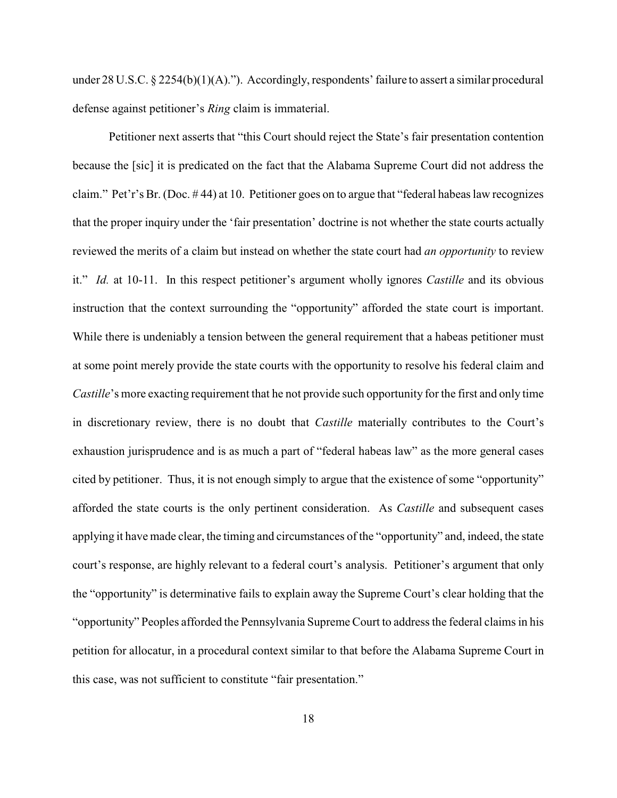under 28 U.S.C. § 2254(b)(1)(A)."). Accordingly, respondents' failure to assert a similar procedural defense against petitioner's *Ring* claim is immaterial.

Petitioner next asserts that "this Court should reject the State's fair presentation contention because the [sic] it is predicated on the fact that the Alabama Supreme Court did not address the claim." Pet'r's Br. (Doc. # 44) at 10. Petitioner goes on to argue that "federal habeas law recognizes that the proper inquiry under the 'fair presentation' doctrine is not whether the state courts actually reviewed the merits of a claim but instead on whether the state court had *an opportunity* to review it." *Id.* at 10-11. In this respect petitioner's argument wholly ignores *Castille* and its obvious instruction that the context surrounding the "opportunity" afforded the state court is important. While there is undeniably a tension between the general requirement that a habeas petitioner must at some point merely provide the state courts with the opportunity to resolve his federal claim and *Castille*'s more exacting requirement that he not provide such opportunity for the first and only time in discretionary review, there is no doubt that *Castille* materially contributes to the Court's exhaustion jurisprudence and is as much a part of "federal habeas law" as the more general cases cited by petitioner. Thus, it is not enough simply to argue that the existence of some "opportunity" afforded the state courts is the only pertinent consideration. As *Castille* and subsequent cases applying it have made clear, the timing and circumstances of the "opportunity" and, indeed, the state court's response, are highly relevant to a federal court's analysis. Petitioner's argument that only the "opportunity" is determinative fails to explain away the Supreme Court's clear holding that the "opportunity" Peoples afforded the Pennsylvania Supreme Court to address the federal claims in his petition for allocatur, in a procedural context similar to that before the Alabama Supreme Court in this case, was not sufficient to constitute "fair presentation."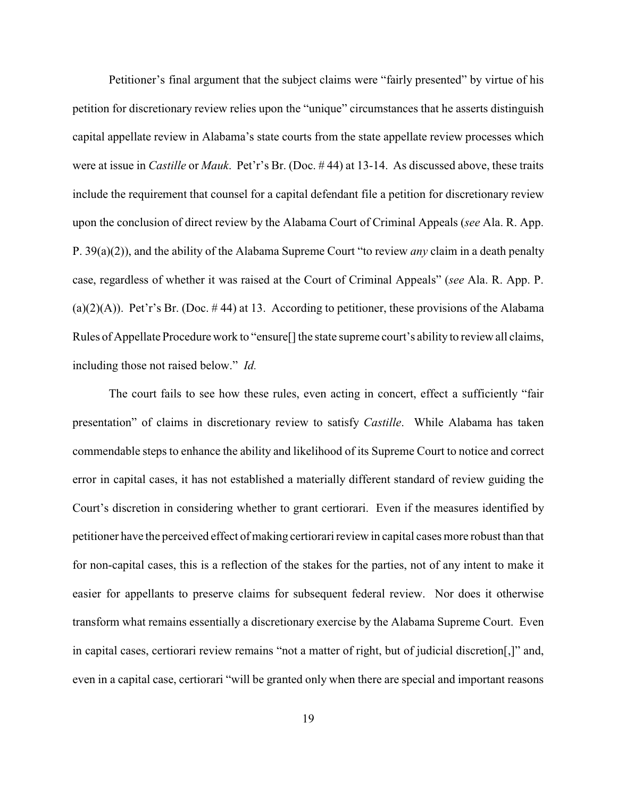Petitioner's final argument that the subject claims were "fairly presented" by virtue of his petition for discretionary review relies upon the "unique" circumstances that he asserts distinguish capital appellate review in Alabama's state courts from the state appellate review processes which were at issue in *Castille* or *Mauk*. Pet'r's Br. (Doc. # 44) at 13-14. As discussed above, these traits include the requirement that counsel for a capital defendant file a petition for discretionary review upon the conclusion of direct review by the Alabama Court of Criminal Appeals (*see* Ala. R. App. P. 39(a)(2)), and the ability of the Alabama Supreme Court "to review *any* claim in a death penalty case, regardless of whether it was raised at the Court of Criminal Appeals" (*see* Ala. R. App. P. (a)(2)(A)). Pet'r's Br. (Doc. #44) at 13. According to petitioner, these provisions of the Alabama Rules of Appellate Procedure work to "ensure<sup>[]</sup> the state supreme court's ability to review all claims, including those not raised below." *Id.*

The court fails to see how these rules, even acting in concert, effect a sufficiently "fair presentation" of claims in discretionary review to satisfy *Castille*. While Alabama has taken commendable steps to enhance the ability and likelihood of its Supreme Court to notice and correct error in capital cases, it has not established a materially different standard of review guiding the Court's discretion in considering whether to grant certiorari. Even if the measures identified by petitioner have the perceived effect of making certiorari review in capital cases more robust than that for non-capital cases, this is a reflection of the stakes for the parties, not of any intent to make it easier for appellants to preserve claims for subsequent federal review. Nor does it otherwise transform what remains essentially a discretionary exercise by the Alabama Supreme Court. Even in capital cases, certiorari review remains "not a matter of right, but of judicial discretion[,]" and, even in a capital case, certiorari "will be granted only when there are special and important reasons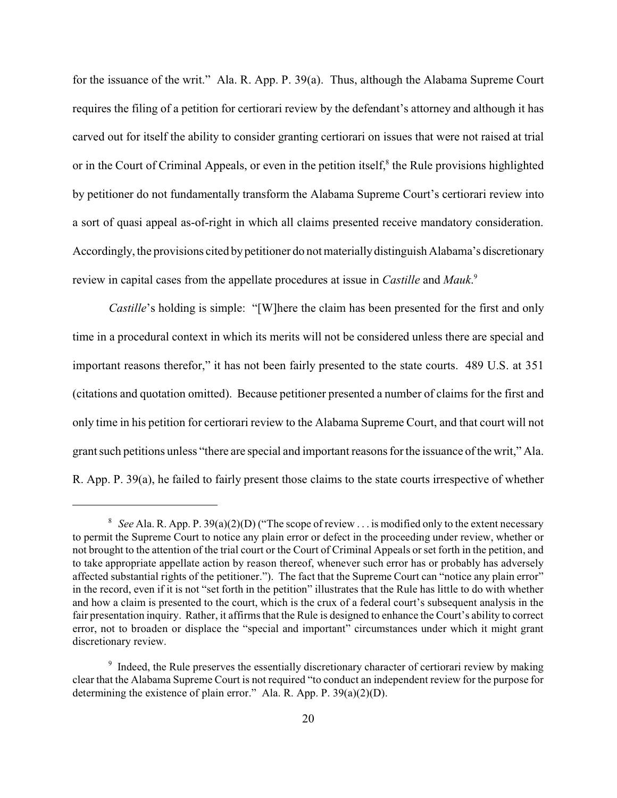for the issuance of the writ." Ala. R. App. P. 39(a). Thus, although the Alabama Supreme Court requires the filing of a petition for certiorari review by the defendant's attorney and although it has carved out for itself the ability to consider granting certiorari on issues that were not raised at trial or in the Court of Criminal Appeals, or even in the petition itself, $\delta$  the Rule provisions highlighted by petitioner do not fundamentally transform the Alabama Supreme Court's certiorari review into a sort of quasi appeal as-of-right in which all claims presented receive mandatory consideration. Accordingly, the provisions cited by petitioner do not materially distinguish Alabama's discretionary review in capital cases from the appellate procedures at issue in *Castille* and *Mauk*. 9

*Castille*'s holding is simple: "[W]here the claim has been presented for the first and only time in a procedural context in which its merits will not be considered unless there are special and important reasons therefor," it has not been fairly presented to the state courts. 489 U.S. at 351 (citations and quotation omitted). Because petitioner presented a number of claims for the first and only time in his petition for certiorari review to the Alabama Supreme Court, and that court will not grant such petitions unless "there are special and important reasons for the issuance of the writ," Ala. R. App. P. 39(a), he failed to fairly present those claims to the state courts irrespective of whether

<sup>&</sup>lt;sup>8</sup> See Ala. R. App. P. 39(a)(2)(D) ("The scope of review . . . is modified only to the extent necessary to permit the Supreme Court to notice any plain error or defect in the proceeding under review, whether or not brought to the attention of the trial court or the Court of Criminal Appeals or set forth in the petition, and to take appropriate appellate action by reason thereof, whenever such error has or probably has adversely affected substantial rights of the petitioner."). The fact that the Supreme Court can "notice any plain error" in the record, even if it is not "set forth in the petition" illustrates that the Rule has little to do with whether and how a claim is presented to the court, which is the crux of a federal court's subsequent analysis in the fair presentation inquiry. Rather, it affirms that the Rule is designed to enhance the Court's ability to correct error, not to broaden or displace the "special and important" circumstances under which it might grant discretionary review.

<sup>&</sup>lt;sup>9</sup> Indeed, the Rule preserves the essentially discretionary character of certiorari review by making clear that the Alabama Supreme Court is not required "to conduct an independent review for the purpose for determining the existence of plain error." Ala. R. App. P. 39(a)(2)(D).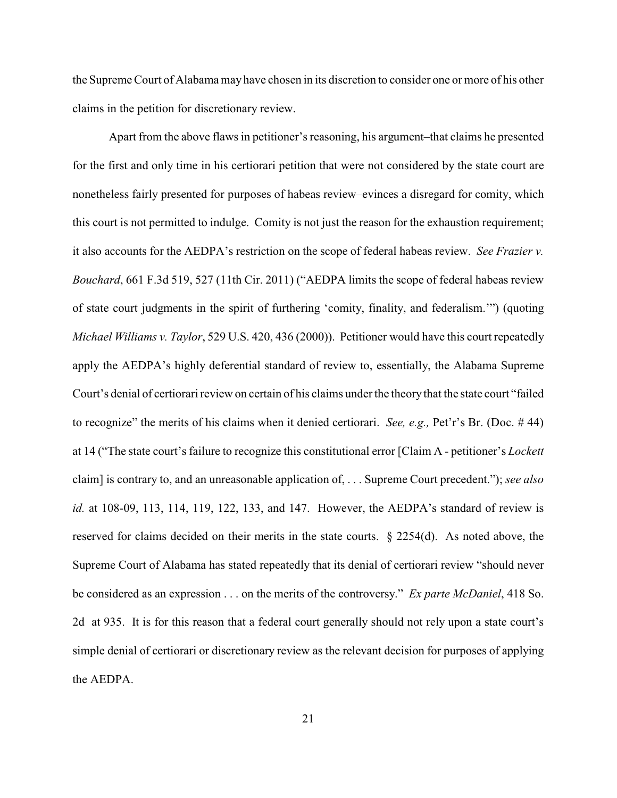the Supreme Court of Alabamamay have chosen in its discretion to consider one or more of his other claims in the petition for discretionary review.

Apart from the above flaws in petitioner's reasoning, his argument–that claims he presented for the first and only time in his certiorari petition that were not considered by the state court are nonetheless fairly presented for purposes of habeas review–evinces a disregard for comity, which this court is not permitted to indulge. Comity is not just the reason for the exhaustion requirement; it also accounts for the AEDPA's restriction on the scope of federal habeas review. *See Frazier v. Bouchard*, 661 F.3d 519, 527 (11th Cir. 2011) ("AEDPA limits the scope of federal habeas review of state court judgments in the spirit of furthering 'comity, finality, and federalism.'") (quoting *Michael Williams v. Taylor*, 529 U.S. 420, 436 (2000)). Petitioner would have this court repeatedly apply the AEDPA's highly deferential standard of review to, essentially, the Alabama Supreme Court's denial of certiorari review on certain of his claims under the theory that the state court "failed to recognize" the merits of his claims when it denied certiorari. *See, e.g.,* Pet'r's Br. (Doc. # 44) at 14 ("The state court's failure to recognize this constitutional error [Claim A - petitioner's *Lockett* claim] is contrary to, and an unreasonable application of, . . . Supreme Court precedent."); *see also id.* at 108-09, 113, 114, 119, 122, 133, and 147. However, the AEDPA's standard of review is reserved for claims decided on their merits in the state courts.  $\S 2254(d)$ . As noted above, the Supreme Court of Alabama has stated repeatedly that its denial of certiorari review "should never be considered as an expression . . . on the merits of the controversy." *Ex parte McDaniel*, 418 So. 2d at 935. It is for this reason that a federal court generally should not rely upon a state court's simple denial of certiorari or discretionary review as the relevant decision for purposes of applying the AEDPA.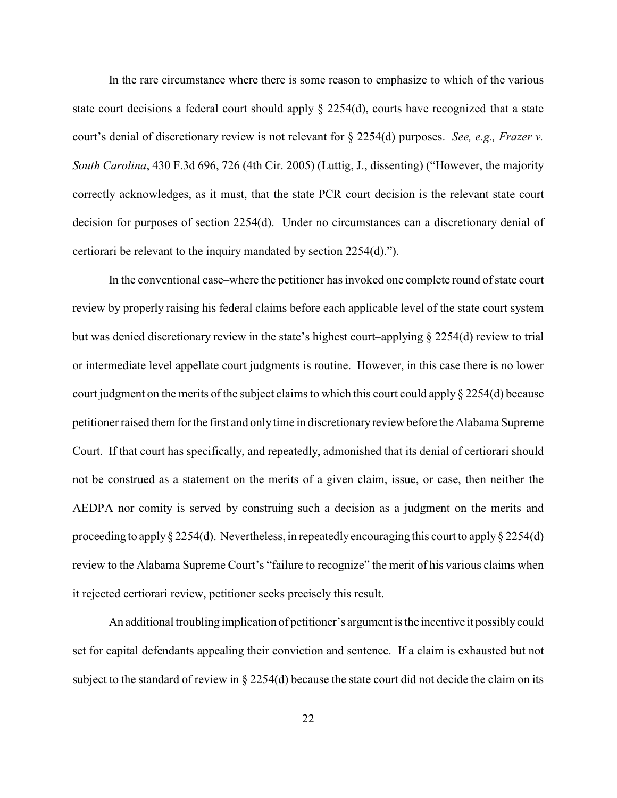In the rare circumstance where there is some reason to emphasize to which of the various state court decisions a federal court should apply  $\S 2254(d)$ , courts have recognized that a state court's denial of discretionary review is not relevant for § 2254(d) purposes. *See, e.g., Frazer v. South Carolina*, 430 F.3d 696, 726 (4th Cir. 2005) (Luttig, J., dissenting) ("However, the majority correctly acknowledges, as it must, that the state PCR court decision is the relevant state court decision for purposes of section 2254(d). Under no circumstances can a discretionary denial of certiorari be relevant to the inquiry mandated by section 2254(d).").

In the conventional case–where the petitioner has invoked one complete round of state court review by properly raising his federal claims before each applicable level of the state court system but was denied discretionary review in the state's highest court–applying § 2254(d) review to trial or intermediate level appellate court judgments is routine. However, in this case there is no lower court judgment on the merits of the subject claims to which this court could apply § 2254(d) because petitioner raised them for the first and onlytime in discretionaryreview before the Alabama Supreme Court. If that court has specifically, and repeatedly, admonished that its denial of certiorari should not be construed as a statement on the merits of a given claim, issue, or case, then neither the AEDPA nor comity is served by construing such a decision as a judgment on the merits and proceeding to apply § 2254(d). Nevertheless, in repeatedly encouraging this court to apply § 2254(d) review to the Alabama Supreme Court's "failure to recognize" the merit of his various claims when it rejected certiorari review, petitioner seeks precisely this result.

An additional troubling implication of petitioner's argument is the incentive it possibly could set for capital defendants appealing their conviction and sentence. If a claim is exhausted but not subject to the standard of review in § 2254(d) because the state court did not decide the claim on its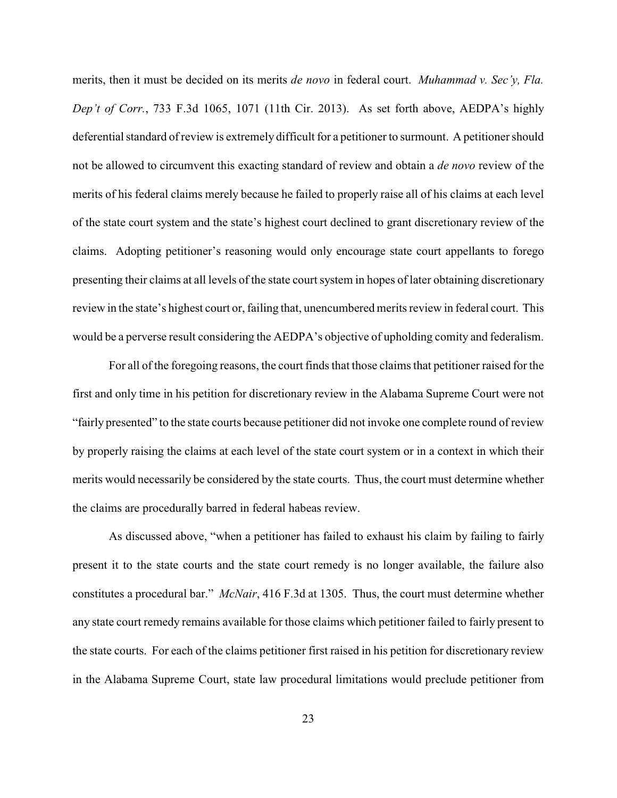merits, then it must be decided on its merits *de novo* in federal court. *Muhammad v. Sec'y, Fla. Dep't of Corr.*, 733 F.3d 1065, 1071 (11th Cir. 2013). As set forth above, AEDPA's highly deferential standard of review is extremely difficult for a petitioner to surmount. A petitioner should not be allowed to circumvent this exacting standard of review and obtain a *de novo* review of the merits of his federal claims merely because he failed to properly raise all of his claims at each level of the state court system and the state's highest court declined to grant discretionary review of the claims. Adopting petitioner's reasoning would only encourage state court appellants to forego presenting their claims at all levels of the state court system in hopes of later obtaining discretionary review in the state's highest court or, failing that, unencumbered merits review in federal court. This would be a perverse result considering the AEDPA's objective of upholding comity and federalism.

For all of the foregoing reasons, the court finds that those claims that petitioner raised for the first and only time in his petition for discretionary review in the Alabama Supreme Court were not "fairly presented" to the state courts because petitioner did not invoke one complete round of review by properly raising the claims at each level of the state court system or in a context in which their merits would necessarily be considered by the state courts. Thus, the court must determine whether the claims are procedurally barred in federal habeas review.

As discussed above, "when a petitioner has failed to exhaust his claim by failing to fairly present it to the state courts and the state court remedy is no longer available, the failure also constitutes a procedural bar." *McNair*, 416 F.3d at 1305. Thus, the court must determine whether any state court remedy remains available for those claims which petitioner failed to fairly present to the state courts. For each of the claims petitioner first raised in his petition for discretionary review in the Alabama Supreme Court, state law procedural limitations would preclude petitioner from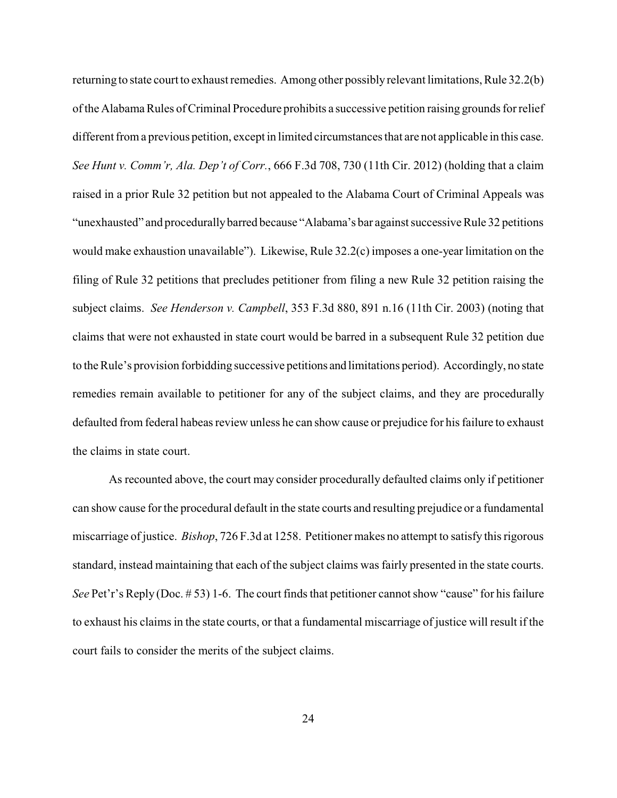returning to state court to exhaust remedies. Among other possibly relevant limitations, Rule 32.2(b) of the Alabama Rules of Criminal Procedure prohibits a successive petition raising grounds for relief different from a previous petition, except in limited circumstances that are not applicable in this case. *See Hunt v. Comm'r, Ala. Dep't of Corr.*, 666 F.3d 708, 730 (11th Cir. 2012) (holding that a claim raised in a prior Rule 32 petition but not appealed to the Alabama Court of Criminal Appeals was "unexhausted" and procedurallybarred because "Alabama's bar against successive Rule 32 petitions would make exhaustion unavailable"). Likewise, Rule 32.2(c) imposes a one-year limitation on the filing of Rule 32 petitions that precludes petitioner from filing a new Rule 32 petition raising the subject claims. *See Henderson v. Campbell*, 353 F.3d 880, 891 n.16 (11th Cir. 2003) (noting that claims that were not exhausted in state court would be barred in a subsequent Rule 32 petition due to the Rule's provision forbidding successive petitions and limitations period). Accordingly, no state remedies remain available to petitioner for any of the subject claims, and they are procedurally defaulted from federal habeas review unless he can show cause or prejudice for his failure to exhaust the claims in state court.

As recounted above, the court may consider procedurally defaulted claims only if petitioner can show cause for the procedural default in the state courts and resulting prejudice or a fundamental miscarriage of justice. *Bishop*, 726 F.3d at 1258. Petitioner makes no attempt to satisfy this rigorous standard, instead maintaining that each of the subject claims was fairly presented in the state courts. *See* Pet'r's Reply (Doc. #53) 1-6. The court finds that petitioner cannot show "cause" for his failure to exhaust his claims in the state courts, or that a fundamental miscarriage of justice will result if the court fails to consider the merits of the subject claims.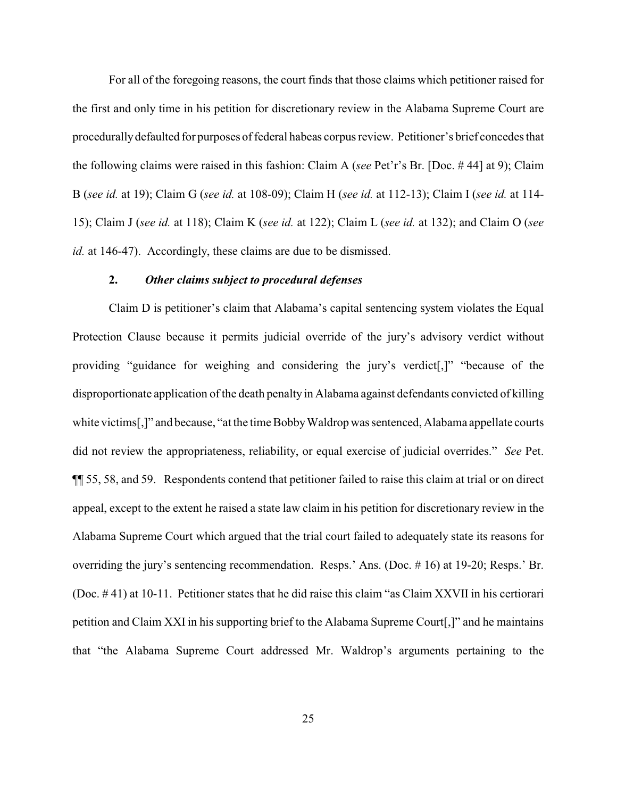For all of the foregoing reasons, the court finds that those claims which petitioner raised for the first and only time in his petition for discretionary review in the Alabama Supreme Court are procedurallydefaulted for purposes of federal habeas corpus review. Petitioner's brief concedes that the following claims were raised in this fashion: Claim A (*see* Pet'r's Br. [Doc. # 44] at 9); Claim B (*see id.* at 19); Claim G (*see id.* at 108-09); Claim H (*see id.* at 112-13); Claim I (*see id.* at 114- 15); Claim J (*see id.* at 118); Claim K (*see id.* at 122); Claim L (*see id.* at 132); and Claim O (*see id.* at 146-47). Accordingly, these claims are due to be dismissed.

### **2.** *Other claims subject to procedural defenses*

Claim D is petitioner's claim that Alabama's capital sentencing system violates the Equal Protection Clause because it permits judicial override of the jury's advisory verdict without providing "guidance for weighing and considering the jury's verdict[,]" "because of the disproportionate application of the death penalty in Alabama against defendants convicted of killing white victims[,]" and because, "at the time BobbyWaldrop was sentenced, Alabama appellate courts did not review the appropriateness, reliability, or equal exercise of judicial overrides." *See* Pet. ¶¶ 55, 58, and 59. Respondents contend that petitioner failed to raise this claim at trial or on direct appeal, except to the extent he raised a state law claim in his petition for discretionary review in the Alabama Supreme Court which argued that the trial court failed to adequately state its reasons for overriding the jury's sentencing recommendation. Resps.' Ans. (Doc. # 16) at 19-20; Resps.' Br. (Doc. # 41) at 10-11. Petitioner states that he did raise this claim "as Claim XXVII in his certiorari petition and Claim XXI in his supporting brief to the Alabama Supreme Court[,]" and he maintains that "the Alabama Supreme Court addressed Mr. Waldrop's arguments pertaining to the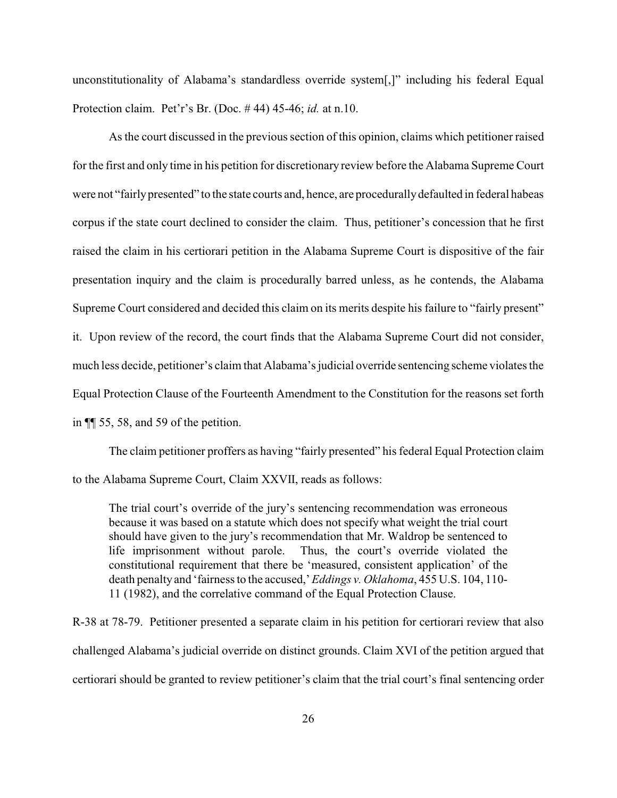unconstitutionality of Alabama's standardless override system[,]" including his federal Equal Protection claim. Pet'r's Br. (Doc. # 44) 45-46; *id.* at n.10.

As the court discussed in the previous section of this opinion, claims which petitioner raised for the first and only time in his petition for discretionary review before the Alabama Supreme Court were not "fairly presented" to the state courts and, hence, are procedurally defaulted in federal habeas corpus if the state court declined to consider the claim. Thus, petitioner's concession that he first raised the claim in his certiorari petition in the Alabama Supreme Court is dispositive of the fair presentation inquiry and the claim is procedurally barred unless, as he contends, the Alabama Supreme Court considered and decided this claim on its merits despite his failure to "fairly present" it. Upon review of the record, the court finds that the Alabama Supreme Court did not consider, much less decide, petitioner's claim that Alabama's judicial override sentencing scheme violates the Equal Protection Clause of the Fourteenth Amendment to the Constitution for the reasons set forth in ¶¶ 55, 58, and 59 of the petition.

The claim petitioner proffers as having "fairly presented" his federal Equal Protection claim to the Alabama Supreme Court, Claim XXVII, reads as follows:

The trial court's override of the jury's sentencing recommendation was erroneous because it was based on a statute which does not specify what weight the trial court should have given to the jury's recommendation that Mr. Waldrop be sentenced to life imprisonment without parole. Thus, the court's override violated the constitutional requirement that there be 'measured, consistent application' of the death penalty and 'fairness to the accused,' *Eddings v. Oklahoma*, 455 U.S. 104, 110- 11 (1982), and the correlative command of the Equal Protection Clause.

R-38 at 78-79. Petitioner presented a separate claim in his petition for certiorari review that also challenged Alabama's judicial override on distinct grounds. Claim XVI of the petition argued that certiorari should be granted to review petitioner's claim that the trial court's final sentencing order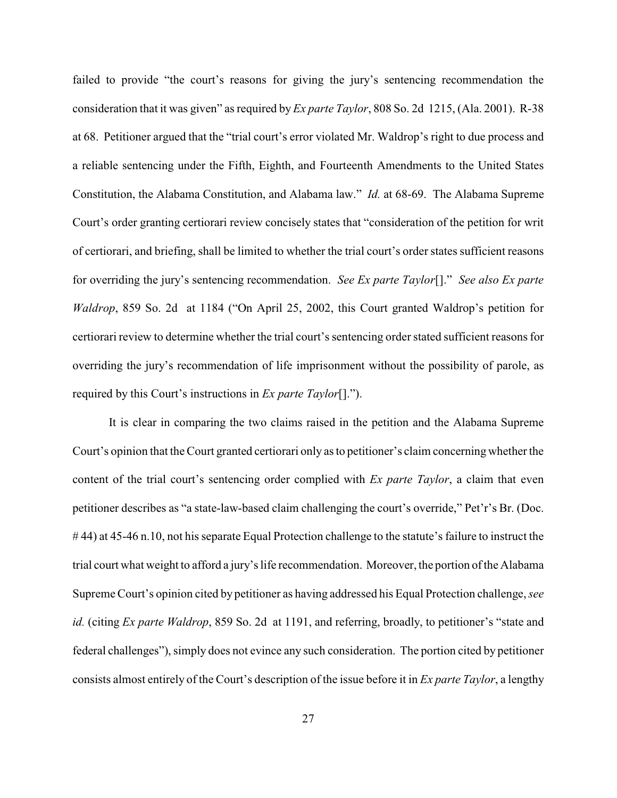failed to provide "the court's reasons for giving the jury's sentencing recommendation the consideration that it was given" as required by *Ex parte Taylor*, 808 So. 2d 1215, (Ala. 2001). R-38 at 68. Petitioner argued that the "trial court's error violated Mr. Waldrop's right to due process and a reliable sentencing under the Fifth, Eighth, and Fourteenth Amendments to the United States Constitution, the Alabama Constitution, and Alabama law." *Id.* at 68-69. The Alabama Supreme Court's order granting certiorari review concisely states that "consideration of the petition for writ of certiorari, and briefing, shall be limited to whether the trial court's order states sufficient reasons for overriding the jury's sentencing recommendation. *See Ex parte Taylor*[]." *See also Ex parte Waldrop*, 859 So. 2d at 1184 ("On April 25, 2002, this Court granted Waldrop's petition for certiorari review to determine whether the trial court's sentencing orderstated sufficient reasons for overriding the jury's recommendation of life imprisonment without the possibility of parole, as required by this Court's instructions in *Ex parte Taylor*[].").

It is clear in comparing the two claims raised in the petition and the Alabama Supreme Court's opinion that the Court granted certiorari only as to petitioner's claim concerning whether the content of the trial court's sentencing order complied with *Ex parte Taylor*, a claim that even petitioner describes as "a state-law-based claim challenging the court's override," Pet'r's Br. (Doc. # 44) at 45-46 n.10, not his separate Equal Protection challenge to the statute's failure to instruct the trial court what weight to afford a jury's life recommendation. Moreover, the portion of the Alabama Supreme Court's opinion cited by petitioner as having addressed his Equal Protection challenge, *see id.* (citing *Ex parte Waldrop*, 859 So. 2d at 1191, and referring, broadly, to petitioner's "state and federal challenges"), simply does not evince any such consideration. The portion cited by petitioner consists almost entirely of the Court's description of the issue before it in *Ex parte Taylor*, a lengthy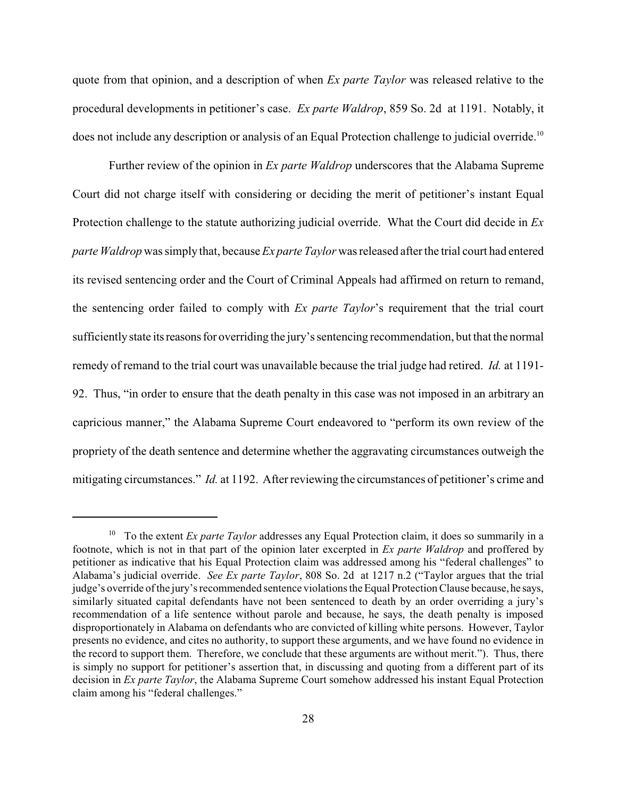quote from that opinion, and a description of when *Ex parte Taylor* was released relative to the procedural developments in petitioner's case. *Ex parte Waldrop*, 859 So. 2d at 1191. Notably, it does not include any description or analysis of an Equal Protection challenge to judicial override.<sup>10</sup>

Further review of the opinion in *Ex parte Waldrop* underscores that the Alabama Supreme Court did not charge itself with considering or deciding the merit of petitioner's instant Equal Protection challenge to the statute authorizing judicial override. What the Court did decide in *Ex parte Waldrop* was simply that, because *Ex parte Taylor* was released after the trial court had entered its revised sentencing order and the Court of Criminal Appeals had affirmed on return to remand, the sentencing order failed to comply with *Ex parte Taylor*'s requirement that the trial court sufficiently state its reasons for overriding the jury's sentencing recommendation, but that the normal remedy of remand to the trial court was unavailable because the trial judge had retired. *Id.* at 1191- 92. Thus, "in order to ensure that the death penalty in this case was not imposed in an arbitrary an capricious manner," the Alabama Supreme Court endeavored to "perform its own review of the propriety of the death sentence and determine whether the aggravating circumstances outweigh the mitigating circumstances." *Id.* at 1192. After reviewing the circumstances of petitioner's crime and

<sup>&</sup>lt;sup>10</sup> To the extent *Ex parte Taylor* addresses any Equal Protection claim, it does so summarily in a footnote, which is not in that part of the opinion later excerpted in *Ex parte Waldrop* and proffered by petitioner as indicative that his Equal Protection claim was addressed among his "federal challenges" to Alabama's judicial override. *See Ex parte Taylor*, 808 So. 2d at 1217 n.2 ("Taylor argues that the trial judge's override of the jury's recommended sentence violations the Equal Protection Clause because, he says, similarly situated capital defendants have not been sentenced to death by an order overriding a jury's recommendation of a life sentence without parole and because, he says, the death penalty is imposed disproportionately in Alabama on defendants who are convicted of killing white persons. However, Taylor presents no evidence, and cites no authority, to support these arguments, and we have found no evidence in the record to support them. Therefore, we conclude that these arguments are without merit."). Thus, there is simply no support for petitioner's assertion that, in discussing and quoting from a different part of its decision in *Ex parte Taylor*, the Alabama Supreme Court somehow addressed his instant Equal Protection claim among his "federal challenges."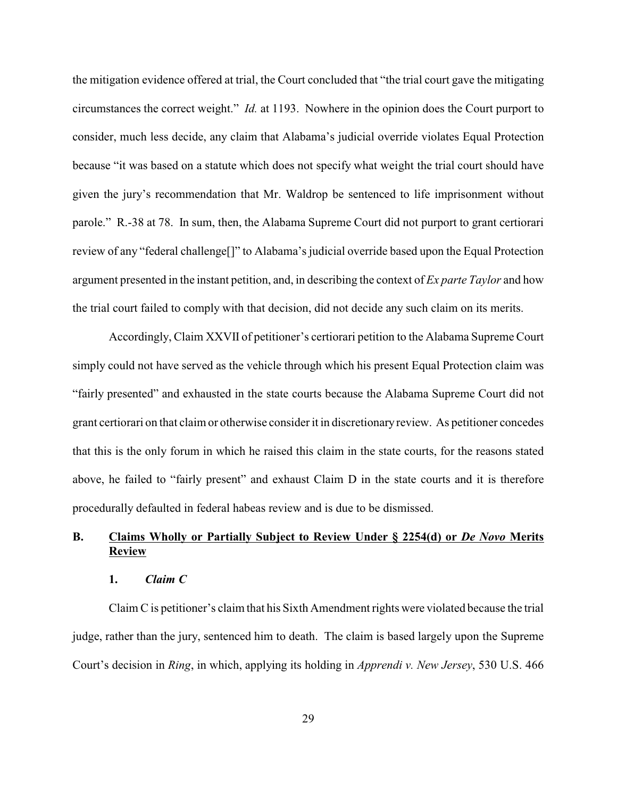the mitigation evidence offered at trial, the Court concluded that "the trial court gave the mitigating circumstances the correct weight." *Id.* at 1193. Nowhere in the opinion does the Court purport to consider, much less decide, any claim that Alabama's judicial override violates Equal Protection because "it was based on a statute which does not specify what weight the trial court should have given the jury's recommendation that Mr. Waldrop be sentenced to life imprisonment without parole." R.-38 at 78. In sum, then, the Alabama Supreme Court did not purport to grant certiorari review of any "federal challenge[]" to Alabama's judicial override based upon the Equal Protection argument presented in the instant petition, and, in describing the context of *Ex parte Taylor* and how the trial court failed to comply with that decision, did not decide any such claim on its merits.

Accordingly, Claim XXVII of petitioner's certiorari petition to the Alabama Supreme Court simply could not have served as the vehicle through which his present Equal Protection claim was "fairly presented" and exhausted in the state courts because the Alabama Supreme Court did not grant certiorari on that claim or otherwise consider it in discretionary review. As petitioner concedes that this is the only forum in which he raised this claim in the state courts, for the reasons stated above, he failed to "fairly present" and exhaust Claim D in the state courts and it is therefore procedurally defaulted in federal habeas review and is due to be dismissed.

# **B. Claims Wholly or Partially Subject to Review Under § 2254(d) or** *De Novo* **Merits Review**

## **1.** *Claim C*

Claim C is petitioner's claim that his Sixth Amendment rights were violated because the trial judge, rather than the jury, sentenced him to death. The claim is based largely upon the Supreme Court's decision in *Ring*, in which, applying its holding in *Apprendi v. New Jersey*, 530 U.S. 466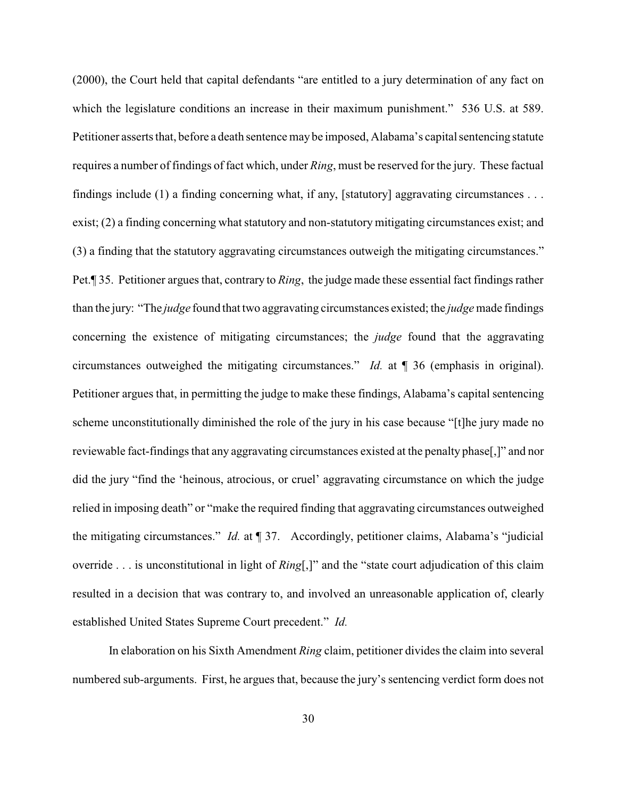(2000), the Court held that capital defendants "are entitled to a jury determination of any fact on which the legislature conditions an increase in their maximum punishment." 536 U.S. at 589. Petitioner asserts that, before a death sentence may be imposed, Alabama's capital sentencing statute requires a number of findings of fact which, under *Ring*, must be reserved for the jury. These factual findings include (1) a finding concerning what, if any, [statutory] aggravating circumstances . . . exist; (2) a finding concerning what statutory and non-statutory mitigating circumstances exist; and (3) a finding that the statutory aggravating circumstances outweigh the mitigating circumstances." Pet.¶ 35. Petitioner argues that, contrary to *Ring*, the judge made these essential fact findings rather than the jury: "The *judge* found that two aggravating circumstances existed; the *judge* made findings concerning the existence of mitigating circumstances; the *judge* found that the aggravating circumstances outweighed the mitigating circumstances." *Id.* at ¶ 36 (emphasis in original). Petitioner argues that, in permitting the judge to make these findings, Alabama's capital sentencing scheme unconstitutionally diminished the role of the jury in his case because "[t]he jury made no reviewable fact-findings that any aggravating circumstances existed at the penalty phase[,]" and nor did the jury "find the 'heinous, atrocious, or cruel' aggravating circumstance on which the judge relied in imposing death" or "make the required finding that aggravating circumstances outweighed the mitigating circumstances." *Id.* at ¶ 37. Accordingly, petitioner claims, Alabama's "judicial override . . . is unconstitutional in light of *Ring*[,]" and the "state court adjudication of this claim resulted in a decision that was contrary to, and involved an unreasonable application of, clearly established United States Supreme Court precedent." *Id.*

In elaboration on his Sixth Amendment *Ring* claim, petitioner divides the claim into several numbered sub-arguments. First, he argues that, because the jury's sentencing verdict form does not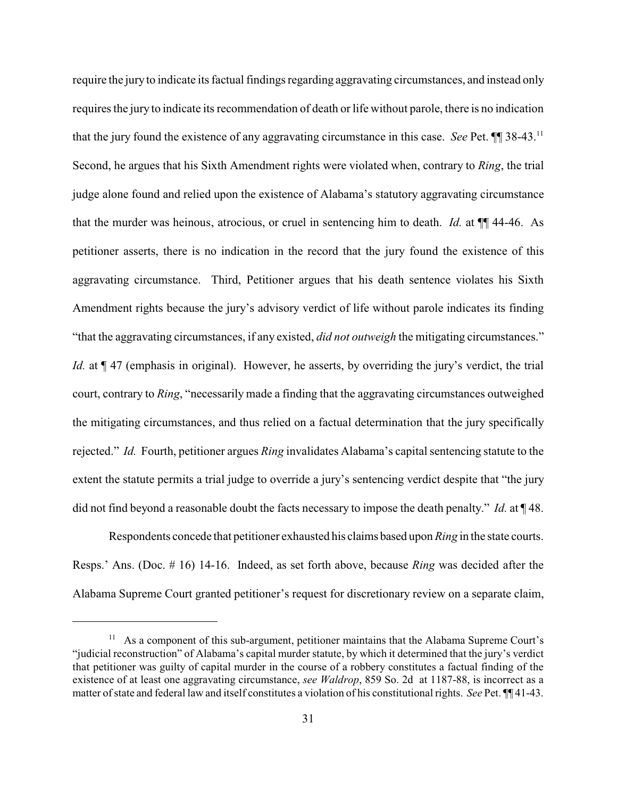require the jury to indicate its factual findings regarding aggravating circumstances, and instead only requires the jury to indicate its recommendation of death or life without parole, there is no indication that the jury found the existence of any aggravating circumstance in this case. *See* Pet. ¶¶ 38-43.<sup>11</sup> Second, he argues that his Sixth Amendment rights were violated when, contrary to *Ring*, the trial judge alone found and relied upon the existence of Alabama's statutory aggravating circumstance that the murder was heinous, atrocious, or cruel in sentencing him to death. *Id.* at ¶¶ 44-46. As petitioner asserts, there is no indication in the record that the jury found the existence of this aggravating circumstance. Third, Petitioner argues that his death sentence violates his Sixth Amendment rights because the jury's advisory verdict of life without parole indicates its finding "that the aggravating circumstances, if any existed, *did not outweigh* the mitigating circumstances." *Id.* at  $\P$  47 (emphasis in original). However, he asserts, by overriding the jury's verdict, the trial court, contrary to *Ring*, "necessarily made a finding that the aggravating circumstances outweighed the mitigating circumstances, and thus relied on a factual determination that the jury specifically rejected." *Id.* Fourth, petitioner argues *Ring* invalidates Alabama's capital sentencing statute to the extent the statute permits a trial judge to override a jury's sentencing verdict despite that "the jury did not find beyond a reasonable doubt the facts necessary to impose the death penalty." *Id.* at ¶ 48.

Respondents concede that petitioner exhausted his claims based upon *Ring* in the state courts. Resps.' Ans. (Doc. # 16) 14-16. Indeed, as set forth above, because *Ring* was decided after the Alabama Supreme Court granted petitioner's request for discretionary review on a separate claim,

 $11$  As a component of this sub-argument, petitioner maintains that the Alabama Supreme Court's "judicial reconstruction" of Alabama's capital murder statute, by which it determined that the jury's verdict that petitioner was guilty of capital murder in the course of a robbery constitutes a factual finding of the existence of at least one aggravating circumstance, *see Waldrop*, 859 So. 2d at 1187-88, is incorrect as a matter of state and federal law and itself constitutes a violation of his constitutional rights. *See* Pet. ¶¶ 41-43.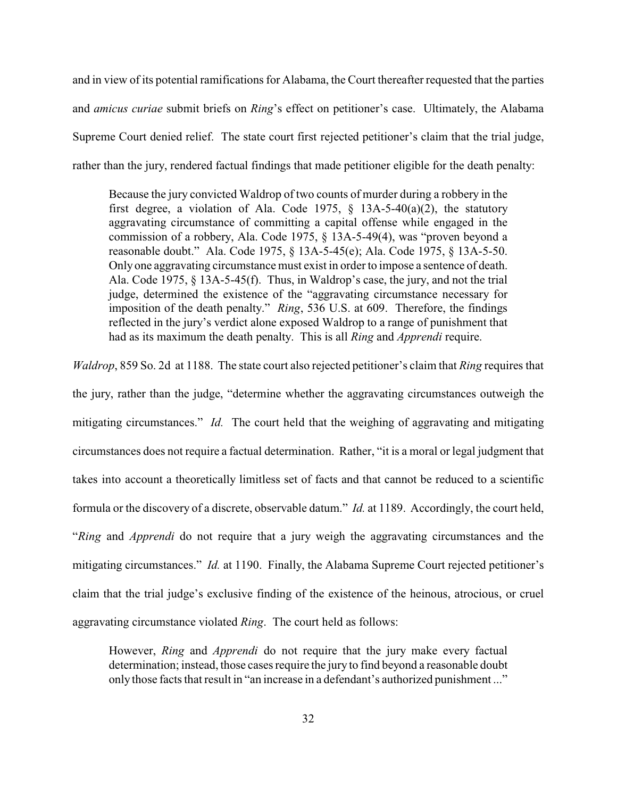and in view of its potential ramifications for Alabama, the Court thereafter requested that the parties and *amicus curiae* submit briefs on *Ring*'s effect on petitioner's case. Ultimately, the Alabama Supreme Court denied relief. The state court first rejected petitioner's claim that the trial judge, rather than the jury, rendered factual findings that made petitioner eligible for the death penalty:

Because the jury convicted Waldrop of two counts of murder during a robbery in the first degree, a violation of Ala. Code 1975,  $\S$  13A-5-40(a)(2), the statutory aggravating circumstance of committing a capital offense while engaged in the commission of a robbery, Ala. Code 1975, § 13A-5-49(4), was "proven beyond a reasonable doubt." Ala. Code 1975, § 13A-5-45(e); Ala. Code 1975, § 13A-5-50. Only one aggravating circumstance must exist in order to impose a sentence of death. Ala. Code 1975, § 13A-5-45(f). Thus, in Waldrop's case, the jury, and not the trial judge, determined the existence of the "aggravating circumstance necessary for imposition of the death penalty." *Ring*, 536 U.S. at 609. Therefore, the findings reflected in the jury's verdict alone exposed Waldrop to a range of punishment that had as its maximum the death penalty. This is all *Ring* and *Apprendi* require.

*Waldrop*, 859 So. 2d at 1188. The state court also rejected petitioner's claim that *Ring* requires that the jury, rather than the judge, "determine whether the aggravating circumstances outweigh the mitigating circumstances." *Id.* The court held that the weighing of aggravating and mitigating circumstances does not require a factual determination. Rather, "it is a moral or legal judgment that takes into account a theoretically limitless set of facts and that cannot be reduced to a scientific formula or the discovery of a discrete, observable datum." *Id.* at 1189. Accordingly, the court held, "*Ring* and *Apprendi* do not require that a jury weigh the aggravating circumstances and the mitigating circumstances." *Id.* at 1190. Finally, the Alabama Supreme Court rejected petitioner's claim that the trial judge's exclusive finding of the existence of the heinous, atrocious, or cruel aggravating circumstance violated *Ring*. The court held as follows:

However, *Ring* and *Apprendi* do not require that the jury make every factual determination; instead, those cases require the jury to find beyond a reasonable doubt only those facts that result in "an increase in a defendant's authorized punishment ..."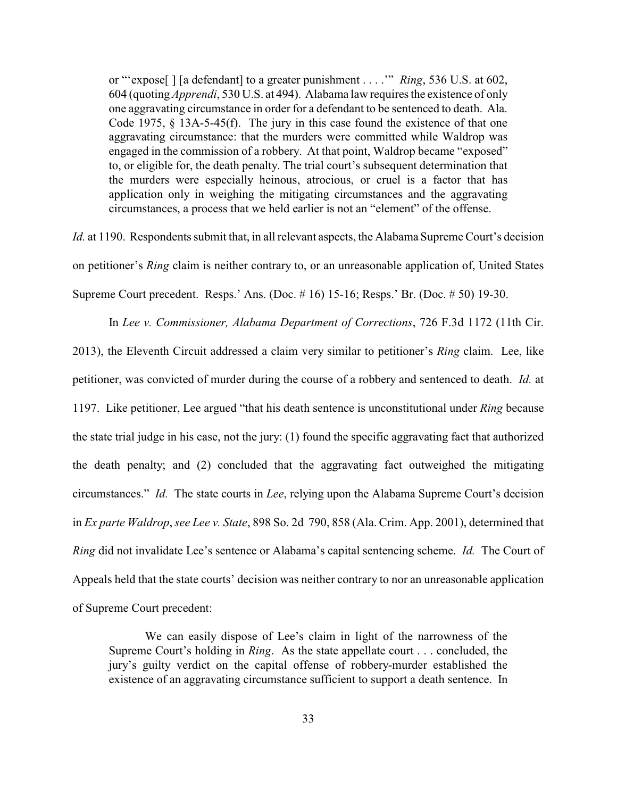or "'expose[ ] [a defendant] to a greater punishment . . . .'" *Ring*, 536 U.S. at 602, 604 (quoting *Apprendi*, 530 U.S. at 494). Alabama law requires the existence of only one aggravating circumstance in order for a defendant to be sentenced to death. Ala. Code 1975,  $\S$  13A-5-45(f). The jury in this case found the existence of that one aggravating circumstance: that the murders were committed while Waldrop was engaged in the commission of a robbery. At that point, Waldrop became "exposed" to, or eligible for, the death penalty. The trial court's subsequent determination that the murders were especially heinous, atrocious, or cruel is a factor that has application only in weighing the mitigating circumstances and the aggravating circumstances, a process that we held earlier is not an "element" of the offense.

*Id.* at 1190. Respondents submit that, in all relevant aspects, the Alabama Supreme Court's decision on petitioner's *Ring* claim is neither contrary to, or an unreasonable application of, United States Supreme Court precedent. Resps.' Ans. (Doc. # 16) 15-16; Resps.' Br. (Doc. # 50) 19-30.

In *Lee v. Commissioner, Alabama Department of Corrections*, 726 F.3d 1172 (11th Cir.

2013), the Eleventh Circuit addressed a claim very similar to petitioner's *Ring* claim. Lee, like petitioner, was convicted of murder during the course of a robbery and sentenced to death. *Id.* at 1197. Like petitioner, Lee argued "that his death sentence is unconstitutional under *Ring* because the state trial judge in his case, not the jury: (1) found the specific aggravating fact that authorized the death penalty; and (2) concluded that the aggravating fact outweighed the mitigating circumstances." *Id.* The state courts in *Lee*, relying upon the Alabama Supreme Court's decision in *Ex parte Waldrop*, *see Lee v. State*, 898 So. 2d 790, 858 (Ala. Crim. App. 2001), determined that *Ring* did not invalidate Lee's sentence or Alabama's capital sentencing scheme. *Id.* The Court of Appeals held that the state courts' decision was neither contrary to nor an unreasonable application of Supreme Court precedent:

We can easily dispose of Lee's claim in light of the narrowness of the Supreme Court's holding in *Ring*. As the state appellate court . . . concluded, the jury's guilty verdict on the capital offense of robbery-murder established the existence of an aggravating circumstance sufficient to support a death sentence. In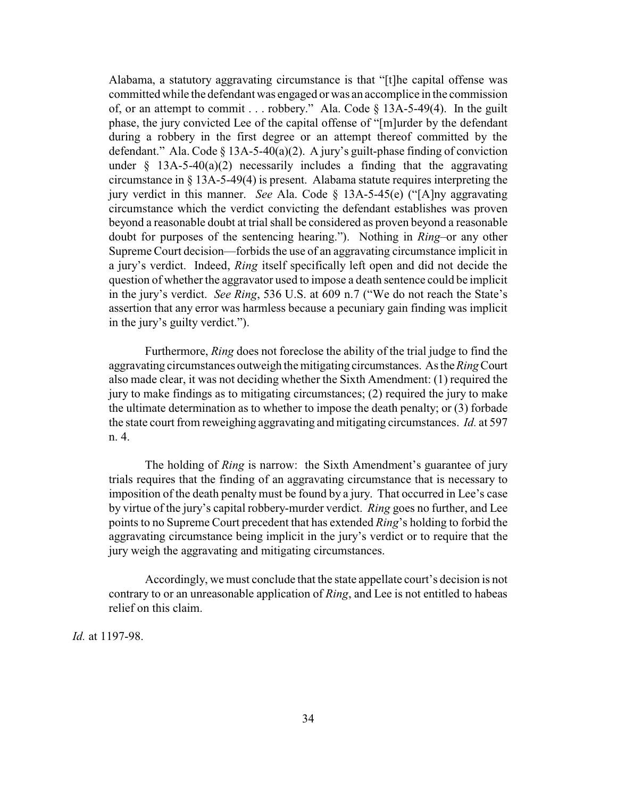Alabama, a statutory aggravating circumstance is that "[t]he capital offense was committed while the defendant was engaged or was an accomplice in the commission of, or an attempt to commit . . . robbery." Ala. Code § 13A-5-49(4). In the guilt phase, the jury convicted Lee of the capital offense of "[m]urder by the defendant during a robbery in the first degree or an attempt thereof committed by the defendant." Ala. Code § 13A-5-40(a)(2). A jury's guilt-phase finding of conviction under  $\S$  13A-5-40(a)(2) necessarily includes a finding that the aggravating circumstance in § 13A-5-49(4) is present. Alabama statute requires interpreting the jury verdict in this manner. *See* Ala. Code § 13A-5-45(e) ("[A]ny aggravating circumstance which the verdict convicting the defendant establishes was proven beyond a reasonable doubt at trial shall be considered as proven beyond a reasonable doubt for purposes of the sentencing hearing."). Nothing in *Ring*–or any other Supreme Court decision—forbids the use of an aggravating circumstance implicit in a jury's verdict. Indeed, *Ring* itself specifically left open and did not decide the question of whether the aggravator used to impose a death sentence could be implicit in the jury's verdict. *See Ring*, 536 U.S. at 609 n.7 ("We do not reach the State's assertion that any error was harmless because a pecuniary gain finding was implicit in the jury's guilty verdict.").

Furthermore, *Ring* does not foreclose the ability of the trial judge to find the aggravating circumstances outweigh the mitigating circumstances. Asthe*Ring*Court also made clear, it was not deciding whether the Sixth Amendment: (1) required the jury to make findings as to mitigating circumstances; (2) required the jury to make the ultimate determination as to whether to impose the death penalty; or (3) forbade the state court from reweighing aggravating and mitigating circumstances. *Id.* at 597 n. 4.

The holding of *Ring* is narrow: the Sixth Amendment's guarantee of jury trials requires that the finding of an aggravating circumstance that is necessary to imposition of the death penalty must be found by a jury. That occurred in Lee's case by virtue of the jury's capital robbery-murder verdict. *Ring* goes no further, and Lee points to no Supreme Court precedent that has extended *Ring*'s holding to forbid the aggravating circumstance being implicit in the jury's verdict or to require that the jury weigh the aggravating and mitigating circumstances.

Accordingly, we must conclude that the state appellate court's decision is not contrary to or an unreasonable application of *Ring*, and Lee is not entitled to habeas relief on this claim.

*Id.* at 1197-98.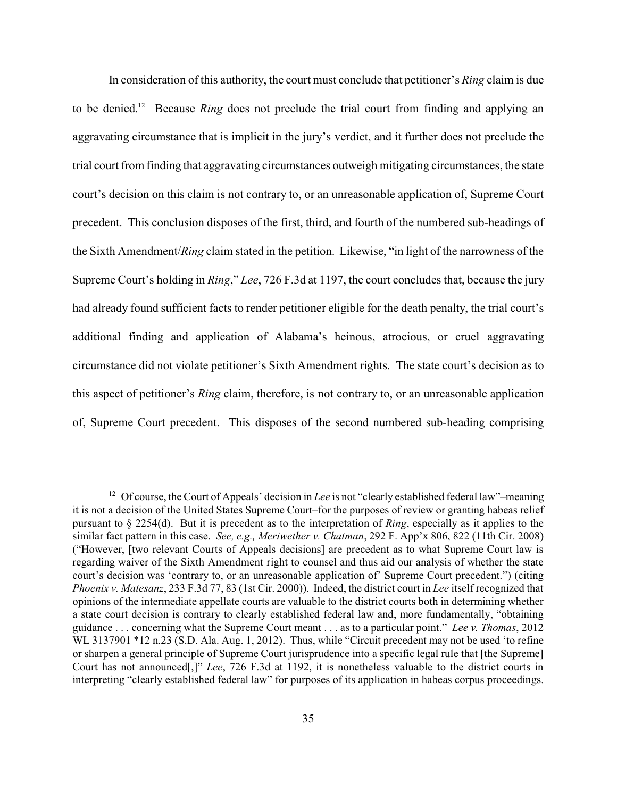In consideration of this authority, the court must conclude that petitioner's *Ring* claim is due to be denied.<sup>12</sup> Because *Ring* does not preclude the trial court from finding and applying an aggravating circumstance that is implicit in the jury's verdict, and it further does not preclude the trial court from finding that aggravating circumstances outweigh mitigating circumstances, the state court's decision on this claim is not contrary to, or an unreasonable application of, Supreme Court precedent. This conclusion disposes of the first, third, and fourth of the numbered sub-headings of the Sixth Amendment/*Ring* claim stated in the petition. Likewise, "in light of the narrowness of the Supreme Court's holding in *Ring*," *Lee*, 726 F.3d at 1197, the court concludes that, because the jury had already found sufficient facts to render petitioner eligible for the death penalty, the trial court's additional finding and application of Alabama's heinous, atrocious, or cruel aggravating circumstance did not violate petitioner's Sixth Amendment rights. The state court's decision as to this aspect of petitioner's *Ring* claim, therefore, is not contrary to, or an unreasonable application of, Supreme Court precedent. This disposes of the second numbered sub-heading comprising

<sup>&</sup>lt;sup>12</sup> Of course, the Court of Appeals' decision in *Lee* is not "clearly established federal law"–meaning it is not a decision of the United States Supreme Court–for the purposes of review or granting habeas relief pursuant to § 2254(d). But it is precedent as to the interpretation of *Ring*, especially as it applies to the similar fact pattern in this case. *See, e.g., Meriwether v. Chatman*, 292 F. App'x 806, 822 (11th Cir. 2008) ("However, [two relevant Courts of Appeals decisions] are precedent as to what Supreme Court law is regarding waiver of the Sixth Amendment right to counsel and thus aid our analysis of whether the state court's decision was 'contrary to, or an unreasonable application of' Supreme Court precedent.") (citing *Phoenix v. Matesanz*, 233 F.3d 77, 83 (1st Cir. 2000)). Indeed, the district court in *Lee* itself recognized that opinions of the intermediate appellate courts are valuable to the district courts both in determining whether a state court decision is contrary to clearly established federal law and, more fundamentally, "obtaining guidance . . . concerning what the Supreme Court meant . . . as to a particular point." *Lee v. Thomas*, 2012 WL 3137901 \*12 n.23 (S.D. Ala. Aug. 1, 2012). Thus, while "Circuit precedent may not be used 'to refine or sharpen a general principle of Supreme Court jurisprudence into a specific legal rule that [the Supreme] Court has not announced[,]" *Lee*, 726 F.3d at 1192, it is nonetheless valuable to the district courts in interpreting "clearly established federal law" for purposes of its application in habeas corpus proceedings.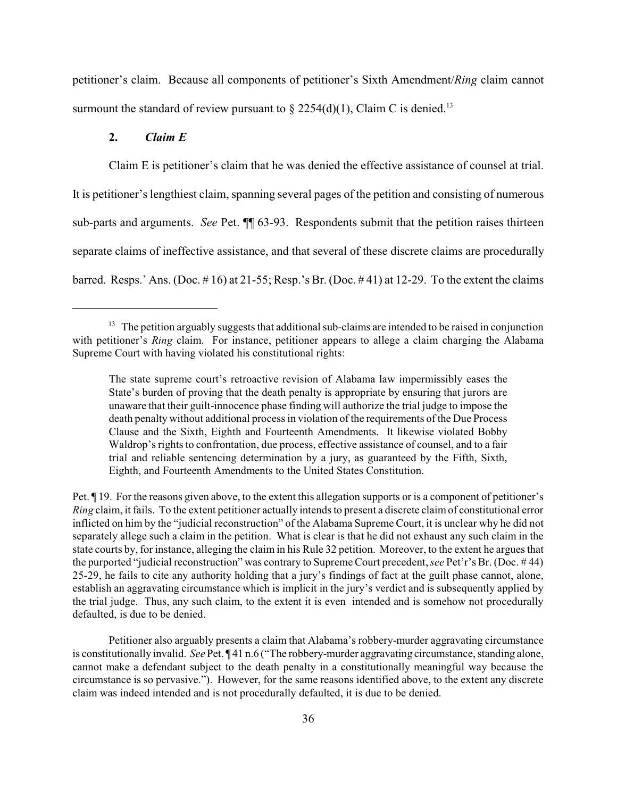petitioner's claim. Because all components of petitioner's Sixth Amendment/*Ring* claim cannot surmount the standard of review pursuant to  $\S 2254(d)(1)$ , Claim C is denied.<sup>13</sup>

## **2.** *Claim E*

Claim E is petitioner's claim that he was denied the effective assistance of counsel at trial. It is petitioner's lengthiest claim, spanning several pages of the petition and consisting of numerous sub-parts and arguments. *See* Pet. ¶¶ 63-93. Respondents submit that the petition raises thirteen separate claims of ineffective assistance, and that several of these discrete claims are procedurally barred. Resps.' Ans. (Doc.  $\# 16$ ) at 21-55; Resp.'s Br. (Doc.  $\# 41$ ) at 12-29. To the extent the claims

Pet. ¶ 19. For the reasons given above, to the extent this allegation supports or is a component of petitioner's *Ring* claim, it fails. To the extent petitioner actually intends to present a discrete claimof constitutional error inflicted on him by the "judicial reconstruction" of the Alabama Supreme Court, it is unclear why he did not separately allege such a claim in the petition. What is clear is that he did not exhaust any such claim in the state courts by, for instance, alleging the claim in his Rule 32 petition. Moreover, to the extent he argues that the purported "judicial reconstruction" was contrary to Supreme Court precedent, *see* Pet'r's Br. (Doc. # 44) 25-29, he fails to cite any authority holding that a jury's findings of fact at the guilt phase cannot, alone, establish an aggravating circumstance which is implicit in the jury's verdict and is subsequently applied by the trial judge. Thus, any such claim, to the extent it is even intended and is somehow not procedurally defaulted, is due to be denied.

Petitioner also arguably presents a claim that Alabama's robbery-murder aggravating circumstance is constitutionally invalid. *See* Pet. ¶ 41 n.6 ("The robbery-murder aggravating circumstance, standing alone, cannot make a defendant subject to the death penalty in a constitutionally meaningful way because the circumstance is so pervasive."). However, for the same reasons identified above, to the extent any discrete claim was indeed intended and is not procedurally defaulted, it is due to be denied.

 $13$  The petition arguably suggests that additional sub-claims are intended to be raised in conjunction with petitioner's *Ring* claim. For instance, petitioner appears to allege a claim charging the Alabama Supreme Court with having violated his constitutional rights:

The state supreme court's retroactive revision of Alabama law impermissibly eases the State's burden of proving that the death penalty is appropriate by ensuring that jurors are unaware that their guilt-innocence phase finding will authorize the trial judge to impose the death penalty without additional process in violation of the requirements of the Due Process Clause and the Sixth, Eighth and Fourteenth Amendments. It likewise violated Bobby Waldrop's rights to confrontation, due process, effective assistance of counsel, and to a fair trial and reliable sentencing determination by a jury, as guaranteed by the Fifth, Sixth, Eighth, and Fourteenth Amendments to the United States Constitution.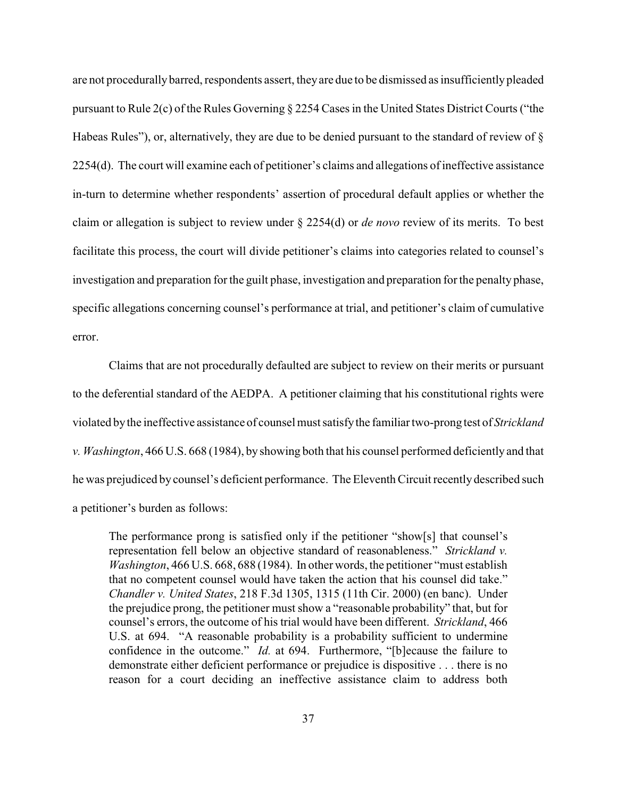are not procedurallybarred, respondents assert, theyare due to be dismissed as insufficiently pleaded pursuant to Rule 2(c) of the Rules Governing § 2254 Cases in the United States District Courts ("the Habeas Rules"), or, alternatively, they are due to be denied pursuant to the standard of review of § 2254(d). The court will examine each of petitioner's claims and allegations of ineffective assistance in-turn to determine whether respondents' assertion of procedural default applies or whether the claim or allegation is subject to review under § 2254(d) or *de novo* review of its merits. To best facilitate this process, the court will divide petitioner's claims into categories related to counsel's investigation and preparation for the guilt phase, investigation and preparation for the penalty phase, specific allegations concerning counsel's performance at trial, and petitioner's claim of cumulative error.

Claims that are not procedurally defaulted are subject to review on their merits or pursuant to the deferential standard of the AEDPA. A petitioner claiming that his constitutional rights were violated bythe ineffective assistance of counsel must satisfythe familiar two-prong test of *Strickland v. Washington*, 466 U.S. 668 (1984), by showing both that his counsel performed deficiently and that he was prejudiced by counsel's deficient performance. The Eleventh Circuit recently described such a petitioner's burden as follows:

The performance prong is satisfied only if the petitioner "show[s] that counsel's representation fell below an objective standard of reasonableness." *Strickland v. Washington*, 466 U.S. 668, 688 (1984). In other words, the petitioner "must establish that no competent counsel would have taken the action that his counsel did take." *Chandler v. United States*, 218 F.3d 1305, 1315 (11th Cir. 2000) (en banc). Under the prejudice prong, the petitioner must show a "reasonable probability" that, but for counsel's errors, the outcome of his trial would have been different. *Strickland*, 466 U.S. at 694. "A reasonable probability is a probability sufficient to undermine confidence in the outcome." *Id.* at 694. Furthermore, "[b]ecause the failure to demonstrate either deficient performance or prejudice is dispositive . . . there is no reason for a court deciding an ineffective assistance claim to address both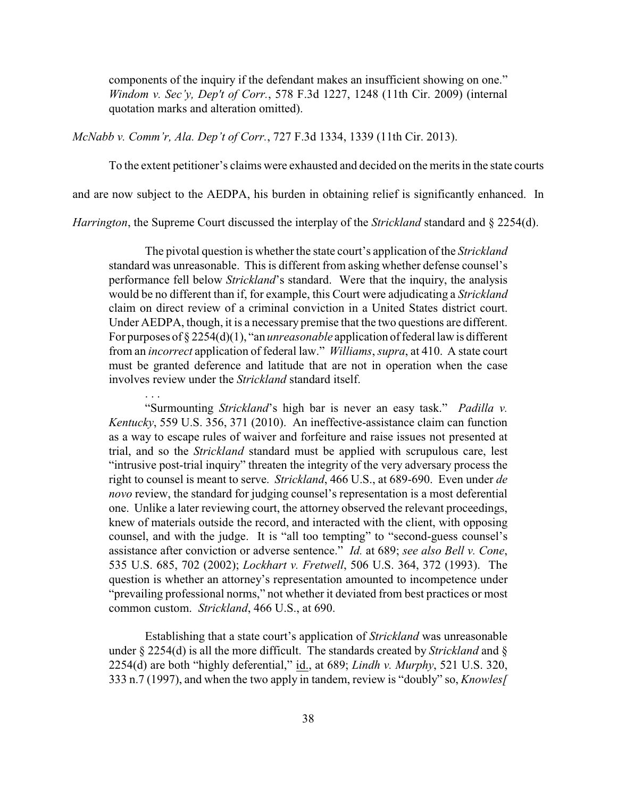components of the inquiry if the defendant makes an insufficient showing on one." *Windom v. Sec'y, Dep't of Corr.*, 578 F.3d 1227, 1248 (11th Cir. 2009) (internal quotation marks and alteration omitted).

*McNabb v. Comm'r, Ala. Dep't of Corr.*, 727 F.3d 1334, 1339 (11th Cir. 2013).

. . .

To the extent petitioner's claims were exhausted and decided on the merits in the state courts

and are now subject to the AEDPA, his burden in obtaining relief is significantly enhanced. In

*Harrington*, the Supreme Court discussed the interplay of the *Strickland* standard and § 2254(d).

The pivotal question is whether the state court's application of the *Strickland* standard was unreasonable. This is different from asking whether defense counsel's performance fell below *Strickland*'s standard. Were that the inquiry, the analysis would be no different than if, for example, this Court were adjudicating a *Strickland* claim on direct review of a criminal conviction in a United States district court. Under AEDPA, though, it is a necessary premise that the two questions are different. For purposes of § 2254(d)(1), "an *unreasonable* application of federal law is different from an *incorrect* application of federal law." *Williams*, *supra*, at 410. A state court must be granted deference and latitude that are not in operation when the case involves review under the *Strickland* standard itself.

"Surmounting *Strickland*'s high bar is never an easy task." *Padilla v. Kentucky*, 559 U.S. 356, 371 (2010). An ineffective-assistance claim can function as a way to escape rules of waiver and forfeiture and raise issues not presented at trial, and so the *Strickland* standard must be applied with scrupulous care, lest "intrusive post-trial inquiry" threaten the integrity of the very adversary process the right to counsel is meant to serve. *Strickland*, 466 U.S., at 689-690. Even under *de novo* review, the standard for judging counsel's representation is a most deferential one. Unlike a later reviewing court, the attorney observed the relevant proceedings, knew of materials outside the record, and interacted with the client, with opposing counsel, and with the judge. It is "all too tempting" to "second-guess counsel's assistance after conviction or adverse sentence." *Id.* at 689; *see also Bell v. Cone*, 535 U.S. 685, 702 (2002); *Lockhart v. Fretwell*, 506 U.S. 364, 372 (1993). The question is whether an attorney's representation amounted to incompetence under "prevailing professional norms," not whether it deviated from best practices or most common custom. *Strickland*, 466 U.S., at 690.

Establishing that a state court's application of *Strickland* was unreasonable under § 2254(d) is all the more difficult. The standards created by *Strickland* and § 2254(d) are both "highly deferential," id., at 689; *Lindh v. Murphy*, 521 U.S. 320, 333 n.7 (1997), and when the two apply in tandem, review is "doubly" so, *Knowles[*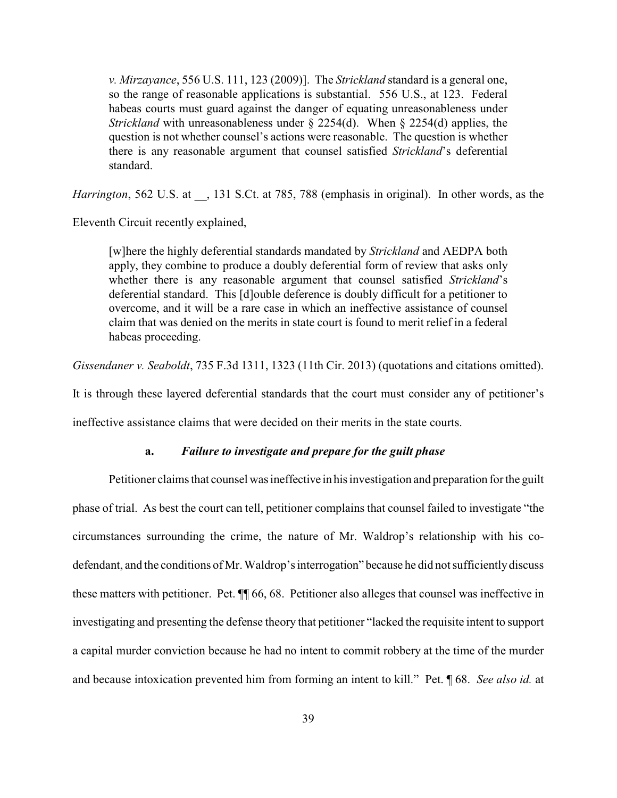*v. Mirzayance*, 556 U.S. 111, 123 (2009)]. The *Strickland* standard is a general one, so the range of reasonable applications is substantial. 556 U.S., at 123. Federal habeas courts must guard against the danger of equating unreasonableness under *Strickland* with unreasonableness under § 2254(d). When § 2254(d) applies, the question is not whether counsel's actions were reasonable. The question is whether there is any reasonable argument that counsel satisfied *Strickland*'s deferential standard.

*Harrington*, 562 U.S. at  $\phantom{0}$ , 131 S.Ct. at 785, 788 (emphasis in original). In other words, as the

Eleventh Circuit recently explained,

[w]here the highly deferential standards mandated by *Strickland* and AEDPA both apply, they combine to produce a doubly deferential form of review that asks only whether there is any reasonable argument that counsel satisfied *Strickland*'s deferential standard. This [d]ouble deference is doubly difficult for a petitioner to overcome, and it will be a rare case in which an ineffective assistance of counsel claim that was denied on the merits in state court is found to merit relief in a federal habeas proceeding.

*Gissendaner v. Seaboldt*, 735 F.3d 1311, 1323 (11th Cir. 2013) (quotations and citations omitted).

It is through these layered deferential standards that the court must consider any of petitioner's

ineffective assistance claims that were decided on their merits in the state courts.

#### **a.** *Failure to investigate and prepare for the guilt phase*

Petitioner claims that counsel was ineffective in his investigation and preparation for the guilt phase of trial. As best the court can tell, petitioner complains that counsel failed to investigate "the circumstances surrounding the crime, the nature of Mr. Waldrop's relationship with his codefendant, and the conditions of Mr. Waldrop's interrogation" because he did not sufficiently discuss these matters with petitioner. Pet. ¶¶ 66, 68. Petitioner also alleges that counsel was ineffective in investigating and presenting the defense theory that petitioner "lacked the requisite intent to support a capital murder conviction because he had no intent to commit robbery at the time of the murder and because intoxication prevented him from forming an intent to kill." Pet. ¶ 68. *See also id.* at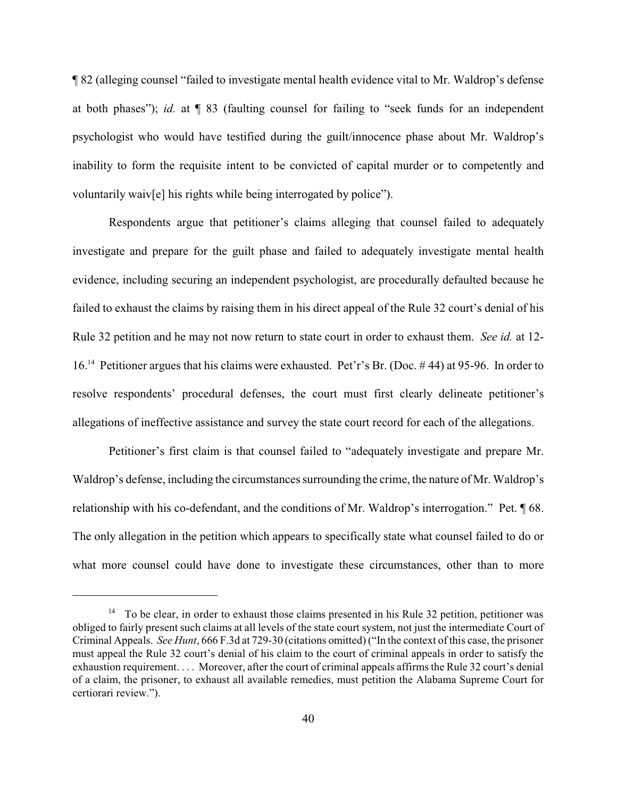¶ 82 (alleging counsel "failed to investigate mental health evidence vital to Mr. Waldrop's defense at both phases"); *id.* at ¶ 83 (faulting counsel for failing to "seek funds for an independent psychologist who would have testified during the guilt/innocence phase about Mr. Waldrop's inability to form the requisite intent to be convicted of capital murder or to competently and voluntarily waiv[e] his rights while being interrogated by police").

Respondents argue that petitioner's claims alleging that counsel failed to adequately investigate and prepare for the guilt phase and failed to adequately investigate mental health evidence, including securing an independent psychologist, are procedurally defaulted because he failed to exhaust the claims by raising them in his direct appeal of the Rule 32 court's denial of his Rule 32 petition and he may not now return to state court in order to exhaust them. *See id.* at 12- 16.<sup>14</sup> Petitioner argues that his claims were exhausted. Pet'r's Br. (Doc. #44) at 95-96. In order to resolve respondents' procedural defenses, the court must first clearly delineate petitioner's allegations of ineffective assistance and survey the state court record for each of the allegations.

Petitioner's first claim is that counsel failed to "adequately investigate and prepare Mr. Waldrop's defense, including the circumstances surrounding the crime, the nature of Mr. Waldrop's relationship with his co-defendant, and the conditions of Mr. Waldrop's interrogation." Pet. ¶ 68. The only allegation in the petition which appears to specifically state what counsel failed to do or what more counsel could have done to investigate these circumstances, other than to more

 $14$  To be clear, in order to exhaust those claims presented in his Rule 32 petition, petitioner was obliged to fairly present such claims at all levels of the state court system, not just the intermediate Court of Criminal Appeals. *See Hunt*, 666 F.3d at 729-30 (citations omitted) ("In the context of this case, the prisoner must appeal the Rule 32 court's denial of his claim to the court of criminal appeals in order to satisfy the exhaustion requirement. . . . Moreover, after the court of criminal appeals affirms the Rule 32 court's denial of a claim, the prisoner, to exhaust all available remedies, must petition the Alabama Supreme Court for certiorari review.").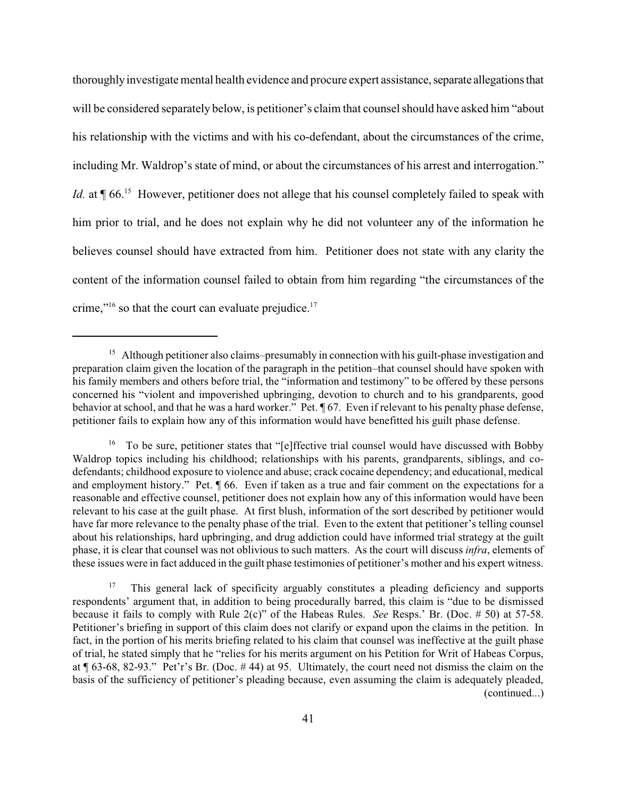thoroughly investigate mental health evidence and procure expert assistance, separate allegations that will be considered separately below, is petitioner's claim that counsel should have asked him "about his relationship with the victims and with his co-defendant, about the circumstances of the crime, including Mr. Waldrop's state of mind, or about the circumstances of his arrest and interrogation." *Id.* at  $\P$  66.<sup>15</sup> However, petitioner does not allege that his counsel completely failed to speak with him prior to trial, and he does not explain why he did not volunteer any of the information he believes counsel should have extracted from him. Petitioner does not state with any clarity the content of the information counsel failed to obtain from him regarding "the circumstances of the crime,"<sup>16</sup> so that the court can evaluate prejudice.<sup>17</sup>

<sup>&</sup>lt;sup>15</sup> Although petitioner also claims–presumably in connection with his guilt-phase investigation and preparation claim given the location of the paragraph in the petition–that counsel should have spoken with his family members and others before trial, the "information and testimony" to be offered by these persons concerned his "violent and impoverished upbringing, devotion to church and to his grandparents, good behavior at school, and that he was a hard worker." Pet. ¶ 67. Even if relevant to his penalty phase defense, petitioner fails to explain how any of this information would have benefitted his guilt phase defense.

 $16$  To be sure, petitioner states that "[e]ffective trial counsel would have discussed with Bobby Waldrop topics including his childhood; relationships with his parents, grandparents, siblings, and codefendants; childhood exposure to violence and abuse; crack cocaine dependency; and educational, medical and employment history." Pet. ¶ 66. Even if taken as a true and fair comment on the expectations for a reasonable and effective counsel, petitioner does not explain how any of this information would have been relevant to his case at the guilt phase. At first blush, information of the sort described by petitioner would have far more relevance to the penalty phase of the trial. Even to the extent that petitioner's telling counsel about his relationships, hard upbringing, and drug addiction could have informed trial strategy at the guilt phase, it is clear that counsel was not oblivious to such matters. As the court will discuss *infra*, elements of these issues were in fact adduced in the guilt phase testimonies of petitioner's mother and his expert witness.

 $17$  This general lack of specificity arguably constitutes a pleading deficiency and supports respondents' argument that, in addition to being procedurally barred, this claim is "due to be dismissed because it fails to comply with Rule 2(c)" of the Habeas Rules. *See* Resps.' Br. (Doc. # 50) at 57-58. Petitioner's briefing in support of this claim does not clarify or expand upon the claims in the petition. In fact, in the portion of his merits briefing related to his claim that counsel was ineffective at the guilt phase of trial, he stated simply that he "relies for his merits argument on his Petition for Writ of Habeas Corpus, at ¶ 63-68, 82-93." Pet'r's Br. (Doc. # 44) at 95. Ultimately, the court need not dismiss the claim on the basis of the sufficiency of petitioner's pleading because, even assuming the claim is adequately pleaded, (continued...)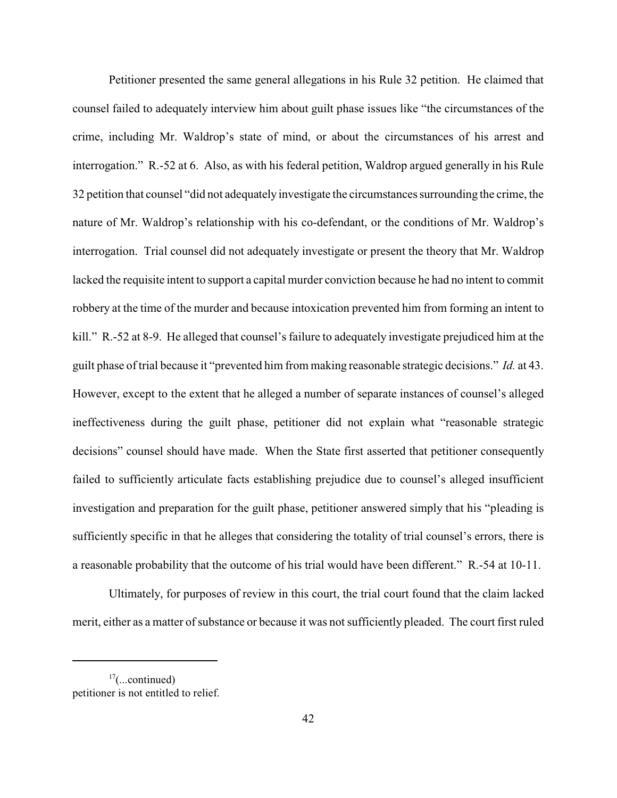Petitioner presented the same general allegations in his Rule 32 petition. He claimed that counsel failed to adequately interview him about guilt phase issues like "the circumstances of the crime, including Mr. Waldrop's state of mind, or about the circumstances of his arrest and interrogation." R.-52 at 6. Also, as with his federal petition, Waldrop argued generally in his Rule 32 petition that counsel "did not adequately investigate the circumstances surrounding the crime, the nature of Mr. Waldrop's relationship with his co-defendant, or the conditions of Mr. Waldrop's interrogation. Trial counsel did not adequately investigate or present the theory that Mr. Waldrop lacked the requisite intent to support a capital murder conviction because he had no intent to commit robbery at the time of the murder and because intoxication prevented him from forming an intent to kill." R.-52 at 8-9. He alleged that counsel's failure to adequately investigate prejudiced him at the guilt phase of trial because it "prevented him from making reasonable strategic decisions." *Id.* at 43. However, except to the extent that he alleged a number of separate instances of counsel's alleged ineffectiveness during the guilt phase, petitioner did not explain what "reasonable strategic decisions" counsel should have made. When the State first asserted that petitioner consequently failed to sufficiently articulate facts establishing prejudice due to counsel's alleged insufficient investigation and preparation for the guilt phase, petitioner answered simply that his "pleading is sufficiently specific in that he alleges that considering the totality of trial counsel's errors, there is a reasonable probability that the outcome of his trial would have been different." R.-54 at 10-11.

Ultimately, for purposes of review in this court, the trial court found that the claim lacked merit, either as a matter of substance or because it was not sufficiently pleaded. The court first ruled

 $17$ (...continued) petitioner is not entitled to relief.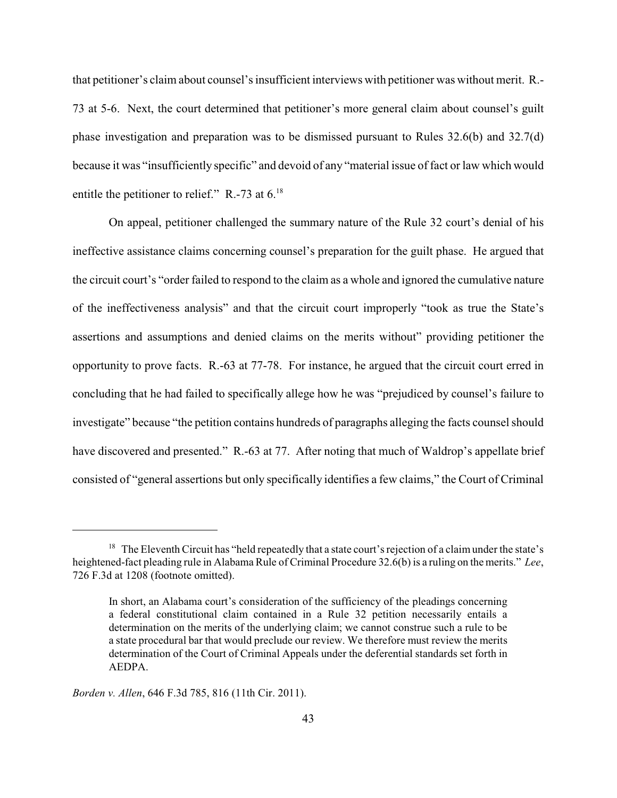that petitioner's claim about counsel's insufficient interviews with petitioner was without merit. R.- 73 at 5-6. Next, the court determined that petitioner's more general claim about counsel's guilt phase investigation and preparation was to be dismissed pursuant to Rules 32.6(b) and 32.7(d) because it was "insufficiently specific" and devoid of any "material issue of fact or law which would entitle the petitioner to relief." R.-73 at  $6.^{18}$ .

On appeal, petitioner challenged the summary nature of the Rule 32 court's denial of his ineffective assistance claims concerning counsel's preparation for the guilt phase. He argued that the circuit court's "order failed to respond to the claim as a whole and ignored the cumulative nature of the ineffectiveness analysis" and that the circuit court improperly "took as true the State's assertions and assumptions and denied claims on the merits without" providing petitioner the opportunity to prove facts. R.-63 at 77-78. For instance, he argued that the circuit court erred in concluding that he had failed to specifically allege how he was "prejudiced by counsel's failure to investigate" because "the petition contains hundreds of paragraphs alleging the facts counsel should have discovered and presented." R.-63 at 77. After noting that much of Waldrop's appellate brief consisted of "general assertions but only specifically identifies a few claims," the Court of Criminal

 $18$  The Eleventh Circuit has "held repeatedly that a state court's rejection of a claim under the state's heightened-fact pleading rule in Alabama Rule of Criminal Procedure 32.6(b) is a ruling on the merits." *Lee*, 726 F.3d at 1208 (footnote omitted).

In short, an Alabama court's consideration of the sufficiency of the pleadings concerning a federal constitutional claim contained in a Rule 32 petition necessarily entails a determination on the merits of the underlying claim; we cannot construe such a rule to be a state procedural bar that would preclude our review. We therefore must review the merits determination of the Court of Criminal Appeals under the deferential standards set forth in AEDPA.

*Borden v. Allen*, 646 F.3d 785, 816 (11th Cir. 2011).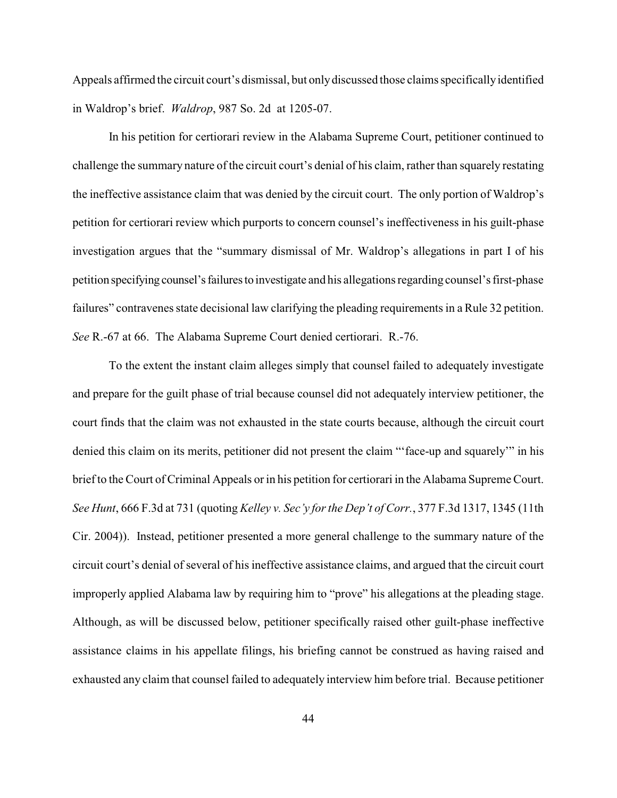Appeals affirmed the circuit court's dismissal, but onlydiscussed those claims specificallyidentified in Waldrop's brief. *Waldrop*, 987 So. 2d at 1205-07.

In his petition for certiorari review in the Alabama Supreme Court, petitioner continued to challenge the summary nature of the circuit court's denial of his claim, rather than squarely restating the ineffective assistance claim that was denied by the circuit court. The only portion of Waldrop's petition for certiorari review which purports to concern counsel's ineffectiveness in his guilt-phase investigation argues that the "summary dismissal of Mr. Waldrop's allegations in part I of his petition specifying counsel'sfailuresto investigate and his allegations regarding counsel's first-phase failures" contravenes state decisional law clarifying the pleading requirements in a Rule 32 petition. *See* R.-67 at 66. The Alabama Supreme Court denied certiorari. R.-76.

To the extent the instant claim alleges simply that counsel failed to adequately investigate and prepare for the guilt phase of trial because counsel did not adequately interview petitioner, the court finds that the claim was not exhausted in the state courts because, although the circuit court denied this claim on its merits, petitioner did not present the claim "'face-up and squarely'" in his brief to the Court of Criminal Appeals or in his petition for certiorari in the Alabama Supreme Court. *See Hunt*, 666 F.3d at 731 (quoting *Kelley v. Sec'y for the Dep't of Corr.*, 377 F.3d 1317, 1345 (11th Cir. 2004)). Instead, petitioner presented a more general challenge to the summary nature of the circuit court's denial of several of his ineffective assistance claims, and argued that the circuit court improperly applied Alabama law by requiring him to "prove" his allegations at the pleading stage. Although, as will be discussed below, petitioner specifically raised other guilt-phase ineffective assistance claims in his appellate filings, his briefing cannot be construed as having raised and exhausted any claim that counsel failed to adequately interview him before trial. Because petitioner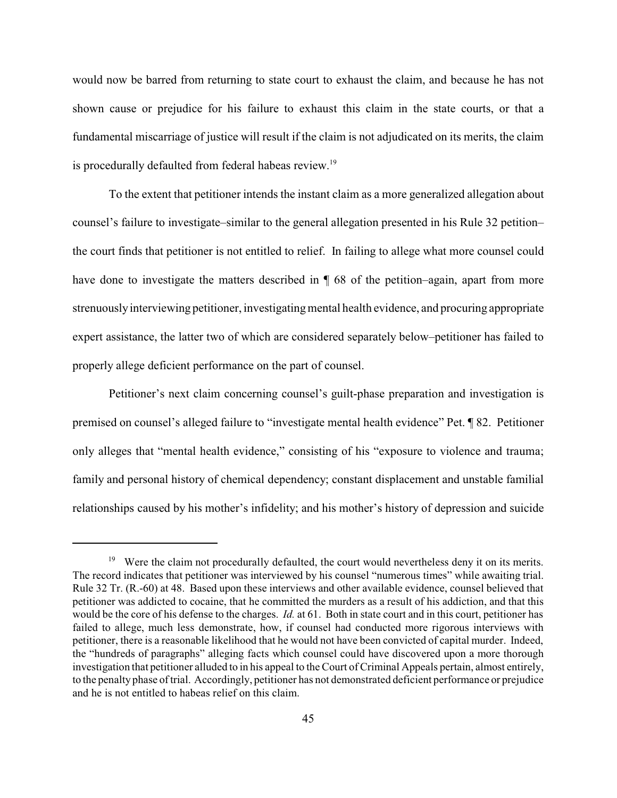would now be barred from returning to state court to exhaust the claim, and because he has not shown cause or prejudice for his failure to exhaust this claim in the state courts, or that a fundamental miscarriage of justice will result if the claim is not adjudicated on its merits, the claim is procedurally defaulted from federal habeas review.<sup>19</sup>

To the extent that petitioner intends the instant claim as a more generalized allegation about counsel's failure to investigate–similar to the general allegation presented in his Rule 32 petition– the court finds that petitioner is not entitled to relief. In failing to allege what more counsel could have done to investigate the matters described in  $\P$  68 of the petition–again, apart from more strenuouslyinterviewing petitioner, investigating mental health evidence, and procuring appropriate expert assistance, the latter two of which are considered separately below–petitioner has failed to properly allege deficient performance on the part of counsel.

Petitioner's next claim concerning counsel's guilt-phase preparation and investigation is premised on counsel's alleged failure to "investigate mental health evidence" Pet. ¶ 82. Petitioner only alleges that "mental health evidence," consisting of his "exposure to violence and trauma; family and personal history of chemical dependency; constant displacement and unstable familial relationships caused by his mother's infidelity; and his mother's history of depression and suicide

<sup>&</sup>lt;sup>19</sup> Were the claim not procedurally defaulted, the court would nevertheless deny it on its merits. The record indicates that petitioner was interviewed by his counsel "numerous times" while awaiting trial. Rule 32 Tr. (R.-60) at 48. Based upon these interviews and other available evidence, counsel believed that petitioner was addicted to cocaine, that he committed the murders as a result of his addiction, and that this would be the core of his defense to the charges. *Id.* at 61. Both in state court and in this court, petitioner has failed to allege, much less demonstrate, how, if counsel had conducted more rigorous interviews with petitioner, there is a reasonable likelihood that he would not have been convicted of capital murder. Indeed, the "hundreds of paragraphs" alleging facts which counsel could have discovered upon a more thorough investigation that petitioner alluded to in his appeal to the Court of Criminal Appeals pertain, almost entirely, to the penalty phase of trial. Accordingly, petitioner has not demonstrated deficient performance or prejudice and he is not entitled to habeas relief on this claim.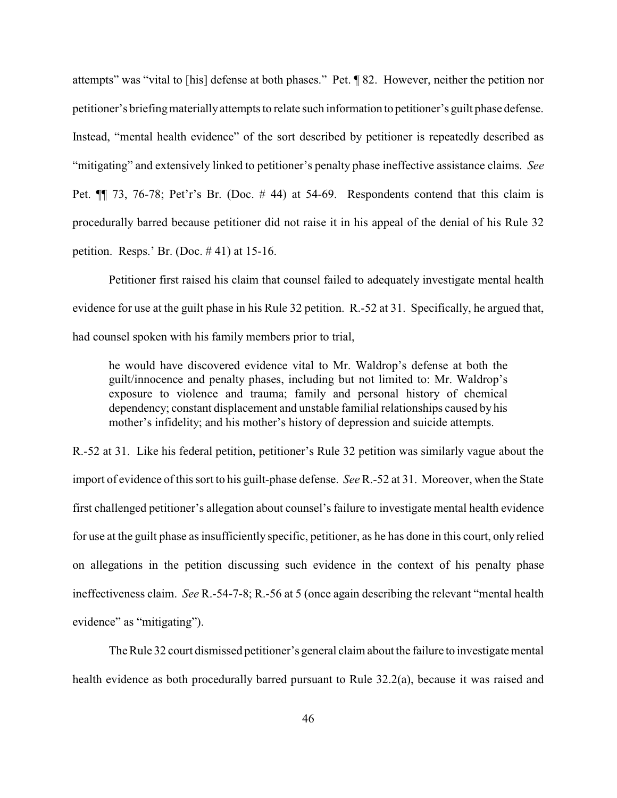attempts" was "vital to [his] defense at both phases." Pet. ¶ 82. However, neither the petition nor petitioner's briefingmateriallyattempts to relate such information to petitioner's guilt phase defense. Instead, "mental health evidence" of the sort described by petitioner is repeatedly described as "mitigating" and extensively linked to petitioner's penalty phase ineffective assistance claims. *See* Pet.  $\P$  73, 76-78; Pet'r's Br. (Doc. #44) at 54-69. Respondents contend that this claim is procedurally barred because petitioner did not raise it in his appeal of the denial of his Rule 32 petition. Resps.' Br. (Doc. # 41) at 15-16.

Petitioner first raised his claim that counsel failed to adequately investigate mental health evidence for use at the guilt phase in his Rule 32 petition. R.-52 at 31. Specifically, he argued that, had counsel spoken with his family members prior to trial,

he would have discovered evidence vital to Mr. Waldrop's defense at both the guilt/innocence and penalty phases, including but not limited to: Mr. Waldrop's exposure to violence and trauma; family and personal history of chemical dependency; constant displacement and unstable familial relationships caused by his mother's infidelity; and his mother's history of depression and suicide attempts.

R.-52 at 31. Like his federal petition, petitioner's Rule 32 petition was similarly vague about the import of evidence of this sort to his guilt-phase defense. *See* R.-52 at 31. Moreover, when the State first challenged petitioner's allegation about counsel's failure to investigate mental health evidence for use at the guilt phase as insufficiently specific, petitioner, as he has done in this court, only relied on allegations in the petition discussing such evidence in the context of his penalty phase ineffectiveness claim. *See* R.-54-7-8; R.-56 at 5 (once again describing the relevant "mental health evidence" as "mitigating").

The Rule 32 court dismissed petitioner's general claim about the failure to investigate mental health evidence as both procedurally barred pursuant to Rule 32.2(a), because it was raised and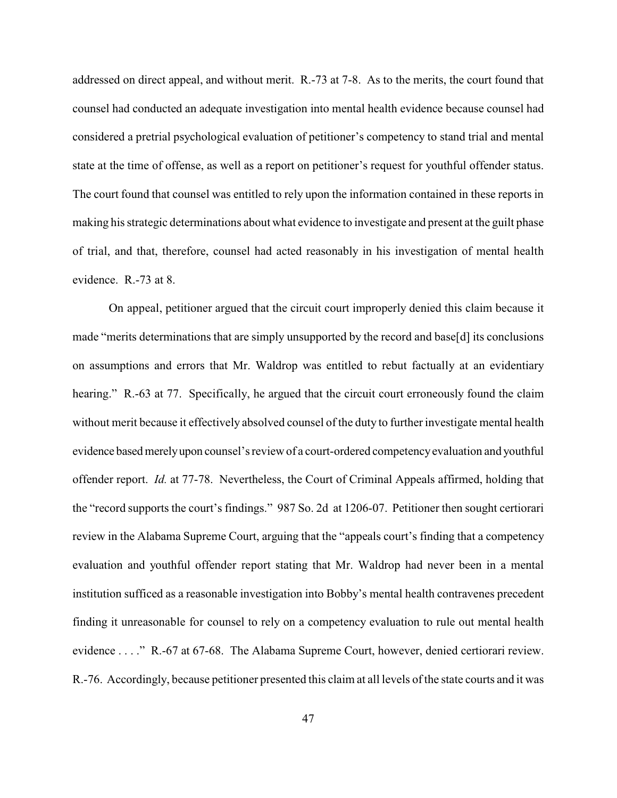addressed on direct appeal, and without merit. R.-73 at 7-8. As to the merits, the court found that counsel had conducted an adequate investigation into mental health evidence because counsel had considered a pretrial psychological evaluation of petitioner's competency to stand trial and mental state at the time of offense, as well as a report on petitioner's request for youthful offender status. The court found that counsel was entitled to rely upon the information contained in these reports in making his strategic determinations about what evidence to investigate and present at the guilt phase of trial, and that, therefore, counsel had acted reasonably in his investigation of mental health evidence. R.-73 at 8.

On appeal, petitioner argued that the circuit court improperly denied this claim because it made "merits determinations that are simply unsupported by the record and base[d] its conclusions on assumptions and errors that Mr. Waldrop was entitled to rebut factually at an evidentiary hearing." R.-63 at 77. Specifically, he argued that the circuit court erroneously found the claim without merit because it effectively absolved counsel of the duty to further investigate mental health evidence basedmerelyupon counsel's review of a court-ordered competencyevaluation and youthful offender report. *Id.* at 77-78. Nevertheless, the Court of Criminal Appeals affirmed, holding that the "record supports the court's findings." 987 So. 2d at 1206-07. Petitioner then sought certiorari review in the Alabama Supreme Court, arguing that the "appeals court's finding that a competency evaluation and youthful offender report stating that Mr. Waldrop had never been in a mental institution sufficed as a reasonable investigation into Bobby's mental health contravenes precedent finding it unreasonable for counsel to rely on a competency evaluation to rule out mental health evidence . . . ." R.-67 at 67-68. The Alabama Supreme Court, however, denied certiorari review. R.-76. Accordingly, because petitioner presented this claim at all levels of the state courts and it was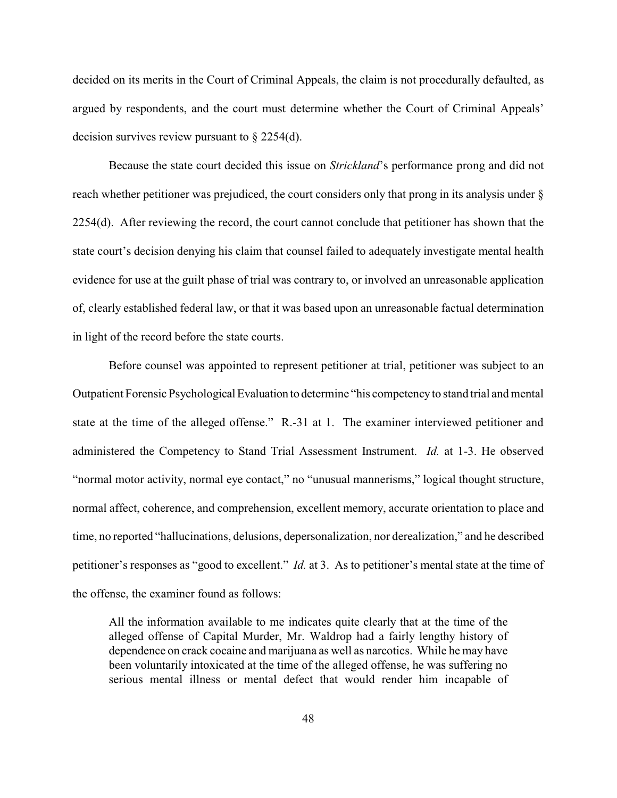decided on its merits in the Court of Criminal Appeals, the claim is not procedurally defaulted, as argued by respondents, and the court must determine whether the Court of Criminal Appeals' decision survives review pursuant to § 2254(d).

Because the state court decided this issue on *Strickland*'s performance prong and did not reach whether petitioner was prejudiced, the court considers only that prong in its analysis under § 2254(d). After reviewing the record, the court cannot conclude that petitioner has shown that the state court's decision denying his claim that counsel failed to adequately investigate mental health evidence for use at the guilt phase of trial was contrary to, or involved an unreasonable application of, clearly established federal law, or that it was based upon an unreasonable factual determination in light of the record before the state courts.

Before counsel was appointed to represent petitioner at trial, petitioner was subject to an Outpatient Forensic Psychological Evaluation to determine "his competencyto stand trial and mental state at the time of the alleged offense." R.-31 at 1. The examiner interviewed petitioner and administered the Competency to Stand Trial Assessment Instrument. *Id.* at 1-3. He observed "normal motor activity, normal eye contact," no "unusual mannerisms," logical thought structure, normal affect, coherence, and comprehension, excellent memory, accurate orientation to place and time, no reported "hallucinations, delusions, depersonalization, nor derealization," and he described petitioner's responses as "good to excellent." *Id.* at 3. As to petitioner's mental state at the time of the offense, the examiner found as follows:

All the information available to me indicates quite clearly that at the time of the alleged offense of Capital Murder, Mr. Waldrop had a fairly lengthy history of dependence on crack cocaine and marijuana as well as narcotics. While he may have been voluntarily intoxicated at the time of the alleged offense, he was suffering no serious mental illness or mental defect that would render him incapable of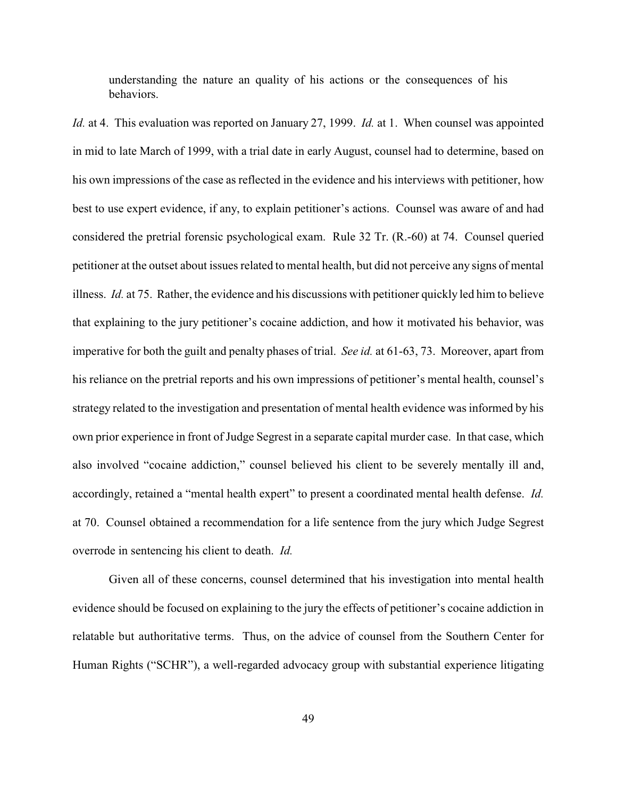understanding the nature an quality of his actions or the consequences of his behaviors.

*Id.* at 4. This evaluation was reported on January 27, 1999. *Id.* at 1. When counsel was appointed in mid to late March of 1999, with a trial date in early August, counsel had to determine, based on his own impressions of the case as reflected in the evidence and his interviews with petitioner, how best to use expert evidence, if any, to explain petitioner's actions. Counsel was aware of and had considered the pretrial forensic psychological exam. Rule 32 Tr. (R.-60) at 74. Counsel queried petitioner at the outset about issues related to mental health, but did not perceive any signs of mental illness. *Id.* at 75. Rather, the evidence and his discussions with petitioner quickly led him to believe that explaining to the jury petitioner's cocaine addiction, and how it motivated his behavior, was imperative for both the guilt and penalty phases of trial. *See id.* at 61-63, 73. Moreover, apart from his reliance on the pretrial reports and his own impressions of petitioner's mental health, counsel's strategy related to the investigation and presentation of mental health evidence was informed by his own prior experience in front of Judge Segrest in a separate capital murder case. In that case, which also involved "cocaine addiction," counsel believed his client to be severely mentally ill and, accordingly, retained a "mental health expert" to present a coordinated mental health defense. *Id.* at 70. Counsel obtained a recommendation for a life sentence from the jury which Judge Segrest overrode in sentencing his client to death. *Id.*

Given all of these concerns, counsel determined that his investigation into mental health evidence should be focused on explaining to the jury the effects of petitioner's cocaine addiction in relatable but authoritative terms. Thus, on the advice of counsel from the Southern Center for Human Rights ("SCHR"), a well-regarded advocacy group with substantial experience litigating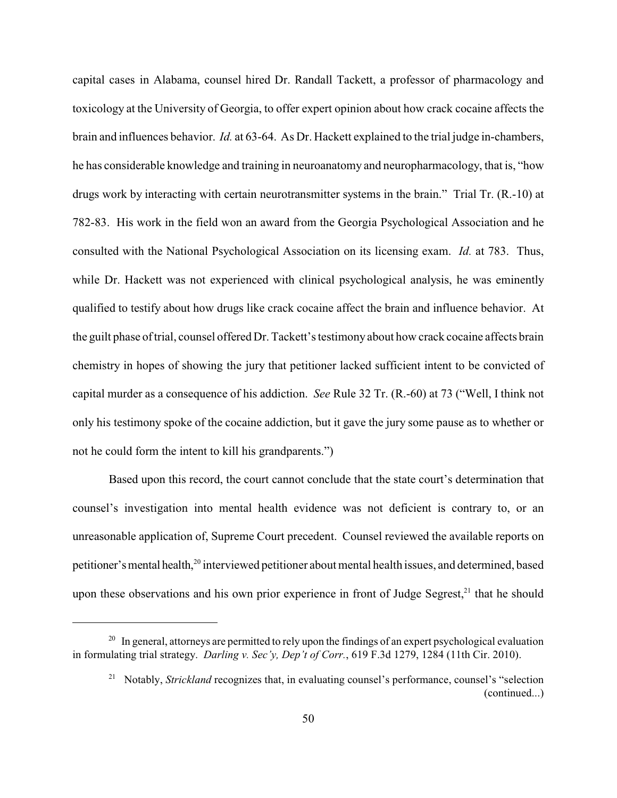capital cases in Alabama, counsel hired Dr. Randall Tackett, a professor of pharmacology and toxicology at the University of Georgia, to offer expert opinion about how crack cocaine affects the brain and influences behavior. *Id.* at 63-64. As Dr. Hackett explained to the trial judge in-chambers, he has considerable knowledge and training in neuroanatomy and neuropharmacology, that is, "how drugs work by interacting with certain neurotransmitter systems in the brain." Trial Tr. (R.-10) at 782-83. His work in the field won an award from the Georgia Psychological Association and he consulted with the National Psychological Association on its licensing exam. *Id.* at 783. Thus, while Dr. Hackett was not experienced with clinical psychological analysis, he was eminently qualified to testify about how drugs like crack cocaine affect the brain and influence behavior. At the guilt phase of trial, counsel offered Dr. Tackett's testimony about how crack cocaine affects brain chemistry in hopes of showing the jury that petitioner lacked sufficient intent to be convicted of capital murder as a consequence of his addiction. *See* Rule 32 Tr. (R.-60) at 73 ("Well, I think not only his testimony spoke of the cocaine addiction, but it gave the jury some pause as to whether or not he could form the intent to kill his grandparents.")

Based upon this record, the court cannot conclude that the state court's determination that counsel's investigation into mental health evidence was not deficient is contrary to, or an unreasonable application of, Supreme Court precedent. Counsel reviewed the available reports on petitioner's mental health,<sup>20</sup> interviewed petitioner about mental health issues, and determined, based upon these observations and his own prior experience in front of Judge Segrest, $21$  that he should

 $^{20}$  In general, attorneys are permitted to rely upon the findings of an expert psychological evaluation in formulating trial strategy. *Darling v. Sec'y, Dep't of Corr.*, 619 F.3d 1279, 1284 (11th Cir. 2010).

<sup>&</sup>lt;sup>21</sup> Notably, *Strickland* recognizes that, in evaluating counsel's performance, counsel's "selection" (continued...)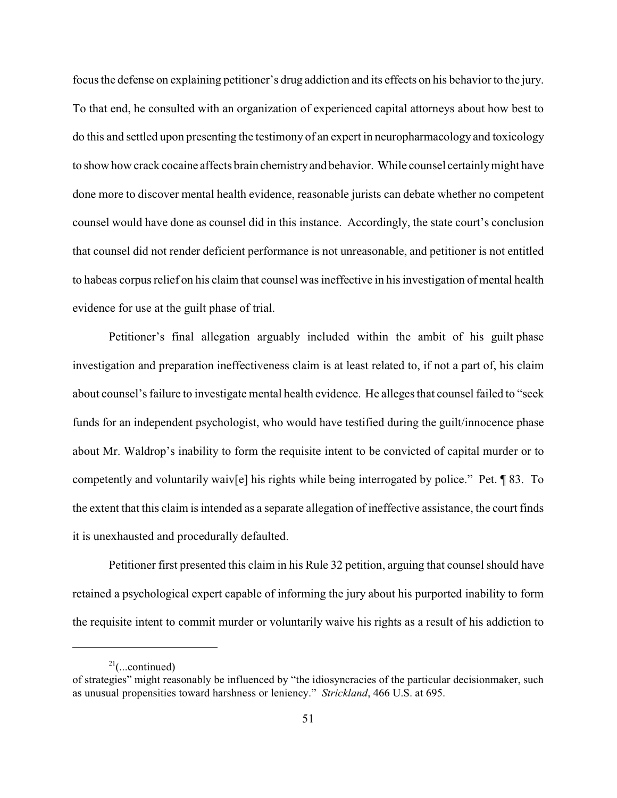focus the defense on explaining petitioner's drug addiction and its effects on his behavior to the jury. To that end, he consulted with an organization of experienced capital attorneys about how best to do this and settled upon presenting the testimony of an expert in neuropharmacology and toxicology to show how crack cocaine affects brain chemistryand behavior. While counsel certainlymight have done more to discover mental health evidence, reasonable jurists can debate whether no competent counsel would have done as counsel did in this instance. Accordingly, the state court's conclusion that counsel did not render deficient performance is not unreasonable, and petitioner is not entitled to habeas corpus relief on his claim that counsel was ineffective in his investigation of mental health evidence for use at the guilt phase of trial.

Petitioner's final allegation arguably included within the ambit of his guilt phase investigation and preparation ineffectiveness claim is at least related to, if not a part of, his claim about counsel's failure to investigate mental health evidence. He alleges that counsel failed to "seek funds for an independent psychologist, who would have testified during the guilt/innocence phase about Mr. Waldrop's inability to form the requisite intent to be convicted of capital murder or to competently and voluntarily waiv[e] his rights while being interrogated by police." Pet. ¶ 83. To the extent that this claim is intended as a separate allegation of ineffective assistance, the court finds it is unexhausted and procedurally defaulted.

Petitioner first presented this claim in his Rule 32 petition, arguing that counsel should have retained a psychological expert capable of informing the jury about his purported inability to form the requisite intent to commit murder or voluntarily waive his rights as a result of his addiction to

 $21$ (...continued)

of strategies" might reasonably be influenced by "the idiosyncracies of the particular decisionmaker, such as unusual propensities toward harshness or leniency." *Strickland*, 466 U.S. at 695.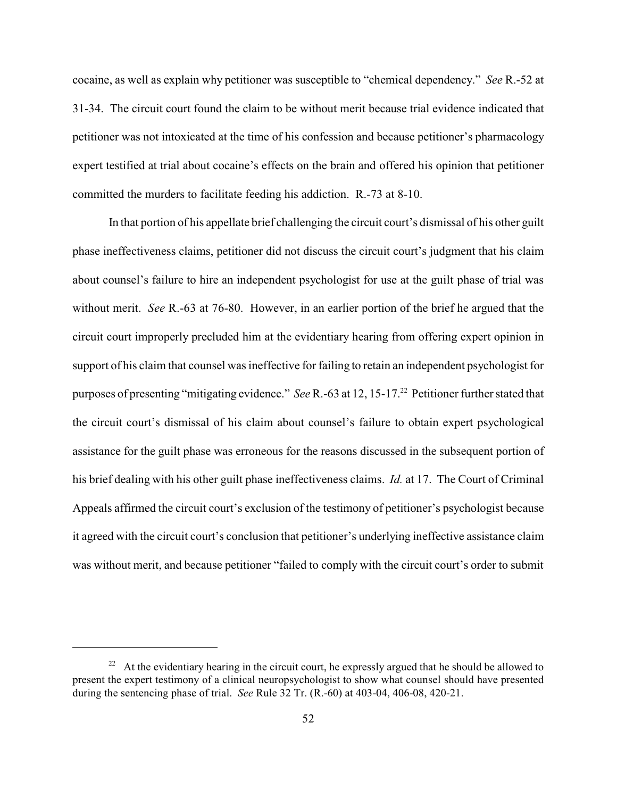cocaine, as well as explain why petitioner was susceptible to "chemical dependency." *See* R.-52 at 31-34. The circuit court found the claim to be without merit because trial evidence indicated that petitioner was not intoxicated at the time of his confession and because petitioner's pharmacology expert testified at trial about cocaine's effects on the brain and offered his opinion that petitioner committed the murders to facilitate feeding his addiction. R.-73 at 8-10.

In that portion of his appellate brief challenging the circuit court's dismissal of his other guilt phase ineffectiveness claims, petitioner did not discuss the circuit court's judgment that his claim about counsel's failure to hire an independent psychologist for use at the guilt phase of trial was without merit. *See* R.-63 at 76-80. However, in an earlier portion of the brief he argued that the circuit court improperly precluded him at the evidentiary hearing from offering expert opinion in support of his claim that counsel was ineffective for failing to retain an independent psychologist for purposes of presenting "mitigating evidence." *See* R.-63 at 12, 15-17.<sup>22</sup> Petitioner further stated that the circuit court's dismissal of his claim about counsel's failure to obtain expert psychological assistance for the guilt phase was erroneous for the reasons discussed in the subsequent portion of his brief dealing with his other guilt phase ineffectiveness claims. *Id.* at 17. The Court of Criminal Appeals affirmed the circuit court's exclusion of the testimony of petitioner's psychologist because it agreed with the circuit court's conclusion that petitioner's underlying ineffective assistance claim was without merit, and because petitioner "failed to comply with the circuit court's order to submit

 $22$  At the evidentiary hearing in the circuit court, he expressly argued that he should be allowed to present the expert testimony of a clinical neuropsychologist to show what counsel should have presented during the sentencing phase of trial. *See* Rule 32 Tr. (R.-60) at 403-04, 406-08, 420-21.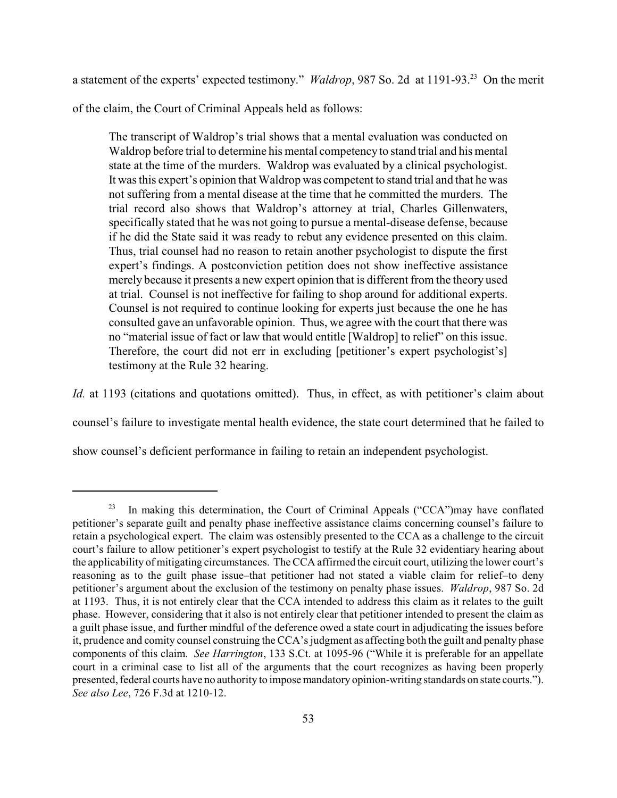a statement of the experts' expected testimony." *Waldrop*, 987 So. 2d at 1191-93.<sup>23</sup> On the merit

of the claim, the Court of Criminal Appeals held as follows:

The transcript of Waldrop's trial shows that a mental evaluation was conducted on Waldrop before trial to determine his mental competency to stand trial and his mental state at the time of the murders. Waldrop was evaluated by a clinical psychologist. It was this expert's opinion that Waldrop was competent to stand trial and that he was not suffering from a mental disease at the time that he committed the murders. The trial record also shows that Waldrop's attorney at trial, Charles Gillenwaters, specifically stated that he was not going to pursue a mental-disease defense, because if he did the State said it was ready to rebut any evidence presented on this claim. Thus, trial counsel had no reason to retain another psychologist to dispute the first expert's findings. A postconviction petition does not show ineffective assistance merely because it presents a new expert opinion that is different from the theory used at trial. Counsel is not ineffective for failing to shop around for additional experts. Counsel is not required to continue looking for experts just because the one he has consulted gave an unfavorable opinion. Thus, we agree with the court that there was no "material issue of fact or law that would entitle [Waldrop] to relief" on this issue. Therefore, the court did not err in excluding [petitioner's expert psychologist's] testimony at the Rule 32 hearing.

*Id.* at 1193 (citations and quotations omitted). Thus, in effect, as with petitioner's claim about

counsel's failure to investigate mental health evidence, the state court determined that he failed to

show counsel's deficient performance in failing to retain an independent psychologist.

 $23$  In making this determination, the Court of Criminal Appeals ("CCA")may have conflated petitioner's separate guilt and penalty phase ineffective assistance claims concerning counsel's failure to retain a psychological expert. The claim was ostensibly presented to the CCA as a challenge to the circuit court's failure to allow petitioner's expert psychologist to testify at the Rule 32 evidentiary hearing about the applicability of mitigating circumstances. The CCA affirmed the circuit court, utilizing the lower court's reasoning as to the guilt phase issue–that petitioner had not stated a viable claim for relief–to deny petitioner's argument about the exclusion of the testimony on penalty phase issues. *Waldrop*, 987 So. 2d at 1193. Thus, it is not entirely clear that the CCA intended to address this claim as it relates to the guilt phase. However, considering that it also is not entirely clear that petitioner intended to present the claim as a guilt phase issue, and further mindful of the deference owed a state court in adjudicating the issues before it, prudence and comity counsel construing the CCA's judgment as affecting both the guilt and penalty phase components of this claim. *See Harrington*, 133 S.Ct. at 1095-96 ("While it is preferable for an appellate court in a criminal case to list all of the arguments that the court recognizes as having been properly presented, federal courts have no authority to impose mandatory opinion-writing standards on state courts."). *See also Lee*, 726 F.3d at 1210-12.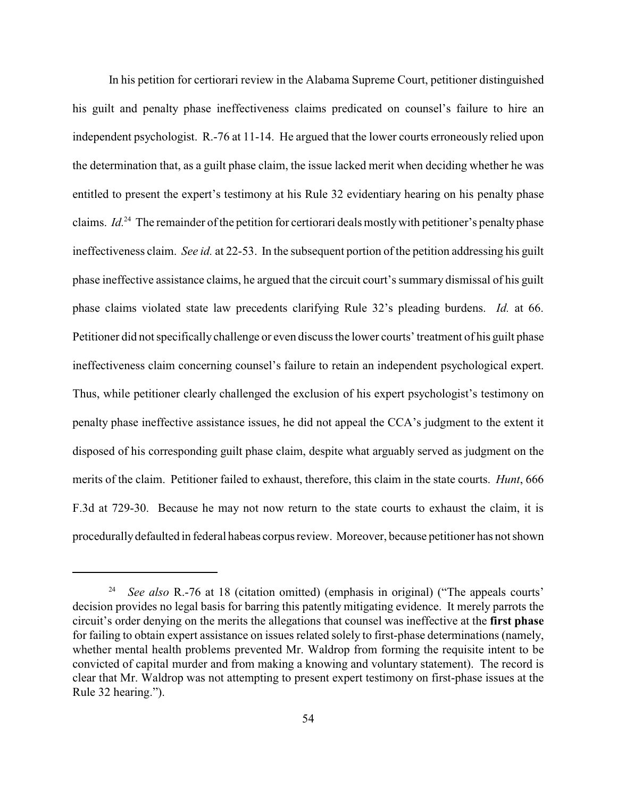In his petition for certiorari review in the Alabama Supreme Court, petitioner distinguished his guilt and penalty phase ineffectiveness claims predicated on counsel's failure to hire an independent psychologist. R.-76 at 11-14. He argued that the lower courts erroneously relied upon the determination that, as a guilt phase claim, the issue lacked merit when deciding whether he was entitled to present the expert's testimony at his Rule 32 evidentiary hearing on his penalty phase claims.  $Id^{24}$  The remainder of the petition for certiorari deals mostly with petitioner's penalty phase ineffectiveness claim. *See id.* at 22-53. In the subsequent portion of the petition addressing his guilt phase ineffective assistance claims, he argued that the circuit court's summary dismissal of his guilt phase claims violated state law precedents clarifying Rule 32's pleading burdens. *Id.* at 66. Petitioner did not specifically challenge or even discuss the lower courts' treatment of his guilt phase ineffectiveness claim concerning counsel's failure to retain an independent psychological expert. Thus, while petitioner clearly challenged the exclusion of his expert psychologist's testimony on penalty phase ineffective assistance issues, he did not appeal the CCA's judgment to the extent it disposed of his corresponding guilt phase claim, despite what arguably served as judgment on the merits of the claim. Petitioner failed to exhaust, therefore, this claim in the state courts. *Hunt*, 666 F.3d at 729-30. Because he may not now return to the state courts to exhaust the claim, it is procedurallydefaulted in federal habeas corpus review. Moreover, because petitioner has not shown

<sup>&</sup>lt;sup>24</sup> *See also* R.-76 at 18 (citation omitted) (emphasis in original) ("The appeals courts' decision provides no legal basis for barring this patently mitigating evidence. It merely parrots the circuit's order denying on the merits the allegations that counsel was ineffective at the **first phase** for failing to obtain expert assistance on issues related solely to first-phase determinations (namely, whether mental health problems prevented Mr. Waldrop from forming the requisite intent to be convicted of capital murder and from making a knowing and voluntary statement). The record is clear that Mr. Waldrop was not attempting to present expert testimony on first-phase issues at the Rule 32 hearing.").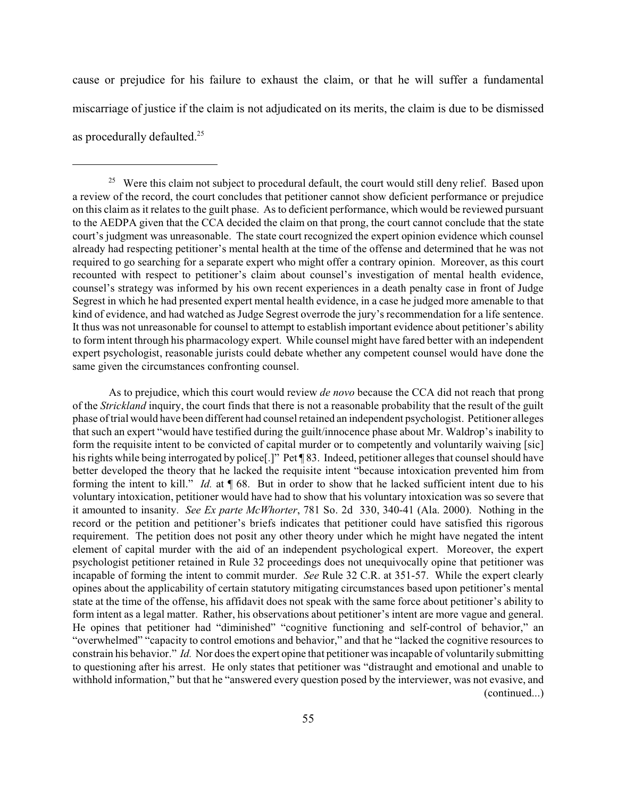cause or prejudice for his failure to exhaust the claim, or that he will suffer a fundamental miscarriage of justice if the claim is not adjudicated on its merits, the claim is due to be dismissed as procedurally defaulted.<sup>25</sup>

As to prejudice, which this court would review *de novo* because the CCA did not reach that prong of the *Strickland* inquiry, the court finds that there is not a reasonable probability that the result of the guilt phase of trial would have been different had counsel retained an independent psychologist. Petitioner alleges that such an expert "would have testified during the guilt/innocence phase about Mr. Waldrop's inability to form the requisite intent to be convicted of capital murder or to competently and voluntarily waiving [sic] his rights while being interrogated by police[.]" Pet ¶ 83. Indeed, petitioner alleges that counsel should have better developed the theory that he lacked the requisite intent "because intoxication prevented him from forming the intent to kill." *Id.* at ¶ 68. But in order to show that he lacked sufficient intent due to his voluntary intoxication, petitioner would have had to show that his voluntary intoxication was so severe that it amounted to insanity. *See Ex parte McWhorter*, 781 So. 2d 330, 340-41 (Ala. 2000). Nothing in the record or the petition and petitioner's briefs indicates that petitioner could have satisfied this rigorous requirement. The petition does not posit any other theory under which he might have negated the intent element of capital murder with the aid of an independent psychological expert. Moreover, the expert psychologist petitioner retained in Rule 32 proceedings does not unequivocally opine that petitioner was incapable of forming the intent to commit murder. *See* Rule 32 C.R. at 351-57. While the expert clearly opines about the applicability of certain statutory mitigating circumstances based upon petitioner's mental state at the time of the offense, his affidavit does not speak with the same force about petitioner's ability to form intent as a legal matter. Rather, his observations about petitioner's intent are more vague and general. He opines that petitioner had "diminished" "cognitive functioning and self-control of behavior," an "overwhelmed" "capacity to control emotions and behavior," and that he "lacked the cognitive resources to constrain his behavior." *Id.* Nor does the expert opine that petitioner was incapable of voluntarily submitting to questioning after his arrest. He only states that petitioner was "distraught and emotional and unable to withhold information," but that he "answered every question posed by the interviewer, was not evasive, and (continued...)

<sup>&</sup>lt;sup>25</sup> Were this claim not subject to procedural default, the court would still deny relief. Based upon a review of the record, the court concludes that petitioner cannot show deficient performance or prejudice on this claim as it relates to the guilt phase. As to deficient performance, which would be reviewed pursuant to the AEDPA given that the CCA decided the claim on that prong, the court cannot conclude that the state court's judgment was unreasonable. The state court recognized the expert opinion evidence which counsel already had respecting petitioner's mental health at the time of the offense and determined that he was not required to go searching for a separate expert who might offer a contrary opinion. Moreover, as this court recounted with respect to petitioner's claim about counsel's investigation of mental health evidence, counsel's strategy was informed by his own recent experiences in a death penalty case in front of Judge Segrest in which he had presented expert mental health evidence, in a case he judged more amenable to that kind of evidence, and had watched as Judge Segrest overrode the jury's recommendation for a life sentence. It thus was not unreasonable for counsel to attempt to establish important evidence about petitioner's ability to form intent through his pharmacology expert. While counsel might have fared better with an independent expert psychologist, reasonable jurists could debate whether any competent counsel would have done the same given the circumstances confronting counsel.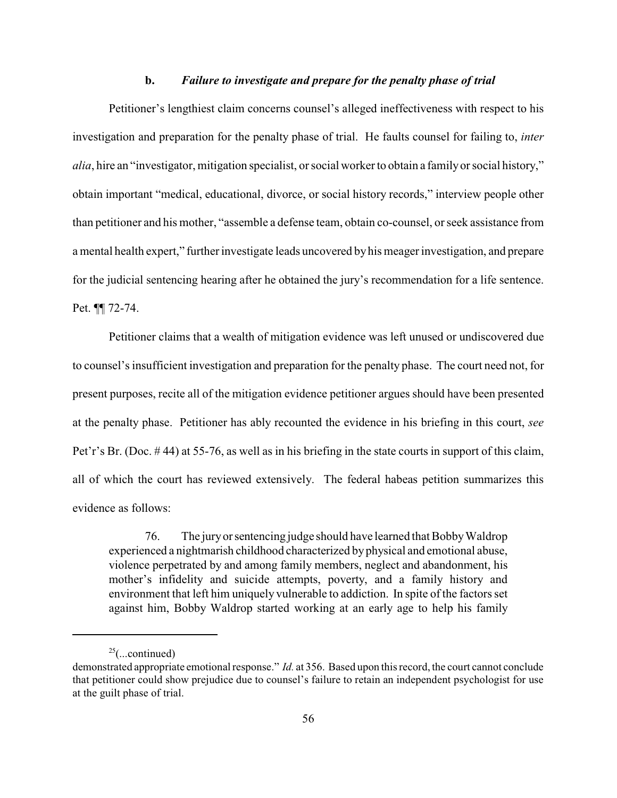#### **b.** *Failure to investigate and prepare for the penalty phase of trial*

Petitioner's lengthiest claim concerns counsel's alleged ineffectiveness with respect to his investigation and preparation for the penalty phase of trial. He faults counsel for failing to, *inter alia*, hire an "investigator, mitigation specialist, or social worker to obtain a familyor social history," obtain important "medical, educational, divorce, or social history records," interview people other than petitioner and his mother, "assemble a defense team, obtain co-counsel, or seek assistance from a mental health expert," furtherinvestigate leads uncovered byhis meager investigation, and prepare for the judicial sentencing hearing after he obtained the jury's recommendation for a life sentence. Pet. ¶¶ 72-74.

Petitioner claims that a wealth of mitigation evidence was left unused or undiscovered due to counsel's insufficient investigation and preparation for the penalty phase. The court need not, for present purposes, recite all of the mitigation evidence petitioner argues should have been presented at the penalty phase. Petitioner has ably recounted the evidence in his briefing in this court, *see* Pet'r's Br. (Doc. # 44) at 55-76, as well as in his briefing in the state courts in support of this claim, all of which the court has reviewed extensively. The federal habeas petition summarizes this evidence as follows:

76. The juryorsentencing judge should have learned that BobbyWaldrop experienced a nightmarish childhood characterized by physical and emotional abuse, violence perpetrated by and among family members, neglect and abandonment, his mother's infidelity and suicide attempts, poverty, and a family history and environment that left him uniquely vulnerable to addiction. In spite of the factors set against him, Bobby Waldrop started working at an early age to help his family

 $25$ (...continued)

demonstrated appropriate emotional response." *Id.* at 356. Based upon this record, the court cannot conclude that petitioner could show prejudice due to counsel's failure to retain an independent psychologist for use at the guilt phase of trial.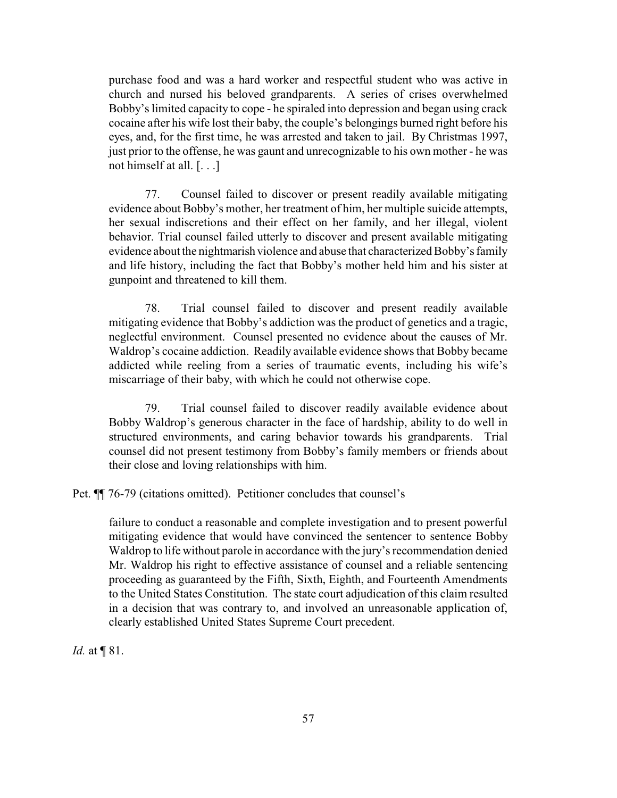purchase food and was a hard worker and respectful student who was active in church and nursed his beloved grandparents. A series of crises overwhelmed Bobby's limited capacity to cope - he spiraled into depression and began using crack cocaine after his wife lost their baby, the couple's belongings burned right before his eyes, and, for the first time, he was arrested and taken to jail. By Christmas 1997, just prior to the offense, he was gaunt and unrecognizable to his own mother - he was not himself at all. [. . .]

77. Counsel failed to discover or present readily available mitigating evidence about Bobby's mother, her treatment of him, her multiple suicide attempts, her sexual indiscretions and their effect on her family, and her illegal, violent behavior. Trial counsel failed utterly to discover and present available mitigating evidence about the nightmarish violence and abuse that characterized Bobby's family and life history, including the fact that Bobby's mother held him and his sister at gunpoint and threatened to kill them.

78. Trial counsel failed to discover and present readily available mitigating evidence that Bobby's addiction was the product of genetics and a tragic, neglectful environment. Counsel presented no evidence about the causes of Mr. Waldrop's cocaine addiction. Readily available evidence shows that Bobby became addicted while reeling from a series of traumatic events, including his wife's miscarriage of their baby, with which he could not otherwise cope.

79. Trial counsel failed to discover readily available evidence about Bobby Waldrop's generous character in the face of hardship, ability to do well in structured environments, and caring behavior towards his grandparents. Trial counsel did not present testimony from Bobby's family members or friends about their close and loving relationships with him.

Pet. ¶¶ 76-79 (citations omitted). Petitioner concludes that counsel's

failure to conduct a reasonable and complete investigation and to present powerful mitigating evidence that would have convinced the sentencer to sentence Bobby Waldrop to life without parole in accordance with the jury's recommendation denied Mr. Waldrop his right to effective assistance of counsel and a reliable sentencing proceeding as guaranteed by the Fifth, Sixth, Eighth, and Fourteenth Amendments to the United States Constitution. The state court adjudication of this claim resulted in a decision that was contrary to, and involved an unreasonable application of, clearly established United States Supreme Court precedent.

*Id.* at **[**81.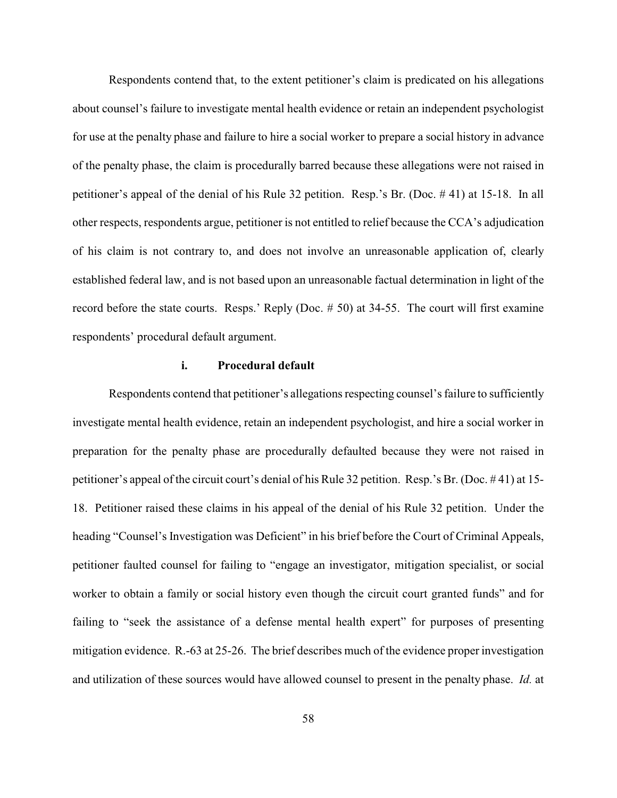Respondents contend that, to the extent petitioner's claim is predicated on his allegations about counsel's failure to investigate mental health evidence or retain an independent psychologist for use at the penalty phase and failure to hire a social worker to prepare a social history in advance of the penalty phase, the claim is procedurally barred because these allegations were not raised in petitioner's appeal of the denial of his Rule 32 petition. Resp.'s Br. (Doc. # 41) at 15-18. In all other respects, respondents argue, petitioner is not entitled to relief because the CCA's adjudication of his claim is not contrary to, and does not involve an unreasonable application of, clearly established federal law, and is not based upon an unreasonable factual determination in light of the record before the state courts. Resps.' Reply (Doc. # 50) at 34-55. The court will first examine respondents' procedural default argument.

### **i. Procedural default**

Respondents contend that petitioner's allegations respecting counsel's failure to sufficiently investigate mental health evidence, retain an independent psychologist, and hire a social worker in preparation for the penalty phase are procedurally defaulted because they were not raised in petitioner's appeal of the circuit court's denial of his Rule 32 petition. Resp.'s Br. (Doc. # 41) at 15- 18. Petitioner raised these claims in his appeal of the denial of his Rule 32 petition. Under the heading "Counsel's Investigation was Deficient" in his brief before the Court of Criminal Appeals, petitioner faulted counsel for failing to "engage an investigator, mitigation specialist, or social worker to obtain a family or social history even though the circuit court granted funds" and for failing to "seek the assistance of a defense mental health expert" for purposes of presenting mitigation evidence. R.-63 at 25-26. The brief describes much of the evidence proper investigation and utilization of these sources would have allowed counsel to present in the penalty phase. *Id.* at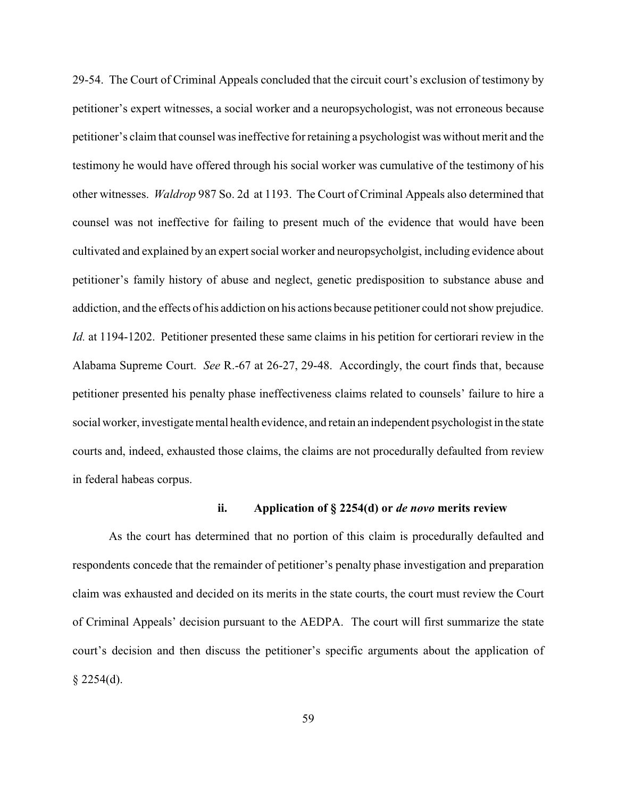29-54. The Court of Criminal Appeals concluded that the circuit court's exclusion of testimony by petitioner's expert witnesses, a social worker and a neuropsychologist, was not erroneous because petitioner's claim that counsel was ineffective for retaining a psychologist was without merit and the testimony he would have offered through his social worker was cumulative of the testimony of his other witnesses. *Waldrop* 987 So. 2d at 1193. The Court of Criminal Appeals also determined that counsel was not ineffective for failing to present much of the evidence that would have been cultivated and explained by an expert social worker and neuropsycholgist, including evidence about petitioner's family history of abuse and neglect, genetic predisposition to substance abuse and addiction, and the effects of his addiction on his actions because petitioner could not show prejudice. *Id.* at 1194-1202. Petitioner presented these same claims in his petition for certiorari review in the Alabama Supreme Court. *See* R.-67 at 26-27, 29-48. Accordingly, the court finds that, because petitioner presented his penalty phase ineffectiveness claims related to counsels' failure to hire a social worker, investigate mental health evidence, and retain an independent psychologist in the state courts and, indeed, exhausted those claims, the claims are not procedurally defaulted from review in federal habeas corpus.

### **ii. Application of § 2254(d) or** *de novo* **merits review**

As the court has determined that no portion of this claim is procedurally defaulted and respondents concede that the remainder of petitioner's penalty phase investigation and preparation claim was exhausted and decided on its merits in the state courts, the court must review the Court of Criminal Appeals' decision pursuant to the AEDPA. The court will first summarize the state court's decision and then discuss the petitioner's specific arguments about the application of  $§$  2254(d).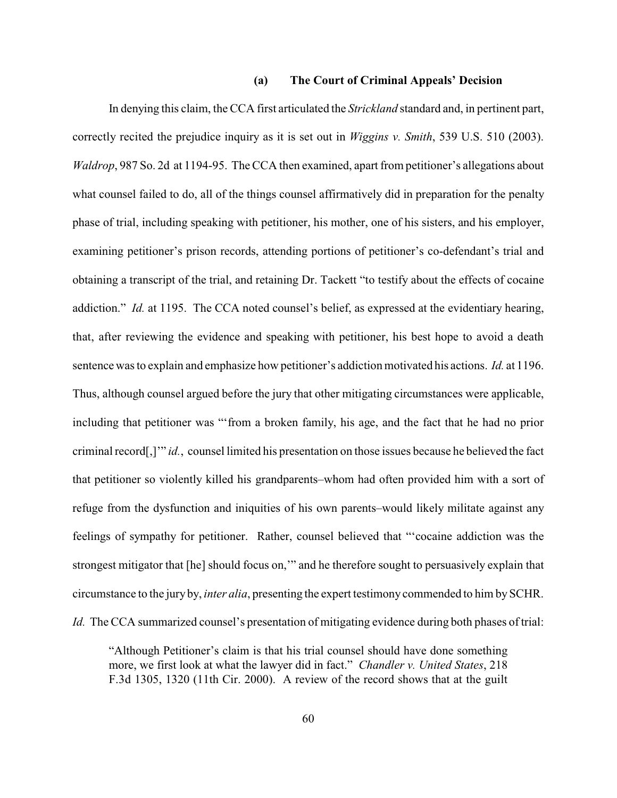#### **(a) The Court of Criminal Appeals' Decision**

In denying this claim, the CCA first articulated the *Strickland* standard and, in pertinent part, correctly recited the prejudice inquiry as it is set out in *Wiggins v. Smith*, 539 U.S. 510 (2003). *Waldrop*, 987 So. 2d at 1194-95. The CCA then examined, apart from petitioner's allegations about what counsel failed to do, all of the things counsel affirmatively did in preparation for the penalty phase of trial, including speaking with petitioner, his mother, one of his sisters, and his employer, examining petitioner's prison records, attending portions of petitioner's co-defendant's trial and obtaining a transcript of the trial, and retaining Dr. Tackett "to testify about the effects of cocaine addiction." *Id.* at 1195. The CCA noted counsel's belief, as expressed at the evidentiary hearing, that, after reviewing the evidence and speaking with petitioner, his best hope to avoid a death sentence was to explain and emphasize how petitioner's addiction motivated his actions. *Id.* at 1196. Thus, although counsel argued before the jury that other mitigating circumstances were applicable, including that petitioner was "'from a broken family, his age, and the fact that he had no prior criminal record[,]'" *id.*, counsel limited his presentation on those issues because he believed the fact that petitioner so violently killed his grandparents–whom had often provided him with a sort of refuge from the dysfunction and iniquities of his own parents–would likely militate against any feelings of sympathy for petitioner. Rather, counsel believed that "'cocaine addiction was the strongest mitigator that [he] should focus on,'" and he therefore sought to persuasively explain that circumstance to the jury by, *inter alia*, presenting the expert testimony commended to him bySCHR. *Id.* The CCA summarized counsel's presentation of mitigating evidence during both phases of trial:

"Although Petitioner's claim is that his trial counsel should have done something more, we first look at what the lawyer did in fact." *Chandler v. United States*, 218 F.3d 1305, 1320 (11th Cir. 2000). A review of the record shows that at the guilt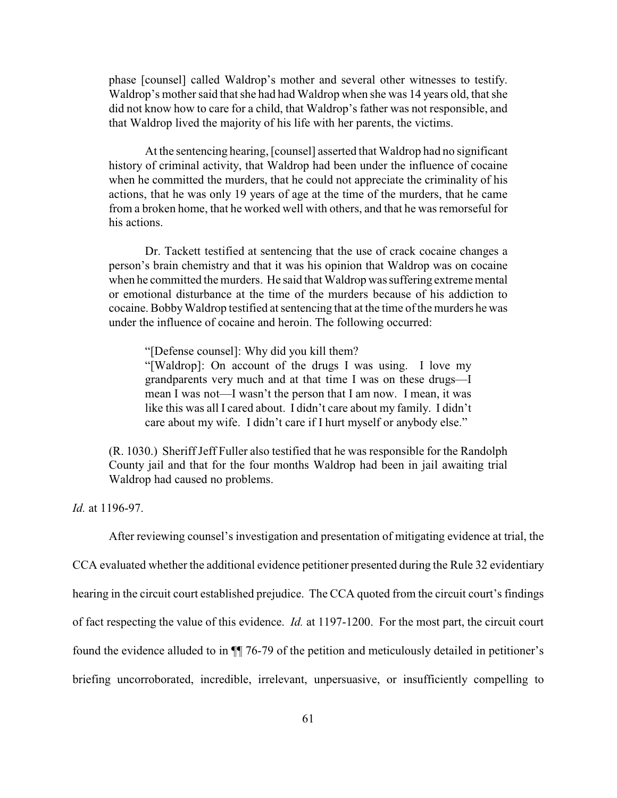phase [counsel] called Waldrop's mother and several other witnesses to testify. Waldrop's mother said that she had had Waldrop when she was 14 years old, that she did not know how to care for a child, that Waldrop's father was not responsible, and that Waldrop lived the majority of his life with her parents, the victims.

At the sentencing hearing, [counsel] asserted that Waldrop had no significant history of criminal activity, that Waldrop had been under the influence of cocaine when he committed the murders, that he could not appreciate the criminality of his actions, that he was only 19 years of age at the time of the murders, that he came from a broken home, that he worked well with others, and that he was remorseful for his actions.

Dr. Tackett testified at sentencing that the use of crack cocaine changes a person's brain chemistry and that it was his opinion that Waldrop was on cocaine when he committed the murders. He said that Waldrop was suffering extreme mental or emotional disturbance at the time of the murders because of his addiction to cocaine. BobbyWaldrop testified at sentencing that at the time of the murders he was under the influence of cocaine and heroin. The following occurred:

"[Defense counsel]: Why did you kill them?

"[Waldrop]: On account of the drugs I was using. I love my grandparents very much and at that time I was on these drugs—I mean I was not—I wasn't the person that I am now. I mean, it was like this was all I cared about. I didn't care about my family. I didn't care about my wife. I didn't care if I hurt myself or anybody else."

(R. 1030.) Sheriff Jeff Fuller also testified that he was responsible for the Randolph County jail and that for the four months Waldrop had been in jail awaiting trial Waldrop had caused no problems.

*Id.* at 1196-97.

After reviewing counsel's investigation and presentation of mitigating evidence at trial, the

CCA evaluated whether the additional evidence petitioner presented during the Rule 32 evidentiary

hearing in the circuit court established prejudice. The CCA quoted from the circuit court's findings

of fact respecting the value of this evidence. *Id.* at 1197-1200. For the most part, the circuit court

found the evidence alluded to in ¶¶ 76-79 of the petition and meticulously detailed in petitioner's

briefing uncorroborated, incredible, irrelevant, unpersuasive, or insufficiently compelling to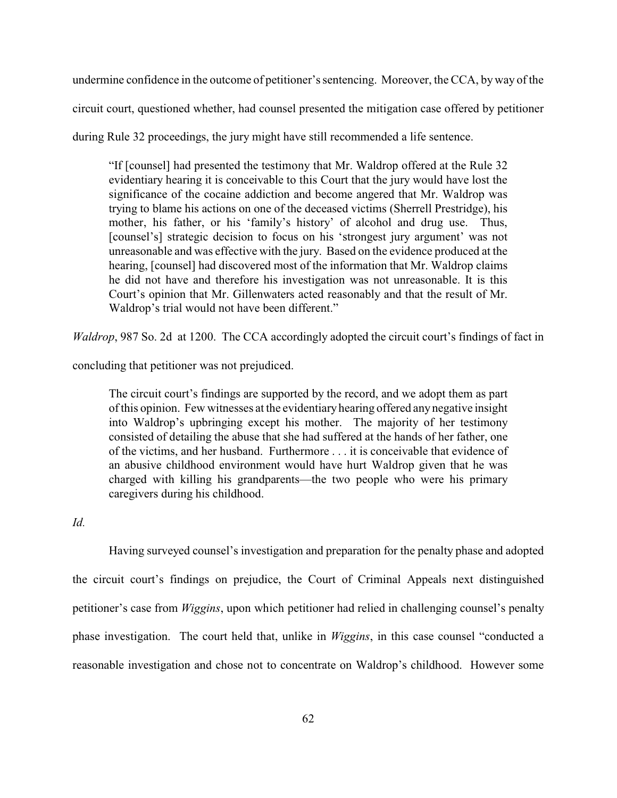undermine confidence in the outcome of petitioner's sentencing. Moreover, the CCA, by way of the circuit court, questioned whether, had counsel presented the mitigation case offered by petitioner

during Rule 32 proceedings, the jury might have still recommended a life sentence.

"If [counsel] had presented the testimony that Mr. Waldrop offered at the Rule 32 evidentiary hearing it is conceivable to this Court that the jury would have lost the significance of the cocaine addiction and become angered that Mr. Waldrop was trying to blame his actions on one of the deceased victims (Sherrell Prestridge), his mother, his father, or his 'family's history' of alcohol and drug use. Thus, [counsel's] strategic decision to focus on his 'strongest jury argument' was not unreasonable and was effective with the jury. Based on the evidence produced at the hearing, [counsel] had discovered most of the information that Mr. Waldrop claims he did not have and therefore his investigation was not unreasonable. It is this Court's opinion that Mr. Gillenwaters acted reasonably and that the result of Mr. Waldrop's trial would not have been different."

*Waldrop*, 987 So. 2d at 1200. The CCA accordingly adopted the circuit court's findings of fact in

concluding that petitioner was not prejudiced.

The circuit court's findings are supported by the record, and we adopt them as part of this opinion. Few witnesses at the evidentiary hearing offered anynegative insight into Waldrop's upbringing except his mother. The majority of her testimony consisted of detailing the abuse that she had suffered at the hands of her father, one of the victims, and her husband. Furthermore . . . it is conceivable that evidence of an abusive childhood environment would have hurt Waldrop given that he was charged with killing his grandparents—the two people who were his primary caregivers during his childhood.

# *Id.*

Having surveyed counsel's investigation and preparation for the penalty phase and adopted the circuit court's findings on prejudice, the Court of Criminal Appeals next distinguished petitioner's case from *Wiggins*, upon which petitioner had relied in challenging counsel's penalty phase investigation. The court held that, unlike in *Wiggins*, in this case counsel "conducted a reasonable investigation and chose not to concentrate on Waldrop's childhood. However some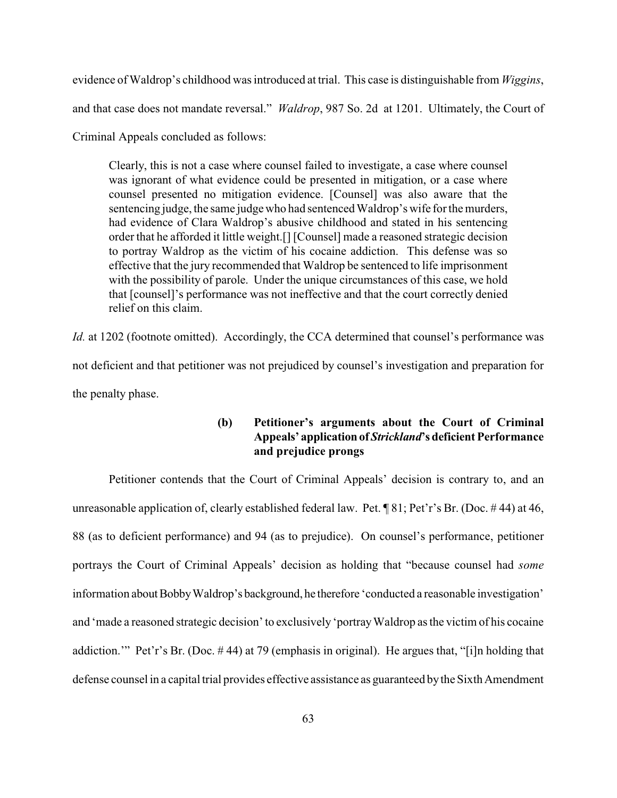evidence of Waldrop's childhood was introduced at trial. This case is distinguishable from *Wiggins*, and that case does not mandate reversal." *Waldrop*, 987 So. 2d at 1201. Ultimately, the Court of

Criminal Appeals concluded as follows:

Clearly, this is not a case where counsel failed to investigate, a case where counsel was ignorant of what evidence could be presented in mitigation, or a case where counsel presented no mitigation evidence. [Counsel] was also aware that the sentencing judge, the same judgewho had sentenced Waldrop's wife for the murders, had evidence of Clara Waldrop's abusive childhood and stated in his sentencing order that he afforded it little weight.[] [Counsel] made a reasoned strategic decision to portray Waldrop as the victim of his cocaine addiction. This defense was so effective that the jury recommended that Waldrop be sentenced to life imprisonment with the possibility of parole. Under the unique circumstances of this case, we hold that [counsel]'s performance was not ineffective and that the court correctly denied relief on this claim.

*Id.* at 1202 (footnote omitted). Accordingly, the CCA determined that counsel's performance was not deficient and that petitioner was not prejudiced by counsel's investigation and preparation for the penalty phase.

## **(b) Petitioner's arguments about the Court of Criminal Appeals' application of** *Strickland***'s deficient Performance and prejudice prongs**

Petitioner contends that the Court of Criminal Appeals' decision is contrary to, and an unreasonable application of, clearly established federal law. Pet. ¶ 81; Pet'r's Br. (Doc. # 44) at 46, 88 (as to deficient performance) and 94 (as to prejudice). On counsel's performance, petitioner portrays the Court of Criminal Appeals' decision as holding that "because counsel had *some* information about BobbyWaldrop's background, he therefore 'conducted a reasonable investigation' and 'made a reasoned strategic decision' to exclusively 'portray Waldrop as the victim of his cocaine addiction.'" Pet'r's Br. (Doc. # 44) at 79 (emphasis in original). He argues that, "[i]n holding that defense counsel in a capital trial provides effective assistance as guaranteed by the Sixth Amendment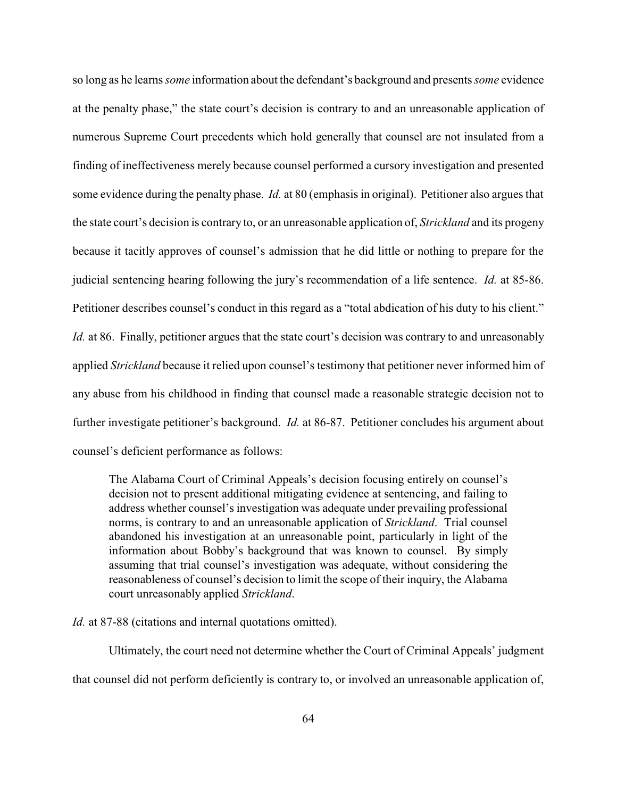so long as he learns *some* information about the defendant's background and presents *some* evidence at the penalty phase," the state court's decision is contrary to and an unreasonable application of numerous Supreme Court precedents which hold generally that counsel are not insulated from a finding of ineffectiveness merely because counsel performed a cursory investigation and presented some evidence during the penalty phase. *Id.* at 80 (emphasis in original). Petitioner also argues that the state court's decision is contrary to, or an unreasonable application of, *Strickland* and its progeny because it tacitly approves of counsel's admission that he did little or nothing to prepare for the judicial sentencing hearing following the jury's recommendation of a life sentence. *Id.* at 85-86. Petitioner describes counsel's conduct in this regard as a "total abdication of his duty to his client." *Id.* at 86. Finally, petitioner argues that the state court's decision was contrary to and unreasonably applied *Strickland* because it relied upon counsel's testimony that petitioner never informed him of any abuse from his childhood in finding that counsel made a reasonable strategic decision not to further investigate petitioner's background. *Id.* at 86-87. Petitioner concludes his argument about counsel's deficient performance as follows:

The Alabama Court of Criminal Appeals's decision focusing entirely on counsel's decision not to present additional mitigating evidence at sentencing, and failing to address whether counsel's investigation was adequate under prevailing professional norms, is contrary to and an unreasonable application of *Strickland*. Trial counsel abandoned his investigation at an unreasonable point, particularly in light of the information about Bobby's background that was known to counsel. By simply assuming that trial counsel's investigation was adequate, without considering the reasonableness of counsel's decision to limit the scope of their inquiry, the Alabama court unreasonably applied *Strickland*.

*Id.* at 87-88 (citations and internal quotations omitted).

Ultimately, the court need not determine whether the Court of Criminal Appeals' judgment that counsel did not perform deficiently is contrary to, or involved an unreasonable application of,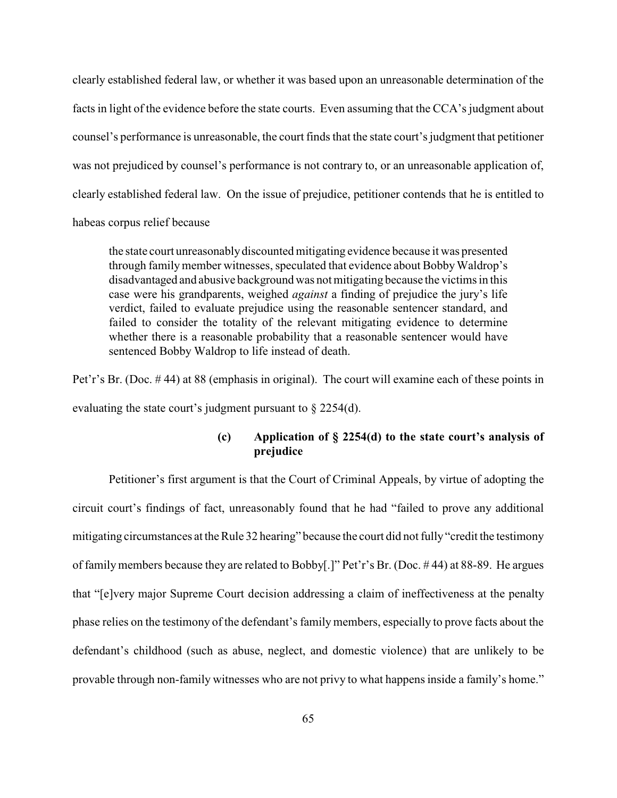clearly established federal law, or whether it was based upon an unreasonable determination of the facts in light of the evidence before the state courts. Even assuming that the CCA's judgment about counsel's performance is unreasonable, the court finds that the state court's judgment that petitioner was not prejudiced by counsel's performance is not contrary to, or an unreasonable application of, clearly established federal law. On the issue of prejudice, petitioner contends that he is entitled to habeas corpus relief because

the state court unreasonablydiscounted mitigating evidence because it was presented through family member witnesses, speculated that evidence about Bobby Waldrop's disadvantaged and abusive background was not mitigating because the victims in this case were his grandparents, weighed *against* a finding of prejudice the jury's life verdict, failed to evaluate prejudice using the reasonable sentencer standard, and failed to consider the totality of the relevant mitigating evidence to determine whether there is a reasonable probability that a reasonable sentencer would have sentenced Bobby Waldrop to life instead of death.

Pet'r's Br. (Doc. # 44) at 88 (emphasis in original). The court will examine each of these points in evaluating the state court's judgment pursuant to § 2254(d).

## **(c) Application of § 2254(d) to the state court's analysis of prejudice**

Petitioner's first argument is that the Court of Criminal Appeals, by virtue of adopting the circuit court's findings of fact, unreasonably found that he had "failed to prove any additional mitigating circumstances at the Rule 32 hearing" because the court did not fully "credit the testimony of familymembers because they are related to Bobby[.]" Pet'r's Br. (Doc. # 44) at 88-89. He argues that "[e]very major Supreme Court decision addressing a claim of ineffectiveness at the penalty phase relies on the testimony of the defendant's family members, especially to prove facts about the defendant's childhood (such as abuse, neglect, and domestic violence) that are unlikely to be provable through non-family witnesses who are not privy to what happens inside a family's home."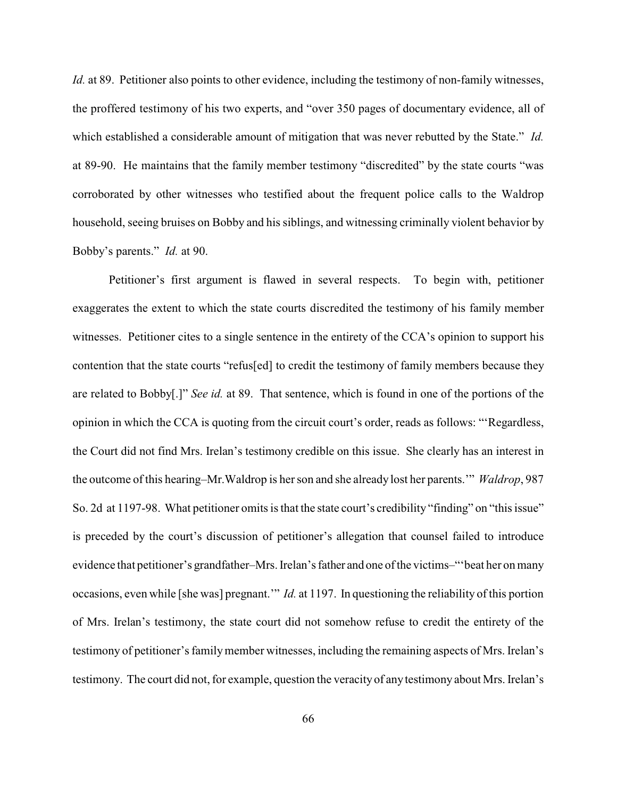*Id.* at 89. Petitioner also points to other evidence, including the testimony of non-family witnesses, the proffered testimony of his two experts, and "over 350 pages of documentary evidence, all of which established a considerable amount of mitigation that was never rebutted by the State." *Id.* at 89-90. He maintains that the family member testimony "discredited" by the state courts "was corroborated by other witnesses who testified about the frequent police calls to the Waldrop household, seeing bruises on Bobby and his siblings, and witnessing criminally violent behavior by Bobby's parents." *Id.* at 90.

Petitioner's first argument is flawed in several respects. To begin with, petitioner exaggerates the extent to which the state courts discredited the testimony of his family member witnesses. Petitioner cites to a single sentence in the entirety of the CCA's opinion to support his contention that the state courts "refus[ed] to credit the testimony of family members because they are related to Bobby[.]" *See id.* at 89. That sentence, which is found in one of the portions of the opinion in which the CCA is quoting from the circuit court's order, reads as follows: "'Regardless, the Court did not find Mrs. Irelan's testimony credible on this issue. She clearly has an interest in the outcome of this hearing–Mr.Waldrop is her son and she already lost her parents.'" *Waldrop*, 987 So. 2d at 1197-98. What petitioner omits is that the state court's credibility "finding" on "this issue" is preceded by the court's discussion of petitioner's allegation that counsel failed to introduce evidence that petitioner's grandfather–Mrs. Irelan's father and one of the victims–"'beat her on many occasions, even while [she was] pregnant.'" *Id.* at 1197. In questioning the reliability of this portion of Mrs. Irelan's testimony, the state court did not somehow refuse to credit the entirety of the testimony of petitioner's familymember witnesses, including the remaining aspects of Mrs. Irelan's testimony. The court did not, for example, question the veracityof anytestimony about Mrs. Irelan's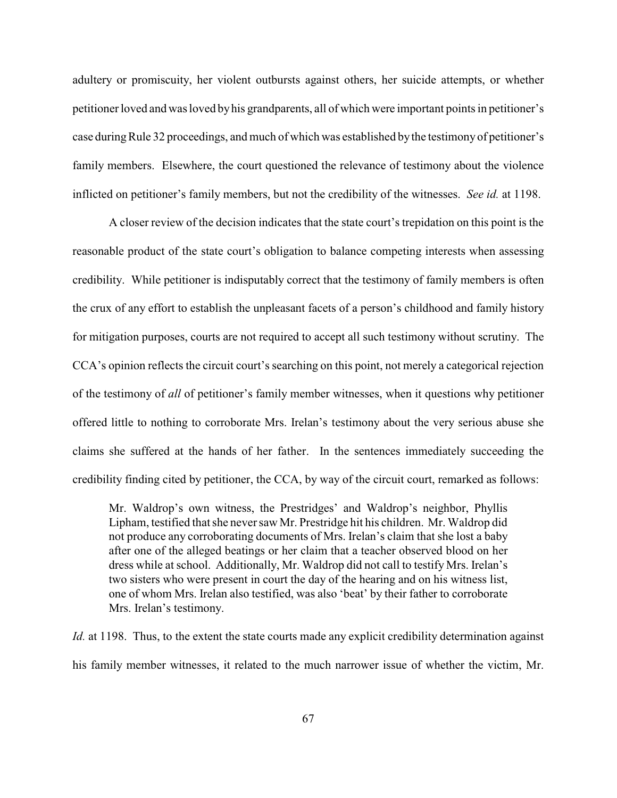adultery or promiscuity, her violent outbursts against others, her suicide attempts, or whether petitioner loved and was loved byhis grandparents, all of which were important points in petitioner's case duringRule 32 proceedings, and much of which was established bythe testimonyof petitioner's family members. Elsewhere, the court questioned the relevance of testimony about the violence inflicted on petitioner's family members, but not the credibility of the witnesses. *See id.* at 1198.

A closer review of the decision indicates that the state court's trepidation on this point is the reasonable product of the state court's obligation to balance competing interests when assessing credibility. While petitioner is indisputably correct that the testimony of family members is often the crux of any effort to establish the unpleasant facets of a person's childhood and family history for mitigation purposes, courts are not required to accept all such testimony without scrutiny. The CCA's opinion reflects the circuit court's searching on this point, not merely a categorical rejection of the testimony of *all* of petitioner's family member witnesses, when it questions why petitioner offered little to nothing to corroborate Mrs. Irelan's testimony about the very serious abuse she claims she suffered at the hands of her father. In the sentences immediately succeeding the credibility finding cited by petitioner, the CCA, by way of the circuit court, remarked as follows:

Mr. Waldrop's own witness, the Prestridges' and Waldrop's neighbor, Phyllis Lipham, testified that she neversaw Mr. Prestridge hit his children. Mr. Waldrop did not produce any corroborating documents of Mrs. Irelan's claim that she lost a baby after one of the alleged beatings or her claim that a teacher observed blood on her dress while at school. Additionally, Mr. Waldrop did not call to testify Mrs. Irelan's two sisters who were present in court the day of the hearing and on his witness list, one of whom Mrs. Irelan also testified, was also 'beat' by their father to corroborate Mrs. Irelan's testimony.

*Id.* at 1198. Thus, to the extent the state courts made any explicit credibility determination against his family member witnesses, it related to the much narrower issue of whether the victim, Mr.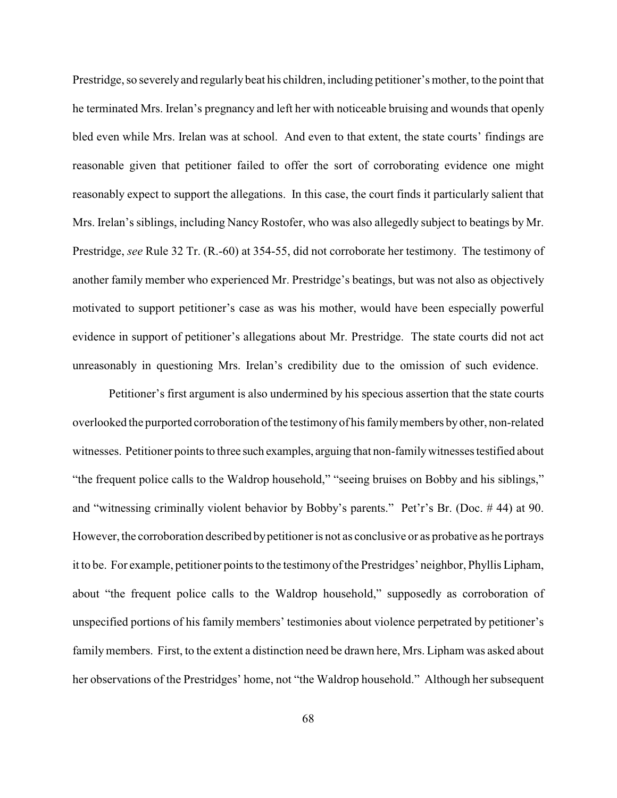Prestridge, so severely and regularly beat his children, including petitioner's mother, to the point that he terminated Mrs. Irelan's pregnancy and left her with noticeable bruising and wounds that openly bled even while Mrs. Irelan was at school. And even to that extent, the state courts' findings are reasonable given that petitioner failed to offer the sort of corroborating evidence one might reasonably expect to support the allegations. In this case, the court finds it particularly salient that Mrs. Irelan's siblings, including Nancy Rostofer, who was also allegedly subject to beatings by Mr. Prestridge, *see* Rule 32 Tr. (R.-60) at 354-55, did not corroborate her testimony. The testimony of another family member who experienced Mr. Prestridge's beatings, but was not also as objectively motivated to support petitioner's case as was his mother, would have been especially powerful evidence in support of petitioner's allegations about Mr. Prestridge. The state courts did not act unreasonably in questioning Mrs. Irelan's credibility due to the omission of such evidence.

Petitioner's first argument is also undermined by his specious assertion that the state courts overlooked the purported corroboration of the testimonyof his familymembers byother, non-related witnesses. Petitioner points to three such examples, arguing that non-familywitnesses testified about "the frequent police calls to the Waldrop household," "seeing bruises on Bobby and his siblings," and "witnessing criminally violent behavior by Bobby's parents." Pet'r's Br. (Doc. # 44) at 90. However, the corroboration described bypetitioner is not as conclusive or as probative as he portrays it to be. For example, petitioner points to the testimonyof the Prestridges' neighbor, Phyllis Lipham, about "the frequent police calls to the Waldrop household," supposedly as corroboration of unspecified portions of his family members' testimonies about violence perpetrated by petitioner's familymembers. First, to the extent a distinction need be drawn here, Mrs. Lipham was asked about her observations of the Prestridges' home, not "the Waldrop household." Although her subsequent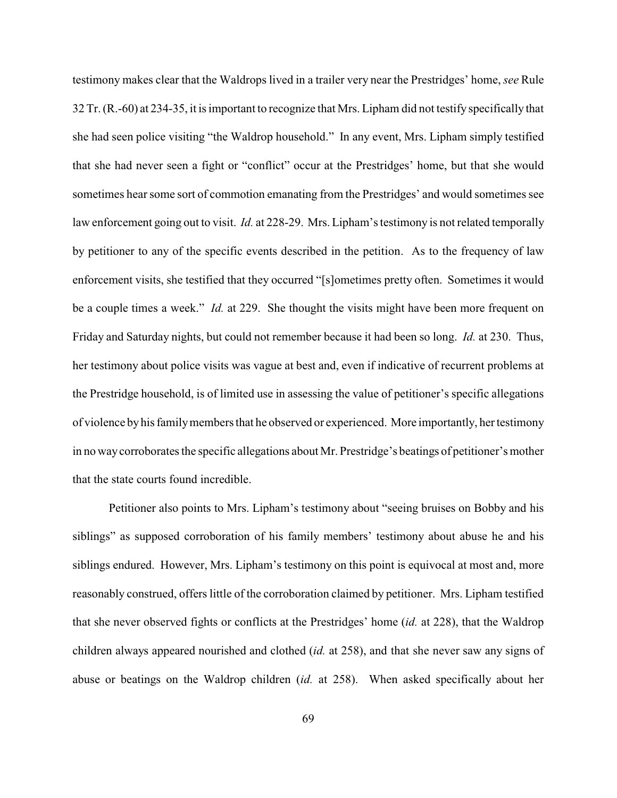testimony makes clear that the Waldrops lived in a trailer very near the Prestridges' home, *see* Rule 32 Tr. (R.-60) at 234-35, it is important to recognize that Mrs. Lipham did not testify specifically that she had seen police visiting "the Waldrop household." In any event, Mrs. Lipham simply testified that she had never seen a fight or "conflict" occur at the Prestridges' home, but that she would sometimes hear some sort of commotion emanating from the Prestridges' and would sometimes see law enforcement going out to visit. *Id.* at 228-29. Mrs. Lipham's testimony is not related temporally by petitioner to any of the specific events described in the petition. As to the frequency of law enforcement visits, she testified that they occurred "[s]ometimes pretty often. Sometimes it would be a couple times a week." *Id.* at 229. She thought the visits might have been more frequent on Friday and Saturday nights, but could not remember because it had been so long. *Id.* at 230. Thus, her testimony about police visits was vague at best and, even if indicative of recurrent problems at the Prestridge household, is of limited use in assessing the value of petitioner's specific allegations of violence byhis familymembers that he observed or experienced. More importantly, her testimony in no waycorroborates the specific allegations about Mr. Prestridge's beatings of petitioner's mother that the state courts found incredible.

Petitioner also points to Mrs. Lipham's testimony about "seeing bruises on Bobby and his siblings" as supposed corroboration of his family members' testimony about abuse he and his siblings endured. However, Mrs. Lipham's testimony on this point is equivocal at most and, more reasonably construed, offers little of the corroboration claimed by petitioner. Mrs. Lipham testified that she never observed fights or conflicts at the Prestridges' home (*id.* at 228), that the Waldrop children always appeared nourished and clothed (*id.* at 258), and that she never saw any signs of abuse or beatings on the Waldrop children (*id.* at 258). When asked specifically about her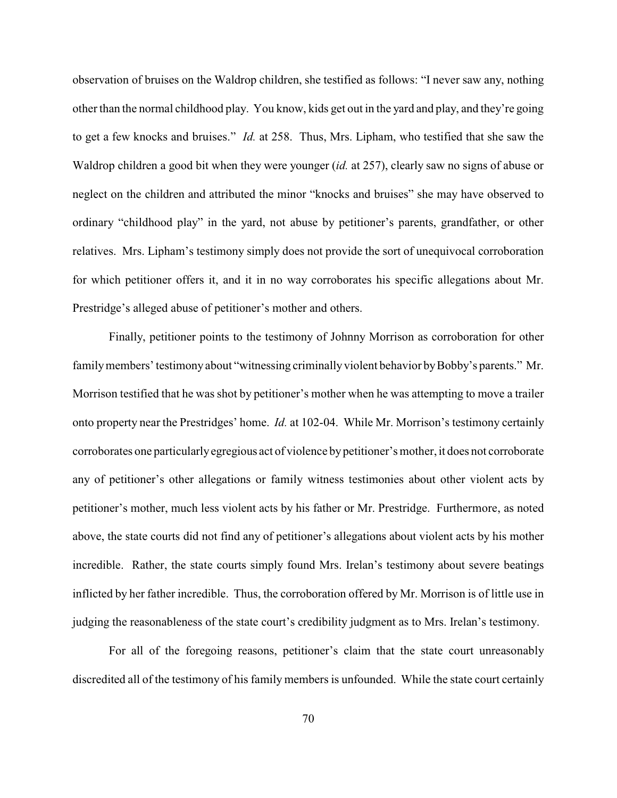observation of bruises on the Waldrop children, she testified as follows: "I never saw any, nothing other than the normal childhood play. You know, kids get out in the yard and play, and they're going to get a few knocks and bruises." *Id.* at 258. Thus, Mrs. Lipham, who testified that she saw the Waldrop children a good bit when they were younger (*id.* at 257), clearly saw no signs of abuse or neglect on the children and attributed the minor "knocks and bruises" she may have observed to ordinary "childhood play" in the yard, not abuse by petitioner's parents, grandfather, or other relatives. Mrs. Lipham's testimony simply does not provide the sort of unequivocal corroboration for which petitioner offers it, and it in no way corroborates his specific allegations about Mr. Prestridge's alleged abuse of petitioner's mother and others.

Finally, petitioner points to the testimony of Johnny Morrison as corroboration for other family members' testimony about "witnessing criminally violent behavior by Bobby's parents." Mr. Morrison testified that he was shot by petitioner's mother when he was attempting to move a trailer onto property near the Prestridges' home. *Id.* at 102-04. While Mr. Morrison's testimony certainly corroborates one particularlyegregious act of violence bypetitioner's mother, it does not corroborate any of petitioner's other allegations or family witness testimonies about other violent acts by petitioner's mother, much less violent acts by his father or Mr. Prestridge. Furthermore, as noted above, the state courts did not find any of petitioner's allegations about violent acts by his mother incredible. Rather, the state courts simply found Mrs. Irelan's testimony about severe beatings inflicted by her father incredible. Thus, the corroboration offered by Mr. Morrison is of little use in judging the reasonableness of the state court's credibility judgment as to Mrs. Irelan's testimony.

For all of the foregoing reasons, petitioner's claim that the state court unreasonably discredited all of the testimony of his family members is unfounded. While the state court certainly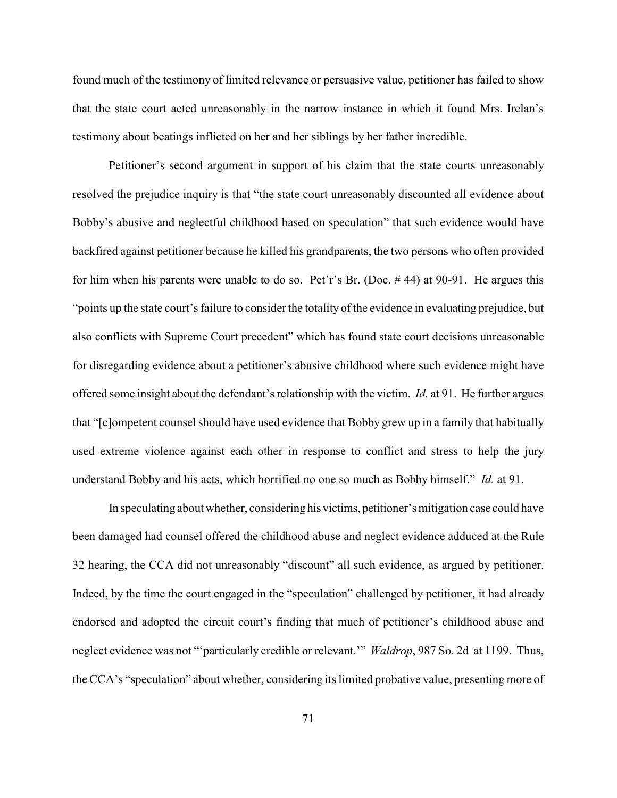found much of the testimony of limited relevance or persuasive value, petitioner has failed to show that the state court acted unreasonably in the narrow instance in which it found Mrs. Irelan's testimony about beatings inflicted on her and her siblings by her father incredible.

Petitioner's second argument in support of his claim that the state courts unreasonably resolved the prejudice inquiry is that "the state court unreasonably discounted all evidence about Bobby's abusive and neglectful childhood based on speculation" that such evidence would have backfired against petitioner because he killed his grandparents, the two persons who often provided for him when his parents were unable to do so. Pet'r's Br. (Doc. # 44) at 90-91. He argues this "points up the state court's failure to consider the totality of the evidence in evaluating prejudice, but also conflicts with Supreme Court precedent" which has found state court decisions unreasonable for disregarding evidence about a petitioner's abusive childhood where such evidence might have offered some insight about the defendant's relationship with the victim. *Id.* at 91. He further argues that "[c]ompetent counsel should have used evidence that Bobby grew up in a family that habitually used extreme violence against each other in response to conflict and stress to help the jury understand Bobby and his acts, which horrified no one so much as Bobby himself." *Id.* at 91.

In speculating about whether, consideringhis victims, petitioner's mitigation case could have been damaged had counsel offered the childhood abuse and neglect evidence adduced at the Rule 32 hearing, the CCA did not unreasonably "discount" all such evidence, as argued by petitioner. Indeed, by the time the court engaged in the "speculation" challenged by petitioner, it had already endorsed and adopted the circuit court's finding that much of petitioner's childhood abuse and neglect evidence was not "'particularly credible or relevant.'" *Waldrop*, 987 So. 2d at 1199. Thus, the CCA's "speculation" about whether, considering its limited probative value, presenting more of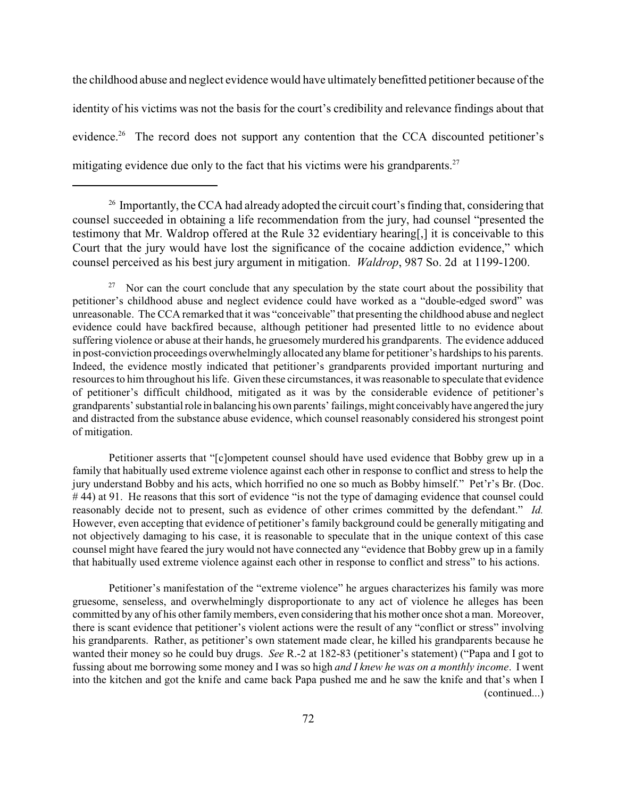the childhood abuse and neglect evidence would have ultimately benefitted petitioner because of the identity of his victims was not the basis for the court's credibility and relevance findings about that evidence.<sup>26</sup> The record does not support any contention that the CCA discounted petitioner's mitigating evidence due only to the fact that his victims were his grandparents.<sup>27</sup>

Nor can the court conclude that any speculation by the state court about the possibility that 27 petitioner's childhood abuse and neglect evidence could have worked as a "double-edged sword" was unreasonable. The CCA remarked that it was "conceivable" that presenting the childhood abuse and neglect evidence could have backfired because, although petitioner had presented little to no evidence about suffering violence or abuse at their hands, he gruesomely murdered his grandparents. The evidence adduced in post-conviction proceedings overwhelmingly allocated any blame for petitioner's hardshipsto his parents. Indeed, the evidence mostly indicated that petitioner's grandparents provided important nurturing and resources to him throughout hislife. Given these circumstances, it was reasonable to speculate that evidence of petitioner's difficult childhood, mitigated as it was by the considerable evidence of petitioner's grandparents'substantial role in balancing his own parents'failings, might conceivably have angered the jury and distracted from the substance abuse evidence, which counsel reasonably considered his strongest point of mitigation.

Petitioner asserts that "[c]ompetent counsel should have used evidence that Bobby grew up in a family that habitually used extreme violence against each other in response to conflict and stress to help the jury understand Bobby and his acts, which horrified no one so much as Bobby himself." Pet'r's Br. (Doc. #44) at 91. He reasons that this sort of evidence "is not the type of damaging evidence that counsel could reasonably decide not to present, such as evidence of other crimes committed by the defendant." *Id.* However, even accepting that evidence of petitioner's family background could be generally mitigating and not objectively damaging to his case, it is reasonable to speculate that in the unique context of this case counsel might have feared the jury would not have connected any "evidence that Bobby grew up in a family that habitually used extreme violence against each other in response to conflict and stress" to his actions.

Petitioner's manifestation of the "extreme violence" he argues characterizes his family was more gruesome, senseless, and overwhelmingly disproportionate to any act of violence he alleges has been committed by any of his other family members, even considering that his mother once shot a man. Moreover, there is scant evidence that petitioner's violent actions were the result of any "conflict or stress" involving his grandparents. Rather, as petitioner's own statement made clear, he killed his grandparents because he wanted their money so he could buy drugs. *See* R.-2 at 182-83 (petitioner's statement) ("Papa and I got to fussing about me borrowing some money and I was so high *and I knew he was on a monthly income*. I went into the kitchen and got the knife and came back Papa pushed me and he saw the knife and that's when I (continued...)

 $26$  Importantly, the CCA had already adopted the circuit court's finding that, considering that counsel succeeded in obtaining a life recommendation from the jury, had counsel "presented the testimony that Mr. Waldrop offered at the Rule 32 evidentiary hearing[,] it is conceivable to this Court that the jury would have lost the significance of the cocaine addiction evidence," which counsel perceived as his best jury argument in mitigation. *Waldrop*, 987 So. 2d at 1199-1200.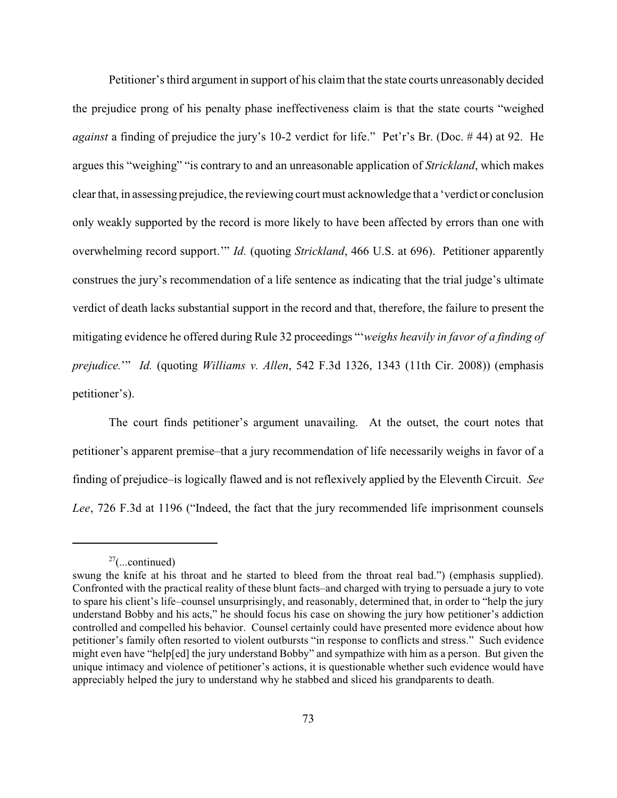Petitioner's third argument in support of his claim that the state courts unreasonably decided the prejudice prong of his penalty phase ineffectiveness claim is that the state courts "weighed *against* a finding of prejudice the jury's 10-2 verdict for life." Pet'r's Br. (Doc. # 44) at 92. He argues this "weighing" "is contrary to and an unreasonable application of *Strickland*, which makes clear that, in assessing prejudice, the reviewing court must acknowledge that a 'verdict or conclusion only weakly supported by the record is more likely to have been affected by errors than one with overwhelming record support.'" *Id.* (quoting *Strickland*, 466 U.S. at 696). Petitioner apparently construes the jury's recommendation of a life sentence as indicating that the trial judge's ultimate verdict of death lacks substantial support in the record and that, therefore, the failure to present the mitigating evidence he offered during Rule 32 proceedings "'*weighs heavily in favor of a finding of prejudice.*'" *Id.* (quoting *Williams v. Allen*, 542 F.3d 1326, 1343 (11th Cir. 2008)) (emphasis petitioner's).

The court finds petitioner's argument unavailing. At the outset, the court notes that petitioner's apparent premise–that a jury recommendation of life necessarily weighs in favor of a finding of prejudice–is logically flawed and is not reflexively applied by the Eleventh Circuit. *See Lee*, 726 F.3d at 1196 ("Indeed, the fact that the jury recommended life imprisonment counsels

 $27$ (...continued)

swung the knife at his throat and he started to bleed from the throat real bad.") (emphasis supplied). Confronted with the practical reality of these blunt facts–and charged with trying to persuade a jury to vote to spare his client's life–counsel unsurprisingly, and reasonably, determined that, in order to "help the jury understand Bobby and his acts," he should focus his case on showing the jury how petitioner's addiction controlled and compelled his behavior. Counsel certainly could have presented more evidence about how petitioner's family often resorted to violent outbursts "in response to conflicts and stress." Such evidence might even have "help[ed] the jury understand Bobby" and sympathize with him as a person. But given the unique intimacy and violence of petitioner's actions, it is questionable whether such evidence would have appreciably helped the jury to understand why he stabbed and sliced his grandparents to death.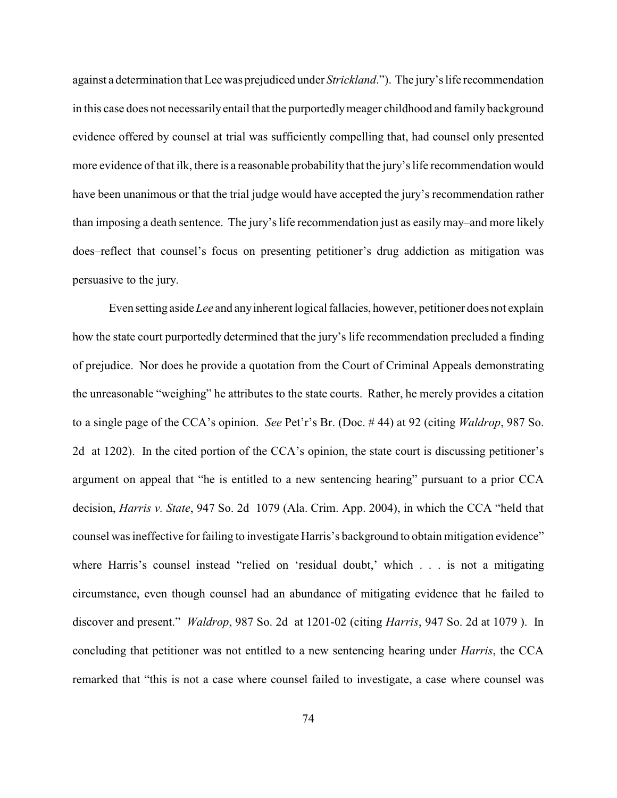against a determination that Lee was prejudiced under *Strickland*."). The jury's life recommendation in this case does not necessarilyentail that the purportedlymeager childhood and family background evidence offered by counsel at trial was sufficiently compelling that, had counsel only presented more evidence of that ilk, there is a reasonable probability that the jury's life recommendation would have been unanimous or that the trial judge would have accepted the jury's recommendation rather than imposing a death sentence. The jury's life recommendation just as easily may–and more likely does–reflect that counsel's focus on presenting petitioner's drug addiction as mitigation was persuasive to the jury.

Even setting aside *Lee* and anyinherent logical fallacies, however, petitioner does not explain how the state court purportedly determined that the jury's life recommendation precluded a finding of prejudice. Nor does he provide a quotation from the Court of Criminal Appeals demonstrating the unreasonable "weighing" he attributes to the state courts. Rather, he merely provides a citation to a single page of the CCA's opinion. *See* Pet'r's Br. (Doc. # 44) at 92 (citing *Waldrop*, 987 So. 2d at 1202). In the cited portion of the CCA's opinion, the state court is discussing petitioner's argument on appeal that "he is entitled to a new sentencing hearing" pursuant to a prior CCA decision, *Harris v. State*, 947 So. 2d 1079 (Ala. Crim. App. 2004), in which the CCA "held that counsel was ineffective for failing to investigate Harris's background to obtain mitigation evidence" where Harris's counsel instead "relied on 'residual doubt,' which . . . is not a mitigating circumstance, even though counsel had an abundance of mitigating evidence that he failed to discover and present." *Waldrop*, 987 So. 2d at 1201-02 (citing *Harris*, 947 So. 2d at 1079 ). In concluding that petitioner was not entitled to a new sentencing hearing under *Harris*, the CCA remarked that "this is not a case where counsel failed to investigate, a case where counsel was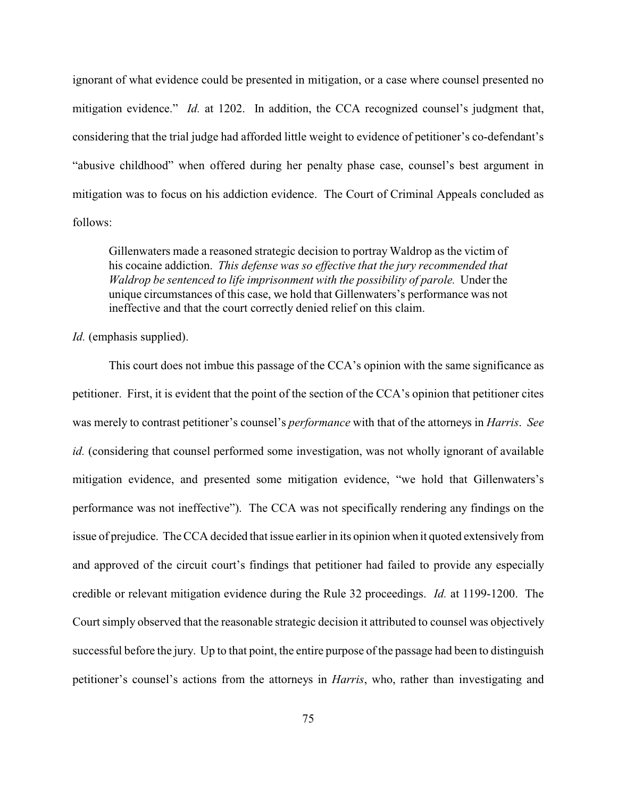ignorant of what evidence could be presented in mitigation, or a case where counsel presented no mitigation evidence." *Id.* at 1202. In addition, the CCA recognized counsel's judgment that, considering that the trial judge had afforded little weight to evidence of petitioner's co-defendant's "abusive childhood" when offered during her penalty phase case, counsel's best argument in mitigation was to focus on his addiction evidence. The Court of Criminal Appeals concluded as follows:

Gillenwaters made a reasoned strategic decision to portray Waldrop as the victim of his cocaine addiction. *This defense was so effective that the jury recommended that Waldrop be sentenced to life imprisonment with the possibility of parole.* Under the unique circumstances of this case, we hold that Gillenwaters's performance was not ineffective and that the court correctly denied relief on this claim.

#### *Id.* (emphasis supplied).

This court does not imbue this passage of the CCA's opinion with the same significance as petitioner. First, it is evident that the point of the section of the CCA's opinion that petitioner cites was merely to contrast petitioner's counsel's *performance* with that of the attorneys in *Harris*. *See id.* (considering that counsel performed some investigation, was not wholly ignorant of available mitigation evidence, and presented some mitigation evidence, "we hold that Gillenwaters's performance was not ineffective"). The CCA was not specifically rendering any findings on the issue of prejudice. The CCA decided that issue earlier in its opinion when it quoted extensively from and approved of the circuit court's findings that petitioner had failed to provide any especially credible or relevant mitigation evidence during the Rule 32 proceedings. *Id.* at 1199-1200. The Court simply observed that the reasonable strategic decision it attributed to counsel was objectively successful before the jury. Up to that point, the entire purpose of the passage had been to distinguish petitioner's counsel's actions from the attorneys in *Harris*, who, rather than investigating and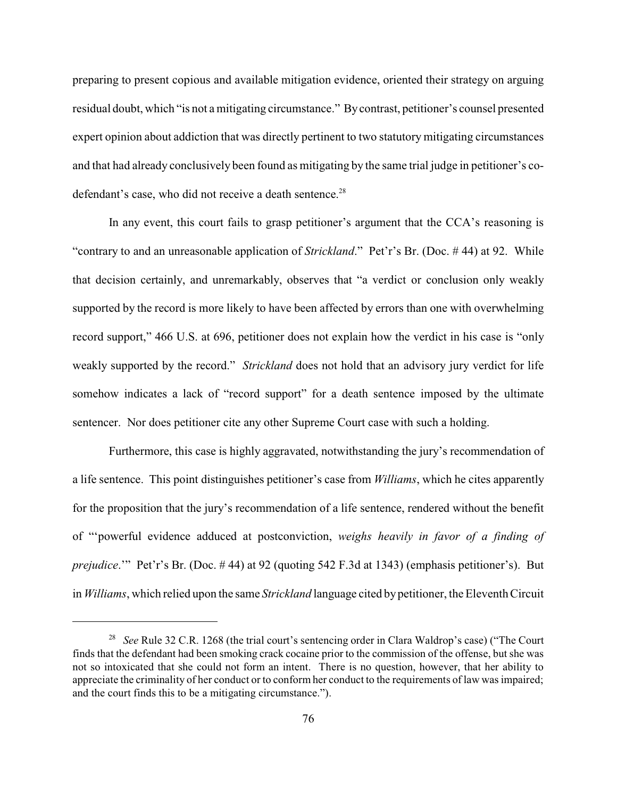preparing to present copious and available mitigation evidence, oriented their strategy on arguing residual doubt, which "is not a mitigating circumstance." Bycontrast, petitioner's counsel presented expert opinion about addiction that was directly pertinent to two statutory mitigating circumstances and that had already conclusively been found as mitigating by the same trial judge in petitioner's codefendant's case, who did not receive a death sentence.<sup>28</sup>

In any event, this court fails to grasp petitioner's argument that the CCA's reasoning is "contrary to and an unreasonable application of *Strickland*." Pet'r's Br. (Doc. # 44) at 92. While that decision certainly, and unremarkably, observes that "a verdict or conclusion only weakly supported by the record is more likely to have been affected by errors than one with overwhelming record support," 466 U.S. at 696, petitioner does not explain how the verdict in his case is "only weakly supported by the record." *Strickland* does not hold that an advisory jury verdict for life somehow indicates a lack of "record support" for a death sentence imposed by the ultimate sentencer. Nor does petitioner cite any other Supreme Court case with such a holding.

Furthermore, this case is highly aggravated, notwithstanding the jury's recommendation of a life sentence. This point distinguishes petitioner's case from *Williams*, which he cites apparently for the proposition that the jury's recommendation of a life sentence, rendered without the benefit of "'powerful evidence adduced at postconviction, *weighs heavily in favor of a finding of prejudice*.'" Pet'r's Br. (Doc. # 44) at 92 (quoting 542 F.3d at 1343) (emphasis petitioner's). But in *Williams*, which relied upon the same *Strickland* language cited by petitioner, the Eleventh Circuit

<sup>&</sup>lt;sup>28</sup> See Rule 32 C.R. 1268 (the trial court's sentencing order in Clara Waldrop's case) ("The Court finds that the defendant had been smoking crack cocaine prior to the commission of the offense, but she was not so intoxicated that she could not form an intent. There is no question, however, that her ability to appreciate the criminality of her conduct or to conform her conduct to the requirements of law was impaired; and the court finds this to be a mitigating circumstance.").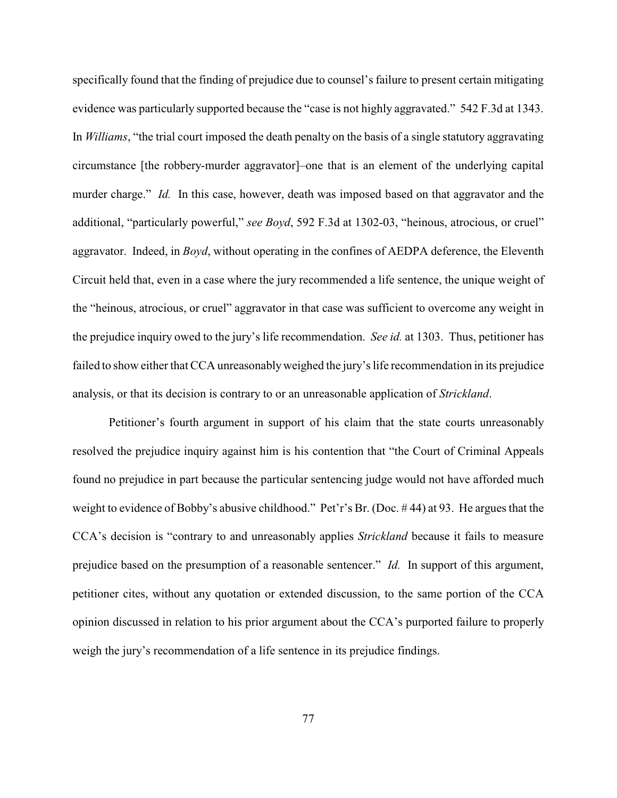specifically found that the finding of prejudice due to counsel's failure to present certain mitigating evidence was particularly supported because the "case is not highly aggravated." 542 F.3d at 1343. In *Williams*, "the trial court imposed the death penalty on the basis of a single statutory aggravating circumstance [the robbery-murder aggravator]–one that is an element of the underlying capital murder charge." *Id.* In this case, however, death was imposed based on that aggravator and the additional, "particularly powerful," *see Boyd*, 592 F.3d at 1302-03, "heinous, atrocious, or cruel" aggravator. Indeed, in *Boyd*, without operating in the confines of AEDPA deference, the Eleventh Circuit held that, even in a case where the jury recommended a life sentence, the unique weight of the "heinous, atrocious, or cruel" aggravator in that case was sufficient to overcome any weight in the prejudice inquiry owed to the jury's life recommendation. *See id.* at 1303. Thus, petitioner has failed to show either that CCA unreasonablyweighed the jury's life recommendation in its prejudice analysis, or that its decision is contrary to or an unreasonable application of *Strickland*.

Petitioner's fourth argument in support of his claim that the state courts unreasonably resolved the prejudice inquiry against him is his contention that "the Court of Criminal Appeals found no prejudice in part because the particular sentencing judge would not have afforded much weight to evidence of Bobby's abusive childhood." Pet'r's Br. (Doc. # 44) at 93. He argues that the CCA's decision is "contrary to and unreasonably applies *Strickland* because it fails to measure prejudice based on the presumption of a reasonable sentencer." *Id.* In support of this argument, petitioner cites, without any quotation or extended discussion, to the same portion of the CCA opinion discussed in relation to his prior argument about the CCA's purported failure to properly weigh the jury's recommendation of a life sentence in its prejudice findings.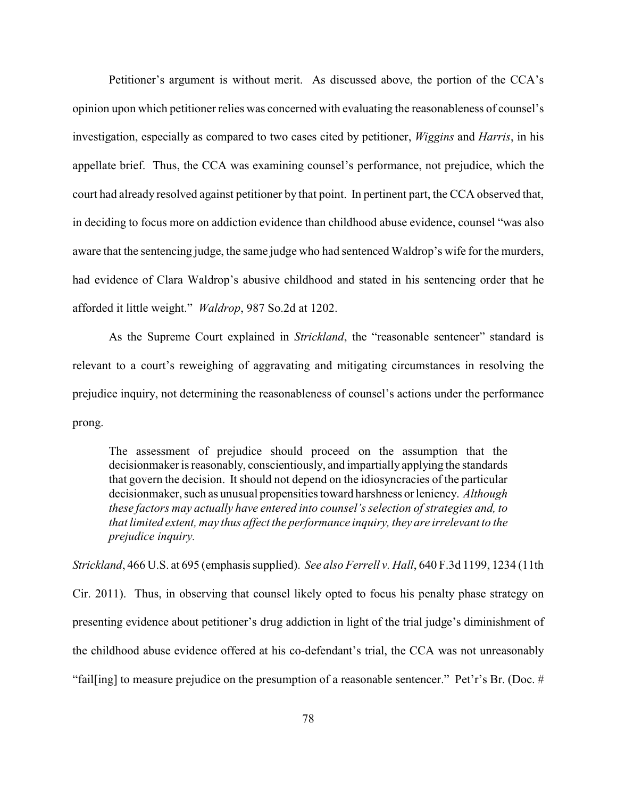Petitioner's argument is without merit. As discussed above, the portion of the CCA's opinion upon which petitioner relies was concerned with evaluating the reasonableness of counsel's investigation, especially as compared to two cases cited by petitioner, *Wiggins* and *Harris*, in his appellate brief. Thus, the CCA was examining counsel's performance, not prejudice, which the court had already resolved against petitioner by that point. In pertinent part, the CCA observed that, in deciding to focus more on addiction evidence than childhood abuse evidence, counsel "was also aware that the sentencing judge, the same judge who had sentenced Waldrop's wife for the murders, had evidence of Clara Waldrop's abusive childhood and stated in his sentencing order that he afforded it little weight." *Waldrop*, 987 So.2d at 1202.

As the Supreme Court explained in *Strickland*, the "reasonable sentencer" standard is relevant to a court's reweighing of aggravating and mitigating circumstances in resolving the prejudice inquiry, not determining the reasonableness of counsel's actions under the performance prong.

The assessment of prejudice should proceed on the assumption that the decisionmaker is reasonably, conscientiously, and impartially applying the standards that govern the decision. It should not depend on the idiosyncracies of the particular decisionmaker, such as unusual propensities toward harshness or leniency. *Although these factors may actually have entered into counsel's selection of strategies and, to that limited extent, may thus affect the performance inquiry, they are irrelevant to the prejudice inquiry.* 

*Strickland*, 466 U.S. at 695 (emphasis supplied). *See also Ferrell v. Hall*, 640 F.3d 1199, 1234 (11th Cir. 2011). Thus, in observing that counsel likely opted to focus his penalty phase strategy on presenting evidence about petitioner's drug addiction in light of the trial judge's diminishment of the childhood abuse evidence offered at his co-defendant's trial, the CCA was not unreasonably "fail[ing] to measure prejudice on the presumption of a reasonable sentencer." Pet'r's Br. (Doc. #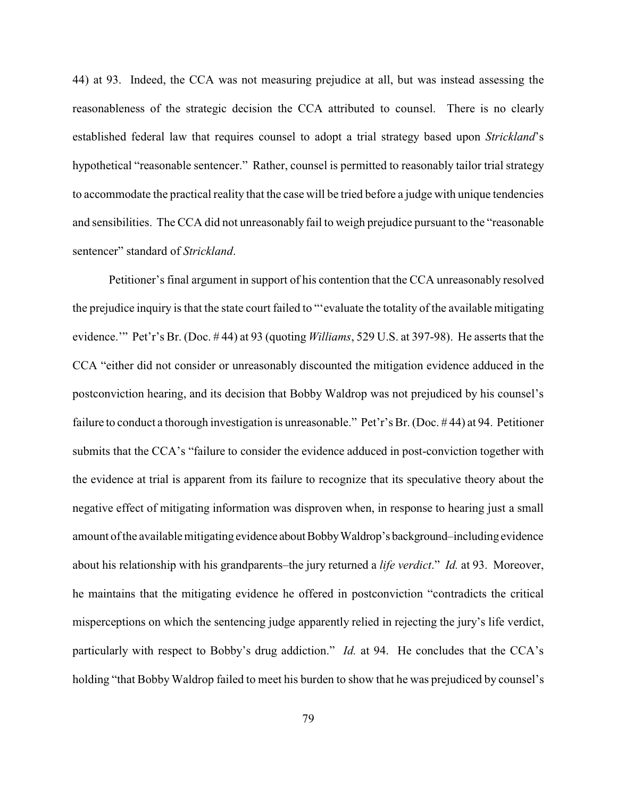44) at 93. Indeed, the CCA was not measuring prejudice at all, but was instead assessing the reasonableness of the strategic decision the CCA attributed to counsel. There is no clearly established federal law that requires counsel to adopt a trial strategy based upon *Strickland*'s hypothetical "reasonable sentencer." Rather, counsel is permitted to reasonably tailor trial strategy to accommodate the practical reality that the case will be tried before a judge with unique tendencies and sensibilities. The CCA did not unreasonably fail to weigh prejudice pursuant to the "reasonable sentencer" standard of *Strickland*.

Petitioner's final argument in support of his contention that the CCA unreasonably resolved the prejudice inquiry is that the state court failed to "'evaluate the totality of the available mitigating evidence.'" Pet'r's Br. (Doc. # 44) at 93 (quoting *Williams*, 529 U.S. at 397-98). He asserts that the CCA "either did not consider or unreasonably discounted the mitigation evidence adduced in the postconviction hearing, and its decision that Bobby Waldrop was not prejudiced by his counsel's failure to conduct a thorough investigation is unreasonable." Pet'r's Br. (Doc. # 44) at 94. Petitioner submits that the CCA's "failure to consider the evidence adduced in post-conviction together with the evidence at trial is apparent from its failure to recognize that its speculative theory about the negative effect of mitigating information was disproven when, in response to hearing just a small amount of the availablemitigating evidence about BobbyWaldrop's background–including evidence about his relationship with his grandparents–the jury returned a *life verdict*." *Id.* at 93. Moreover, he maintains that the mitigating evidence he offered in postconviction "contradicts the critical misperceptions on which the sentencing judge apparently relied in rejecting the jury's life verdict, particularly with respect to Bobby's drug addiction." *Id.* at 94. He concludes that the CCA's holding "that Bobby Waldrop failed to meet his burden to show that he was prejudiced by counsel's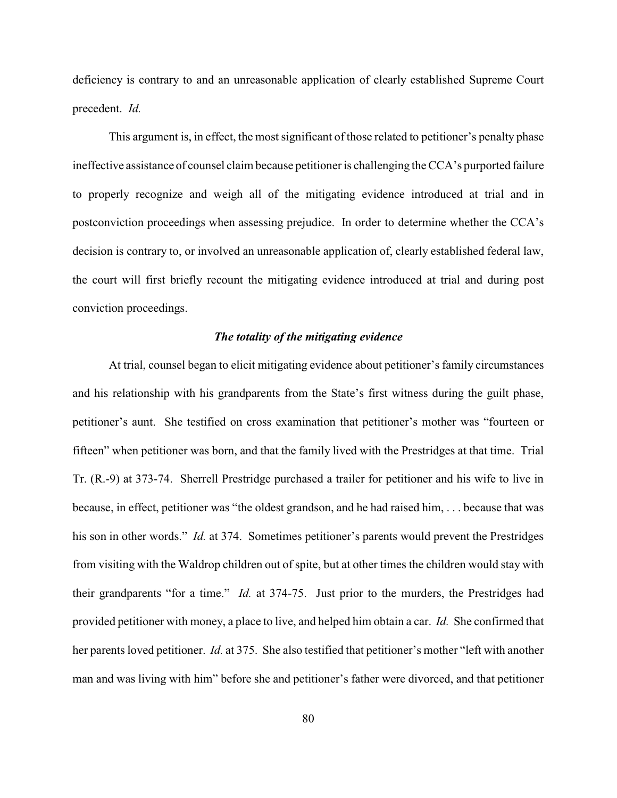deficiency is contrary to and an unreasonable application of clearly established Supreme Court precedent. *Id.*

This argument is, in effect, the most significant of those related to petitioner's penalty phase ineffective assistance of counsel claim because petitioner is challenging the CCA's purported failure to properly recognize and weigh all of the mitigating evidence introduced at trial and in postconviction proceedings when assessing prejudice. In order to determine whether the CCA's decision is contrary to, or involved an unreasonable application of, clearly established federal law, the court will first briefly recount the mitigating evidence introduced at trial and during post conviction proceedings.

### *The totality of the mitigating evidence*

At trial, counsel began to elicit mitigating evidence about petitioner's family circumstances and his relationship with his grandparents from the State's first witness during the guilt phase, petitioner's aunt. She testified on cross examination that petitioner's mother was "fourteen or fifteen" when petitioner was born, and that the family lived with the Prestridges at that time. Trial Tr. (R.-9) at 373-74. Sherrell Prestridge purchased a trailer for petitioner and his wife to live in because, in effect, petitioner was "the oldest grandson, and he had raised him, . . . because that was his son in other words." *Id.* at 374. Sometimes petitioner's parents would prevent the Prestridges from visiting with the Waldrop children out of spite, but at other times the children would stay with their grandparents "for a time." *Id.* at 374-75. Just prior to the murders, the Prestridges had provided petitioner with money, a place to live, and helped him obtain a car. *Id.* She confirmed that her parents loved petitioner. *Id.* at 375. She also testified that petitioner's mother "left with another man and was living with him" before she and petitioner's father were divorced, and that petitioner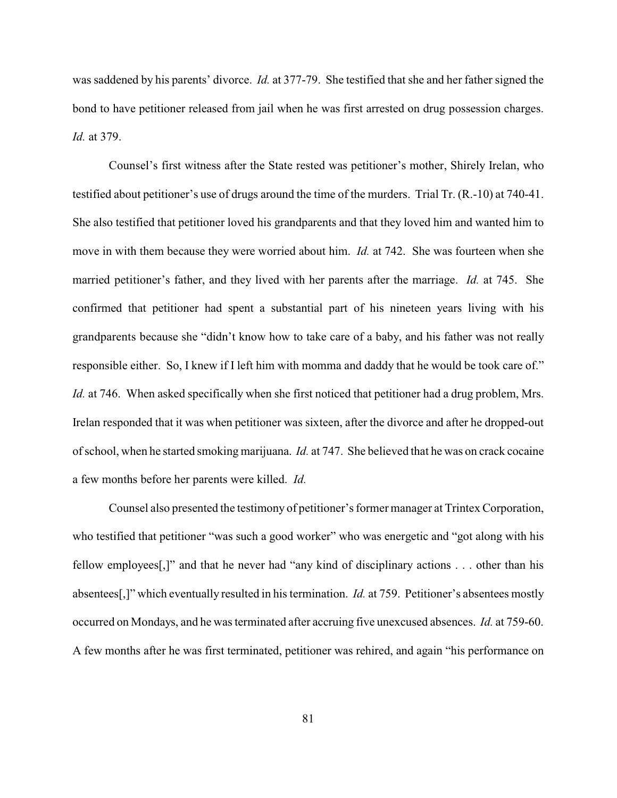was saddened by his parents' divorce. *Id.* at 377-79. She testified that she and her father signed the bond to have petitioner released from jail when he was first arrested on drug possession charges. *Id.* at 379.

Counsel's first witness after the State rested was petitioner's mother, Shirely Irelan, who testified about petitioner's use of drugs around the time of the murders. Trial Tr. (R.-10) at 740-41. She also testified that petitioner loved his grandparents and that they loved him and wanted him to move in with them because they were worried about him. *Id.* at 742. She was fourteen when she married petitioner's father, and they lived with her parents after the marriage. *Id.* at 745. She confirmed that petitioner had spent a substantial part of his nineteen years living with his grandparents because she "didn't know how to take care of a baby, and his father was not really responsible either. So, I knew if I left him with momma and daddy that he would be took care of." *Id.* at 746. When asked specifically when she first noticed that petitioner had a drug problem, Mrs. Irelan responded that it was when petitioner was sixteen, after the divorce and after he dropped-out of school, when he started smoking marijuana. *Id.* at 747. She believed that he was on crack cocaine a few months before her parents were killed. *Id.*

Counsel also presented the testimony of petitioner's former manager at Trintex Corporation, who testified that petitioner "was such a good worker" who was energetic and "got along with his fellow employees[,]" and that he never had "any kind of disciplinary actions . . . other than his absentees[,]" which eventually resulted in his termination. *Id.* at 759. Petitioner's absentees mostly occurred on Mondays, and he was terminated after accruing five unexcused absences. *Id.* at 759-60. A few months after he was first terminated, petitioner was rehired, and again "his performance on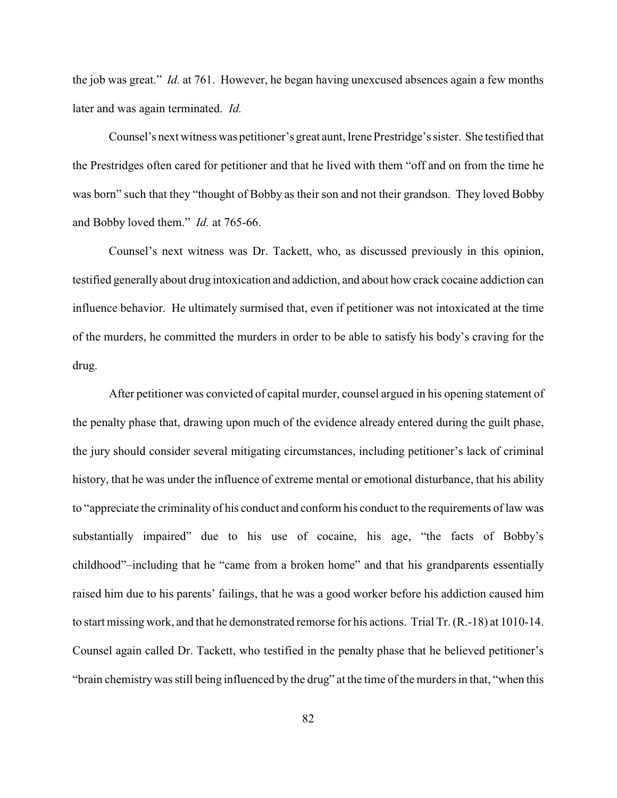the job was great." *Id.* at 761. However, he began having unexcused absences again a few months later and was again terminated. *Id.*

Counsel's next witness was petitioner's great aunt, IrenePrestridge's sister. She testified that the Prestridges often cared for petitioner and that he lived with them "off and on from the time he was born" such that they "thought of Bobby as their son and not their grandson. They loved Bobby and Bobby loved them." *Id.* at 765-66.

Counsel's next witness was Dr. Tackett, who, as discussed previously in this opinion, testified generally about drug intoxication and addiction, and about how crack cocaine addiction can influence behavior. He ultimately surmised that, even if petitioner was not intoxicated at the time of the murders, he committed the murders in order to be able to satisfy his body's craving for the drug.

After petitioner was convicted of capital murder, counsel argued in his opening statement of the penalty phase that, drawing upon much of the evidence already entered during the guilt phase, the jury should consider several mitigating circumstances, including petitioner's lack of criminal history, that he was under the influence of extreme mental or emotional disturbance, that his ability to "appreciate the criminality of his conduct and conform his conduct to the requirements of law was substantially impaired" due to his use of cocaine, his age, "the facts of Bobby's childhood"–including that he "came from a broken home" and that his grandparents essentially raised him due to his parents' failings, that he was a good worker before his addiction caused him to start missing work, and that he demonstrated remorse for his actions. Trial Tr. (R.-18) at 1010-14. Counsel again called Dr. Tackett, who testified in the penalty phase that he believed petitioner's "brain chemistrywas still being influenced by the drug" at the time of the murders in that, "when this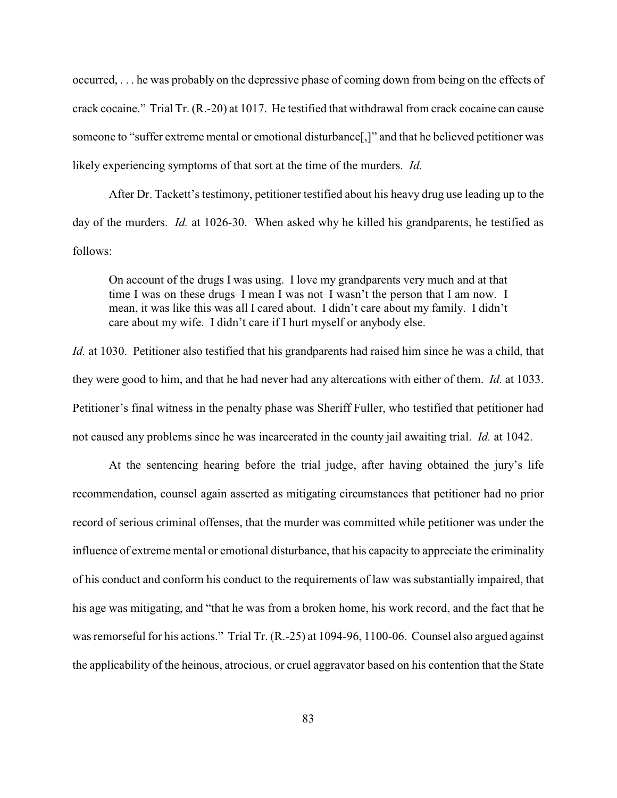occurred, . . . he was probably on the depressive phase of coming down from being on the effects of crack cocaine." Trial Tr. (R.-20) at 1017. He testified that withdrawal from crack cocaine can cause someone to "suffer extreme mental or emotional disturbance[,]" and that he believed petitioner was likely experiencing symptoms of that sort at the time of the murders. *Id.*

After Dr. Tackett's testimony, petitioner testified about his heavy drug use leading up to the day of the murders. *Id.* at 1026-30. When asked why he killed his grandparents, he testified as follows:

On account of the drugs I was using. I love my grandparents very much and at that time I was on these drugs–I mean I was not–I wasn't the person that I am now. I mean, it was like this was all I cared about. I didn't care about my family. I didn't care about my wife. I didn't care if I hurt myself or anybody else.

*Id.* at 1030. Petitioner also testified that his grandparents had raised him since he was a child, that they were good to him, and that he had never had any altercations with either of them. *Id.* at 1033. Petitioner's final witness in the penalty phase was Sheriff Fuller, who testified that petitioner had not caused any problems since he was incarcerated in the county jail awaiting trial. *Id.* at 1042.

At the sentencing hearing before the trial judge, after having obtained the jury's life recommendation, counsel again asserted as mitigating circumstances that petitioner had no prior record of serious criminal offenses, that the murder was committed while petitioner was under the influence of extreme mental or emotional disturbance, that his capacity to appreciate the criminality of his conduct and conform his conduct to the requirements of law was substantially impaired, that his age was mitigating, and "that he was from a broken home, his work record, and the fact that he was remorseful for his actions." Trial Tr. (R.-25) at 1094-96, 1100-06. Counsel also argued against the applicability of the heinous, atrocious, or cruel aggravator based on his contention that the State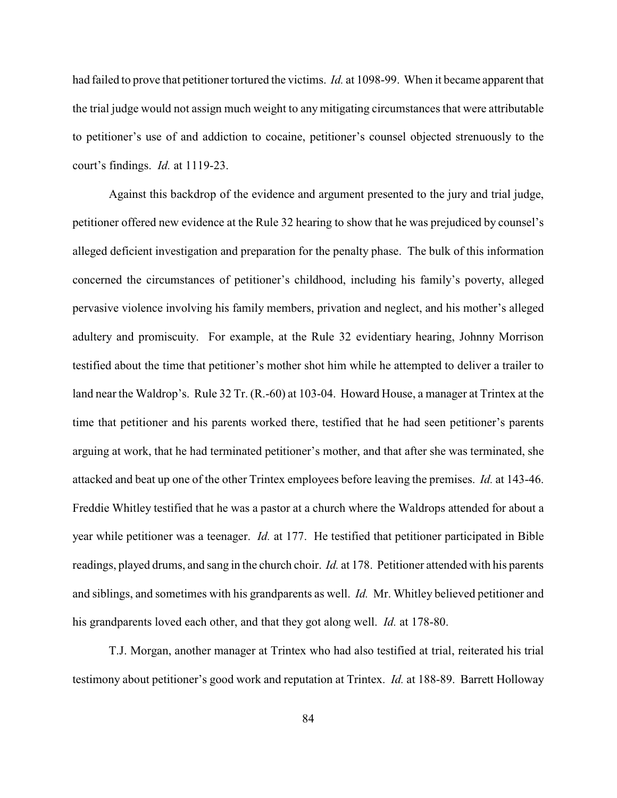had failed to prove that petitioner tortured the victims. *Id.* at 1098-99. When it became apparent that the trial judge would not assign much weight to any mitigating circumstances that were attributable to petitioner's use of and addiction to cocaine, petitioner's counsel objected strenuously to the court's findings. *Id.* at 1119-23.

Against this backdrop of the evidence and argument presented to the jury and trial judge, petitioner offered new evidence at the Rule 32 hearing to show that he was prejudiced by counsel's alleged deficient investigation and preparation for the penalty phase. The bulk of this information concerned the circumstances of petitioner's childhood, including his family's poverty, alleged pervasive violence involving his family members, privation and neglect, and his mother's alleged adultery and promiscuity. For example, at the Rule 32 evidentiary hearing, Johnny Morrison testified about the time that petitioner's mother shot him while he attempted to deliver a trailer to land near the Waldrop's. Rule 32 Tr. (R.-60) at 103-04. Howard House, a manager at Trintex at the time that petitioner and his parents worked there, testified that he had seen petitioner's parents arguing at work, that he had terminated petitioner's mother, and that after she was terminated, she attacked and beat up one of the other Trintex employees before leaving the premises. *Id.* at 143-46. Freddie Whitley testified that he was a pastor at a church where the Waldrops attended for about a year while petitioner was a teenager. *Id.* at 177. He testified that petitioner participated in Bible readings, played drums, and sang in the church choir. *Id.* at 178. Petitioner attended with his parents and siblings, and sometimes with his grandparents as well. *Id.* Mr. Whitley believed petitioner and his grandparents loved each other, and that they got along well. *Id.* at 178-80.

T.J. Morgan, another manager at Trintex who had also testified at trial, reiterated his trial testimony about petitioner's good work and reputation at Trintex. *Id.* at 188-89. Barrett Holloway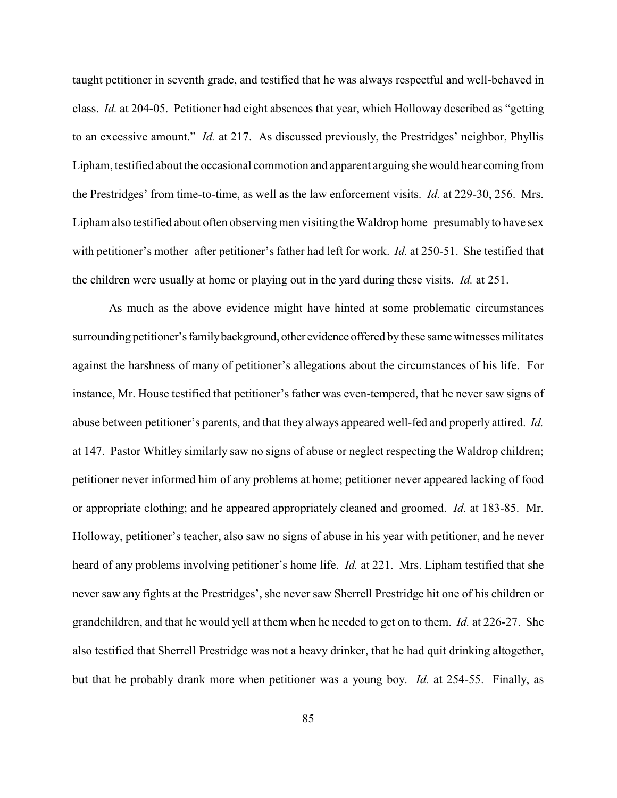taught petitioner in seventh grade, and testified that he was always respectful and well-behaved in class. *Id.* at 204-05. Petitioner had eight absences that year, which Holloway described as "getting to an excessive amount." *Id.* at 217. As discussed previously, the Prestridges' neighbor, Phyllis Lipham, testified about the occasional commotion and apparent arguing she would hear coming from the Prestridges' from time-to-time, as well as the law enforcement visits. *Id.* at 229-30, 256. Mrs. Lipham also testified about often observing men visiting the Waldrop home–presumably to have sex with petitioner's mother–after petitioner's father had left for work. *Id.* at 250-51. She testified that the children were usually at home or playing out in the yard during these visits. *Id.* at 251.

As much as the above evidence might have hinted at some problematic circumstances surrounding petitioner's family background, other evidence offered by these same witnesses militates against the harshness of many of petitioner's allegations about the circumstances of his life. For instance, Mr. House testified that petitioner's father was even-tempered, that he never saw signs of abuse between petitioner's parents, and that they always appeared well-fed and properly attired. *Id.* at 147. Pastor Whitley similarly saw no signs of abuse or neglect respecting the Waldrop children; petitioner never informed him of any problems at home; petitioner never appeared lacking of food or appropriate clothing; and he appeared appropriately cleaned and groomed. *Id.* at 183-85. Mr. Holloway, petitioner's teacher, also saw no signs of abuse in his year with petitioner, and he never heard of any problems involving petitioner's home life. *Id.* at 221. Mrs. Lipham testified that she never saw any fights at the Prestridges', she never saw Sherrell Prestridge hit one of his children or grandchildren, and that he would yell at them when he needed to get on to them. *Id.* at 226-27. She also testified that Sherrell Prestridge was not a heavy drinker, that he had quit drinking altogether, but that he probably drank more when petitioner was a young boy. *Id.* at 254-55. Finally, as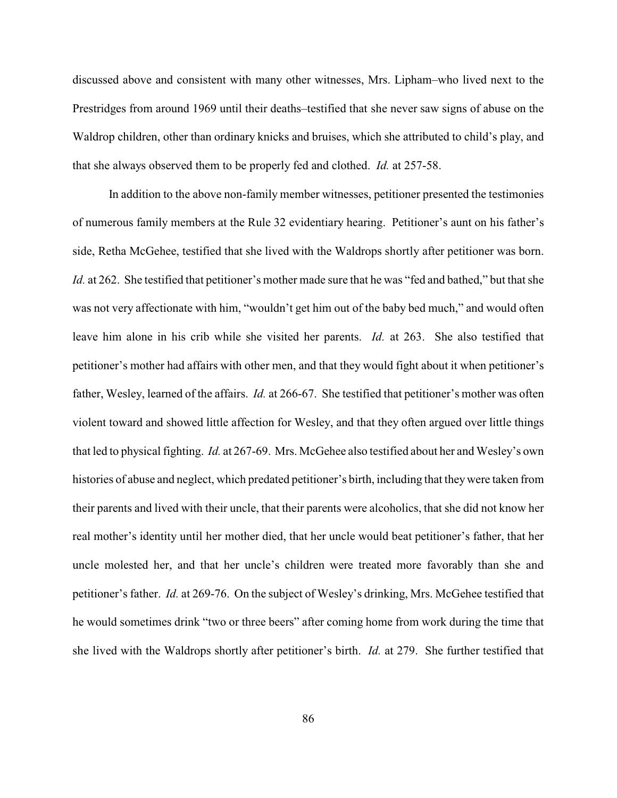discussed above and consistent with many other witnesses, Mrs. Lipham–who lived next to the Prestridges from around 1969 until their deaths–testified that she never saw signs of abuse on the Waldrop children, other than ordinary knicks and bruises, which she attributed to child's play, and that she always observed them to be properly fed and clothed. *Id.* at 257-58.

In addition to the above non-family member witnesses, petitioner presented the testimonies of numerous family members at the Rule 32 evidentiary hearing. Petitioner's aunt on his father's side, Retha McGehee, testified that she lived with the Waldrops shortly after petitioner was born. *Id.* at 262. She testified that petitioner's mother made sure that he was "fed and bathed," but that she was not very affectionate with him, "wouldn't get him out of the baby bed much," and would often leave him alone in his crib while she visited her parents. *Id.* at 263. She also testified that petitioner's mother had affairs with other men, and that they would fight about it when petitioner's father, Wesley, learned of the affairs. *Id.* at 266-67. She testified that petitioner's mother was often violent toward and showed little affection for Wesley, and that they often argued over little things that led to physical fighting. *Id.* at 267-69. Mrs. McGehee also testified about her and Wesley's own histories of abuse and neglect, which predated petitioner's birth, including that theywere taken from their parents and lived with their uncle, that their parents were alcoholics, that she did not know her real mother's identity until her mother died, that her uncle would beat petitioner's father, that her uncle molested her, and that her uncle's children were treated more favorably than she and petitioner's father. *Id.* at 269-76. On the subject of Wesley's drinking, Mrs. McGehee testified that he would sometimes drink "two or three beers" after coming home from work during the time that she lived with the Waldrops shortly after petitioner's birth. *Id.* at 279. She further testified that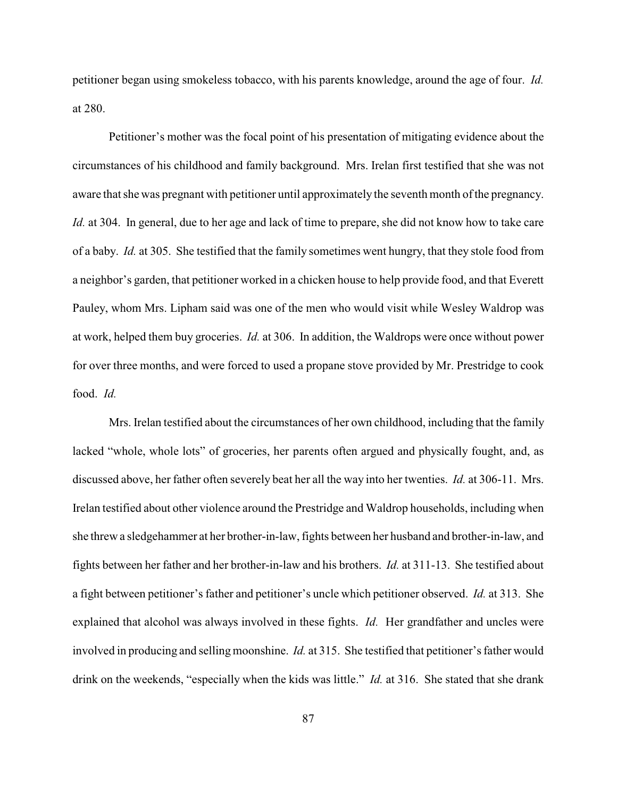petitioner began using smokeless tobacco, with his parents knowledge, around the age of four. *Id.* at 280.

Petitioner's mother was the focal point of his presentation of mitigating evidence about the circumstances of his childhood and family background. Mrs. Irelan first testified that she was not aware that she was pregnant with petitioner until approximately the seventh month of the pregnancy. *Id.* at 304. In general, due to her age and lack of time to prepare, she did not know how to take care of a baby. *Id.* at 305. She testified that the family sometimes went hungry, that they stole food from a neighbor's garden, that petitioner worked in a chicken house to help provide food, and that Everett Pauley, whom Mrs. Lipham said was one of the men who would visit while Wesley Waldrop was at work, helped them buy groceries. *Id.* at 306. In addition, the Waldrops were once without power for over three months, and were forced to used a propane stove provided by Mr. Prestridge to cook food. *Id.*

Mrs. Irelan testified about the circumstances of her own childhood, including that the family lacked "whole, whole lots" of groceries, her parents often argued and physically fought, and, as discussed above, her father often severely beat her all the way into her twenties. *Id.* at 306-11. Mrs. Irelan testified about other violence around the Prestridge and Waldrop households, including when she threw a sledgehammer at her brother-in-law, fights between her husband and brother-in-law, and fights between her father and her brother-in-law and his brothers. *Id.* at 311-13. She testified about a fight between petitioner's father and petitioner's uncle which petitioner observed. *Id.* at 313. She explained that alcohol was always involved in these fights. *Id.* Her grandfather and uncles were involved in producing and selling moonshine. *Id.* at 315. She testified that petitioner's father would drink on the weekends, "especially when the kids was little." *Id.* at 316. She stated that she drank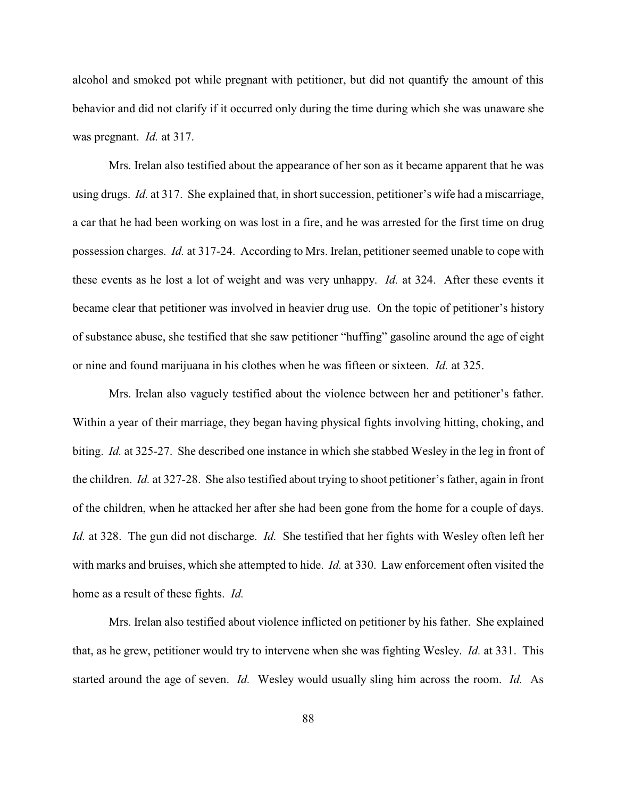alcohol and smoked pot while pregnant with petitioner, but did not quantify the amount of this behavior and did not clarify if it occurred only during the time during which she was unaware she was pregnant. *Id.* at 317.

Mrs. Irelan also testified about the appearance of her son as it became apparent that he was using drugs. *Id.* at 317. She explained that, in short succession, petitioner's wife had a miscarriage, a car that he had been working on was lost in a fire, and he was arrested for the first time on drug possession charges. *Id.* at 317-24. According to Mrs. Irelan, petitioner seemed unable to cope with these events as he lost a lot of weight and was very unhappy. *Id.* at 324. After these events it became clear that petitioner was involved in heavier drug use. On the topic of petitioner's history of substance abuse, she testified that she saw petitioner "huffing" gasoline around the age of eight or nine and found marijuana in his clothes when he was fifteen or sixteen. *Id.* at 325.

Mrs. Irelan also vaguely testified about the violence between her and petitioner's father. Within a year of their marriage, they began having physical fights involving hitting, choking, and biting. *Id.* at 325-27. She described one instance in which she stabbed Wesley in the leg in front of the children. *Id.* at 327-28. She also testified about trying to shoot petitioner's father, again in front of the children, when he attacked her after she had been gone from the home for a couple of days. *Id.* at 328. The gun did not discharge. *Id.* She testified that her fights with Wesley often left her with marks and bruises, which she attempted to hide. *Id.* at 330. Law enforcement often visited the home as a result of these fights. *Id.*

Mrs. Irelan also testified about violence inflicted on petitioner by his father. She explained that, as he grew, petitioner would try to intervene when she was fighting Wesley. *Id.* at 331. This started around the age of seven. *Id.* Wesley would usually sling him across the room. *Id.* As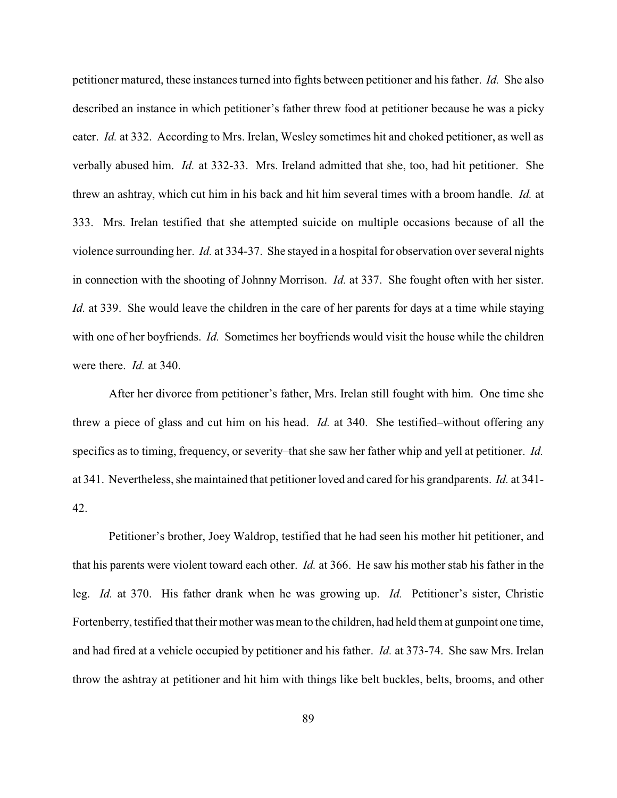petitioner matured, these instances turned into fights between petitioner and his father. *Id.* She also described an instance in which petitioner's father threw food at petitioner because he was a picky eater. *Id.* at 332. According to Mrs. Irelan, Wesley sometimes hit and choked petitioner, as well as verbally abused him. *Id.* at 332-33. Mrs. Ireland admitted that she, too, had hit petitioner. She threw an ashtray, which cut him in his back and hit him several times with a broom handle. *Id.* at 333. Mrs. Irelan testified that she attempted suicide on multiple occasions because of all the violence surrounding her. *Id.* at 334-37. She stayed in a hospital for observation over several nights in connection with the shooting of Johnny Morrison. *Id.* at 337. She fought often with her sister. *Id.* at 339. She would leave the children in the care of her parents for days at a time while staying with one of her boyfriends. *Id.* Sometimes her boyfriends would visit the house while the children were there. *Id.* at 340.

After her divorce from petitioner's father, Mrs. Irelan still fought with him. One time she threw a piece of glass and cut him on his head. *Id.* at 340. She testified–without offering any specifics as to timing, frequency, or severity–that she saw her father whip and yell at petitioner. *Id.* at 341. Nevertheless, she maintained that petitioner loved and cared for his grandparents. *Id.* at 341- 42.

Petitioner's brother, Joey Waldrop, testified that he had seen his mother hit petitioner, and that his parents were violent toward each other. *Id.* at 366. He saw his mother stab his father in the leg. *Id.* at 370. His father drank when he was growing up. *Id.* Petitioner's sister, Christie Fortenberry, testified that their mother was mean to the children, had held them at gunpoint one time, and had fired at a vehicle occupied by petitioner and his father. *Id.* at 373-74. She saw Mrs. Irelan throw the ashtray at petitioner and hit him with things like belt buckles, belts, brooms, and other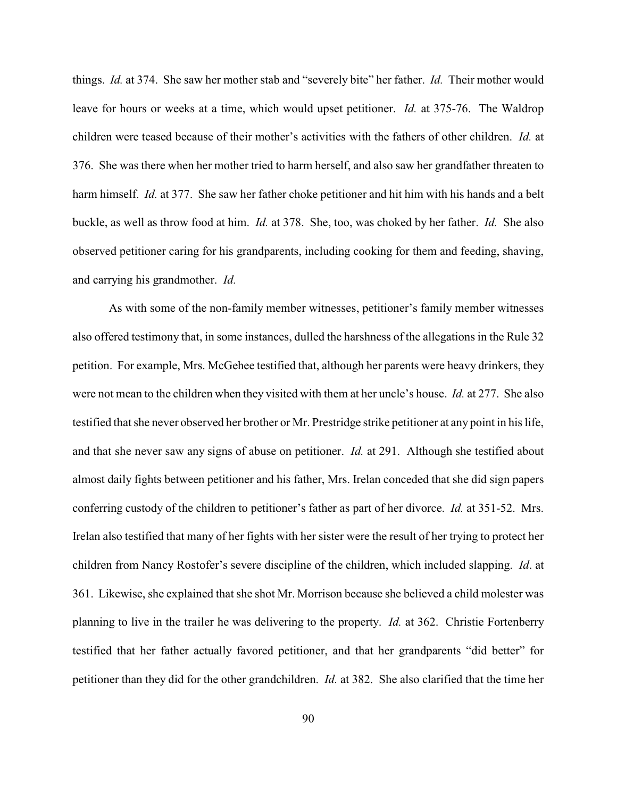things. *Id.* at 374. She saw her mother stab and "severely bite" her father. *Id.* Their mother would leave for hours or weeks at a time, which would upset petitioner. *Id.* at 375-76. The Waldrop children were teased because of their mother's activities with the fathers of other children. *Id.* at 376. She was there when her mother tried to harm herself, and also saw her grandfather threaten to harm himself. *Id.* at 377. She saw her father choke petitioner and hit him with his hands and a belt buckle, as well as throw food at him. *Id.* at 378. She, too, was choked by her father. *Id.* She also observed petitioner caring for his grandparents, including cooking for them and feeding, shaving, and carrying his grandmother. *Id.*

As with some of the non-family member witnesses, petitioner's family member witnesses also offered testimony that, in some instances, dulled the harshness of the allegations in the Rule 32 petition. For example, Mrs. McGehee testified that, although her parents were heavy drinkers, they were not mean to the children when they visited with them at her uncle's house. *Id.* at 277. She also testified that she never observed her brother or Mr. Prestridge strike petitioner at any point in his life, and that she never saw any signs of abuse on petitioner. *Id.* at 291. Although she testified about almost daily fights between petitioner and his father, Mrs. Irelan conceded that she did sign papers conferring custody of the children to petitioner's father as part of her divorce. *Id.* at 351-52. Mrs. Irelan also testified that many of her fights with her sister were the result of her trying to protect her children from Nancy Rostofer's severe discipline of the children, which included slapping. *Id*. at 361. Likewise, she explained that she shot Mr. Morrison because she believed a child molester was planning to live in the trailer he was delivering to the property. *Id.* at 362. Christie Fortenberry testified that her father actually favored petitioner, and that her grandparents "did better" for petitioner than they did for the other grandchildren. *Id.* at 382. She also clarified that the time her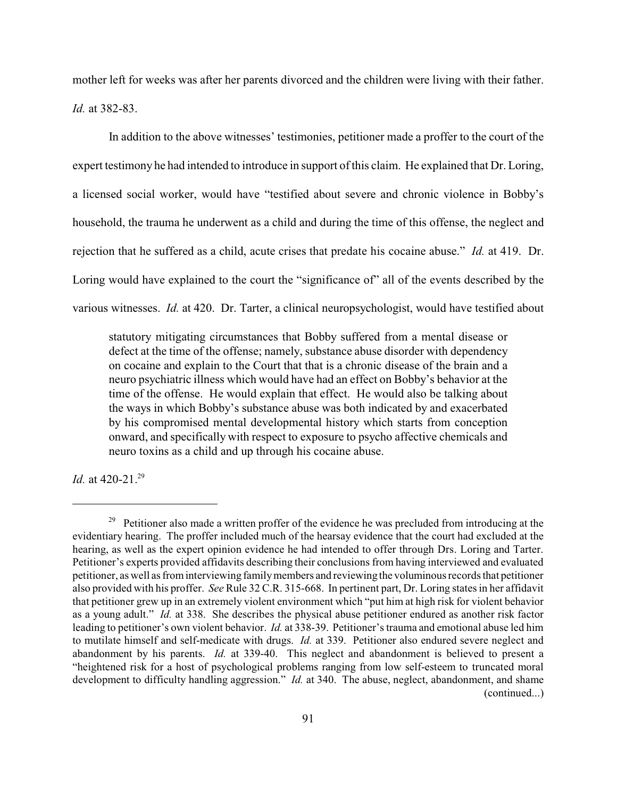mother left for weeks was after her parents divorced and the children were living with their father. *Id.* at 382-83.

In addition to the above witnesses' testimonies, petitioner made a proffer to the court of the expert testimony he had intended to introduce in support of this claim. He explained that Dr. Loring, a licensed social worker, would have "testified about severe and chronic violence in Bobby's household, the trauma he underwent as a child and during the time of this offense, the neglect and rejection that he suffered as a child, acute crises that predate his cocaine abuse." *Id.* at 419. Dr. Loring would have explained to the court the "significance of" all of the events described by the various witnesses. *Id.* at 420. Dr. Tarter, a clinical neuropsychologist, would have testified about

statutory mitigating circumstances that Bobby suffered from a mental disease or defect at the time of the offense; namely, substance abuse disorder with dependency on cocaine and explain to the Court that that is a chronic disease of the brain and a neuro psychiatric illness which would have had an effect on Bobby's behavior at the time of the offense. He would explain that effect. He would also be talking about the ways in which Bobby's substance abuse was both indicated by and exacerbated by his compromised mental developmental history which starts from conception onward, and specifically with respect to exposure to psycho affective chemicals and neuro toxins as a child and up through his cocaine abuse.

*Id.* at 420-21.<sup>29</sup>

 $29$  Petitioner also made a written proffer of the evidence he was precluded from introducing at the evidentiary hearing. The proffer included much of the hearsay evidence that the court had excluded at the hearing, as well as the expert opinion evidence he had intended to offer through Drs. Loring and Tarter. Petitioner's experts provided affidavits describing their conclusions from having interviewed and evaluated petitioner, as well as frominterviewing family members and reviewing the voluminous records that petitioner also provided with his proffer. *See* Rule 32 C.R. 315-668. In pertinent part, Dr. Loring states in her affidavit that petitioner grew up in an extremely violent environment which "put him at high risk for violent behavior as a young adult." *Id.* at 338. She describes the physical abuse petitioner endured as another risk factor leading to petitioner's own violent behavior. *Id.* at 338-39. Petitioner'strauma and emotional abuse led him to mutilate himself and self-medicate with drugs. *Id.* at 339. Petitioner also endured severe neglect and abandonment by his parents. *Id.* at 339-40. This neglect and abandonment is believed to present a "heightened risk for a host of psychological problems ranging from low self-esteem to truncated moral development to difficulty handling aggression." *Id.* at 340. The abuse, neglect, abandonment, and shame (continued...)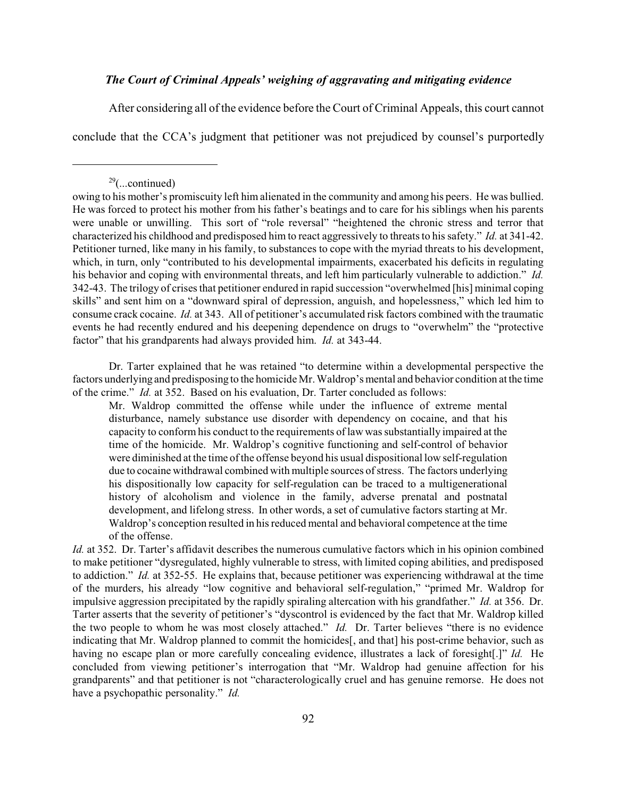## *The Court of Criminal Appeals' weighing of aggravating and mitigating evidence*

After considering all of the evidence before the Court of Criminal Appeals, this court cannot

conclude that the CCA's judgment that petitioner was not prejudiced by counsel's purportedly

Dr. Tarter explained that he was retained "to determine within a developmental perspective the factors underlying and predisposing to the homicide Mr. Waldrop's mental and behavior condition at the time of the crime." *Id.* at 352. Based on his evaluation, Dr. Tarter concluded as follows:

Mr. Waldrop committed the offense while under the influence of extreme mental disturbance, namely substance use disorder with dependency on cocaine, and that his capacity to conform his conduct to the requirements of law was substantially impaired at the time of the homicide. Mr. Waldrop's cognitive functioning and self-control of behavior were diminished at the time of the offense beyond his usual dispositional low self-regulation due to cocaine withdrawal combined with multiple sources of stress. The factors underlying his dispositionally low capacity for self-regulation can be traced to a multigenerational history of alcoholism and violence in the family, adverse prenatal and postnatal development, and lifelong stress. In other words, a set of cumulative factors starting at Mr. Waldrop's conception resulted in hisreduced mental and behavioral competence at the time of the offense.

*Id.* at 352. Dr. Tarter's affidavit describes the numerous cumulative factors which in his opinion combined to make petitioner "dysregulated, highly vulnerable to stress, with limited coping abilities, and predisposed to addiction." *Id.* at 352-55. He explains that, because petitioner was experiencing withdrawal at the time of the murders, his already "low cognitive and behavioral self-regulation," "primed Mr. Waldrop for impulsive aggression precipitated by the rapidly spiraling altercation with his grandfather." *Id.* at 356. Dr. Tarter asserts that the severity of petitioner's "dyscontrol is evidenced by the fact that Mr. Waldrop killed the two people to whom he was most closely attached." *Id.* Dr. Tarter believes "there is no evidence indicating that Mr. Waldrop planned to commit the homicides[, and that] his post-crime behavior, such as having no escape plan or more carefully concealing evidence, illustrates a lack of foresight[.]" *Id.* He concluded from viewing petitioner's interrogation that "Mr. Waldrop had genuine affection for his grandparents" and that petitioner is not "characterologically cruel and has genuine remorse. He does not have a psychopathic personality." *Id.*

 $29$ (...continued)

owing to his mother's promiscuity left him alienated in the community and among his peers. He was bullied. He was forced to protect his mother from his father's beatings and to care for his siblings when his parents were unable or unwilling. This sort of "role reversal" "heightened the chronic stress and terror that characterized his childhood and predisposed him to react aggressively to threats to hissafety." *Id.* at 341-42. Petitioner turned, like many in his family, to substances to cope with the myriad threats to his development, which, in turn, only "contributed to his developmental impairments, exacerbated his deficits in regulating his behavior and coping with environmental threats, and left him particularly vulnerable to addiction." *Id.* 342-43. The trilogy of crises that petitioner endured in rapid succession "overwhelmed [his] minimal coping skills" and sent him on a "downward spiral of depression, anguish, and hopelessness," which led him to consume crack cocaine. *Id.* at 343. All of petitioner's accumulated risk factors combined with the traumatic events he had recently endured and his deepening dependence on drugs to "overwhelm" the "protective factor" that his grandparents had always provided him. *Id.* at 343-44.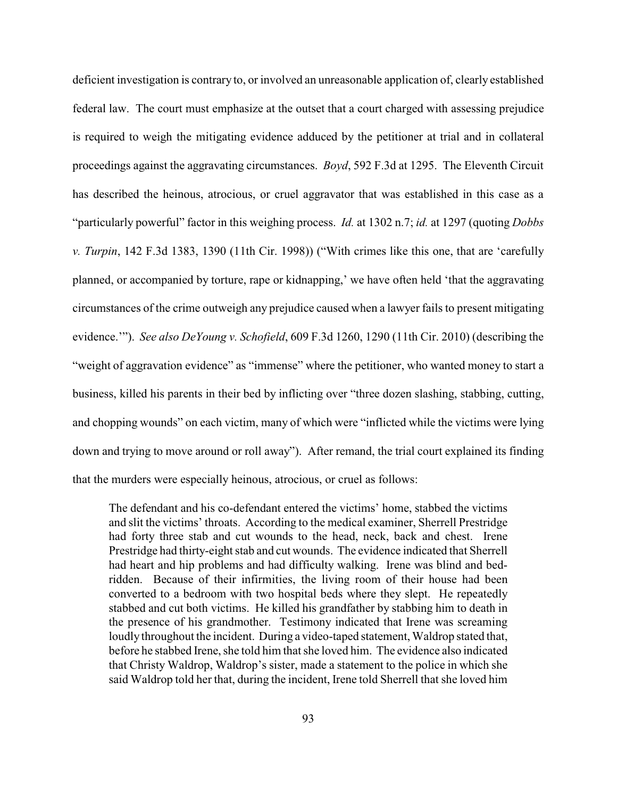deficient investigation is contrary to, or involved an unreasonable application of, clearly established federal law. The court must emphasize at the outset that a court charged with assessing prejudice is required to weigh the mitigating evidence adduced by the petitioner at trial and in collateral proceedings against the aggravating circumstances. *Boyd*, 592 F.3d at 1295. The Eleventh Circuit has described the heinous, atrocious, or cruel aggravator that was established in this case as a "particularly powerful" factor in this weighing process. *Id.* at 1302 n.7; *id.* at 1297 (quoting *Dobbs v. Turpin*, 142 F.3d 1383, 1390 (11th Cir. 1998)) ("With crimes like this one, that are 'carefully planned, or accompanied by torture, rape or kidnapping,' we have often held 'that the aggravating circumstances of the crime outweigh any prejudice caused when a lawyer fails to present mitigating evidence.'"). *See also DeYoung v. Schofield*, 609 F.3d 1260, 1290 (11th Cir. 2010) (describing the "weight of aggravation evidence" as "immense" where the petitioner, who wanted money to start a business, killed his parents in their bed by inflicting over "three dozen slashing, stabbing, cutting, and chopping wounds" on each victim, many of which were "inflicted while the victims were lying down and trying to move around or roll away"). After remand, the trial court explained its finding that the murders were especially heinous, atrocious, or cruel as follows:

The defendant and his co-defendant entered the victims' home, stabbed the victims and slit the victims' throats. According to the medical examiner, Sherrell Prestridge had forty three stab and cut wounds to the head, neck, back and chest. Irene Prestridge had thirty-eight stab and cut wounds. The evidence indicated that Sherrell had heart and hip problems and had difficulty walking. Irene was blind and bedridden. Because of their infirmities, the living room of their house had been converted to a bedroom with two hospital beds where they slept. He repeatedly stabbed and cut both victims. He killed his grandfather by stabbing him to death in the presence of his grandmother. Testimony indicated that Irene was screaming loudly throughout the incident. During a video-taped statement, Waldrop stated that, before he stabbed Irene, she told him that she loved him. The evidence also indicated that Christy Waldrop, Waldrop's sister, made a statement to the police in which she said Waldrop told her that, during the incident, Irene told Sherrell that she loved him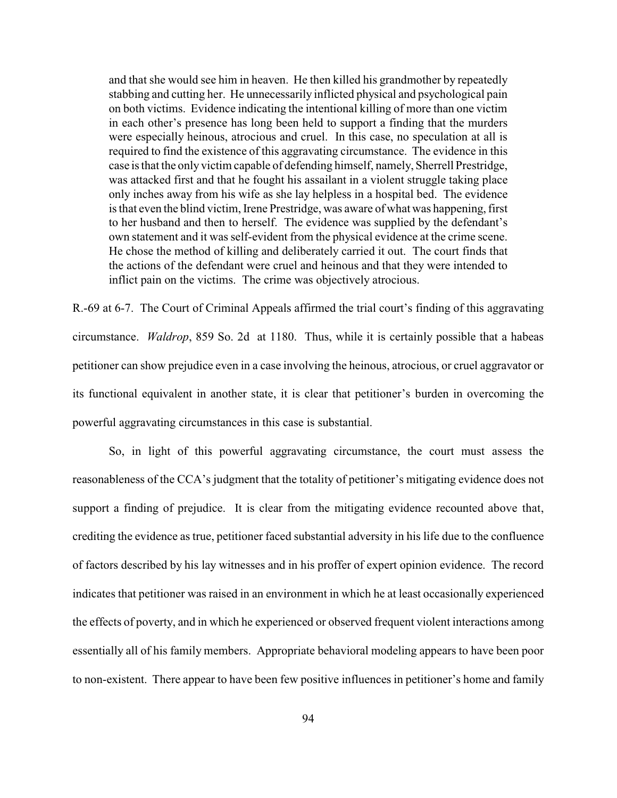and that she would see him in heaven. He then killed his grandmother by repeatedly stabbing and cutting her. He unnecessarily inflicted physical and psychological pain on both victims. Evidence indicating the intentional killing of more than one victim in each other's presence has long been held to support a finding that the murders were especially heinous, atrocious and cruel. In this case, no speculation at all is required to find the existence of this aggravating circumstance. The evidence in this case is that the only victim capable of defending himself, namely, Sherrell Prestridge, was attacked first and that he fought his assailant in a violent struggle taking place only inches away from his wife as she lay helpless in a hospital bed. The evidence is that even the blind victim, Irene Prestridge, was aware of what was happening, first to her husband and then to herself. The evidence was supplied by the defendant's own statement and it was self-evident from the physical evidence at the crime scene. He chose the method of killing and deliberately carried it out. The court finds that the actions of the defendant were cruel and heinous and that they were intended to inflict pain on the victims. The crime was objectively atrocious.

R.-69 at 6-7. The Court of Criminal Appeals affirmed the trial court's finding of this aggravating circumstance. *Waldrop*, 859 So. 2d at 1180. Thus, while it is certainly possible that a habeas petitioner can show prejudice even in a case involving the heinous, atrocious, or cruel aggravator or its functional equivalent in another state, it is clear that petitioner's burden in overcoming the powerful aggravating circumstances in this case is substantial.

So, in light of this powerful aggravating circumstance, the court must assess the reasonableness of the CCA's judgment that the totality of petitioner's mitigating evidence does not support a finding of prejudice. It is clear from the mitigating evidence recounted above that, crediting the evidence as true, petitioner faced substantial adversity in his life due to the confluence of factors described by his lay witnesses and in his proffer of expert opinion evidence. The record indicates that petitioner was raised in an environment in which he at least occasionally experienced the effects of poverty, and in which he experienced or observed frequent violent interactions among essentially all of his family members. Appropriate behavioral modeling appears to have been poor to non-existent. There appear to have been few positive influences in petitioner's home and family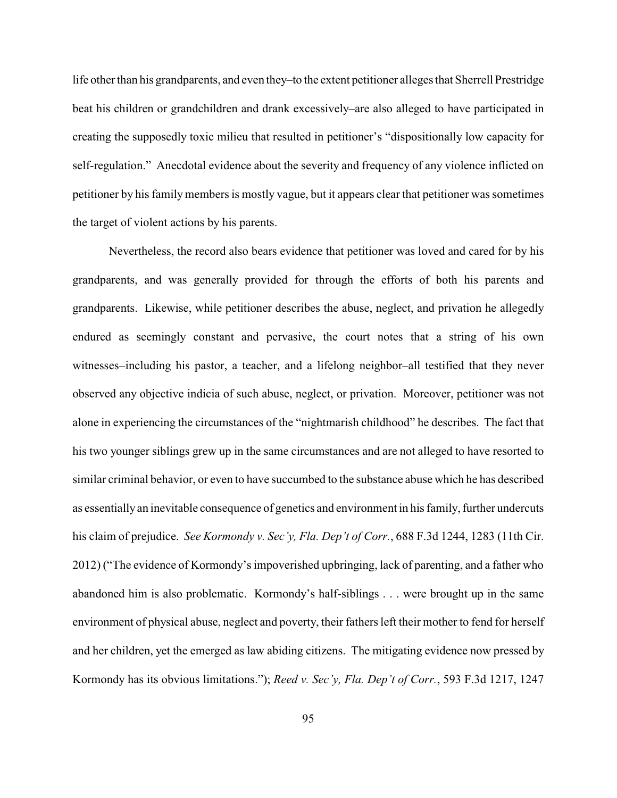life other than his grandparents, and even they–to the extent petitioner alleges that Sherrell Prestridge beat his children or grandchildren and drank excessively–are also alleged to have participated in creating the supposedly toxic milieu that resulted in petitioner's "dispositionally low capacity for self-regulation." Anecdotal evidence about the severity and frequency of any violence inflicted on petitioner by his familymembers is mostly vague, but it appears clear that petitioner was sometimes the target of violent actions by his parents.

Nevertheless, the record also bears evidence that petitioner was loved and cared for by his grandparents, and was generally provided for through the efforts of both his parents and grandparents. Likewise, while petitioner describes the abuse, neglect, and privation he allegedly endured as seemingly constant and pervasive, the court notes that a string of his own witnesses–including his pastor, a teacher, and a lifelong neighbor–all testified that they never observed any objective indicia of such abuse, neglect, or privation. Moreover, petitioner was not alone in experiencing the circumstances of the "nightmarish childhood" he describes. The fact that his two younger siblings grew up in the same circumstances and are not alleged to have resorted to similar criminal behavior, or even to have succumbed to the substance abuse which he has described as essentially an inevitable consequence of genetics and environment in his family, further undercuts his claim of prejudice. *See Kormondy v. Sec'y, Fla. Dep't of Corr.*, 688 F.3d 1244, 1283 (11th Cir. 2012) ("The evidence of Kormondy's impoverished upbringing, lack of parenting, and a father who abandoned him is also problematic. Kormondy's half-siblings . . . were brought up in the same environment of physical abuse, neglect and poverty, their fathers left their mother to fend for herself and her children, yet the emerged as law abiding citizens. The mitigating evidence now pressed by Kormondy has its obvious limitations."); *Reed v. Sec'y, Fla. Dep't of Corr.*, 593 F.3d 1217, 1247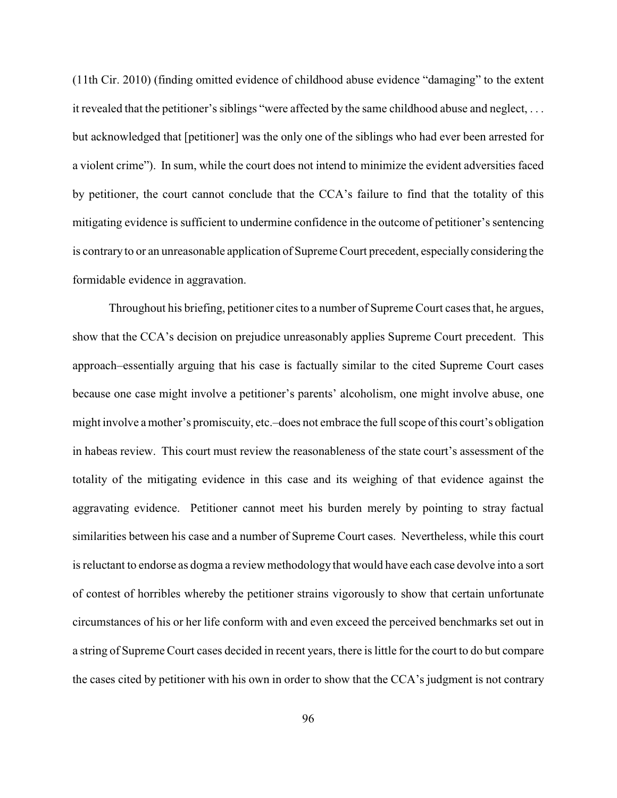(11th Cir. 2010) (finding omitted evidence of childhood abuse evidence "damaging" to the extent it revealed that the petitioner's siblings "were affected by the same childhood abuse and neglect, . . . but acknowledged that [petitioner] was the only one of the siblings who had ever been arrested for a violent crime"). In sum, while the court does not intend to minimize the evident adversities faced by petitioner, the court cannot conclude that the CCA's failure to find that the totality of this mitigating evidence is sufficient to undermine confidence in the outcome of petitioner's sentencing is contrary to or an unreasonable application of Supreme Court precedent, especially considering the formidable evidence in aggravation.

Throughout his briefing, petitioner cites to a number of Supreme Court cases that, he argues, show that the CCA's decision on prejudice unreasonably applies Supreme Court precedent. This approach–essentially arguing that his case is factually similar to the cited Supreme Court cases because one case might involve a petitioner's parents' alcoholism, one might involve abuse, one might involve a mother's promiscuity, etc.–does not embrace the full scope of this court's obligation in habeas review. This court must review the reasonableness of the state court's assessment of the totality of the mitigating evidence in this case and its weighing of that evidence against the aggravating evidence. Petitioner cannot meet his burden merely by pointing to stray factual similarities between his case and a number of Supreme Court cases. Nevertheless, while this court is reluctant to endorse as dogma a review methodology that would have each case devolve into a sort of contest of horribles whereby the petitioner strains vigorously to show that certain unfortunate circumstances of his or her life conform with and even exceed the perceived benchmarks set out in a string of Supreme Court cases decided in recent years, there is little for the court to do but compare the cases cited by petitioner with his own in order to show that the CCA's judgment is not contrary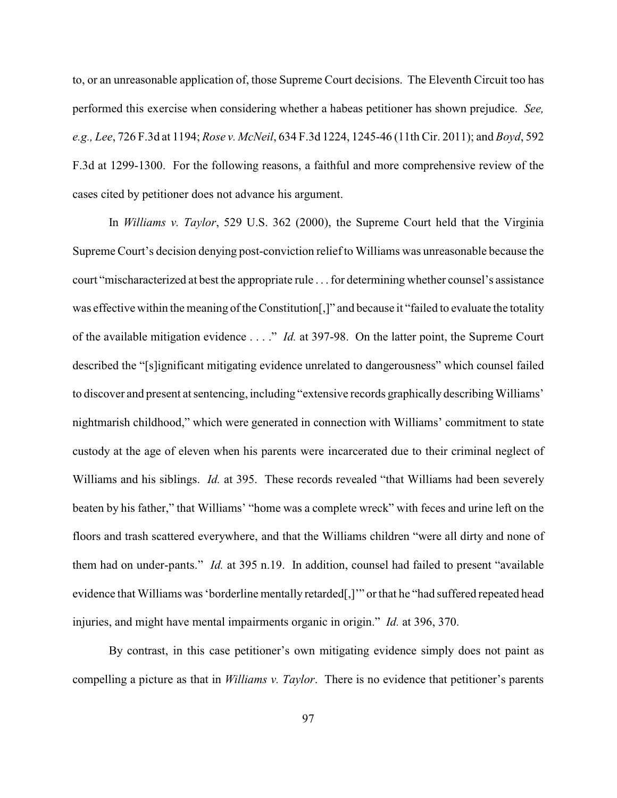to, or an unreasonable application of, those Supreme Court decisions. The Eleventh Circuit too has performed this exercise when considering whether a habeas petitioner has shown prejudice. *See, e.g., Lee*, 726 F.3d at 1194; *Rose v. McNeil*, 634 F.3d 1224, 1245-46 (11th Cir. 2011); and *Boyd*, 592 F.3d at 1299-1300. For the following reasons, a faithful and more comprehensive review of the cases cited by petitioner does not advance his argument.

In *Williams v. Taylor*, 529 U.S. 362 (2000), the Supreme Court held that the Virginia Supreme Court's decision denying post-conviction reliefto Williams was unreasonable because the court "mischaracterized at best the appropriate rule . . . for determining whether counsel's assistance was effective within the meaning of the Constitution[,]" and because it "failed to evaluate the totality of the available mitigation evidence . . . ." *Id.* at 397-98. On the latter point, the Supreme Court described the "[s]ignificant mitigating evidence unrelated to dangerousness" which counsel failed to discover and present at sentencing, including "extensive records graphically describing Williams' nightmarish childhood," which were generated in connection with Williams' commitment to state custody at the age of eleven when his parents were incarcerated due to their criminal neglect of Williams and his siblings. *Id.* at 395. These records revealed "that Williams had been severely beaten by his father," that Williams' "home was a complete wreck" with feces and urine left on the floors and trash scattered everywhere, and that the Williams children "were all dirty and none of them had on under-pants." *Id.* at 395 n.19. In addition, counsel had failed to present "available evidence that Williams was 'borderline mentally retarded[,]'" or that he "had suffered repeated head injuries, and might have mental impairments organic in origin." *Id.* at 396, 370.

By contrast, in this case petitioner's own mitigating evidence simply does not paint as compelling a picture as that in *Williams v. Taylor*. There is no evidence that petitioner's parents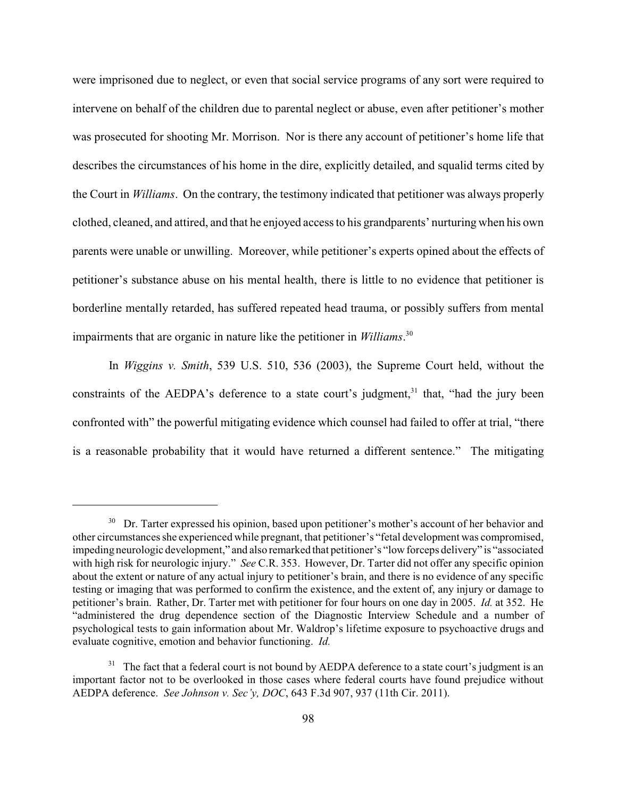were imprisoned due to neglect, or even that social service programs of any sort were required to intervene on behalf of the children due to parental neglect or abuse, even after petitioner's mother was prosecuted for shooting Mr. Morrison. Nor is there any account of petitioner's home life that describes the circumstances of his home in the dire, explicitly detailed, and squalid terms cited by the Court in *Williams*. On the contrary, the testimony indicated that petitioner was always properly clothed, cleaned, and attired, and that he enjoyed access to his grandparents' nurturing when his own parents were unable or unwilling. Moreover, while petitioner's experts opined about the effects of petitioner's substance abuse on his mental health, there is little to no evidence that petitioner is borderline mentally retarded, has suffered repeated head trauma, or possibly suffers from mental impairments that are organic in nature like the petitioner in *Williams*. 30

In *Wiggins v. Smith*, 539 U.S. 510, 536 (2003), the Supreme Court held, without the constraints of the AEDPA's deference to a state court's judgment, $31$  that, "had the jury been confronted with" the powerful mitigating evidence which counsel had failed to offer at trial, "there is a reasonable probability that it would have returned a different sentence." The mitigating

<sup>&</sup>lt;sup>30</sup> Dr. Tarter expressed his opinion, based upon petitioner's mother's account of her behavior and other circumstances she experienced while pregnant, that petitioner's "fetal development was compromised, impeding neurologic development," and also remarked that petitioner's "low forceps delivery" is "associated with high risk for neurologic injury." *See* C.R. 353. However, Dr. Tarter did not offer any specific opinion about the extent or nature of any actual injury to petitioner's brain, and there is no evidence of any specific testing or imaging that was performed to confirm the existence, and the extent of, any injury or damage to petitioner's brain. Rather, Dr. Tarter met with petitioner for four hours on one day in 2005. *Id.* at 352. He "administered the drug dependence section of the Diagnostic Interview Schedule and a number of psychological tests to gain information about Mr. Waldrop's lifetime exposure to psychoactive drugs and evaluate cognitive, emotion and behavior functioning. *Id.*

 $31$  The fact that a federal court is not bound by AEDPA deference to a state court's judgment is an important factor not to be overlooked in those cases where federal courts have found prejudice without AEDPA deference. *See Johnson v. Sec'y, DOC*, 643 F.3d 907, 937 (11th Cir. 2011).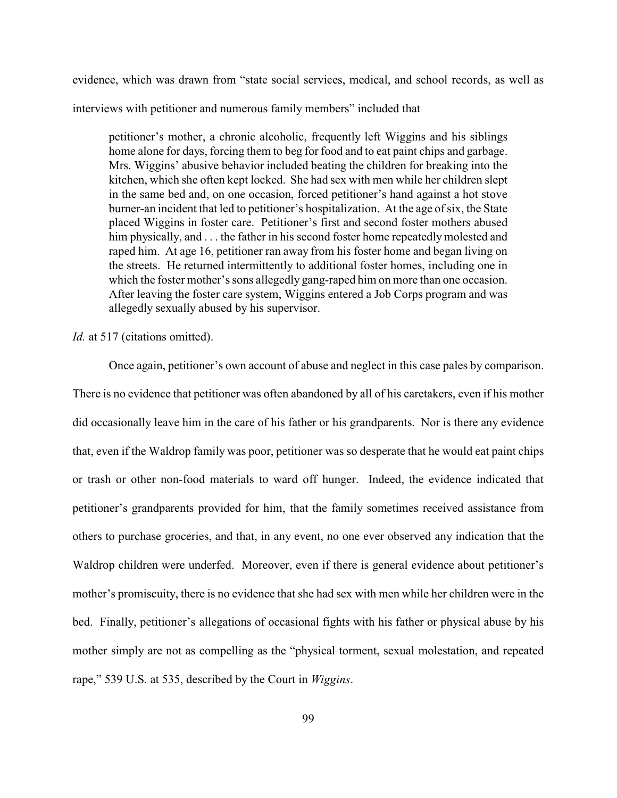evidence, which was drawn from "state social services, medical, and school records, as well as interviews with petitioner and numerous family members" included that

petitioner's mother, a chronic alcoholic, frequently left Wiggins and his siblings home alone for days, forcing them to beg for food and to eat paint chips and garbage. Mrs. Wiggins' abusive behavior included beating the children for breaking into the kitchen, which she often kept locked. She had sex with men while her children slept in the same bed and, on one occasion, forced petitioner's hand against a hot stove burner-an incident that led to petitioner's hospitalization. At the age of six, the State placed Wiggins in foster care. Petitioner's first and second foster mothers abused him physically, and . . . the father in his second foster home repeatedly molested and raped him. At age 16, petitioner ran away from his foster home and began living on the streets. He returned intermittently to additional foster homes, including one in which the foster mother's sons allegedly gang-raped him on more than one occasion. After leaving the foster care system, Wiggins entered a Job Corps program and was allegedly sexually abused by his supervisor.

### *Id.* at 517 (citations omitted).

Once again, petitioner's own account of abuse and neglect in this case pales by comparison. There is no evidence that petitioner was often abandoned by all of his caretakers, even if his mother did occasionally leave him in the care of his father or his grandparents. Nor is there any evidence that, even if the Waldrop family was poor, petitioner was so desperate that he would eat paint chips or trash or other non-food materials to ward off hunger. Indeed, the evidence indicated that petitioner's grandparents provided for him, that the family sometimes received assistance from others to purchase groceries, and that, in any event, no one ever observed any indication that the Waldrop children were underfed. Moreover, even if there is general evidence about petitioner's mother's promiscuity, there is no evidence that she had sex with men while her children were in the bed. Finally, petitioner's allegations of occasional fights with his father or physical abuse by his mother simply are not as compelling as the "physical torment, sexual molestation, and repeated rape," 539 U.S. at 535, described by the Court in *Wiggins*.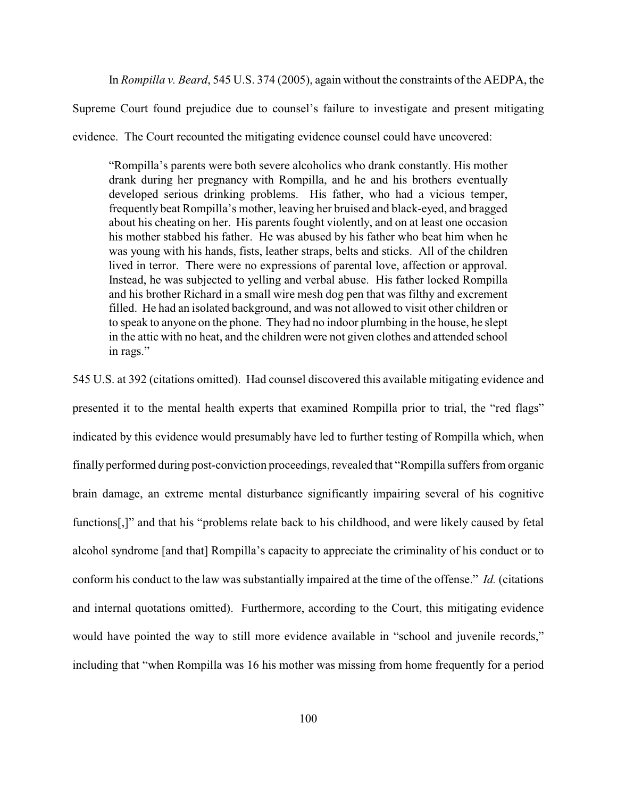In *Rompilla v. Beard*, 545 U.S. 374 (2005), again without the constraints of the AEDPA, the

Supreme Court found prejudice due to counsel's failure to investigate and present mitigating

evidence. The Court recounted the mitigating evidence counsel could have uncovered:

"Rompilla's parents were both severe alcoholics who drank constantly. His mother drank during her pregnancy with Rompilla, and he and his brothers eventually developed serious drinking problems. His father, who had a vicious temper, frequently beat Rompilla's mother, leaving her bruised and black-eyed, and bragged about his cheating on her. His parents fought violently, and on at least one occasion his mother stabbed his father. He was abused by his father who beat him when he was young with his hands, fists, leather straps, belts and sticks. All of the children lived in terror. There were no expressions of parental love, affection or approval. Instead, he was subjected to yelling and verbal abuse. His father locked Rompilla and his brother Richard in a small wire mesh dog pen that was filthy and excrement filled. He had an isolated background, and was not allowed to visit other children or to speak to anyone on the phone. They had no indoor plumbing in the house, he slept in the attic with no heat, and the children were not given clothes and attended school in rags."

545 U.S. at 392 (citations omitted). Had counsel discovered this available mitigating evidence and presented it to the mental health experts that examined Rompilla prior to trial, the "red flags" indicated by this evidence would presumably have led to further testing of Rompilla which, when finally performed during post-conviction proceedings, revealed that "Rompilla suffers from organic brain damage, an extreme mental disturbance significantly impairing several of his cognitive functions[,]" and that his "problems relate back to his childhood, and were likely caused by fetal alcohol syndrome [and that] Rompilla's capacity to appreciate the criminality of his conduct or to conform his conduct to the law was substantially impaired at the time of the offense." *Id.* (citations and internal quotations omitted). Furthermore, according to the Court, this mitigating evidence would have pointed the way to still more evidence available in "school and juvenile records," including that "when Rompilla was 16 his mother was missing from home frequently for a period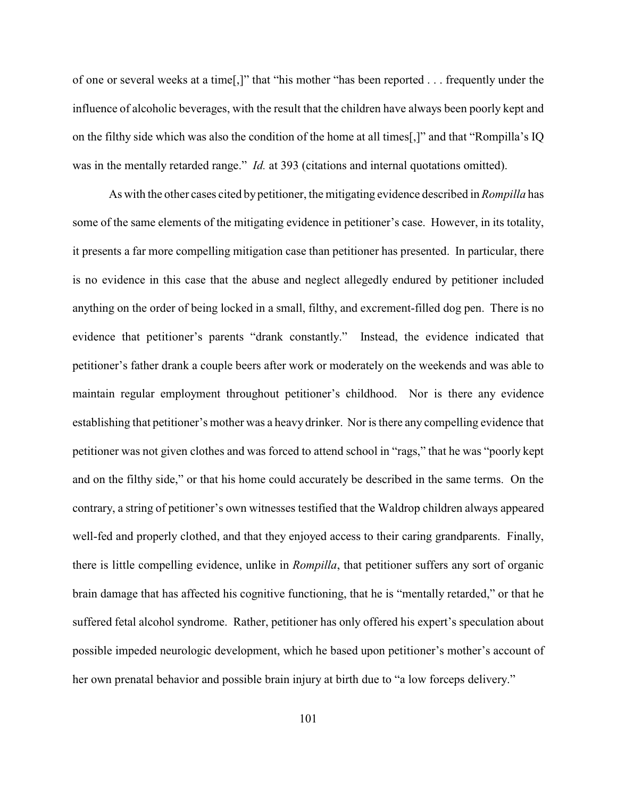of one or several weeks at a time[,]" that "his mother "has been reported . . . frequently under the influence of alcoholic beverages, with the result that the children have always been poorly kept and on the filthy side which was also the condition of the home at all times[,]" and that "Rompilla's IQ was in the mentally retarded range." *Id.* at 393 (citations and internal quotations omitted).

As with the other cases cited by petitioner, the mitigating evidence described in *Rompilla* has some of the same elements of the mitigating evidence in petitioner's case. However, in its totality, it presents a far more compelling mitigation case than petitioner has presented. In particular, there is no evidence in this case that the abuse and neglect allegedly endured by petitioner included anything on the order of being locked in a small, filthy, and excrement-filled dog pen. There is no evidence that petitioner's parents "drank constantly." Instead, the evidence indicated that petitioner's father drank a couple beers after work or moderately on the weekends and was able to maintain regular employment throughout petitioner's childhood. Nor is there any evidence establishing that petitioner's mother was a heavy drinker. Nor is there any compelling evidence that petitioner was not given clothes and was forced to attend school in "rags," that he was "poorly kept and on the filthy side," or that his home could accurately be described in the same terms. On the contrary, a string of petitioner's own witnesses testified that the Waldrop children always appeared well-fed and properly clothed, and that they enjoyed access to their caring grandparents. Finally, there is little compelling evidence, unlike in *Rompilla*, that petitioner suffers any sort of organic brain damage that has affected his cognitive functioning, that he is "mentally retarded," or that he suffered fetal alcohol syndrome. Rather, petitioner has only offered his expert's speculation about possible impeded neurologic development, which he based upon petitioner's mother's account of her own prenatal behavior and possible brain injury at birth due to "a low forceps delivery."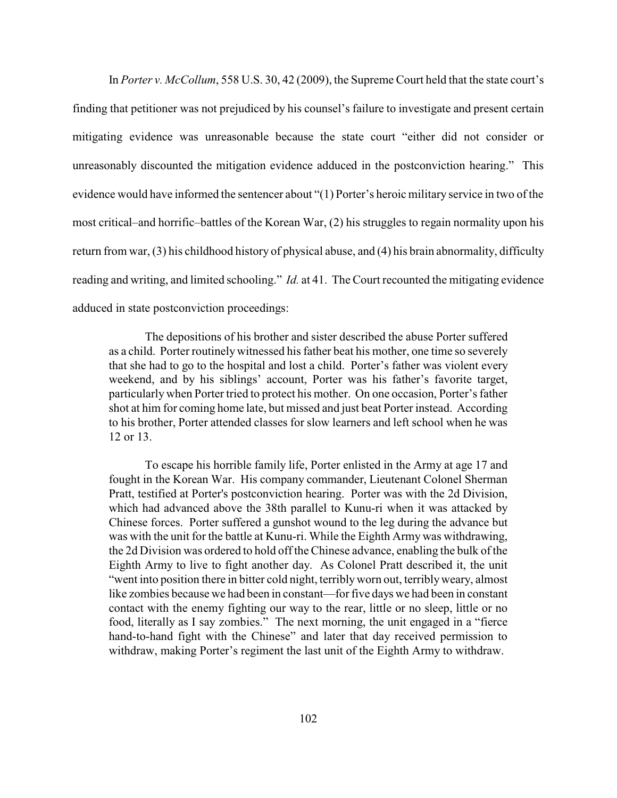In *Porter v. McCollum*, 558 U.S. 30, 42 (2009), the Supreme Court held that the state court's finding that petitioner was not prejudiced by his counsel's failure to investigate and present certain mitigating evidence was unreasonable because the state court "either did not consider or unreasonably discounted the mitigation evidence adduced in the postconviction hearing." This evidence would have informed the sentencer about "(1) Porter's heroic military service in two of the most critical–and horrific–battles of the Korean War, (2) his struggles to regain normality upon his return from war, (3) his childhood history of physical abuse, and (4) his brain abnormality, difficulty reading and writing, and limited schooling." *Id.* at 41. The Court recounted the mitigating evidence adduced in state postconviction proceedings:

The depositions of his brother and sister described the abuse Porter suffered as a child. Porter routinely witnessed his father beat his mother, one time so severely that she had to go to the hospital and lost a child. Porter's father was violent every weekend, and by his siblings' account, Porter was his father's favorite target, particularly when Porter tried to protect his mother. On one occasion, Porter's father shot at him for coming home late, but missed and just beat Porter instead. According to his brother, Porter attended classes for slow learners and left school when he was 12 or 13.

To escape his horrible family life, Porter enlisted in the Army at age 17 and fought in the Korean War. His company commander, Lieutenant Colonel Sherman Pratt, testified at Porter's postconviction hearing. Porter was with the 2d Division, which had advanced above the 38th parallel to Kunu-ri when it was attacked by Chinese forces. Porter suffered a gunshot wound to the leg during the advance but was with the unit for the battle at Kunu-ri. While the Eighth Army was withdrawing, the 2d Division was ordered to hold off the Chinese advance, enabling the bulk of the Eighth Army to live to fight another day. As Colonel Pratt described it, the unit "went into position there in bitter cold night, terriblyworn out, terriblyweary, almost like zombies because we had been in constant—forfive days we had been in constant contact with the enemy fighting our way to the rear, little or no sleep, little or no food, literally as I say zombies." The next morning, the unit engaged in a "fierce hand-to-hand fight with the Chinese" and later that day received permission to withdraw, making Porter's regiment the last unit of the Eighth Army to withdraw.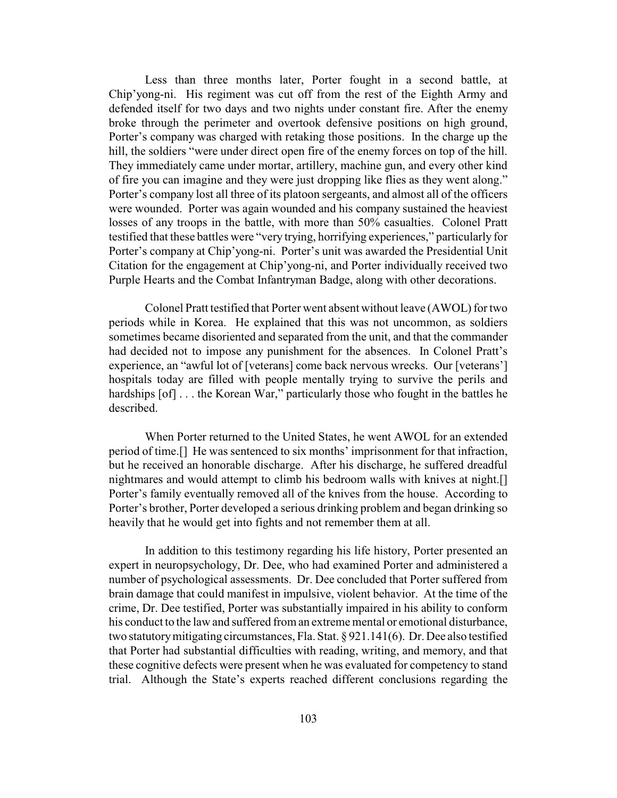Less than three months later, Porter fought in a second battle, at Chip'yong-ni. His regiment was cut off from the rest of the Eighth Army and defended itself for two days and two nights under constant fire. After the enemy broke through the perimeter and overtook defensive positions on high ground, Porter's company was charged with retaking those positions. In the charge up the hill, the soldiers "were under direct open fire of the enemy forces on top of the hill. They immediately came under mortar, artillery, machine gun, and every other kind of fire you can imagine and they were just dropping like flies as they went along." Porter's company lost all three of its platoon sergeants, and almost all of the officers were wounded. Porter was again wounded and his company sustained the heaviest losses of any troops in the battle, with more than 50% casualties. Colonel Pratt testified that these battles were "very trying, horrifying experiences," particularly for Porter's company at Chip'yong-ni. Porter's unit was awarded the Presidential Unit Citation for the engagement at Chip'yong-ni, and Porter individually received two Purple Hearts and the Combat Infantryman Badge, along with other decorations.

Colonel Pratt testified that Porter went absent without leave (AWOL) for two periods while in Korea. He explained that this was not uncommon, as soldiers sometimes became disoriented and separated from the unit, and that the commander had decided not to impose any punishment for the absences. In Colonel Pratt's experience, an "awful lot of [veterans] come back nervous wrecks. Our [veterans'] hospitals today are filled with people mentally trying to survive the perils and hardships  $[of]$ ... the Korean War," particularly those who fought in the battles he described.

When Porter returned to the United States, he went AWOL for an extended period of time.[] He was sentenced to six months' imprisonment for that infraction, but he received an honorable discharge. After his discharge, he suffered dreadful nightmares and would attempt to climb his bedroom walls with knives at night.[] Porter's family eventually removed all of the knives from the house. According to Porter's brother, Porter developed a serious drinking problem and began drinking so heavily that he would get into fights and not remember them at all.

In addition to this testimony regarding his life history, Porter presented an expert in neuropsychology, Dr. Dee, who had examined Porter and administered a number of psychological assessments. Dr. Dee concluded that Porter suffered from brain damage that could manifest in impulsive, violent behavior. At the time of the crime, Dr. Dee testified, Porter was substantially impaired in his ability to conform his conduct to the law and suffered from an extreme mental or emotional disturbance, two statutorymitigating circumstances, Fla. Stat. § 921.141(6). Dr. Dee also testified that Porter had substantial difficulties with reading, writing, and memory, and that these cognitive defects were present when he was evaluated for competency to stand trial. Although the State's experts reached different conclusions regarding the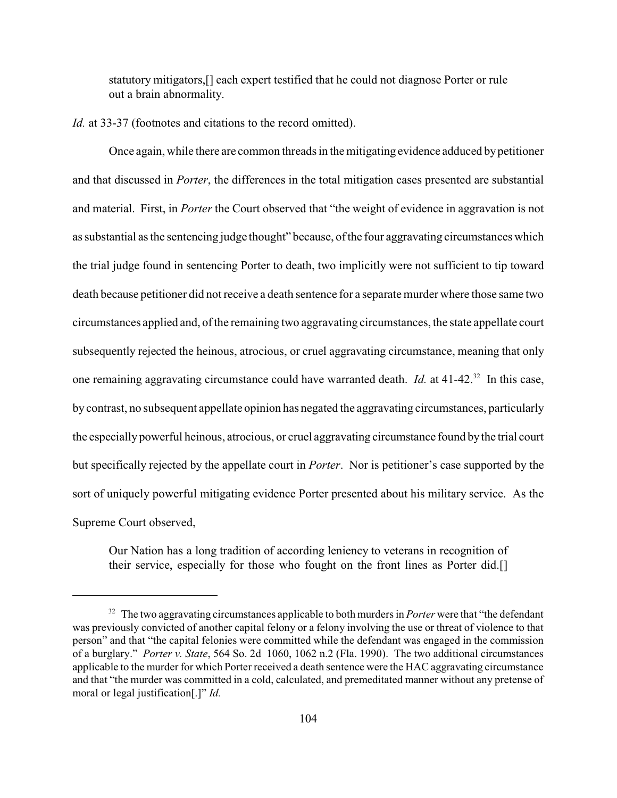statutory mitigators,[] each expert testified that he could not diagnose Porter or rule out a brain abnormality.

*Id.* at 33-37 (footnotes and citations to the record omitted).

Once again, while there are common threads in the mitigating evidence adduced bypetitioner and that discussed in *Porter*, the differences in the total mitigation cases presented are substantial and material. First, in *Porter* the Court observed that "the weight of evidence in aggravation is not as substantial as the sentencing judge thought" because, of the four aggravating circumstances which the trial judge found in sentencing Porter to death, two implicitly were not sufficient to tip toward death because petitioner did not receive a death sentence for a separate murder where those same two circumstances applied and, of the remaining two aggravating circumstances, the state appellate court subsequently rejected the heinous, atrocious, or cruel aggravating circumstance, meaning that only one remaining aggravating circumstance could have warranted death. *Id.* at 41-42.<sup>32</sup> In this case, by contrast, no subsequent appellate opinion has negated the aggravating circumstances, particularly the especially powerful heinous, atrocious, or cruel aggravating circumstance found bythe trial court but specifically rejected by the appellate court in *Porter*. Nor is petitioner's case supported by the sort of uniquely powerful mitigating evidence Porter presented about his military service. As the Supreme Court observed,

Our Nation has a long tradition of according leniency to veterans in recognition of their service, especially for those who fought on the front lines as Porter did.[]

<sup>&</sup>lt;sup>32</sup> The two aggravating circumstances applicable to both murders in *Porter* were that "the defendant" was previously convicted of another capital felony or a felony involving the use or threat of violence to that person" and that "the capital felonies were committed while the defendant was engaged in the commission of a burglary." *Porter v. State*, 564 So. 2d 1060, 1062 n.2 (Fla. 1990). The two additional circumstances applicable to the murder for which Porter received a death sentence were the HAC aggravating circumstance and that "the murder was committed in a cold, calculated, and premeditated manner without any pretense of moral or legal justification[.]" *Id.*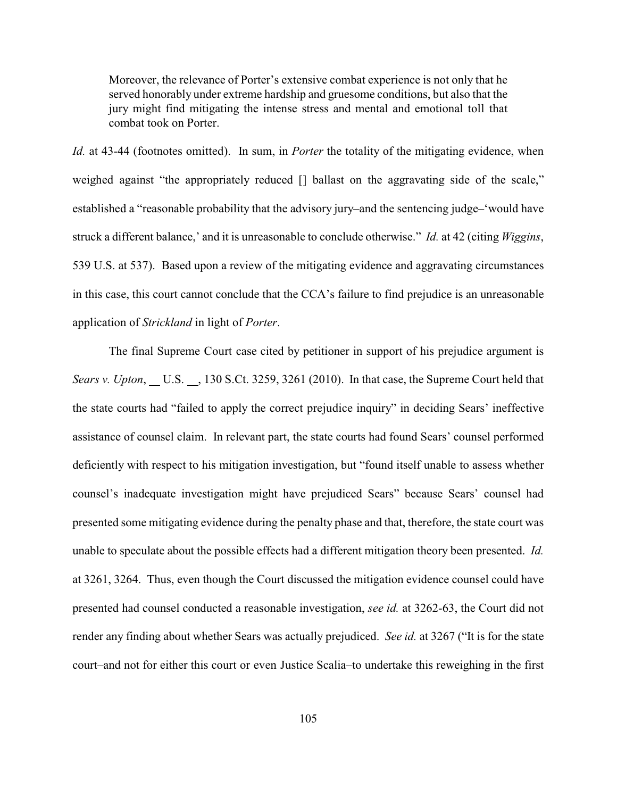Moreover, the relevance of Porter's extensive combat experience is not only that he served honorably under extreme hardship and gruesome conditions, but also that the jury might find mitigating the intense stress and mental and emotional toll that combat took on Porter.

*Id.* at 43-44 (footnotes omitted). In sum, in *Porter* the totality of the mitigating evidence, when weighed against "the appropriately reduced [] ballast on the aggravating side of the scale," established a "reasonable probability that the advisory jury–and the sentencing judge–'would have struck a different balance,' and it is unreasonable to conclude otherwise." *Id.* at 42 (citing *Wiggins*, 539 U.S. at 537). Based upon a review of the mitigating evidence and aggravating circumstances in this case, this court cannot conclude that the CCA's failure to find prejudice is an unreasonable application of *Strickland* in light of *Porter*.

The final Supreme Court case cited by petitioner in support of his prejudice argument is *Sears v. Upton*, U.S. , 130 S.Ct. 3259, 3261 (2010). In that case, the Supreme Court held that the state courts had "failed to apply the correct prejudice inquiry" in deciding Sears' ineffective assistance of counsel claim. In relevant part, the state courts had found Sears' counsel performed deficiently with respect to his mitigation investigation, but "found itself unable to assess whether counsel's inadequate investigation might have prejudiced Sears" because Sears' counsel had presented some mitigating evidence during the penalty phase and that, therefore, the state court was unable to speculate about the possible effects had a different mitigation theory been presented. *Id.* at 3261, 3264. Thus, even though the Court discussed the mitigation evidence counsel could have presented had counsel conducted a reasonable investigation, *see id.* at 3262-63, the Court did not render any finding about whether Sears was actually prejudiced. *See id.* at 3267 ("It is for the state court–and not for either this court or even Justice Scalia–to undertake this reweighing in the first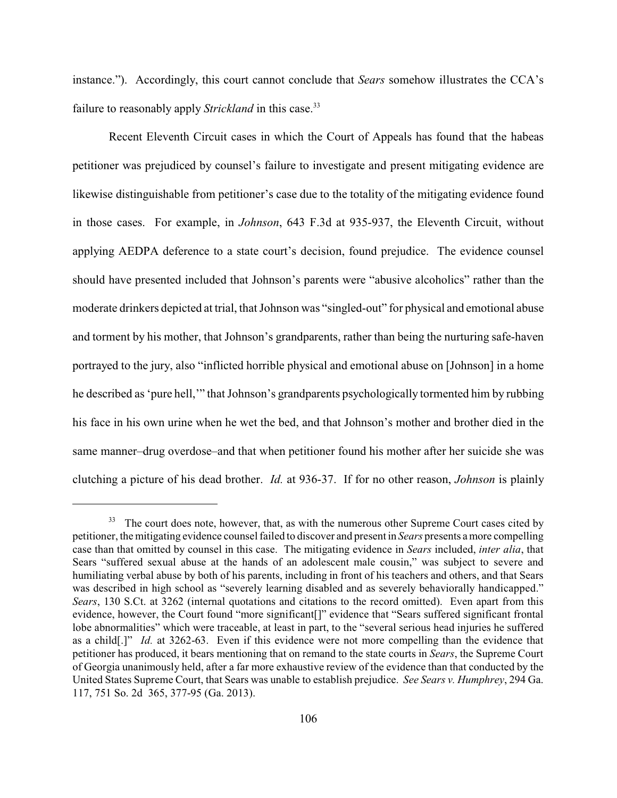instance."). Accordingly, this court cannot conclude that *Sears* somehow illustrates the CCA's failure to reasonably apply *Strickland* in this case.<sup>33</sup>

Recent Eleventh Circuit cases in which the Court of Appeals has found that the habeas petitioner was prejudiced by counsel's failure to investigate and present mitigating evidence are likewise distinguishable from petitioner's case due to the totality of the mitigating evidence found in those cases. For example, in *Johnson*, 643 F.3d at 935-937, the Eleventh Circuit, without applying AEDPA deference to a state court's decision, found prejudice. The evidence counsel should have presented included that Johnson's parents were "abusive alcoholics" rather than the moderate drinkers depicted at trial, that Johnson was "singled-out" for physical and emotional abuse and torment by his mother, that Johnson's grandparents, rather than being the nurturing safe-haven portrayed to the jury, also "inflicted horrible physical and emotional abuse on [Johnson] in a home he described as 'pure hell,'" that Johnson's grandparents psychologically tormented him by rubbing his face in his own urine when he wet the bed, and that Johnson's mother and brother died in the same manner–drug overdose–and that when petitioner found his mother after her suicide she was clutching a picture of his dead brother. *Id.* at 936-37. If for no other reason, *Johnson* is plainly

<sup>&</sup>lt;sup>33</sup> The court does note, however, that, as with the numerous other Supreme Court cases cited by petitioner, the mitigating evidence counsel failed to discover and present in *Sears* presents a more compelling case than that omitted by counsel in this case. The mitigating evidence in *Sears* included, *inter alia*, that Sears "suffered sexual abuse at the hands of an adolescent male cousin," was subject to severe and humiliating verbal abuse by both of his parents, including in front of his teachers and others, and that Sears was described in high school as "severely learning disabled and as severely behaviorally handicapped." *Sears*, 130 S.Ct. at 3262 (internal quotations and citations to the record omitted). Even apart from this evidence, however, the Court found "more significant[]" evidence that "Sears suffered significant frontal lobe abnormalities" which were traceable, at least in part, to the "several serious head injuries he suffered as a child[.]" *Id.* at 3262-63. Even if this evidence were not more compelling than the evidence that petitioner has produced, it bears mentioning that on remand to the state courts in *Sears*, the Supreme Court of Georgia unanimously held, after a far more exhaustive review of the evidence than that conducted by the United States Supreme Court, that Sears was unable to establish prejudice. *See Sears v. Humphrey*, 294 Ga. 117, 751 So. 2d 365, 377-95 (Ga. 2013).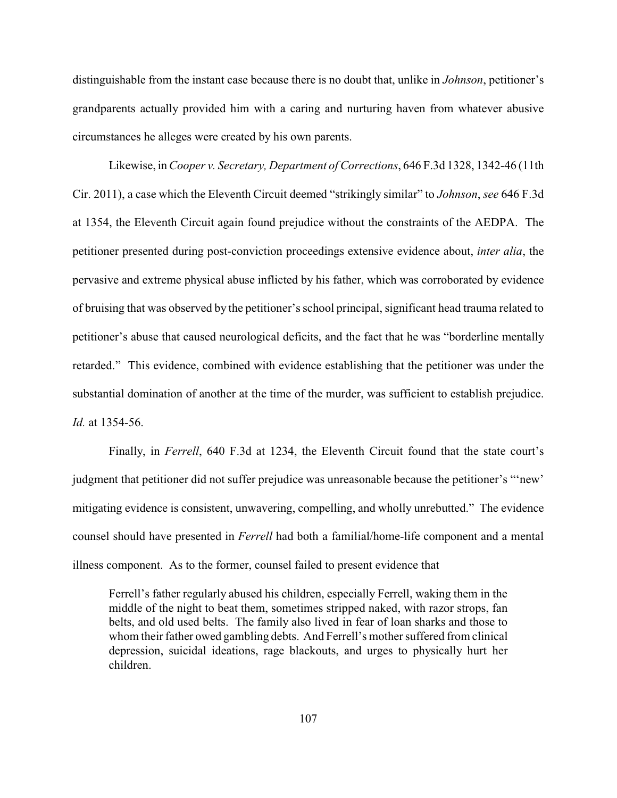distinguishable from the instant case because there is no doubt that, unlike in *Johnson*, petitioner's grandparents actually provided him with a caring and nurturing haven from whatever abusive circumstances he alleges were created by his own parents.

Likewise, in *Cooper v. Secretary, Department of Corrections*, 646 F.3d 1328, 1342-46 (11th Cir. 2011), a case which the Eleventh Circuit deemed "strikingly similar" to *Johnson*, *see* 646 F.3d at 1354, the Eleventh Circuit again found prejudice without the constraints of the AEDPA. The petitioner presented during post-conviction proceedings extensive evidence about, *inter alia*, the pervasive and extreme physical abuse inflicted by his father, which was corroborated by evidence of bruising that was observed by the petitioner's school principal, significant head trauma related to petitioner's abuse that caused neurological deficits, and the fact that he was "borderline mentally retarded." This evidence, combined with evidence establishing that the petitioner was under the substantial domination of another at the time of the murder, was sufficient to establish prejudice. *Id.* at 1354-56.

Finally, in *Ferrell*, 640 F.3d at 1234, the Eleventh Circuit found that the state court's judgment that petitioner did not suffer prejudice was unreasonable because the petitioner's "'new' mitigating evidence is consistent, unwavering, compelling, and wholly unrebutted." The evidence counsel should have presented in *Ferrell* had both a familial/home-life component and a mental illness component. As to the former, counsel failed to present evidence that

Ferrell's father regularly abused his children, especially Ferrell, waking them in the middle of the night to beat them, sometimes stripped naked, with razor strops, fan belts, and old used belts. The family also lived in fear of loan sharks and those to whom their father owed gambling debts. And Ferrell's mother suffered from clinical depression, suicidal ideations, rage blackouts, and urges to physically hurt her children.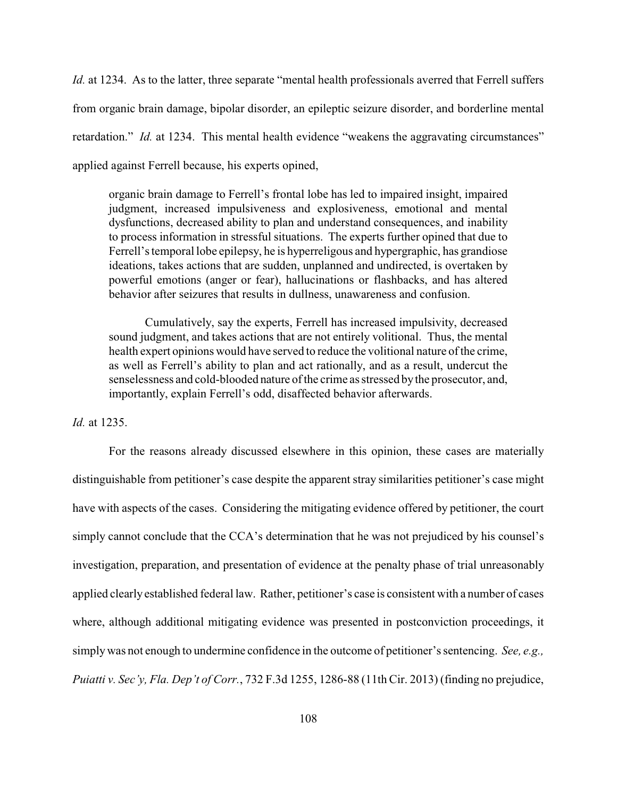*Id.* at 1234. As to the latter, three separate "mental health professionals averred that Ferrell suffers from organic brain damage, bipolar disorder, an epileptic seizure disorder, and borderline mental retardation." *Id.* at 1234. This mental health evidence "weakens the aggravating circumstances" applied against Ferrell because, his experts opined,

organic brain damage to Ferrell's frontal lobe has led to impaired insight, impaired judgment, increased impulsiveness and explosiveness, emotional and mental dysfunctions, decreased ability to plan and understand consequences, and inability to process information in stressful situations. The experts further opined that due to Ferrell's temporal lobe epilepsy, he is hyperreligous and hypergraphic, has grandiose ideations, takes actions that are sudden, unplanned and undirected, is overtaken by powerful emotions (anger or fear), hallucinations or flashbacks, and has altered behavior after seizures that results in dullness, unawareness and confusion.

Cumulatively, say the experts, Ferrell has increased impulsivity, decreased sound judgment, and takes actions that are not entirely volitional. Thus, the mental health expert opinions would have served to reduce the volitional nature of the crime, as well as Ferrell's ability to plan and act rationally, and as a result, undercut the senselessness and cold-blooded nature of the crime as stressed bythe prosecutor, and, importantly, explain Ferrell's odd, disaffected behavior afterwards.

# *Id.* at 1235.

For the reasons already discussed elsewhere in this opinion, these cases are materially distinguishable from petitioner's case despite the apparent stray similarities petitioner's case might have with aspects of the cases. Considering the mitigating evidence offered by petitioner, the court simply cannot conclude that the CCA's determination that he was not prejudiced by his counsel's investigation, preparation, and presentation of evidence at the penalty phase of trial unreasonably applied clearlyestablished federal law. Rather, petitioner's case is consistent with a number of cases where, although additional mitigating evidence was presented in postconviction proceedings, it simplywas not enough to undermine confidence in the outcome of petitioner's sentencing. *See, e.g., Puiatti v. Sec'y, Fla. Dep't of Corr.*, 732 F.3d 1255, 1286-88 (11th Cir. 2013) (finding no prejudice,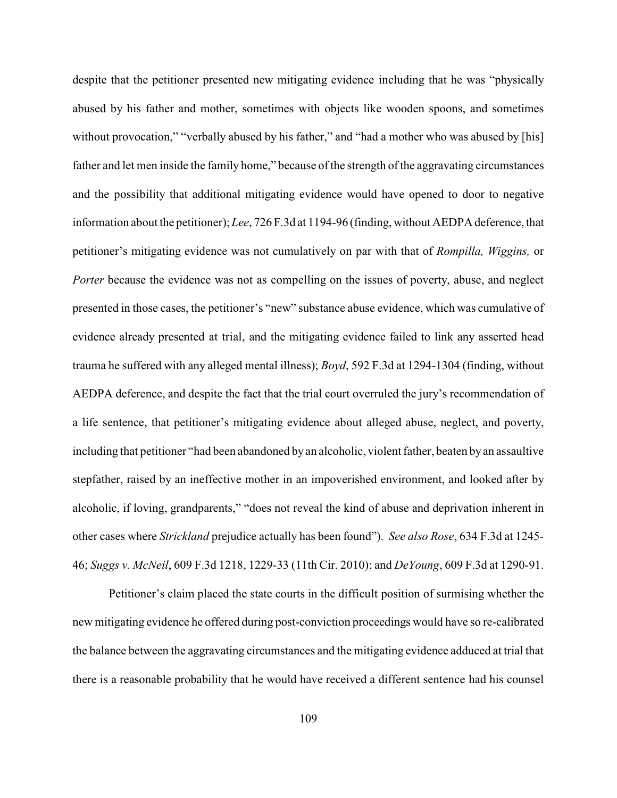despite that the petitioner presented new mitigating evidence including that he was "physically abused by his father and mother, sometimes with objects like wooden spoons, and sometimes without provocation," "verbally abused by his father," and "had a mother who was abused by [his] father and let men inside the family home," because of the strength of the aggravating circumstances and the possibility that additional mitigating evidence would have opened to door to negative information about the petitioner); *Lee*, 726 F.3d at 1194-96 (finding, without AEDPA deference, that petitioner's mitigating evidence was not cumulatively on par with that of *Rompilla, Wiggins,* or *Porter* because the evidence was not as compelling on the issues of poverty, abuse, and neglect presented in those cases, the petitioner's "new" substance abuse evidence, which was cumulative of evidence already presented at trial, and the mitigating evidence failed to link any asserted head trauma he suffered with any alleged mental illness); *Boyd*, 592 F.3d at 1294-1304 (finding, without AEDPA deference, and despite the fact that the trial court overruled the jury's recommendation of a life sentence, that petitioner's mitigating evidence about alleged abuse, neglect, and poverty, including that petitioner "had been abandoned by an alcoholic, violent father, beaten byan assaultive stepfather, raised by an ineffective mother in an impoverished environment, and looked after by alcoholic, if loving, grandparents," "does not reveal the kind of abuse and deprivation inherent in other cases where *Strickland* prejudice actually has been found"). *See also Rose*, 634 F.3d at 1245- 46; *Suggs v. McNeil*, 609 F.3d 1218, 1229-33 (11th Cir. 2010); and *DeYoung*, 609 F.3d at 1290-91.

Petitioner's claim placed the state courts in the difficult position of surmising whether the new mitigating evidence he offered during post-conviction proceedings would have so re-calibrated the balance between the aggravating circumstances and the mitigating evidence adduced at trial that there is a reasonable probability that he would have received a different sentence had his counsel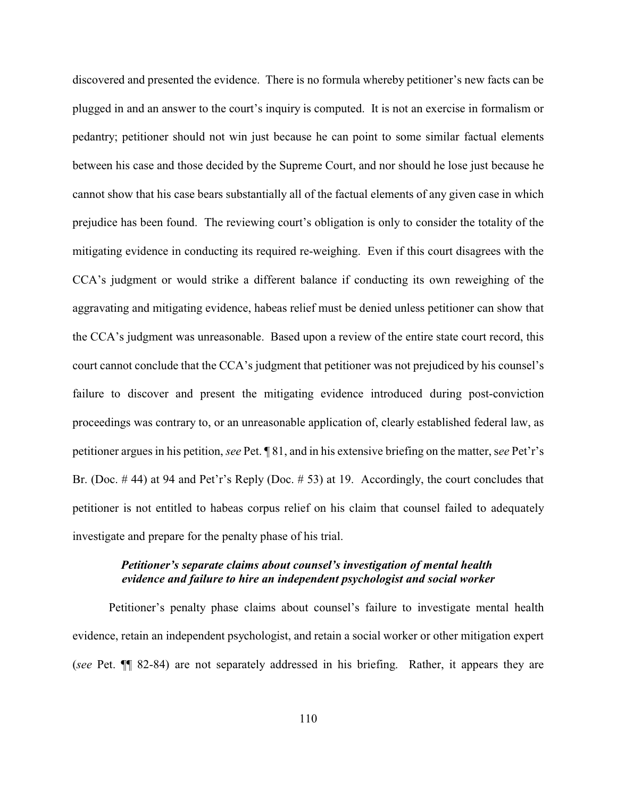discovered and presented the evidence. There is no formula whereby petitioner's new facts can be plugged in and an answer to the court's inquiry is computed. It is not an exercise in formalism or pedantry; petitioner should not win just because he can point to some similar factual elements between his case and those decided by the Supreme Court, and nor should he lose just because he cannot show that his case bears substantially all of the factual elements of any given case in which prejudice has been found. The reviewing court's obligation is only to consider the totality of the mitigating evidence in conducting its required re-weighing. Even if this court disagrees with the CCA's judgment or would strike a different balance if conducting its own reweighing of the aggravating and mitigating evidence, habeas relief must be denied unless petitioner can show that the CCA's judgment was unreasonable. Based upon a review of the entire state court record, this court cannot conclude that the CCA's judgment that petitioner was not prejudiced by his counsel's failure to discover and present the mitigating evidence introduced during post-conviction proceedings was contrary to, or an unreasonable application of, clearly established federal law, as petitioner argues in his petition, *see* Pet. ¶ 81, and in his extensive briefing on the matter, s*ee* Pet'r's Br. (Doc. # 44) at 94 and Pet'r's Reply (Doc. # 53) at 19. Accordingly, the court concludes that petitioner is not entitled to habeas corpus relief on his claim that counsel failed to adequately investigate and prepare for the penalty phase of his trial.

# *Petitioner's separate claims about counsel's investigation of mental health evidence and failure to hire an independent psychologist and social worker*

Petitioner's penalty phase claims about counsel's failure to investigate mental health evidence, retain an independent psychologist, and retain a social worker or other mitigation expert (*see* Pet. ¶¶ 82-84) are not separately addressed in his briefing. Rather, it appears they are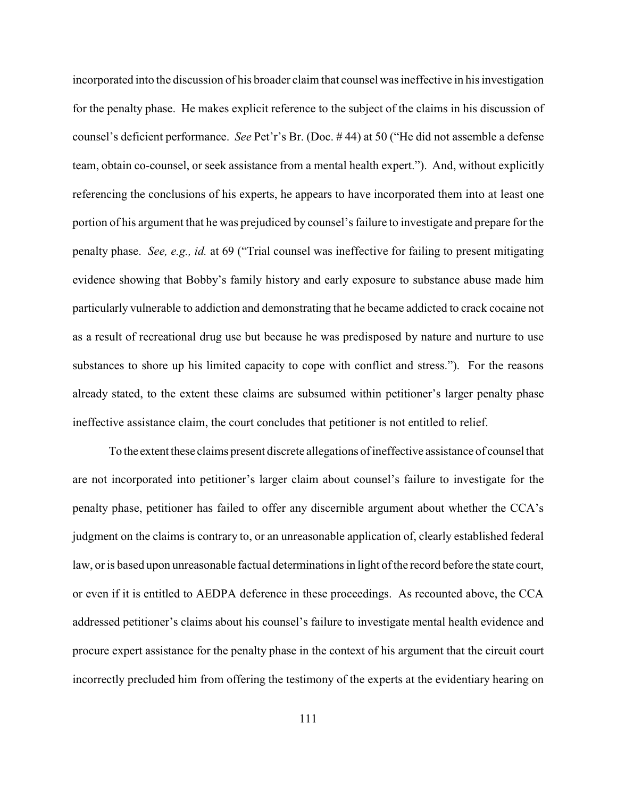incorporated into the discussion of his broader claim that counsel was ineffective in his investigation for the penalty phase. He makes explicit reference to the subject of the claims in his discussion of counsel's deficient performance. *See* Pet'r's Br. (Doc. # 44) at 50 ("He did not assemble a defense team, obtain co-counsel, or seek assistance from a mental health expert."). And, without explicitly referencing the conclusions of his experts, he appears to have incorporated them into at least one portion of his argument that he was prejudiced by counsel's failure to investigate and prepare for the penalty phase. *See, e.g., id.* at 69 ("Trial counsel was ineffective for failing to present mitigating evidence showing that Bobby's family history and early exposure to substance abuse made him particularly vulnerable to addiction and demonstrating that he became addicted to crack cocaine not as a result of recreational drug use but because he was predisposed by nature and nurture to use substances to shore up his limited capacity to cope with conflict and stress."). For the reasons already stated, to the extent these claims are subsumed within petitioner's larger penalty phase ineffective assistance claim, the court concludes that petitioner is not entitled to relief.

To the extent these claims present discrete allegations of ineffective assistance of counsel that are not incorporated into petitioner's larger claim about counsel's failure to investigate for the penalty phase, petitioner has failed to offer any discernible argument about whether the CCA's judgment on the claims is contrary to, or an unreasonable application of, clearly established federal law, or is based upon unreasonable factual determinations in light of the record before the state court, or even if it is entitled to AEDPA deference in these proceedings. As recounted above, the CCA addressed petitioner's claims about his counsel's failure to investigate mental health evidence and procure expert assistance for the penalty phase in the context of his argument that the circuit court incorrectly precluded him from offering the testimony of the experts at the evidentiary hearing on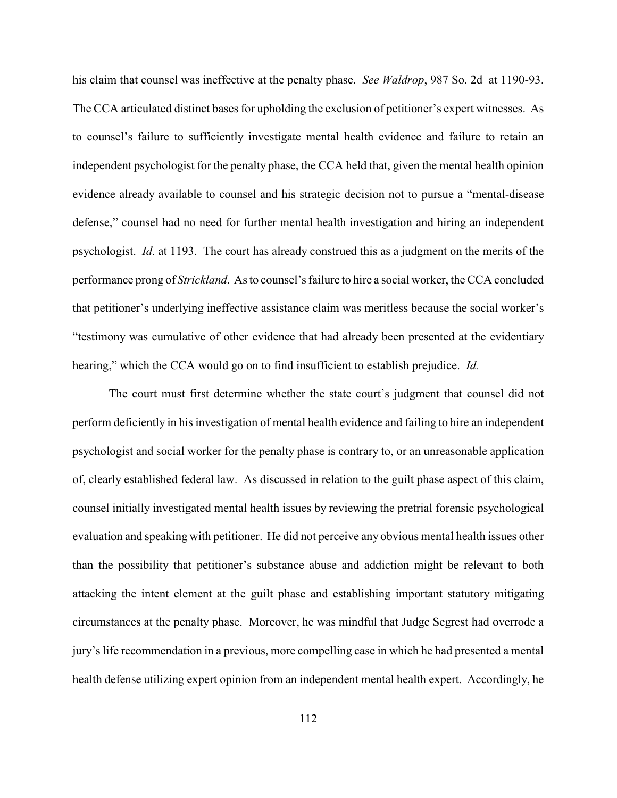his claim that counsel was ineffective at the penalty phase. *See Waldrop*, 987 So. 2d at 1190-93. The CCA articulated distinct bases for upholding the exclusion of petitioner's expert witnesses. As to counsel's failure to sufficiently investigate mental health evidence and failure to retain an independent psychologist for the penalty phase, the CCA held that, given the mental health opinion evidence already available to counsel and his strategic decision not to pursue a "mental-disease defense," counsel had no need for further mental health investigation and hiring an independent psychologist. *Id.* at 1193. The court has already construed this as a judgment on the merits of the performance prong of *Strickland*. As to counsel's failure to hire a social worker, the CCA concluded that petitioner's underlying ineffective assistance claim was meritless because the social worker's "testimony was cumulative of other evidence that had already been presented at the evidentiary hearing," which the CCA would go on to find insufficient to establish prejudice. *Id.*

The court must first determine whether the state court's judgment that counsel did not perform deficiently in his investigation of mental health evidence and failing to hire an independent psychologist and social worker for the penalty phase is contrary to, or an unreasonable application of, clearly established federal law. As discussed in relation to the guilt phase aspect of this claim, counsel initially investigated mental health issues by reviewing the pretrial forensic psychological evaluation and speaking with petitioner. He did not perceive any obvious mental health issues other than the possibility that petitioner's substance abuse and addiction might be relevant to both attacking the intent element at the guilt phase and establishing important statutory mitigating circumstances at the penalty phase. Moreover, he was mindful that Judge Segrest had overrode a jury's life recommendation in a previous, more compelling case in which he had presented a mental health defense utilizing expert opinion from an independent mental health expert. Accordingly, he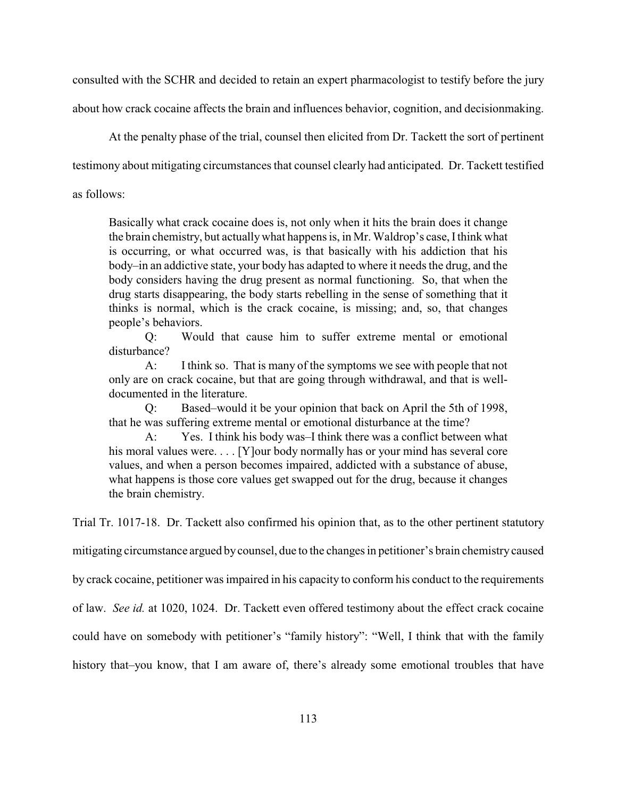consulted with the SCHR and decided to retain an expert pharmacologist to testify before the jury about how crack cocaine affects the brain and influences behavior, cognition, and decisionmaking.

At the penalty phase of the trial, counsel then elicited from Dr. Tackett the sort of pertinent

testimony about mitigating circumstances that counsel clearly had anticipated. Dr. Tackett testified

as follows:

Basically what crack cocaine does is, not only when it hits the brain does it change the brain chemistry, but actuallywhat happens is, in Mr. Waldrop's case, Ithink what is occurring, or what occurred was, is that basically with his addiction that his body–in an addictive state, your body has adapted to where it needs the drug, and the body considers having the drug present as normal functioning. So, that when the drug starts disappearing, the body starts rebelling in the sense of something that it thinks is normal, which is the crack cocaine, is missing; and, so, that changes people's behaviors.

Q: Would that cause him to suffer extreme mental or emotional disturbance?

A: I think so. That is many of the symptoms we see with people that not only are on crack cocaine, but that are going through withdrawal, and that is welldocumented in the literature.

Q: Based–would it be your opinion that back on April the 5th of 1998, that he was suffering extreme mental or emotional disturbance at the time?

A: Yes. I think his body was–I think there was a conflict between what his moral values were.... [Y] our body normally has or your mind has several core values, and when a person becomes impaired, addicted with a substance of abuse, what happens is those core values get swapped out for the drug, because it changes the brain chemistry.

Trial Tr. 1017-18. Dr. Tackett also confirmed his opinion that, as to the other pertinent statutory

mitigating circumstance argued bycounsel, due to the changes in petitioner's brain chemistry caused

by crack cocaine, petitioner was impaired in his capacity to conform his conduct to the requirements

of law. *See id.* at 1020, 1024. Dr. Tackett even offered testimony about the effect crack cocaine

could have on somebody with petitioner's "family history": "Well, I think that with the family

history that–you know, that I am aware of, there's already some emotional troubles that have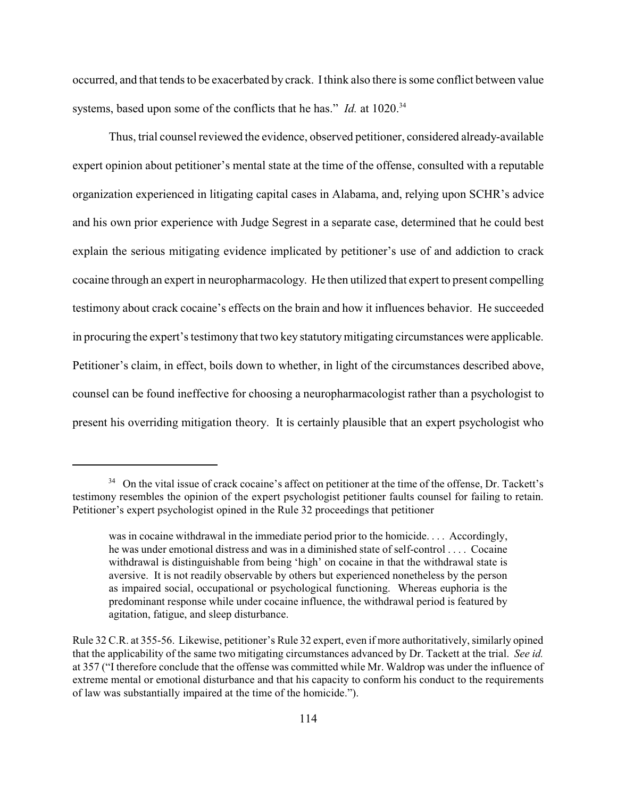occurred, and that tends to be exacerbated by crack. Ithink also there is some conflict between value systems, based upon some of the conflicts that he has." *Id.* at 1020.<sup>34</sup>

Thus, trial counsel reviewed the evidence, observed petitioner, considered already-available expert opinion about petitioner's mental state at the time of the offense, consulted with a reputable organization experienced in litigating capital cases in Alabama, and, relying upon SCHR's advice and his own prior experience with Judge Segrest in a separate case, determined that he could best explain the serious mitigating evidence implicated by petitioner's use of and addiction to crack cocaine through an expert in neuropharmacology. He then utilized that expert to present compelling testimony about crack cocaine's effects on the brain and how it influences behavior. He succeeded in procuring the expert's testimony that two key statutorymitigating circumstances were applicable. Petitioner's claim, in effect, boils down to whether, in light of the circumstances described above, counsel can be found ineffective for choosing a neuropharmacologist rather than a psychologist to present his overriding mitigation theory. It is certainly plausible that an expert psychologist who

<sup>&</sup>lt;sup>34</sup> On the vital issue of crack cocaine's affect on petitioner at the time of the offense, Dr. Tackett's testimony resembles the opinion of the expert psychologist petitioner faults counsel for failing to retain. Petitioner's expert psychologist opined in the Rule 32 proceedings that petitioner

was in cocaine withdrawal in the immediate period prior to the homicide. . . . Accordingly, he was under emotional distress and was in a diminished state of self-control . . . . Cocaine withdrawal is distinguishable from being 'high' on cocaine in that the withdrawal state is aversive. It is not readily observable by others but experienced nonetheless by the person as impaired social, occupational or psychological functioning. Whereas euphoria is the predominant response while under cocaine influence, the withdrawal period is featured by agitation, fatigue, and sleep disturbance.

Rule 32 C.R. at 355-56. Likewise, petitioner's Rule 32 expert, even if more authoritatively, similarly opined that the applicability of the same two mitigating circumstances advanced by Dr. Tackett at the trial. *See id.* at 357 ("I therefore conclude that the offense was committed while Mr. Waldrop was under the influence of extreme mental or emotional disturbance and that his capacity to conform his conduct to the requirements of law was substantially impaired at the time of the homicide.").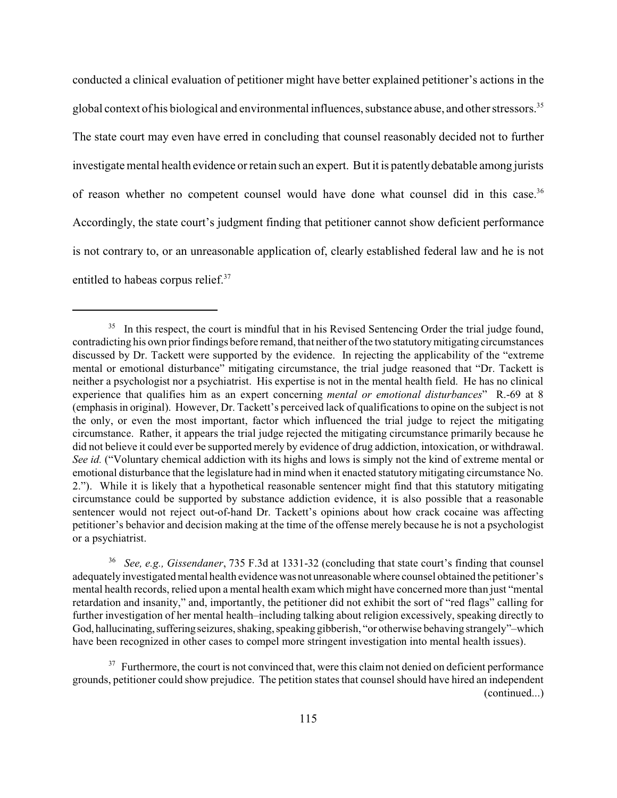conducted a clinical evaluation of petitioner might have better explained petitioner's actions in the global context of his biological and environmental influences, substance abuse, and other stressors.<sup>35</sup> The state court may even have erred in concluding that counsel reasonably decided not to further investigate mental health evidence or retain such an expert. But it is patentlydebatable among jurists of reason whether no competent counsel would have done what counsel did in this case.<sup>36</sup> Accordingly, the state court's judgment finding that petitioner cannot show deficient performance is not contrary to, or an unreasonable application of, clearly established federal law and he is not entitled to habeas corpus relief.<sup>37</sup>

*See, e.g., Gissendaner*, 735 F.3d at 1331-32 (concluding that state court's finding that counsel 36 adequately investigated mental health evidence was not unreasonable where counsel obtained the petitioner's mental health records, relied upon a mental health exam which might have concerned more than just "mental retardation and insanity," and, importantly, the petitioner did not exhibit the sort of "red flags" calling for further investigation of her mental health–including talking about religion excessively, speaking directly to God, hallucinating, suffering seizures, shaking, speaking gibberish, "or otherwise behaving strangely"–which have been recognized in other cases to compel more stringent investigation into mental health issues).

 $37$  Furthermore, the court is not convinced that, were this claim not denied on deficient performance grounds, petitioner could show prejudice. The petition states that counsel should have hired an independent (continued...)

 $135$  In this respect, the court is mindful that in his Revised Sentencing Order the trial judge found, contradicting his own prior findings before remand, that neither of the two statutory mitigating circumstances discussed by Dr. Tackett were supported by the evidence. In rejecting the applicability of the "extreme mental or emotional disturbance" mitigating circumstance, the trial judge reasoned that "Dr. Tackett is neither a psychologist nor a psychiatrist. His expertise is not in the mental health field. He has no clinical experience that qualifies him as an expert concerning *mental or emotional disturbances*" R.-69 at 8 (emphasis in original). However, Dr. Tackett's perceived lack of qualifications to opine on the subject is not the only, or even the most important, factor which influenced the trial judge to reject the mitigating circumstance. Rather, it appears the trial judge rejected the mitigating circumstance primarily because he did not believe it could ever be supported merely by evidence of drug addiction, intoxication, or withdrawal. *See id.* ("Voluntary chemical addiction with its highs and lows is simply not the kind of extreme mental or emotional disturbance that the legislature had in mind when it enacted statutory mitigating circumstance No. 2."). While it is likely that a hypothetical reasonable sentencer might find that this statutory mitigating circumstance could be supported by substance addiction evidence, it is also possible that a reasonable sentencer would not reject out-of-hand Dr. Tackett's opinions about how crack cocaine was affecting petitioner's behavior and decision making at the time of the offense merely because he is not a psychologist or a psychiatrist.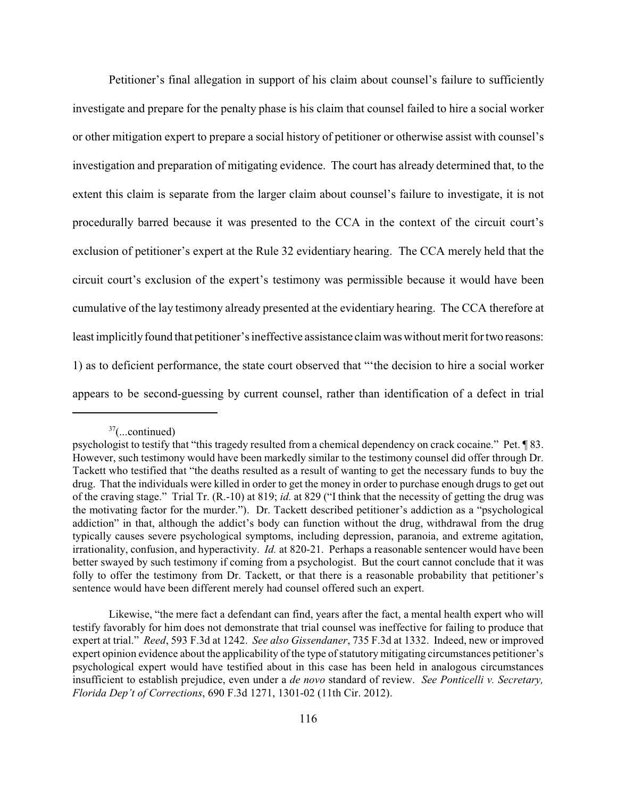Petitioner's final allegation in support of his claim about counsel's failure to sufficiently investigate and prepare for the penalty phase is his claim that counsel failed to hire a social worker or other mitigation expert to prepare a social history of petitioner or otherwise assist with counsel's investigation and preparation of mitigating evidence. The court has already determined that, to the extent this claim is separate from the larger claim about counsel's failure to investigate, it is not procedurally barred because it was presented to the CCA in the context of the circuit court's exclusion of petitioner's expert at the Rule 32 evidentiary hearing. The CCA merely held that the circuit court's exclusion of the expert's testimony was permissible because it would have been cumulative of the lay testimony already presented at the evidentiary hearing. The CCA therefore at least implicitly found that petitioner's ineffective assistance claim was without merit for two reasons: 1) as to deficient performance, the state court observed that "'the decision to hire a social worker appears to be second-guessing by current counsel, rather than identification of a defect in trial

 $37$ (...continued)

psychologist to testify that "this tragedy resulted from a chemical dependency on crack cocaine." Pet. ¶ 83. However, such testimony would have been markedly similar to the testimony counsel did offer through Dr. Tackett who testified that "the deaths resulted as a result of wanting to get the necessary funds to buy the drug. That the individuals were killed in order to get the money in order to purchase enough drugs to get out of the craving stage." Trial Tr. (R.-10) at 819; *id.* at 829 ("I think that the necessity of getting the drug was the motivating factor for the murder."). Dr. Tackett described petitioner's addiction as a "psychological addiction" in that, although the addict's body can function without the drug, withdrawal from the drug typically causes severe psychological symptoms, including depression, paranoia, and extreme agitation, irrationality, confusion, and hyperactivity. *Id.* at 820-21. Perhaps a reasonable sentencer would have been better swayed by such testimony if coming from a psychologist. But the court cannot conclude that it was folly to offer the testimony from Dr. Tackett, or that there is a reasonable probability that petitioner's sentence would have been different merely had counsel offered such an expert.

Likewise, "the mere fact a defendant can find, years after the fact, a mental health expert who will testify favorably for him does not demonstrate that trial counsel was ineffective for failing to produce that expert at trial." *Reed*, 593 F.3d at 1242. *See also Gissendaner*, 735 F.3d at 1332. Indeed, new or improved expert opinion evidence about the applicability of the type of statutory mitigating circumstances petitioner's psychological expert would have testified about in this case has been held in analogous circumstances insufficient to establish prejudice, even under a *de novo* standard of review. *See Ponticelli v. Secretary, Florida Dep't of Corrections*, 690 F.3d 1271, 1301-02 (11th Cir. 2012).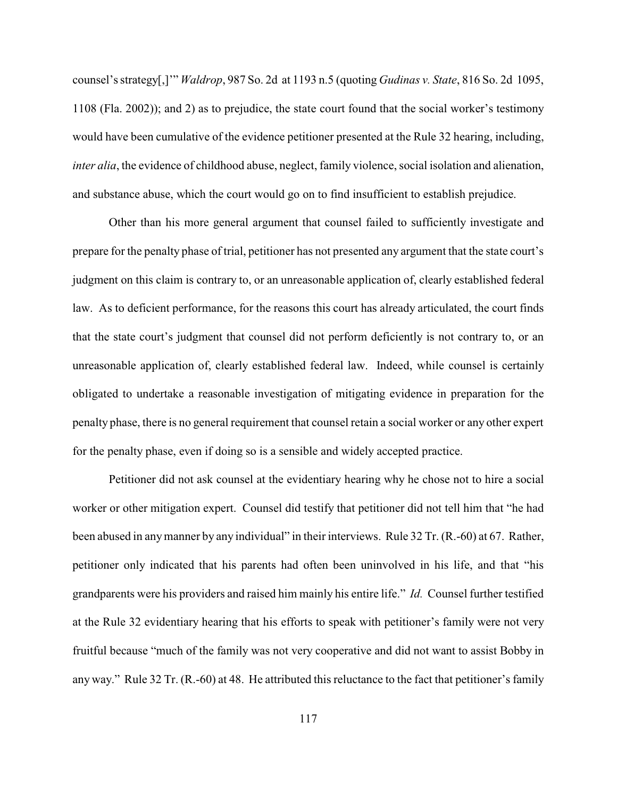counsel's strategy[,]'" *Waldrop*, 987 So. 2d at 1193 n.5 (quoting *Gudinas v. State*, 816 So. 2d 1095, 1108 (Fla. 2002)); and 2) as to prejudice, the state court found that the social worker's testimony would have been cumulative of the evidence petitioner presented at the Rule 32 hearing, including, *inter alia*, the evidence of childhood abuse, neglect, family violence, social isolation and alienation, and substance abuse, which the court would go on to find insufficient to establish prejudice.

Other than his more general argument that counsel failed to sufficiently investigate and prepare for the penalty phase of trial, petitioner has not presented any argument that the state court's judgment on this claim is contrary to, or an unreasonable application of, clearly established federal law. As to deficient performance, for the reasons this court has already articulated, the court finds that the state court's judgment that counsel did not perform deficiently is not contrary to, or an unreasonable application of, clearly established federal law. Indeed, while counsel is certainly obligated to undertake a reasonable investigation of mitigating evidence in preparation for the penalty phase, there is no general requirement that counsel retain a social worker or any other expert for the penalty phase, even if doing so is a sensible and widely accepted practice.

Petitioner did not ask counsel at the evidentiary hearing why he chose not to hire a social worker or other mitigation expert. Counsel did testify that petitioner did not tell him that "he had been abused in anymanner by any individual" in their interviews. Rule 32 Tr. (R.-60) at 67. Rather, petitioner only indicated that his parents had often been uninvolved in his life, and that "his grandparents were his providers and raised him mainly his entire life." *Id.* Counsel further testified at the Rule 32 evidentiary hearing that his efforts to speak with petitioner's family were not very fruitful because "much of the family was not very cooperative and did not want to assist Bobby in any way." Rule 32 Tr. (R.-60) at 48. He attributed this reluctance to the fact that petitioner's family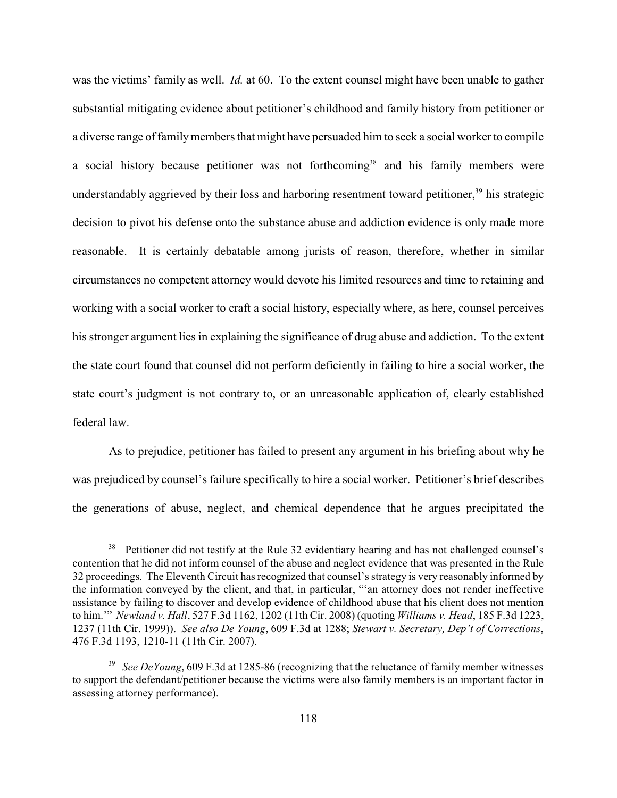was the victims' family as well. *Id.* at 60. To the extent counsel might have been unable to gather substantial mitigating evidence about petitioner's childhood and family history from petitioner or a diverse range of family members that might have persuaded him to seek a social worker to compile a social history because petitioner was not forthcoming<sup>38</sup> and his family members were understandably aggrieved by their loss and harboring resentment toward petitioner,<sup>39</sup> his strategic decision to pivot his defense onto the substance abuse and addiction evidence is only made more reasonable. It is certainly debatable among jurists of reason, therefore, whether in similar circumstances no competent attorney would devote his limited resources and time to retaining and working with a social worker to craft a social history, especially where, as here, counsel perceives his stronger argument lies in explaining the significance of drug abuse and addiction. To the extent the state court found that counsel did not perform deficiently in failing to hire a social worker, the state court's judgment is not contrary to, or an unreasonable application of, clearly established federal law.

As to prejudice, petitioner has failed to present any argument in his briefing about why he was prejudiced by counsel's failure specifically to hire a social worker. Petitioner's brief describes the generations of abuse, neglect, and chemical dependence that he argues precipitated the

<sup>&</sup>lt;sup>38</sup> Petitioner did not testify at the Rule 32 evidentiary hearing and has not challenged counsel's contention that he did not inform counsel of the abuse and neglect evidence that was presented in the Rule 32 proceedings. The Eleventh Circuit hasrecognized that counsel's strategy is very reasonably informed by the information conveyed by the client, and that, in particular, "'an attorney does not render ineffective assistance by failing to discover and develop evidence of childhood abuse that his client does not mention to him.'" *Newland v. Hall*, 527 F.3d 1162, 1202 (11th Cir. 2008) (quoting *Williams v. Head*, 185 F.3d 1223, 1237 (11th Cir. 1999)). *See also De Young*, 609 F.3d at 1288; *Stewart v. Secretary, Dep't of Corrections*, 476 F.3d 1193, 1210-11 (11th Cir. 2007).

<sup>&</sup>lt;sup>39</sup> See DeYoung, 609 F.3d at 1285-86 (recognizing that the reluctance of family member witnesses to support the defendant/petitioner because the victims were also family members is an important factor in assessing attorney performance).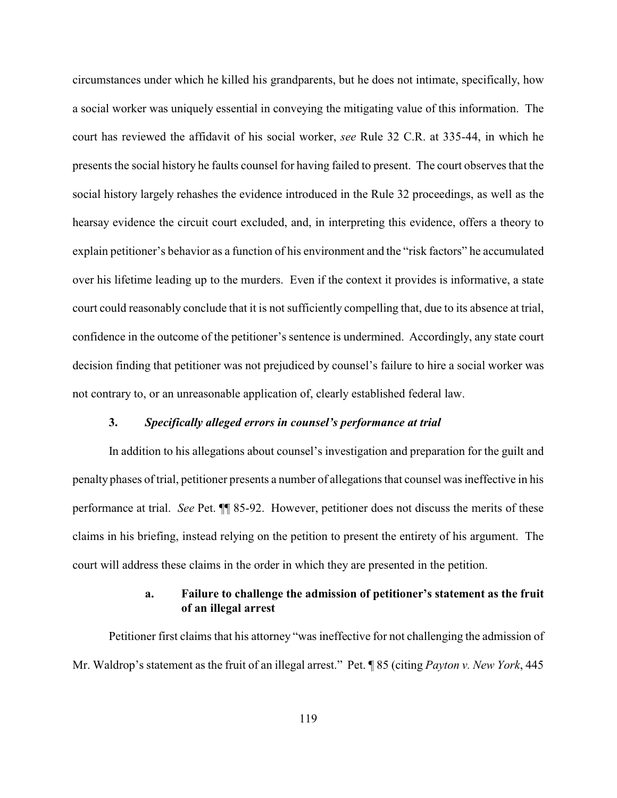circumstances under which he killed his grandparents, but he does not intimate, specifically, how a social worker was uniquely essential in conveying the mitigating value of this information. The court has reviewed the affidavit of his social worker, *see* Rule 32 C.R. at 335-44, in which he presents the social history he faults counsel for having failed to present. The court observes that the social history largely rehashes the evidence introduced in the Rule 32 proceedings, as well as the hearsay evidence the circuit court excluded, and, in interpreting this evidence, offers a theory to explain petitioner's behavior as a function of his environment and the "risk factors" he accumulated over his lifetime leading up to the murders. Even if the context it provides is informative, a state court could reasonably conclude that it is not sufficiently compelling that, due to its absence at trial, confidence in the outcome of the petitioner's sentence is undermined. Accordingly, any state court decision finding that petitioner was not prejudiced by counsel's failure to hire a social worker was not contrary to, or an unreasonable application of, clearly established federal law.

### **3.** *Specifically alleged errors in counsel's performance at trial*

In addition to his allegations about counsel's investigation and preparation for the guilt and penalty phases of trial, petitioner presents a number of allegations that counsel was ineffective in his performance at trial. *See* Pet. ¶¶ 85-92. However, petitioner does not discuss the merits of these claims in his briefing, instead relying on the petition to present the entirety of his argument. The court will address these claims in the order in which they are presented in the petition.

## **a. Failure to challenge the admission of petitioner's statement as the fruit of an illegal arrest**

Petitioner first claims that his attorney "was ineffective for not challenging the admission of Mr. Waldrop's statement as the fruit of an illegal arrest." Pet. ¶ 85 (citing *Payton v. New York*, 445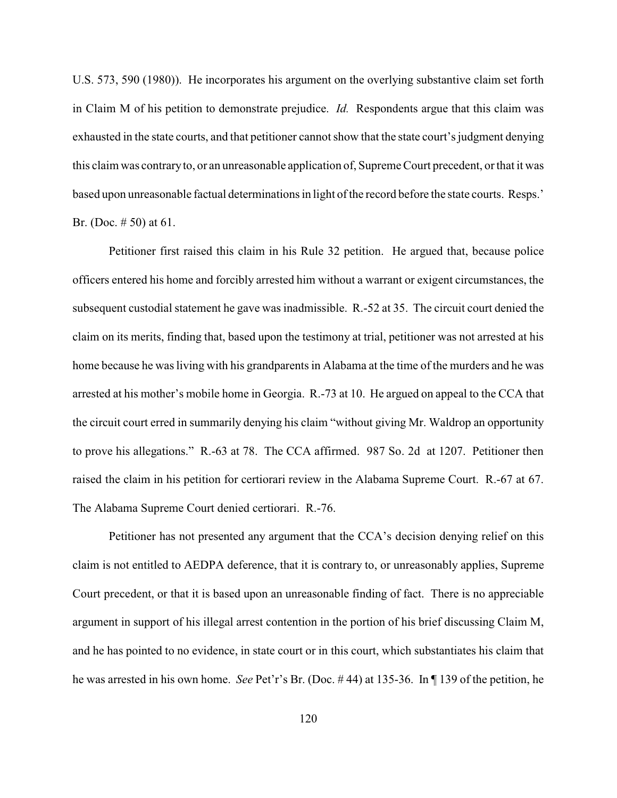U.S. 573, 590 (1980)). He incorporates his argument on the overlying substantive claim set forth in Claim M of his petition to demonstrate prejudice. *Id.* Respondents argue that this claim was exhausted in the state courts, and that petitioner cannot show that the state court's judgment denying this claim was contraryto, or an unreasonable application of, Supreme Court precedent, or that it was based upon unreasonable factual determinations in light of the record before the state courts. Resps.' Br. (Doc. # 50) at 61.

Petitioner first raised this claim in his Rule 32 petition. He argued that, because police officers entered his home and forcibly arrested him without a warrant or exigent circumstances, the subsequent custodial statement he gave was inadmissible. R.-52 at 35. The circuit court denied the claim on its merits, finding that, based upon the testimony at trial, petitioner was not arrested at his home because he was living with his grandparents in Alabama at the time of the murders and he was arrested at his mother's mobile home in Georgia. R.-73 at 10. He argued on appeal to the CCA that the circuit court erred in summarily denying his claim "without giving Mr. Waldrop an opportunity to prove his allegations." R.-63 at 78. The CCA affirmed. 987 So. 2d at 1207. Petitioner then raised the claim in his petition for certiorari review in the Alabama Supreme Court. R.-67 at 67. The Alabama Supreme Court denied certiorari. R.-76.

Petitioner has not presented any argument that the CCA's decision denying relief on this claim is not entitled to AEDPA deference, that it is contrary to, or unreasonably applies, Supreme Court precedent, or that it is based upon an unreasonable finding of fact. There is no appreciable argument in support of his illegal arrest contention in the portion of his brief discussing Claim M, and he has pointed to no evidence, in state court or in this court, which substantiates his claim that he was arrested in his own home. *See* Pet'r's Br. (Doc. # 44) at 135-36. In ¶ 139 of the petition, he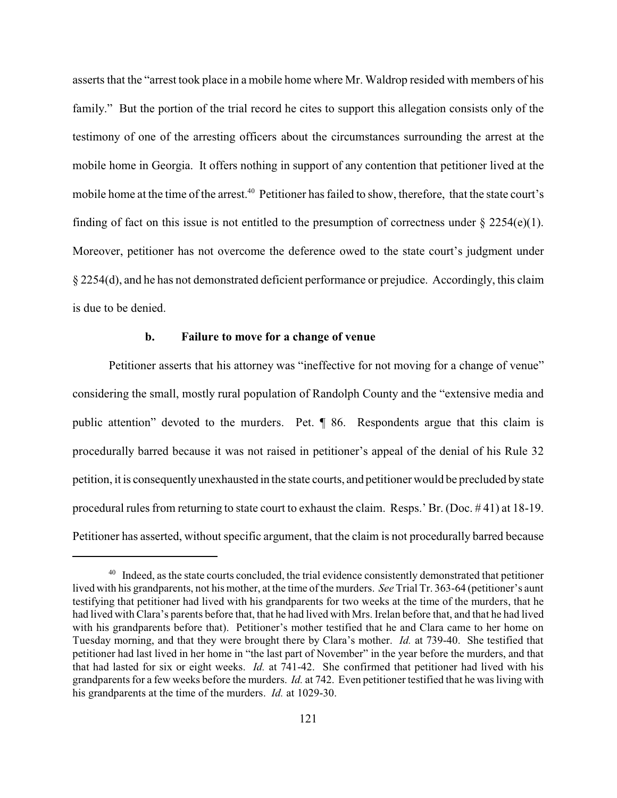asserts that the "arrest took place in a mobile home where Mr. Waldrop resided with members of his family." But the portion of the trial record he cites to support this allegation consists only of the testimony of one of the arresting officers about the circumstances surrounding the arrest at the mobile home in Georgia. It offers nothing in support of any contention that petitioner lived at the mobile home at the time of the arrest.<sup>40</sup> Petitioner has failed to show, therefore, that the state court's finding of fact on this issue is not entitled to the presumption of correctness under  $\S$  2254(e)(1). Moreover, petitioner has not overcome the deference owed to the state court's judgment under § 2254(d), and he has not demonstrated deficient performance or prejudice. Accordingly, this claim is due to be denied.

### **b. Failure to move for a change of venue**

Petitioner asserts that his attorney was "ineffective for not moving for a change of venue" considering the small, mostly rural population of Randolph County and the "extensive media and public attention" devoted to the murders. Pet. ¶ 86. Respondents argue that this claim is procedurally barred because it was not raised in petitioner's appeal of the denial of his Rule 32 petition, it is consequentlyunexhausted in the state courts, and petitioner would be precluded bystate procedural rules from returning to state court to exhaust the claim. Resps.' Br. (Doc. # 41) at 18-19. Petitioner has asserted, without specific argument, that the claim is not procedurally barred because

 $40$  Indeed, as the state courts concluded, the trial evidence consistently demonstrated that petitioner lived with his grandparents, not his mother, at the time of the murders. *See* Trial Tr. 363-64 (petitioner's aunt testifying that petitioner had lived with his grandparents for two weeks at the time of the murders, that he had lived with Clara's parents before that, that he had lived with Mrs. Irelan before that, and that he had lived with his grandparents before that). Petitioner's mother testified that he and Clara came to her home on Tuesday morning, and that they were brought there by Clara's mother. *Id.* at 739-40. She testified that petitioner had last lived in her home in "the last part of November" in the year before the murders, and that that had lasted for six or eight weeks. *Id.* at 741-42. She confirmed that petitioner had lived with his grandparents for a few weeks before the murders. *Id.* at 742. Even petitioner testified that he was living with his grandparents at the time of the murders. *Id.* at 1029-30.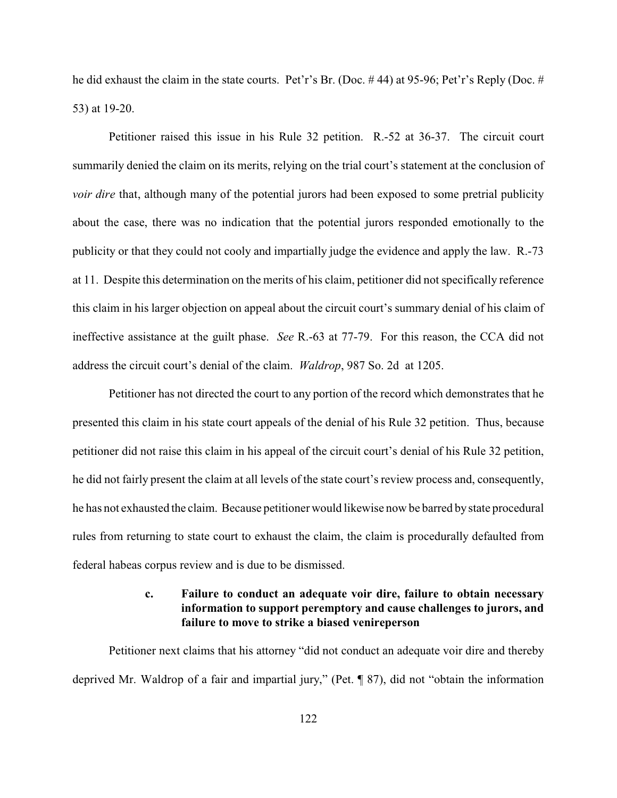he did exhaust the claim in the state courts. Pet'r's Br. (Doc. # 44) at 95-96; Pet'r's Reply (Doc. # 53) at 19-20.

Petitioner raised this issue in his Rule 32 petition. R.-52 at 36-37. The circuit court summarily denied the claim on its merits, relying on the trial court's statement at the conclusion of *voir dire* that, although many of the potential jurors had been exposed to some pretrial publicity about the case, there was no indication that the potential jurors responded emotionally to the publicity or that they could not cooly and impartially judge the evidence and apply the law. R.-73 at 11. Despite this determination on the merits of his claim, petitioner did not specifically reference this claim in his larger objection on appeal about the circuit court's summary denial of his claim of ineffective assistance at the guilt phase. *See* R.-63 at 77-79. For this reason, the CCA did not address the circuit court's denial of the claim. *Waldrop*, 987 So. 2d at 1205.

Petitioner has not directed the court to any portion of the record which demonstrates that he presented this claim in his state court appeals of the denial of his Rule 32 petition. Thus, because petitioner did not raise this claim in his appeal of the circuit court's denial of his Rule 32 petition, he did not fairly present the claim at all levels of the state court's review process and, consequently, he has not exhausted the claim. Because petitioner would likewise now be barred by state procedural rules from returning to state court to exhaust the claim, the claim is procedurally defaulted from federal habeas corpus review and is due to be dismissed.

# **c. Failure to conduct an adequate voir dire, failure to obtain necessary information to support peremptory and cause challenges to jurors, and failure to move to strike a biased venireperson**

Petitioner next claims that his attorney "did not conduct an adequate voir dire and thereby deprived Mr. Waldrop of a fair and impartial jury," (Pet. ¶ 87), did not "obtain the information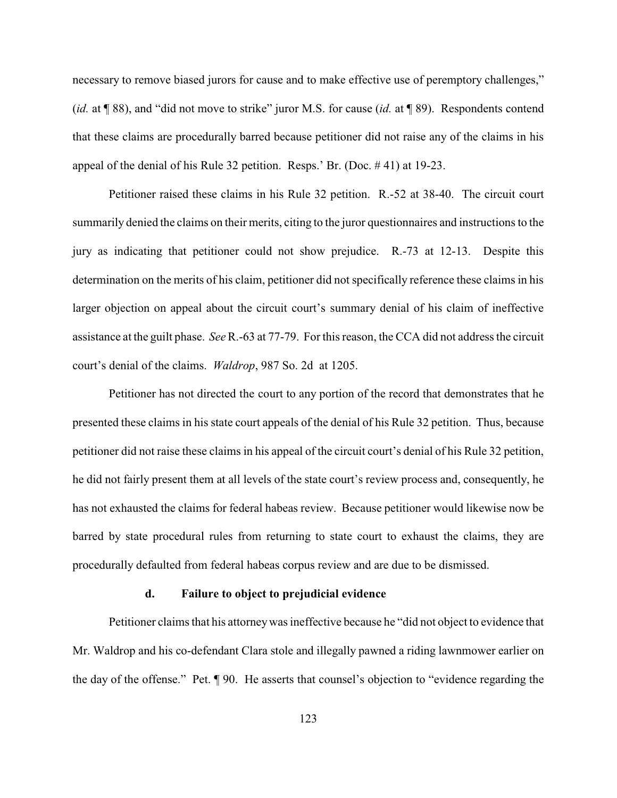necessary to remove biased jurors for cause and to make effective use of peremptory challenges," (*id.* at ¶ 88), and "did not move to strike" juror M.S. for cause (*id.* at ¶ 89). Respondents contend that these claims are procedurally barred because petitioner did not raise any of the claims in his appeal of the denial of his Rule 32 petition. Resps.' Br. (Doc. # 41) at 19-23.

Petitioner raised these claims in his Rule 32 petition. R.-52 at 38-40. The circuit court summarily denied the claims on their merits, citing to the juror questionnaires and instructions to the jury as indicating that petitioner could not show prejudice. R.-73 at 12-13. Despite this determination on the merits of his claim, petitioner did not specifically reference these claims in his larger objection on appeal about the circuit court's summary denial of his claim of ineffective assistance at the guilt phase. *See*R.-63 at 77-79. For this reason, the CCA did not address the circuit court's denial of the claims. *Waldrop*, 987 So. 2d at 1205.

Petitioner has not directed the court to any portion of the record that demonstrates that he presented these claims in his state court appeals of the denial of his Rule 32 petition. Thus, because petitioner did not raise these claims in his appeal of the circuit court's denial of his Rule 32 petition, he did not fairly present them at all levels of the state court's review process and, consequently, he has not exhausted the claims for federal habeas review. Because petitioner would likewise now be barred by state procedural rules from returning to state court to exhaust the claims, they are procedurally defaulted from federal habeas corpus review and are due to be dismissed.

#### **d. Failure to object to prejudicial evidence**

Petitioner claims that his attorneywas ineffective because he "did not object to evidence that Mr. Waldrop and his co-defendant Clara stole and illegally pawned a riding lawnmower earlier on the day of the offense." Pet. ¶ 90. He asserts that counsel's objection to "evidence regarding the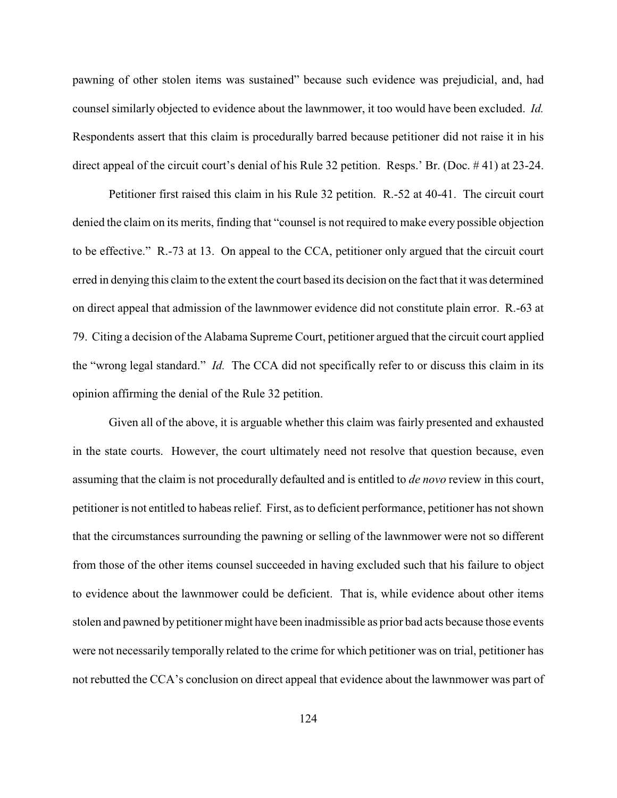pawning of other stolen items was sustained" because such evidence was prejudicial, and, had counsel similarly objected to evidence about the lawnmower, it too would have been excluded. *Id.* Respondents assert that this claim is procedurally barred because petitioner did not raise it in his direct appeal of the circuit court's denial of his Rule 32 petition. Resps.' Br. (Doc. # 41) at 23-24.

Petitioner first raised this claim in his Rule 32 petition. R.-52 at 40-41. The circuit court denied the claim on its merits, finding that "counsel is not required to make every possible objection to be effective." R.-73 at 13. On appeal to the CCA, petitioner only argued that the circuit court erred in denying this claim to the extent the court based its decision on the fact that it was determined on direct appeal that admission of the lawnmower evidence did not constitute plain error. R.-63 at 79. Citing a decision of the Alabama Supreme Court, petitioner argued that the circuit court applied the "wrong legal standard." *Id.* The CCA did not specifically refer to or discuss this claim in its opinion affirming the denial of the Rule 32 petition.

Given all of the above, it is arguable whether this claim was fairly presented and exhausted in the state courts. However, the court ultimately need not resolve that question because, even assuming that the claim is not procedurally defaulted and is entitled to *de novo* review in this court, petitioner is not entitled to habeas relief. First, as to deficient performance, petitioner has not shown that the circumstances surrounding the pawning or selling of the lawnmower were not so different from those of the other items counsel succeeded in having excluded such that his failure to object to evidence about the lawnmower could be deficient. That is, while evidence about other items stolen and pawned by petitioner might have been inadmissible as prior bad acts because those events were not necessarily temporally related to the crime for which petitioner was on trial, petitioner has not rebutted the CCA's conclusion on direct appeal that evidence about the lawnmower was part of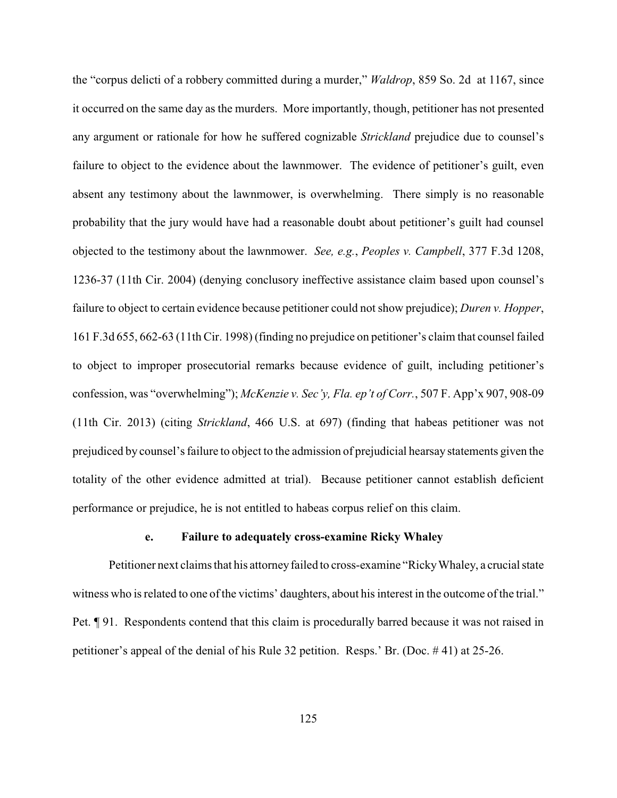the "corpus delicti of a robbery committed during a murder," *Waldrop*, 859 So. 2d at 1167, since it occurred on the same day as the murders. More importantly, though, petitioner has not presented any argument or rationale for how he suffered cognizable *Strickland* prejudice due to counsel's failure to object to the evidence about the lawnmower. The evidence of petitioner's guilt, even absent any testimony about the lawnmower, is overwhelming. There simply is no reasonable probability that the jury would have had a reasonable doubt about petitioner's guilt had counsel objected to the testimony about the lawnmower. *See, e.g.*, *Peoples v. Campbell*, 377 F.3d 1208, 1236-37 (11th Cir. 2004) (denying conclusory ineffective assistance claim based upon counsel's failure to object to certain evidence because petitioner could not show prejudice); *Duren v. Hopper*, 161 F.3d 655, 662-63 (11th Cir. 1998) (finding no prejudice on petitioner's claim that counsel failed to object to improper prosecutorial remarks because evidence of guilt, including petitioner's confession, was "overwhelming"); *McKenzie v. Sec'y, Fla. ep't of Corr.*, 507 F. App'x 907, 908-09 (11th Cir. 2013) (citing *Strickland*, 466 U.S. at 697) (finding that habeas petitioner was not prejudiced by counsel's failure to object to the admission of prejudicial hearsay statements given the totality of the other evidence admitted at trial). Because petitioner cannot establish deficient performance or prejudice, he is not entitled to habeas corpus relief on this claim.

## **e. Failure to adequately cross-examine Ricky Whaley**

Petitioner next claims that his attorney failed to cross-examine "Ricky Whaley, a crucial state witness who is related to one of the victims' daughters, about his interest in the outcome of the trial." Pet. ¶ 91. Respondents contend that this claim is procedurally barred because it was not raised in petitioner's appeal of the denial of his Rule 32 petition. Resps.' Br. (Doc. # 41) at 25-26.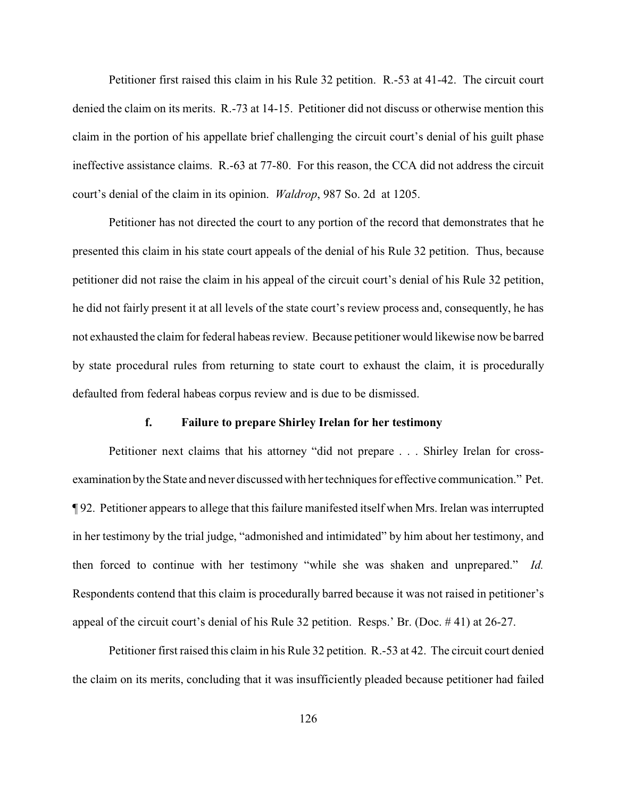Petitioner first raised this claim in his Rule 32 petition. R.-53 at 41-42. The circuit court denied the claim on its merits. R.-73 at 14-15. Petitioner did not discuss or otherwise mention this claim in the portion of his appellate brief challenging the circuit court's denial of his guilt phase ineffective assistance claims. R.-63 at 77-80. For this reason, the CCA did not address the circuit court's denial of the claim in its opinion. *Waldrop*, 987 So. 2d at 1205.

Petitioner has not directed the court to any portion of the record that demonstrates that he presented this claim in his state court appeals of the denial of his Rule 32 petition. Thus, because petitioner did not raise the claim in his appeal of the circuit court's denial of his Rule 32 petition, he did not fairly present it at all levels of the state court's review process and, consequently, he has not exhausted the claim for federal habeas review. Because petitioner would likewise now be barred by state procedural rules from returning to state court to exhaust the claim, it is procedurally defaulted from federal habeas corpus review and is due to be dismissed.

### **f. Failure to prepare Shirley Irelan for her testimony**

Petitioner next claims that his attorney "did not prepare . . . Shirley Irelan for crossexamination bythe State and never discussed with her techniques for effective communication." Pet. ¶ 92. Petitioner appears to allege that this failure manifested itself when Mrs. Irelan was interrupted in her testimony by the trial judge, "admonished and intimidated" by him about her testimony, and then forced to continue with her testimony "while she was shaken and unprepared." *Id.* Respondents contend that this claim is procedurally barred because it was not raised in petitioner's appeal of the circuit court's denial of his Rule 32 petition. Resps.' Br. (Doc. # 41) at 26-27.

Petitioner first raised this claim in his Rule 32 petition. R.-53 at 42. The circuit court denied the claim on its merits, concluding that it was insufficiently pleaded because petitioner had failed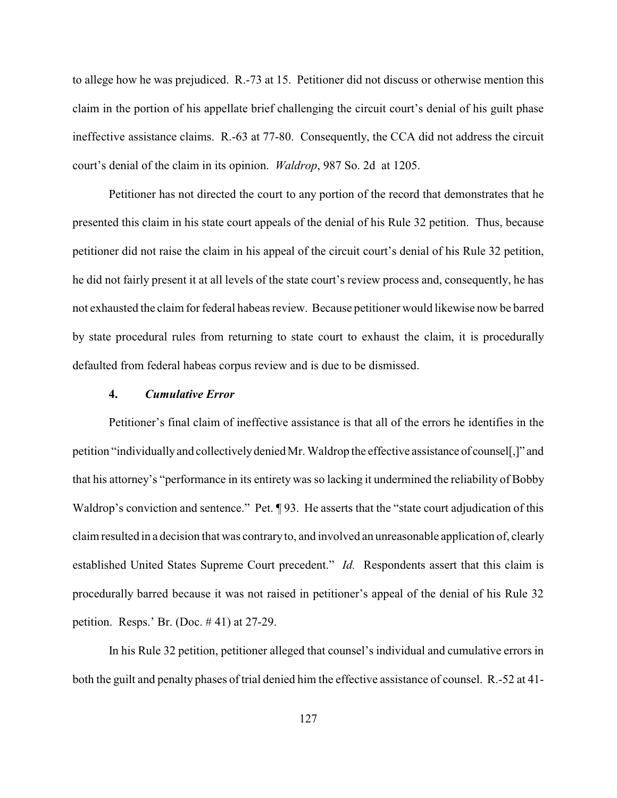to allege how he was prejudiced. R.-73 at 15. Petitioner did not discuss or otherwise mention this claim in the portion of his appellate brief challenging the circuit court's denial of his guilt phase ineffective assistance claims. R.-63 at 77-80. Consequently, the CCA did not address the circuit court's denial of the claim in its opinion. *Waldrop*, 987 So. 2d at 1205.

Petitioner has not directed the court to any portion of the record that demonstrates that he presented this claim in his state court appeals of the denial of his Rule 32 petition. Thus, because petitioner did not raise the claim in his appeal of the circuit court's denial of his Rule 32 petition, he did not fairly present it at all levels of the state court's review process and, consequently, he has not exhausted the claim for federal habeas review. Because petitioner would likewise now be barred by state procedural rules from returning to state court to exhaust the claim, it is procedurally defaulted from federal habeas corpus review and is due to be dismissed.

### **4.** *Cumulative Error*

Petitioner's final claim of ineffective assistance is that all of the errors he identifies in the petition "individuallyand collectivelydenied Mr. Waldrop the effective assistance of counsel[,]" and that his attorney's "performance in its entirety was so lacking it undermined the reliability of Bobby Waldrop's conviction and sentence." Pet. ¶ 93. He asserts that the "state court adjudication of this claim resulted in a decision that was contraryto, and involved an unreasonable application of, clearly established United States Supreme Court precedent." *Id.* Respondents assert that this claim is procedurally barred because it was not raised in petitioner's appeal of the denial of his Rule 32 petition. Resps.' Br. (Doc. # 41) at 27-29.

In his Rule 32 petition, petitioner alleged that counsel's individual and cumulative errors in both the guilt and penalty phases of trial denied him the effective assistance of counsel. R.-52 at 41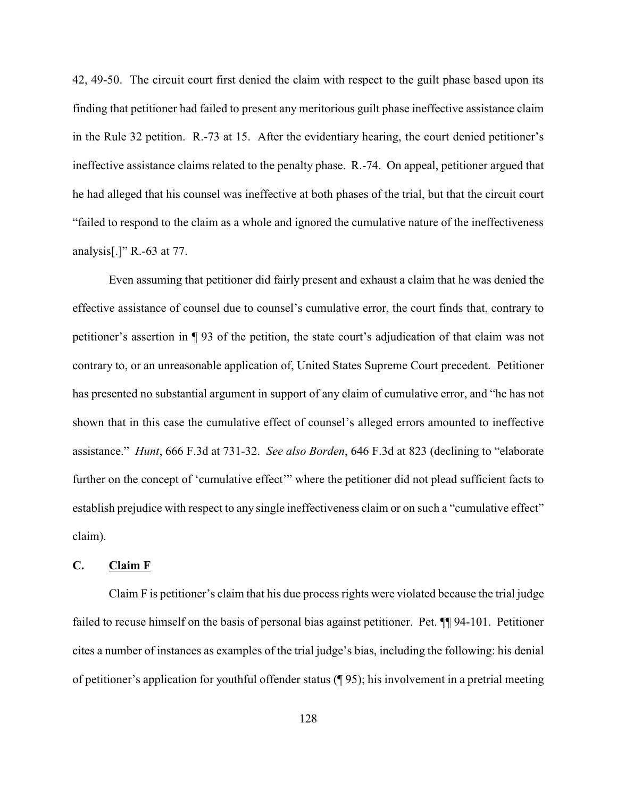42, 49-50. The circuit court first denied the claim with respect to the guilt phase based upon its finding that petitioner had failed to present any meritorious guilt phase ineffective assistance claim in the Rule 32 petition. R.-73 at 15. After the evidentiary hearing, the court denied petitioner's ineffective assistance claims related to the penalty phase. R.-74. On appeal, petitioner argued that he had alleged that his counsel was ineffective at both phases of the trial, but that the circuit court "failed to respond to the claim as a whole and ignored the cumulative nature of the ineffectiveness analysis[.]" R.-63 at 77.

Even assuming that petitioner did fairly present and exhaust a claim that he was denied the effective assistance of counsel due to counsel's cumulative error, the court finds that, contrary to petitioner's assertion in ¶ 93 of the petition, the state court's adjudication of that claim was not contrary to, or an unreasonable application of, United States Supreme Court precedent. Petitioner has presented no substantial argument in support of any claim of cumulative error, and "he has not shown that in this case the cumulative effect of counsel's alleged errors amounted to ineffective assistance." *Hunt*, 666 F.3d at 731-32. *See also Borden*, 646 F.3d at 823 (declining to "elaborate further on the concept of 'cumulative effect'" where the petitioner did not plead sufficient facts to establish prejudice with respect to any single ineffectiveness claim or on such a "cumulative effect" claim).

## **C. Claim F**

Claim F is petitioner's claim that his due process rights were violated because the trial judge failed to recuse himself on the basis of personal bias against petitioner. Pet.  $\P$  94-101. Petitioner cites a number of instances as examples of the trial judge's bias, including the following: his denial of petitioner's application for youthful offender status (¶ 95); his involvement in a pretrial meeting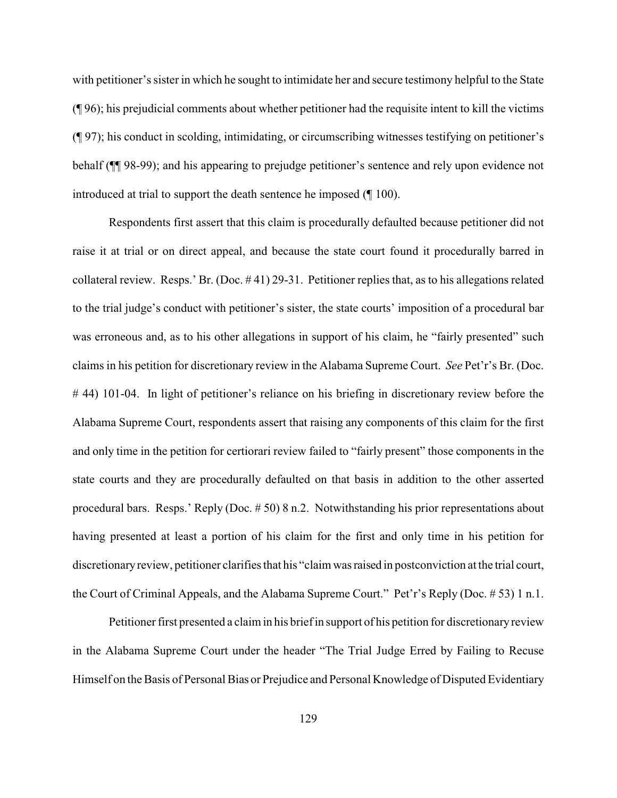with petitioner's sister in which he sought to intimidate her and secure testimony helpful to the State (¶ 96); his prejudicial comments about whether petitioner had the requisite intent to kill the victims (¶ 97); his conduct in scolding, intimidating, or circumscribing witnesses testifying on petitioner's behalf (¶¶ 98-99); and his appearing to prejudge petitioner's sentence and rely upon evidence not introduced at trial to support the death sentence he imposed (¶ 100).

Respondents first assert that this claim is procedurally defaulted because petitioner did not raise it at trial or on direct appeal, and because the state court found it procedurally barred in collateral review. Resps.' Br. (Doc. # 41) 29-31. Petitioner replies that, as to his allegations related to the trial judge's conduct with petitioner's sister, the state courts' imposition of a procedural bar was erroneous and, as to his other allegations in support of his claim, he "fairly presented" such claims in his petition for discretionary review in the Alabama Supreme Court. *See* Pet'r's Br. (Doc. # 44) 101-04. In light of petitioner's reliance on his briefing in discretionary review before the Alabama Supreme Court, respondents assert that raising any components of this claim for the first and only time in the petition for certiorari review failed to "fairly present" those components in the state courts and they are procedurally defaulted on that basis in addition to the other asserted procedural bars. Resps.' Reply (Doc. # 50) 8 n.2. Notwithstanding his prior representations about having presented at least a portion of his claim for the first and only time in his petition for discretionaryreview, petitioner clarifies that his "claim was raised in postconviction at the trial court, the Court of Criminal Appeals, and the Alabama Supreme Court." Pet'r's Reply (Doc. # 53) 1 n.1.

Petitioner first presented a claim in his brief in support of his petition for discretionary review in the Alabama Supreme Court under the header "The Trial Judge Erred by Failing to Recuse Himself on the Basis of Personal Bias or Prejudice and Personal Knowledge of Disputed Evidentiary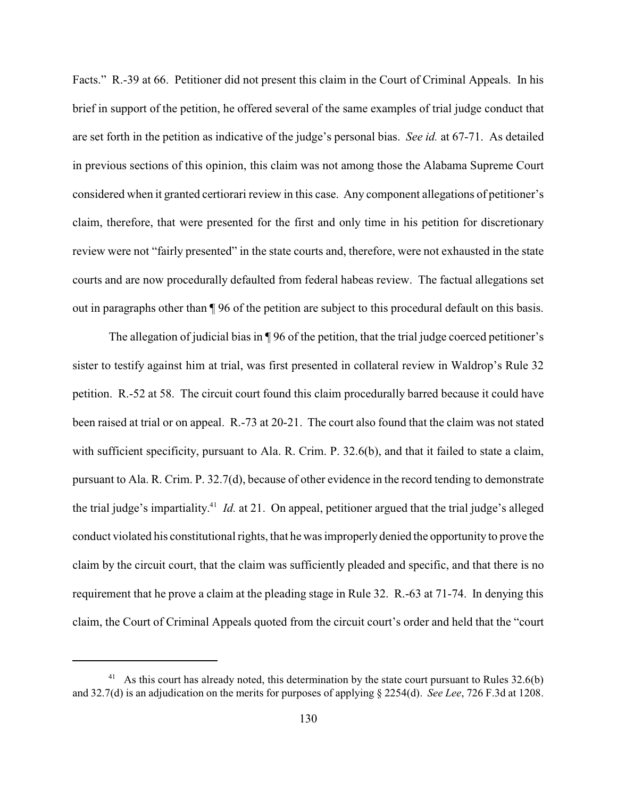Facts." R.-39 at 66. Petitioner did not present this claim in the Court of Criminal Appeals. In his brief in support of the petition, he offered several of the same examples of trial judge conduct that are set forth in the petition as indicative of the judge's personal bias. *See id.* at 67-71. As detailed in previous sections of this opinion, this claim was not among those the Alabama Supreme Court considered when it granted certiorari review in this case. Any component allegations of petitioner's claim, therefore, that were presented for the first and only time in his petition for discretionary review were not "fairly presented" in the state courts and, therefore, were not exhausted in the state courts and are now procedurally defaulted from federal habeas review. The factual allegations set out in paragraphs other than ¶ 96 of the petition are subject to this procedural default on this basis.

The allegation of judicial bias in ¶ 96 of the petition, that the trial judge coerced petitioner's sister to testify against him at trial, was first presented in collateral review in Waldrop's Rule 32 petition. R.-52 at 58. The circuit court found this claim procedurally barred because it could have been raised at trial or on appeal. R.-73 at 20-21. The court also found that the claim was not stated with sufficient specificity, pursuant to Ala. R. Crim. P. 32.6(b), and that it failed to state a claim, pursuant to Ala. R. Crim. P. 32.7(d), because of other evidence in the record tending to demonstrate the trial judge's impartiality.<sup> $41$ </sup> *Id.* at 21. On appeal, petitioner argued that the trial judge's alleged conduct violated his constitutional rights, that he was improperly denied the opportunity to prove the claim by the circuit court, that the claim was sufficiently pleaded and specific, and that there is no requirement that he prove a claim at the pleading stage in Rule 32. R.-63 at 71-74. In denying this claim, the Court of Criminal Appeals quoted from the circuit court's order and held that the "court

<sup>&</sup>lt;sup>41</sup> As this court has already noted, this determination by the state court pursuant to Rules 32.6(b) and 32.7(d) is an adjudication on the merits for purposes of applying § 2254(d). *See Lee*, 726 F.3d at 1208.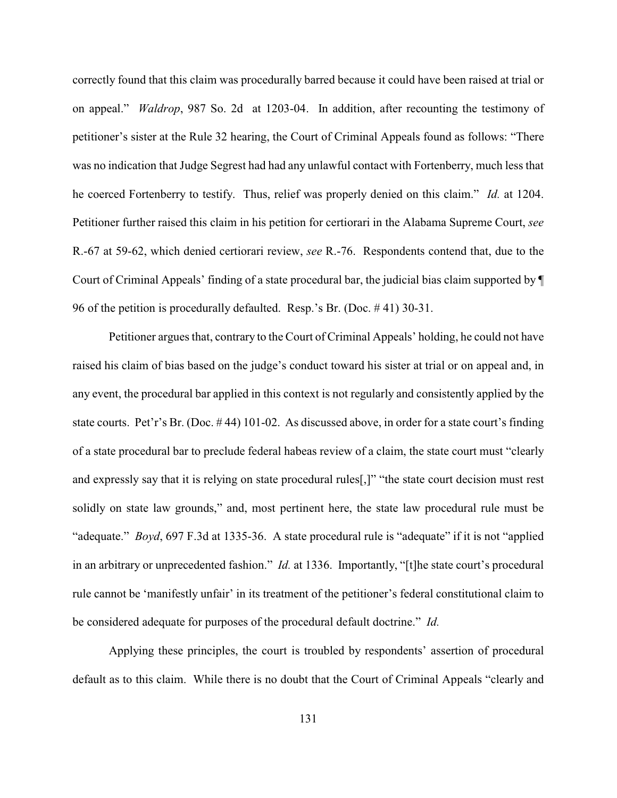correctly found that this claim was procedurally barred because it could have been raised at trial or on appeal." *Waldrop*, 987 So. 2d at 1203-04. In addition, after recounting the testimony of petitioner's sister at the Rule 32 hearing, the Court of Criminal Appeals found as follows: "There was no indication that Judge Segrest had had any unlawful contact with Fortenberry, much less that he coerced Fortenberry to testify. Thus, relief was properly denied on this claim." *Id.* at 1204. Petitioner further raised this claim in his petition for certiorari in the Alabama Supreme Court, *see* R.-67 at 59-62, which denied certiorari review, *see* R.-76. Respondents contend that, due to the Court of Criminal Appeals' finding of a state procedural bar, the judicial bias claim supported by ¶ 96 of the petition is procedurally defaulted. Resp.'s Br. (Doc. # 41) 30-31.

Petitioner argues that, contrary to the Court of Criminal Appeals' holding, he could not have raised his claim of bias based on the judge's conduct toward his sister at trial or on appeal and, in any event, the procedural bar applied in this context is not regularly and consistently applied by the state courts. Pet'r's Br. (Doc. # 44) 101-02. As discussed above, in order for a state court's finding of a state procedural bar to preclude federal habeas review of a claim, the state court must "clearly and expressly say that it is relying on state procedural rules[,]" "the state court decision must rest solidly on state law grounds," and, most pertinent here, the state law procedural rule must be "adequate." *Boyd*, 697 F.3d at 1335-36. A state procedural rule is "adequate" if it is not "applied in an arbitrary or unprecedented fashion." *Id.* at 1336. Importantly, "[t]he state court's procedural rule cannot be 'manifestly unfair' in its treatment of the petitioner's federal constitutional claim to be considered adequate for purposes of the procedural default doctrine." *Id.*

Applying these principles, the court is troubled by respondents' assertion of procedural default as to this claim. While there is no doubt that the Court of Criminal Appeals "clearly and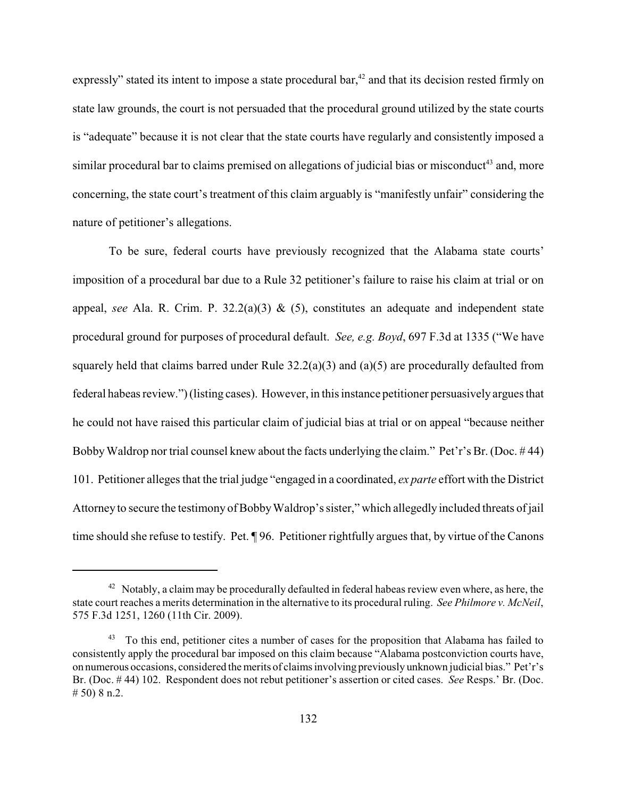expressly" stated its intent to impose a state procedural bar, $42$  and that its decision rested firmly on state law grounds, the court is not persuaded that the procedural ground utilized by the state courts is "adequate" because it is not clear that the state courts have regularly and consistently imposed a similar procedural bar to claims premised on allegations of judicial bias or misconduct<sup>43</sup> and, more concerning, the state court's treatment of this claim arguably is "manifestly unfair" considering the nature of petitioner's allegations.

To be sure, federal courts have previously recognized that the Alabama state courts' imposition of a procedural bar due to a Rule 32 petitioner's failure to raise his claim at trial or on appeal, *see* Ala. R. Crim. P. 32.2(a)(3) & (5), constitutes an adequate and independent state procedural ground for purposes of procedural default. *See, e.g. Boyd*, 697 F.3d at 1335 ("We have squarely held that claims barred under Rule 32.2(a)(3) and (a)(5) are procedurally defaulted from federal habeas review.")(listing cases). However, in this instance petitioner persuasively argues that he could not have raised this particular claim of judicial bias at trial or on appeal "because neither Bobby Waldrop nor trial counsel knew about the facts underlying the claim." Pet'r's Br. (Doc. #44) 101. Petitioner alleges that the trial judge "engaged in a coordinated, *ex parte* effort with the District Attorney to secure the testimony of BobbyWaldrop's sister," which allegedly included threats of jail time should she refuse to testify. Pet. ¶ 96. Petitioner rightfully argues that, by virtue of the Canons

 $42$  Notably, a claim may be procedurally defaulted in federal habeas review even where, as here, the state court reaches a merits determination in the alternative to its procedural ruling. *See Philmore v. McNeil*, 575 F.3d 1251, 1260 (11th Cir. 2009).

 $43$  To this end, petitioner cites a number of cases for the proposition that Alabama has failed to consistently apply the procedural bar imposed on this claim because "Alabama postconviction courts have, on numerous occasions, considered themerits of claims involving previously unknown judicial bias." Pet'r's Br. (Doc. # 44) 102. Respondent does not rebut petitioner's assertion or cited cases. *See* Resps.' Br. (Doc. # 50) 8 n.2.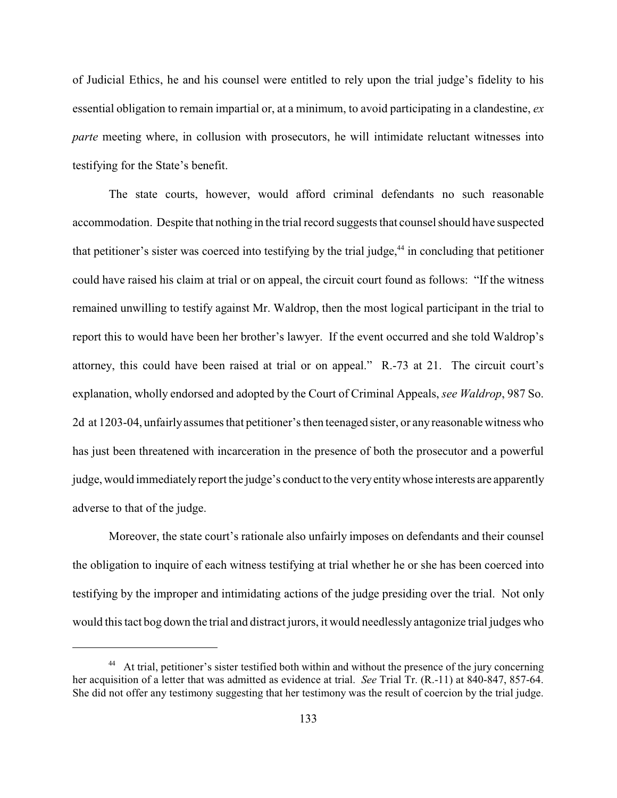of Judicial Ethics, he and his counsel were entitled to rely upon the trial judge's fidelity to his essential obligation to remain impartial or, at a minimum, to avoid participating in a clandestine, *ex parte* meeting where, in collusion with prosecutors, he will intimidate reluctant witnesses into testifying for the State's benefit.

The state courts, however, would afford criminal defendants no such reasonable accommodation. Despite that nothing in the trial record suggests that counsel should have suspected that petitioner's sister was coerced into testifying by the trial judge, $44$  in concluding that petitioner could have raised his claim at trial or on appeal, the circuit court found as follows: "If the witness remained unwilling to testify against Mr. Waldrop, then the most logical participant in the trial to report this to would have been her brother's lawyer. If the event occurred and she told Waldrop's attorney, this could have been raised at trial or on appeal." R.-73 at 21. The circuit court's explanation, wholly endorsed and adopted by the Court of Criminal Appeals, *see Waldrop*, 987 So. 2d at 1203-04, unfairlyassumes that petitioner's then teenaged sister, or anyreasonable witness who has just been threatened with incarceration in the presence of both the prosecutor and a powerful judge, would immediately report the judge's conduct to the very entity whose interests are apparently adverse to that of the judge.

Moreover, the state court's rationale also unfairly imposes on defendants and their counsel the obligation to inquire of each witness testifying at trial whether he or she has been coerced into testifying by the improper and intimidating actions of the judge presiding over the trial. Not only would this tact bog down the trial and distract jurors, it would needlessly antagonize trial judges who

<sup>&</sup>lt;sup>44</sup> At trial, petitioner's sister testified both within and without the presence of the jury concerning her acquisition of a letter that was admitted as evidence at trial. *See* Trial Tr. (R.-11) at 840-847, 857-64. She did not offer any testimony suggesting that her testimony was the result of coercion by the trial judge.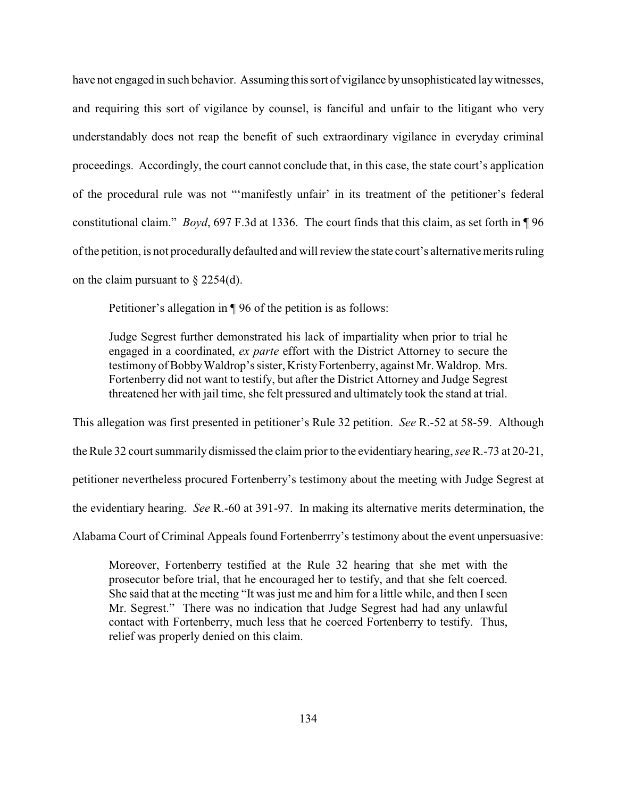have not engaged in such behavior. Assuming this sort of vigilance byunsophisticated laywitnesses, and requiring this sort of vigilance by counsel, is fanciful and unfair to the litigant who very understandably does not reap the benefit of such extraordinary vigilance in everyday criminal proceedings. Accordingly, the court cannot conclude that, in this case, the state court's application of the procedural rule was not "'manifestly unfair' in its treatment of the petitioner's federal constitutional claim." *Boyd*, 697 F.3d at 1336. The court finds that this claim, as set forth in ¶ 96 of the petition, is not procedurallydefaulted and will review the state court's alternative merits ruling on the claim pursuant to § 2254(d).

Petitioner's allegation in ¶ 96 of the petition is as follows:

Judge Segrest further demonstrated his lack of impartiality when prior to trial he engaged in a coordinated, *ex parte* effort with the District Attorney to secure the testimony of Bobby Waldrop's sister, Kristy Fortenberry, against Mr. Waldrop. Mrs. Fortenberry did not want to testify, but after the District Attorney and Judge Segrest threatened her with jail time, she felt pressured and ultimately took the stand at trial.

This allegation was first presented in petitioner's Rule 32 petition. *See* R.-52 at 58-59. Although the Rule 32 court summarily dismissed the claim prior to the evidentiary hearing, *see*R.-73 at 20-21, petitioner nevertheless procured Fortenberry's testimony about the meeting with Judge Segrest at the evidentiary hearing. *See* R.-60 at 391-97. In making its alternative merits determination, the Alabama Court of Criminal Appeals found Fortenberrry's testimony about the event unpersuasive:

Moreover, Fortenberry testified at the Rule 32 hearing that she met with the prosecutor before trial, that he encouraged her to testify, and that she felt coerced. She said that at the meeting "It was just me and him for a little while, and then Iseen Mr. Segrest." There was no indication that Judge Segrest had had any unlawful contact with Fortenberry, much less that he coerced Fortenberry to testify. Thus, relief was properly denied on this claim.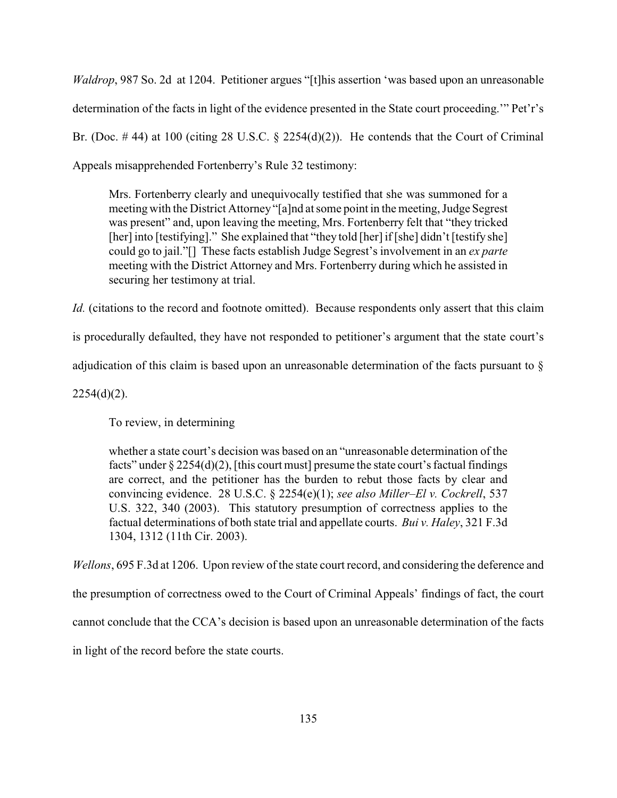*Waldrop*, 987 So. 2d at 1204. Petitioner argues "[t]his assertion 'was based upon an unreasonable determination of the facts in light of the evidence presented in the State court proceeding.'" Pet'r's Br. (Doc.  $\#$  44) at 100 (citing 28 U.S.C. § 2254(d)(2)). He contends that the Court of Criminal Appeals misapprehended Fortenberry's Rule 32 testimony:

Mrs. Fortenberry clearly and unequivocally testified that she was summoned for a meeting with the District Attorney "[a]nd at some point in the meeting, Judge Segrest was present" and, upon leaving the meeting, Mrs. Fortenberry felt that "they tricked [her] into [testifying]." She explained that "they told [her] if [she] didn't [testify she] could go to jail."[] These facts establish Judge Segrest's involvement in an *ex parte* meeting with the District Attorney and Mrs. Fortenberry during which he assisted in securing her testimony at trial.

*Id.* (citations to the record and footnote omitted). Because respondents only assert that this claim

is procedurally defaulted, they have not responded to petitioner's argument that the state court's

adjudication of this claim is based upon an unreasonable determination of the facts pursuant to §

 $2254(d)(2)$ .

To review, in determining

whether a state court's decision was based on an "unreasonable determination of the facts" under  $\S 2254(d)(2)$ , [this court must] presume the state court's factual findings are correct, and the petitioner has the burden to rebut those facts by clear and convincing evidence. 28 U.S.C. § 2254(e)(1); *see also Miller–El v. Cockrell*, 537 U.S. 322, 340 (2003). This statutory presumption of correctness applies to the factual determinations of both state trial and appellate courts. *Bui v. Haley*, 321 F.3d 1304, 1312 (11th Cir. 2003).

*Wellons*, 695 F.3d at 1206. Upon review of the state court record, and considering the deference and

the presumption of correctness owed to the Court of Criminal Appeals' findings of fact, the court

cannot conclude that the CCA's decision is based upon an unreasonable determination of the facts

in light of the record before the state courts.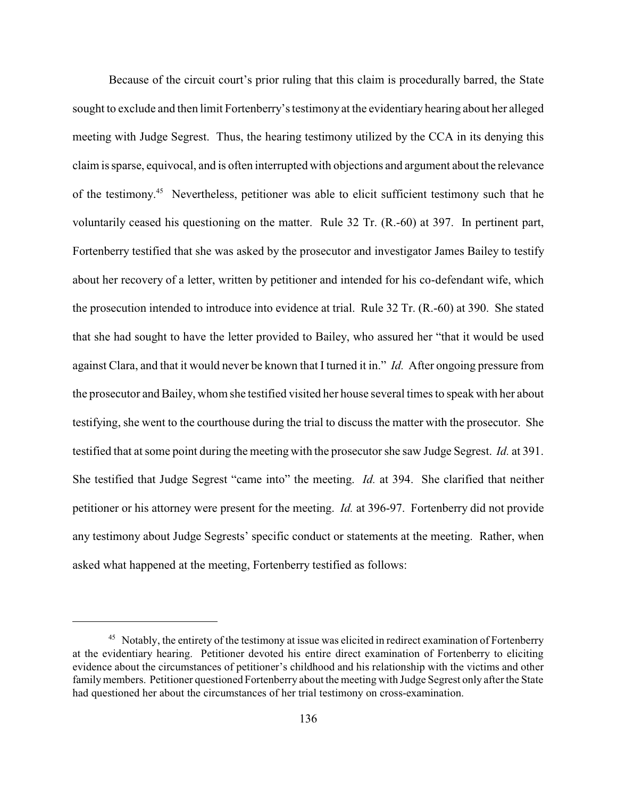Because of the circuit court's prior ruling that this claim is procedurally barred, the State sought to exclude and then limit Fortenberry's testimony at the evidentiary hearing about her alleged meeting with Judge Segrest. Thus, the hearing testimony utilized by the CCA in its denying this claim is sparse, equivocal, and is often interrupted with objections and argument about the relevance of the testimony.<sup>45</sup> Nevertheless, petitioner was able to elicit sufficient testimony such that he voluntarily ceased his questioning on the matter. Rule 32 Tr. (R.-60) at 397. In pertinent part, Fortenberry testified that she was asked by the prosecutor and investigator James Bailey to testify about her recovery of a letter, written by petitioner and intended for his co-defendant wife, which the prosecution intended to introduce into evidence at trial. Rule 32 Tr. (R.-60) at 390. She stated that she had sought to have the letter provided to Bailey, who assured her "that it would be used against Clara, and that it would never be known that I turned it in." *Id.* After ongoing pressure from the prosecutor and Bailey, whom she testified visited her house several times to speak with her about testifying, she went to the courthouse during the trial to discuss the matter with the prosecutor. She testified that at some point during the meeting with the prosecutor she saw Judge Segrest. *Id.* at 391. She testified that Judge Segrest "came into" the meeting. *Id.* at 394. She clarified that neither petitioner or his attorney were present for the meeting. *Id.* at 396-97. Fortenberry did not provide any testimony about Judge Segrests' specific conduct or statements at the meeting. Rather, when asked what happened at the meeting, Fortenberry testified as follows:

<sup>&</sup>lt;sup>45</sup> Notably, the entirety of the testimony at issue was elicited in redirect examination of Fortenberry at the evidentiary hearing. Petitioner devoted his entire direct examination of Fortenberry to eliciting evidence about the circumstances of petitioner's childhood and his relationship with the victims and other family members. Petitioner questioned Fortenberry about the meeting with Judge Segrest only after the State had questioned her about the circumstances of her trial testimony on cross-examination.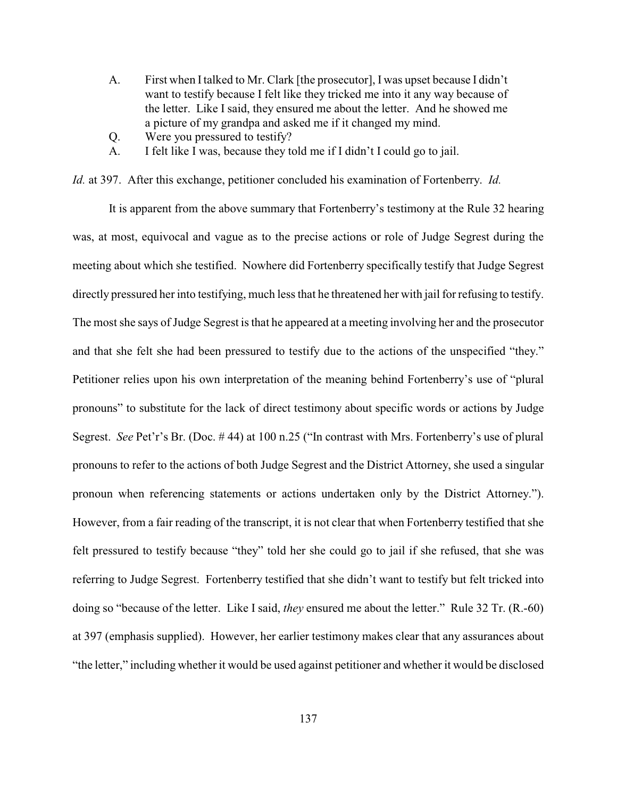- A. First when Italked to Mr. Clark [the prosecutor], I was upset because I didn't want to testify because I felt like they tricked me into it any way because of the letter. Like I said, they ensured me about the letter. And he showed me a picture of my grandpa and asked me if it changed my mind.
- Q. Were you pressured to testify?
- A. I felt like I was, because they told me if I didn't I could go to jail.

*Id.* at 397. After this exchange, petitioner concluded his examination of Fortenberry. *Id.*

It is apparent from the above summary that Fortenberry's testimony at the Rule 32 hearing was, at most, equivocal and vague as to the precise actions or role of Judge Segrest during the meeting about which she testified. Nowhere did Fortenberry specifically testify that Judge Segrest directly pressured her into testifying, much less that he threatened her with jail for refusing to testify. The most she says of Judge Segrest is that he appeared at a meeting involving her and the prosecutor and that she felt she had been pressured to testify due to the actions of the unspecified "they." Petitioner relies upon his own interpretation of the meaning behind Fortenberry's use of "plural pronouns" to substitute for the lack of direct testimony about specific words or actions by Judge Segrest. *See* Pet'r's Br. (Doc. # 44) at 100 n.25 ("In contrast with Mrs. Fortenberry's use of plural pronouns to refer to the actions of both Judge Segrest and the District Attorney, she used a singular pronoun when referencing statements or actions undertaken only by the District Attorney."). However, from a fair reading of the transcript, it is not clear that when Fortenberry testified that she felt pressured to testify because "they" told her she could go to jail if she refused, that she was referring to Judge Segrest. Fortenberry testified that she didn't want to testify but felt tricked into doing so "because of the letter. Like I said, *they* ensured me about the letter." Rule 32 Tr. (R.-60) at 397 (emphasis supplied). However, her earlier testimony makes clear that any assurances about "the letter," including whether it would be used against petitioner and whether it would be disclosed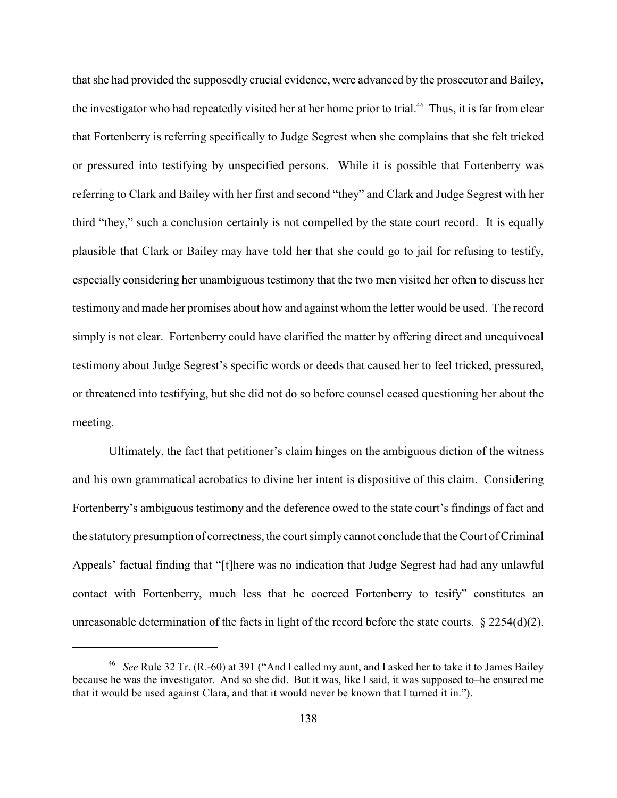that she had provided the supposedly crucial evidence, were advanced by the prosecutor and Bailey, the investigator who had repeatedly visited her at her home prior to trial.<sup>46</sup> Thus, it is far from clear that Fortenberry is referring specifically to Judge Segrest when she complains that she felt tricked or pressured into testifying by unspecified persons. While it is possible that Fortenberry was referring to Clark and Bailey with her first and second "they" and Clark and Judge Segrest with her third "they," such a conclusion certainly is not compelled by the state court record. It is equally plausible that Clark or Bailey may have told her that she could go to jail for refusing to testify, especially considering her unambiguous testimony that the two men visited her often to discuss her testimony and made her promises about how and against whom the letter would be used. The record simply is not clear. Fortenberry could have clarified the matter by offering direct and unequivocal testimony about Judge Segrest's specific words or deeds that caused her to feel tricked, pressured, or threatened into testifying, but she did not do so before counsel ceased questioning her about the meeting.

Ultimately, the fact that petitioner's claim hinges on the ambiguous diction of the witness and his own grammatical acrobatics to divine her intent is dispositive of this claim. Considering Fortenberry's ambiguous testimony and the deference owed to the state court's findings of fact and the statutory presumption of correctness, the court simply cannot conclude that the Court of Criminal Appeals' factual finding that "[t]here was no indication that Judge Segrest had had any unlawful contact with Fortenberry, much less that he coerced Fortenberry to tesify" constitutes an unreasonable determination of the facts in light of the record before the state courts.  $\S 2254(d)(2)$ .

<sup>&</sup>lt;sup>46</sup> See Rule 32 Tr. (R.-60) at 391 ("And I called my aunt, and I asked her to take it to James Bailey because he was the investigator. And so she did. But it was, like I said, it was supposed to–he ensured me that it would be used against Clara, and that it would never be known that I turned it in.").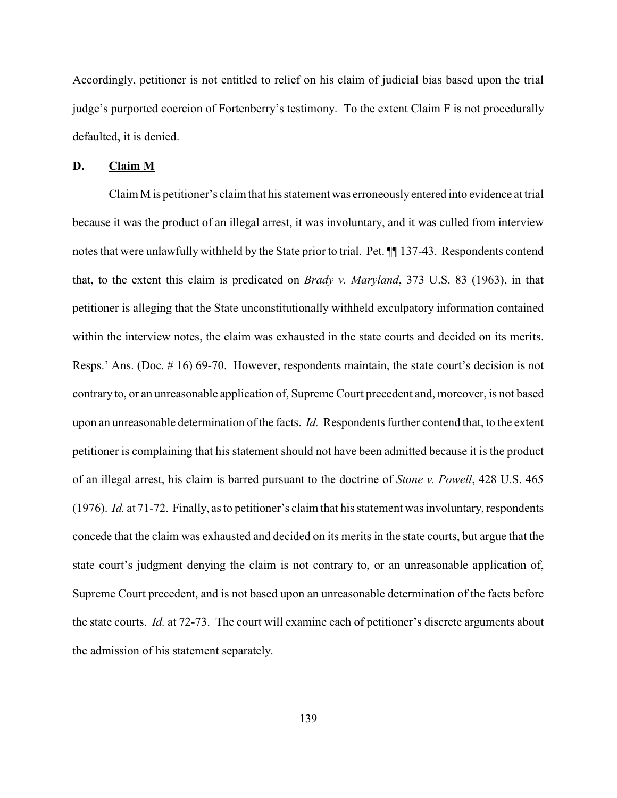Accordingly, petitioner is not entitled to relief on his claim of judicial bias based upon the trial judge's purported coercion of Fortenberry's testimony. To the extent Claim F is not procedurally defaulted, it is denied.

# **D. Claim M**

Claim M is petitioner's claim that his statement was erroneously entered into evidence at trial because it was the product of an illegal arrest, it was involuntary, and it was culled from interview notes that were unlawfully withheld by the State prior to trial. Pet. ¶¶ 137-43. Respondents contend that, to the extent this claim is predicated on *Brady v. Maryland*, 373 U.S. 83 (1963), in that petitioner is alleging that the State unconstitutionally withheld exculpatory information contained within the interview notes, the claim was exhausted in the state courts and decided on its merits. Resps.' Ans. (Doc. # 16) 69-70. However, respondents maintain, the state court's decision is not contrary to, or an unreasonable application of, Supreme Court precedent and, moreover, is not based upon an unreasonable determination of the facts. *Id.* Respondents further contend that, to the extent petitioner is complaining that his statement should not have been admitted because it is the product of an illegal arrest, his claim is barred pursuant to the doctrine of *Stone v. Powell*, 428 U.S. 465 (1976). *Id.* at 71-72. Finally, as to petitioner's claim that his statement was involuntary, respondents concede that the claim was exhausted and decided on its merits in the state courts, but argue that the state court's judgment denying the claim is not contrary to, or an unreasonable application of, Supreme Court precedent, and is not based upon an unreasonable determination of the facts before the state courts. *Id.* at 72-73. The court will examine each of petitioner's discrete arguments about the admission of his statement separately.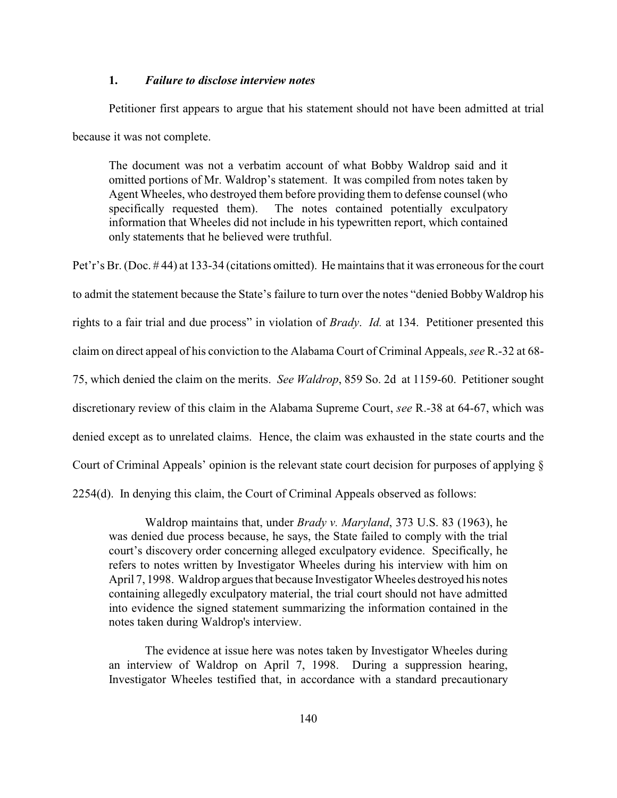### **1.** *Failure to disclose interview notes*

Petitioner first appears to argue that his statement should not have been admitted at trial because it was not complete.

The document was not a verbatim account of what Bobby Waldrop said and it omitted portions of Mr. Waldrop's statement. It was compiled from notes taken by Agent Wheeles, who destroyed them before providing them to defense counsel (who specifically requested them). The notes contained potentially exculpatory information that Wheeles did not include in his typewritten report, which contained only statements that he believed were truthful.

Pet'r's Br. (Doc. # 44) at 133-34 (citations omitted). He maintains that it was erroneous for the court to admit the statement because the State's failure to turn over the notes "denied Bobby Waldrop his rights to a fair trial and due process" in violation of *Brady*. *Id.* at 134. Petitioner presented this claim on direct appeal of his conviction to the Alabama Court of Criminal Appeals, *see* R.-32 at 68- 75, which denied the claim on the merits. *See Waldrop*, 859 So. 2d at 1159-60. Petitioner sought discretionary review of this claim in the Alabama Supreme Court, *see* R.-38 at 64-67, which was denied except as to unrelated claims. Hence, the claim was exhausted in the state courts and the Court of Criminal Appeals' opinion is the relevant state court decision for purposes of applying § 2254(d). In denying this claim, the Court of Criminal Appeals observed as follows:

Waldrop maintains that, under *Brady v. Maryland*, 373 U.S. 83 (1963), he was denied due process because, he says, the State failed to comply with the trial court's discovery order concerning alleged exculpatory evidence. Specifically, he refers to notes written by Investigator Wheeles during his interview with him on April 7, 1998. Waldrop argues that because Investigator Wheeles destroyed his notes containing allegedly exculpatory material, the trial court should not have admitted into evidence the signed statement summarizing the information contained in the notes taken during Waldrop's interview.

The evidence at issue here was notes taken by Investigator Wheeles during an interview of Waldrop on April 7, 1998. During a suppression hearing, Investigator Wheeles testified that, in accordance with a standard precautionary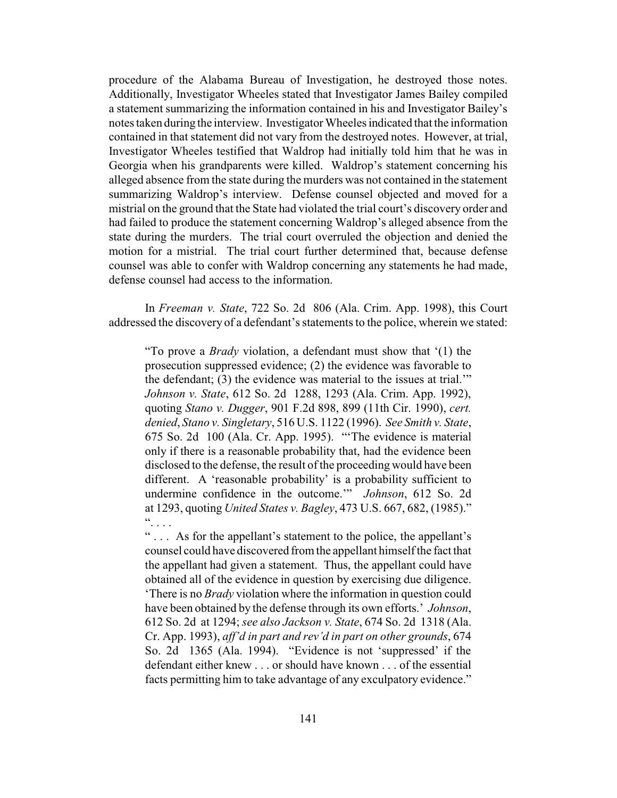procedure of the Alabama Bureau of Investigation, he destroyed those notes. Additionally, Investigator Wheeles stated that Investigator James Bailey compiled a statement summarizing the information contained in his and Investigator Bailey's notes taken during the interview. Investigator Wheeles indicated that the information contained in that statement did not vary from the destroyed notes. However, at trial, Investigator Wheeles testified that Waldrop had initially told him that he was in Georgia when his grandparents were killed. Waldrop's statement concerning his alleged absence from the state during the murders was not contained in the statement summarizing Waldrop's interview. Defense counsel objected and moved for a mistrial on the ground that the State had violated the trial court's discovery order and had failed to produce the statement concerning Waldrop's alleged absence from the state during the murders. The trial court overruled the objection and denied the motion for a mistrial. The trial court further determined that, because defense counsel was able to confer with Waldrop concerning any statements he had made, defense counsel had access to the information.

In *Freeman v. State*, 722 So. 2d 806 (Ala. Crim. App. 1998), this Court addressed the discovery of a defendant's statements to the police, wherein we stated:

"To prove a *Brady* violation, a defendant must show that '(1) the prosecution suppressed evidence; (2) the evidence was favorable to the defendant; (3) the evidence was material to the issues at trial.'" *Johnson v. State*, 612 So. 2d 1288, 1293 (Ala. Crim. App. 1992), quoting *Stano v. Dugger*, 901 F.2d 898, 899 (11th Cir. 1990), *cert. denied*, *Stano v. Singletary*, 516 U.S. 1122 (1996). *See Smith v. State*, 675 So. 2d 100 (Ala. Cr. App. 1995). "'The evidence is material only if there is a reasonable probability that, had the evidence been disclosed to the defense, the result of the proceeding would have been different. A 'reasonable probability' is a probability sufficient to undermine confidence in the outcome.'" *Johnson*, 612 So. 2d at 1293, quoting *United States v. Bagley*, 473 U.S. 667, 682, (1985)."  $\dddot{\cdot}$  . . .

" . . . As for the appellant's statement to the police, the appellant's counsel could have discovered from the appellant himself the fact that the appellant had given a statement. Thus, the appellant could have obtained all of the evidence in question by exercising due diligence. 'There is no *Brady* violation where the information in question could have been obtained by the defense through its own efforts.' *Johnson*, 612 So. 2d at 1294; *see also Jackson v. State*, 674 So. 2d 1318 (Ala. Cr. App. 1993), *aff'd in part and rev'd in part on other grounds*, 674 So. 2d 1365 (Ala. 1994). "Evidence is not 'suppressed' if the defendant either knew . . . or should have known . . . of the essential facts permitting him to take advantage of any exculpatory evidence."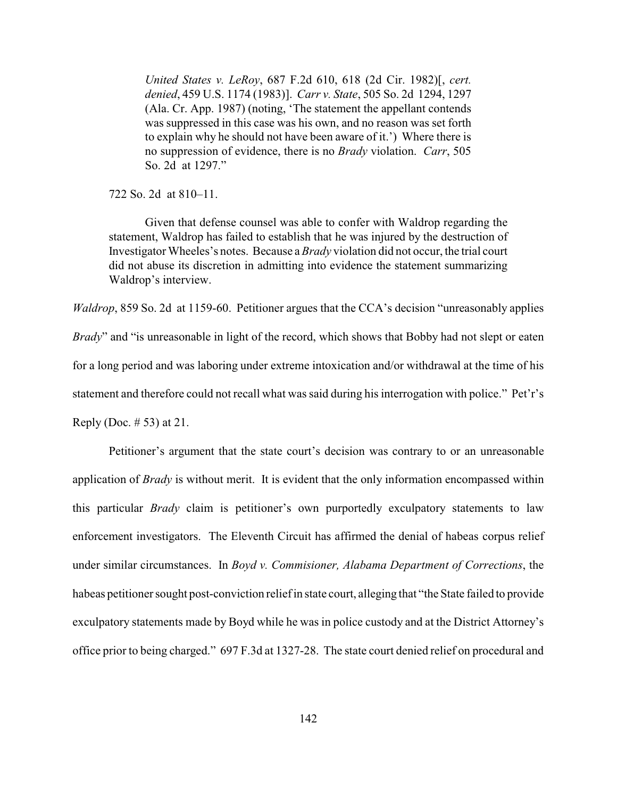*United States v. LeRoy*, 687 F.2d 610, 618 (2d Cir. 1982)[, *cert. denied*, 459 U.S. 1174 (1983)]. *Carr v. State*, 505 So. 2d 1294, 1297 (Ala. Cr. App. 1987) (noting, 'The statement the appellant contends was suppressed in this case was his own, and no reason was set forth to explain why he should not have been aware of it.') Where there is no suppression of evidence, there is no *Brady* violation. *Carr*, 505 So. 2d at 1297."

722 So. 2d at 810–11.

Given that defense counsel was able to confer with Waldrop regarding the statement, Waldrop has failed to establish that he was injured by the destruction of Investigator Wheeles's notes. Because a *Brady* violation did not occur, the trial court did not abuse its discretion in admitting into evidence the statement summarizing Waldrop's interview.

*Waldrop*, 859 So. 2d at 1159-60. Petitioner argues that the CCA's decision "unreasonably applies *Brady*" and "is unreasonable in light of the record, which shows that Bobby had not slept or eaten for a long period and was laboring under extreme intoxication and/or withdrawal at the time of his statement and therefore could not recall what was said during his interrogation with police." Pet'r's Reply (Doc. # 53) at 21.

Petitioner's argument that the state court's decision was contrary to or an unreasonable application of *Brady* is without merit. It is evident that the only information encompassed within this particular *Brady* claim is petitioner's own purportedly exculpatory statements to law enforcement investigators. The Eleventh Circuit has affirmed the denial of habeas corpus relief under similar circumstances. In *Boyd v. Commisioner, Alabama Department of Corrections*, the habeas petitioner sought post-conviction reliefin state court, alleging that "the State failed to provide exculpatory statements made by Boyd while he was in police custody and at the District Attorney's office prior to being charged." 697 F.3d at 1327-28. The state court denied relief on procedural and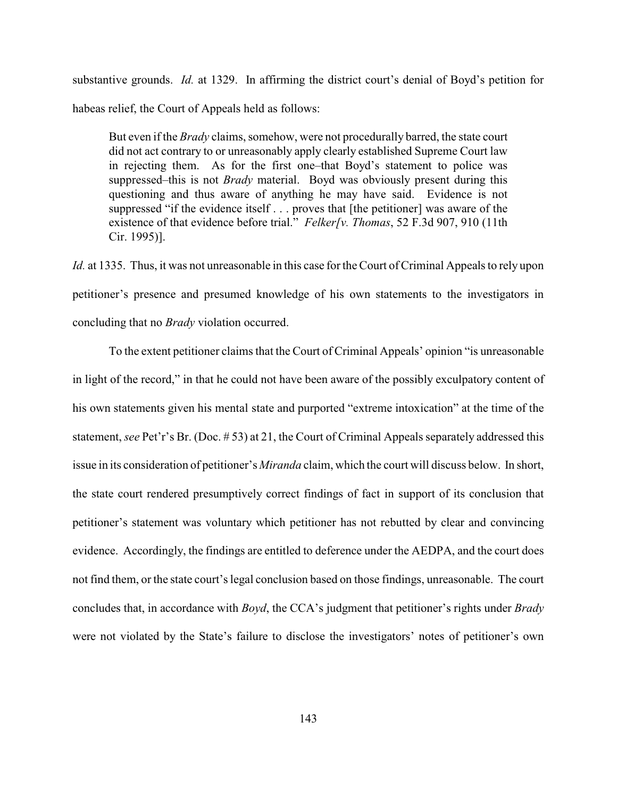substantive grounds. *Id.* at 1329. In affirming the district court's denial of Boyd's petition for habeas relief, the Court of Appeals held as follows:

But even if the *Brady* claims, somehow, were not procedurally barred, the state court did not act contrary to or unreasonably apply clearly established Supreme Court law in rejecting them. As for the first one–that Boyd's statement to police was suppressed–this is not *Brady* material. Boyd was obviously present during this questioning and thus aware of anything he may have said. Evidence is not suppressed "if the evidence itself . . . proves that [the petitioner] was aware of the existence of that evidence before trial." *Felker[v. Thomas*, 52 F.3d 907, 910 (11th Cir. 1995)].

*Id.* at 1335. Thus, it was not unreasonable in this case for the Court of Criminal Appeals to rely upon petitioner's presence and presumed knowledge of his own statements to the investigators in concluding that no *Brady* violation occurred.

To the extent petitioner claims that the Court of Criminal Appeals' opinion "is unreasonable in light of the record," in that he could not have been aware of the possibly exculpatory content of his own statements given his mental state and purported "extreme intoxication" at the time of the statement, *see* Pet'r's Br. (Doc. # 53) at 21, the Court of Criminal Appeals separately addressed this issue in its consideration of petitioner's *Miranda* claim, which the court will discuss below. In short, the state court rendered presumptively correct findings of fact in support of its conclusion that petitioner's statement was voluntary which petitioner has not rebutted by clear and convincing evidence. Accordingly, the findings are entitled to deference under the AEDPA, and the court does not find them, or the state court's legal conclusion based on those findings, unreasonable. The court concludes that, in accordance with *Boyd*, the CCA's judgment that petitioner's rights under *Brady* were not violated by the State's failure to disclose the investigators' notes of petitioner's own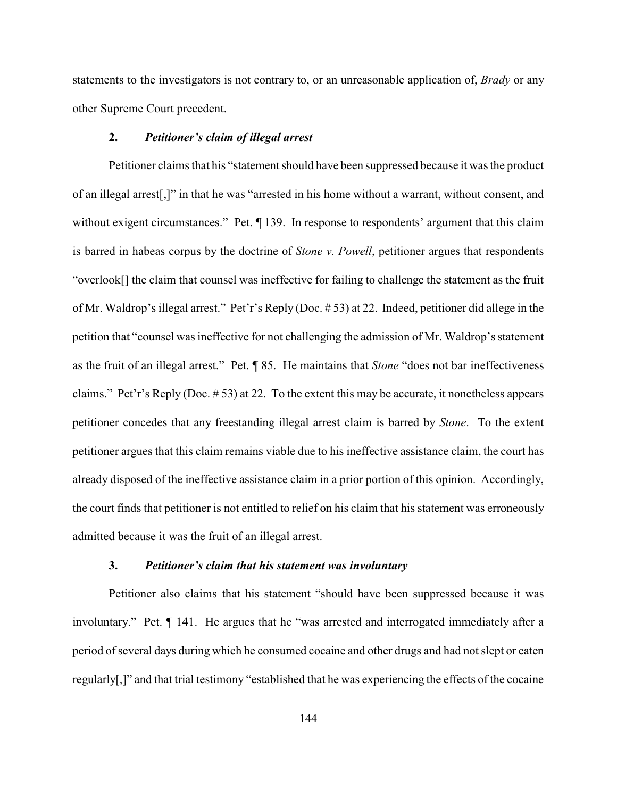statements to the investigators is not contrary to, or an unreasonable application of, *Brady* or any other Supreme Court precedent.

#### **2.** *Petitioner's claim of illegal arrest*

Petitioner claims that his "statement should have been suppressed because it was the product of an illegal arrest[,]" in that he was "arrested in his home without a warrant, without consent, and without exigent circumstances." Pet.  $\P$  139. In response to respondents' argument that this claim is barred in habeas corpus by the doctrine of *Stone v. Powell*, petitioner argues that respondents "overlook[] the claim that counsel was ineffective for failing to challenge the statement as the fruit of Mr. Waldrop's illegal arrest." Pet'r's Reply (Doc. # 53) at 22. Indeed, petitioner did allege in the petition that "counsel was ineffective for not challenging the admission of Mr. Waldrop's statement as the fruit of an illegal arrest." Pet. ¶ 85. He maintains that *Stone* "does not bar ineffectiveness claims." Pet'r's Reply (Doc. # 53) at 22. To the extent this may be accurate, it nonetheless appears petitioner concedes that any freestanding illegal arrest claim is barred by *Stone*. To the extent petitioner argues that this claim remains viable due to his ineffective assistance claim, the court has already disposed of the ineffective assistance claim in a prior portion of this opinion. Accordingly, the court finds that petitioner is not entitled to relief on his claim that his statement was erroneously admitted because it was the fruit of an illegal arrest.

#### **3.** *Petitioner's claim that his statement was involuntary*

Petitioner also claims that his statement "should have been suppressed because it was involuntary." Pet. ¶ 141. He argues that he "was arrested and interrogated immediately after a period of several days during which he consumed cocaine and other drugs and had not slept or eaten regularly[,]" and that trial testimony "established that he was experiencing the effects of the cocaine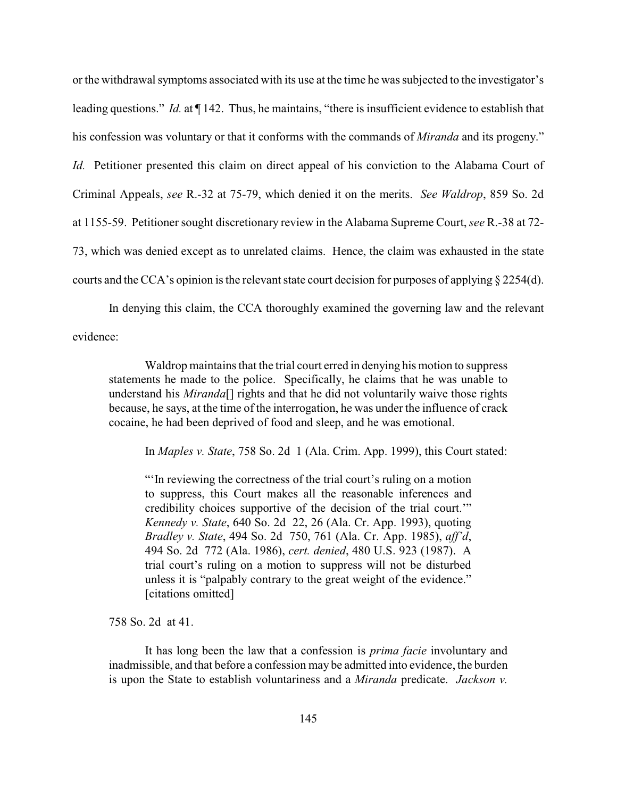or the withdrawal symptoms associated with its use at the time he was subjected to the investigator's leading questions." *Id.* at ¶ 142. Thus, he maintains, "there is insufficient evidence to establish that his confession was voluntary or that it conforms with the commands of *Miranda* and its progeny." *Id.* Petitioner presented this claim on direct appeal of his conviction to the Alabama Court of Criminal Appeals, *see* R.-32 at 75-79, which denied it on the merits. *See Waldrop*, 859 So. 2d at 1155-59. Petitioner sought discretionary review in the Alabama Supreme Court, *see* R.-38 at 72- 73, which was denied except as to unrelated claims. Hence, the claim was exhausted in the state courts and the CCA's opinion is the relevant state court decision for purposes of applying § 2254(d).

In denying this claim, the CCA thoroughly examined the governing law and the relevant

evidence:

Waldrop maintains that the trial court erred in denying his motion to suppress statements he made to the police. Specifically, he claims that he was unable to understand his *Miranda*[] rights and that he did not voluntarily waive those rights because, he says, at the time of the interrogation, he was under the influence of crack cocaine, he had been deprived of food and sleep, and he was emotional.

In *Maples v. State*, 758 So. 2d 1 (Ala. Crim. App. 1999), this Court stated:

"'In reviewing the correctness of the trial court's ruling on a motion to suppress, this Court makes all the reasonable inferences and credibility choices supportive of the decision of the trial court.'" *Kennedy v. State*, 640 So. 2d 22, 26 (Ala. Cr. App. 1993), quoting *Bradley v. State*, 494 So. 2d 750, 761 (Ala. Cr. App. 1985), *aff'd*, 494 So. 2d 772 (Ala. 1986), *cert. denied*, 480 U.S. 923 (1987). A trial court's ruling on a motion to suppress will not be disturbed unless it is "palpably contrary to the great weight of the evidence." [citations omitted]

758 So. 2d at 41.

It has long been the law that a confession is *prima facie* involuntary and inadmissible, and that before a confession may be admitted into evidence, the burden is upon the State to establish voluntariness and a *Miranda* predicate. *Jackson v.*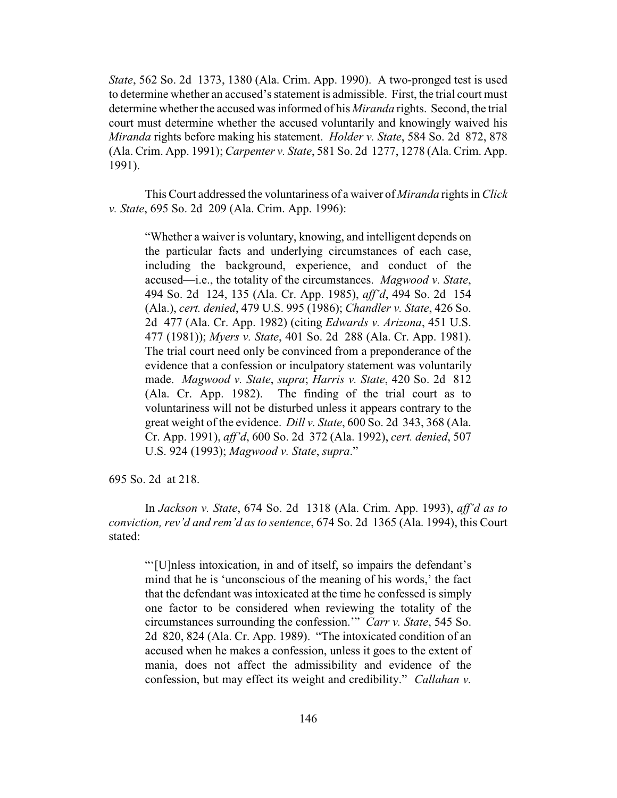*State*, 562 So. 2d 1373, 1380 (Ala. Crim. App. 1990). A two-pronged test is used to determine whether an accused's statement is admissible. First, the trial court must determine whether the accused was informed of his *Miranda* rights. Second, the trial court must determine whether the accused voluntarily and knowingly waived his *Miranda* rights before making his statement. *Holder v. State*, 584 So. 2d 872, 878 (Ala. Crim. App. 1991); *Carpenter v. State*, 581 So. 2d 1277, 1278 (Ala. Crim. App. 1991).

This Court addressed the voluntariness of a waiver of *Miranda* rights in *Click v. State*, 695 So. 2d 209 (Ala. Crim. App. 1996):

"Whether a waiver is voluntary, knowing, and intelligent depends on the particular facts and underlying circumstances of each case, including the background, experience, and conduct of the accused—i.e., the totality of the circumstances. *Magwood v. State*, 494 So. 2d 124, 135 (Ala. Cr. App. 1985), *aff'd*, 494 So. 2d 154 (Ala.), *cert. denied*, 479 U.S. 995 (1986); *Chandler v. State*, 426 So. 2d 477 (Ala. Cr. App. 1982) (citing *Edwards v. Arizona*, 451 U.S. 477 (1981)); *Myers v. State*, 401 So. 2d 288 (Ala. Cr. App. 1981). The trial court need only be convinced from a preponderance of the evidence that a confession or inculpatory statement was voluntarily made. *Magwood v. State*, *supra*; *Harris v. State*, 420 So. 2d 812 (Ala. Cr. App. 1982). The finding of the trial court as to voluntariness will not be disturbed unless it appears contrary to the great weight of the evidence. *Dill v. State*, 600 So. 2d 343, 368 (Ala. Cr. App. 1991), *aff'd*, 600 So. 2d 372 (Ala. 1992), *cert. denied*, 507 U.S. 924 (1993); *Magwood v. State*, *supra*."

695 So. 2d at 218.

In *Jackson v. State*, 674 So. 2d 1318 (Ala. Crim. App. 1993), *aff'd as to conviction, rev'd and rem'd as to sentence*, 674 So. 2d 1365 (Ala. 1994), this Court stated:

"'[U]nless intoxication, in and of itself, so impairs the defendant's mind that he is 'unconscious of the meaning of his words,' the fact that the defendant was intoxicated at the time he confessed is simply one factor to be considered when reviewing the totality of the circumstances surrounding the confession.'" *Carr v. State*, 545 So. 2d 820, 824 (Ala. Cr. App. 1989). "The intoxicated condition of an accused when he makes a confession, unless it goes to the extent of mania, does not affect the admissibility and evidence of the confession, but may effect its weight and credibility." *Callahan v.*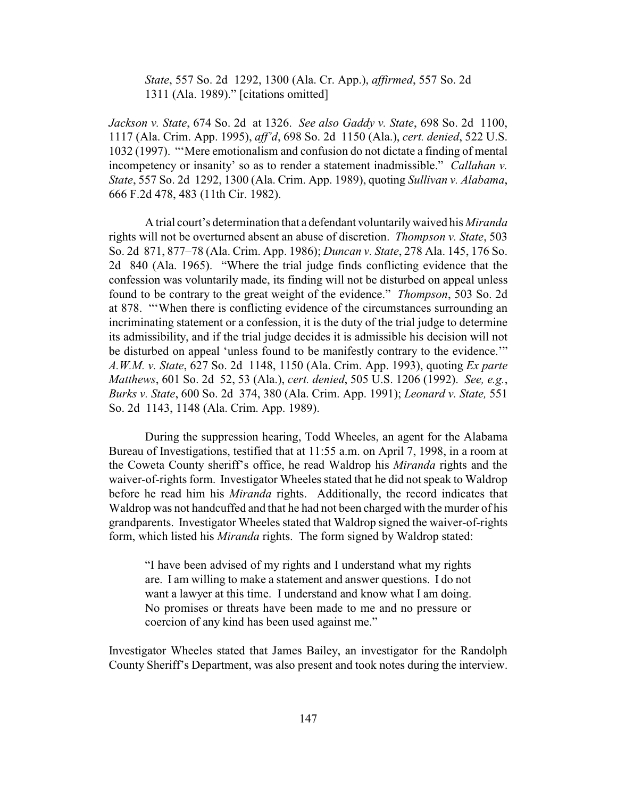*State*, 557 So. 2d 1292, 1300 (Ala. Cr. App.), *affirmed*, 557 So. 2d 1311 (Ala. 1989)." [citations omitted]

*Jackson v. State*, 674 So. 2d at 1326. *See also Gaddy v. State*, 698 So. 2d 1100, 1117 (Ala. Crim. App. 1995), *aff'd*, 698 So. 2d 1150 (Ala.), *cert. denied*, 522 U.S. 1032 (1997). "'Mere emotionalism and confusion do not dictate a finding of mental incompetency or insanity' so as to render a statement inadmissible." *Callahan v. State*, 557 So. 2d 1292, 1300 (Ala. Crim. App. 1989), quoting *Sullivan v. Alabama*, 666 F.2d 478, 483 (11th Cir. 1982).

A trial court's determination that a defendant voluntarilywaived his *Miranda* rights will not be overturned absent an abuse of discretion. *Thompson v. State*, 503 So. 2d 871, 877–78 (Ala. Crim. App. 1986); *Duncan v. State*, 278 Ala. 145, 176 So. 2d 840 (Ala. 1965). "Where the trial judge finds conflicting evidence that the confession was voluntarily made, its finding will not be disturbed on appeal unless found to be contrary to the great weight of the evidence." *Thompson*, 503 So. 2d at 878. "'When there is conflicting evidence of the circumstances surrounding an incriminating statement or a confession, it is the duty of the trial judge to determine its admissibility, and if the trial judge decides it is admissible his decision will not be disturbed on appeal 'unless found to be manifestly contrary to the evidence.'" *A.W.M. v. State*, 627 So. 2d 1148, 1150 (Ala. Crim. App. 1993), quoting *Ex parte Matthews*, 601 So. 2d 52, 53 (Ala.), *cert. denied*, 505 U.S. 1206 (1992). *See, e.g.*, *Burks v. State*, 600 So. 2d 374, 380 (Ala. Crim. App. 1991); *Leonard v. State,* 551 So. 2d 1143, 1148 (Ala. Crim. App. 1989).

During the suppression hearing, Todd Wheeles, an agent for the Alabama Bureau of Investigations, testified that at 11:55 a.m. on April 7, 1998, in a room at the Coweta County sheriff's office, he read Waldrop his *Miranda* rights and the waiver-of-rights form. Investigator Wheeles stated that he did not speak to Waldrop before he read him his *Miranda* rights. Additionally, the record indicates that Waldrop was not handcuffed and that he had not been charged with the murder of his grandparents. Investigator Wheeles stated that Waldrop signed the waiver-of-rights form, which listed his *Miranda* rights. The form signed by Waldrop stated:

"I have been advised of my rights and I understand what my rights are. I am willing to make a statement and answer questions. I do not want a lawyer at this time. I understand and know what I am doing. No promises or threats have been made to me and no pressure or coercion of any kind has been used against me."

Investigator Wheeles stated that James Bailey, an investigator for the Randolph County Sheriff's Department, was also present and took notes during the interview.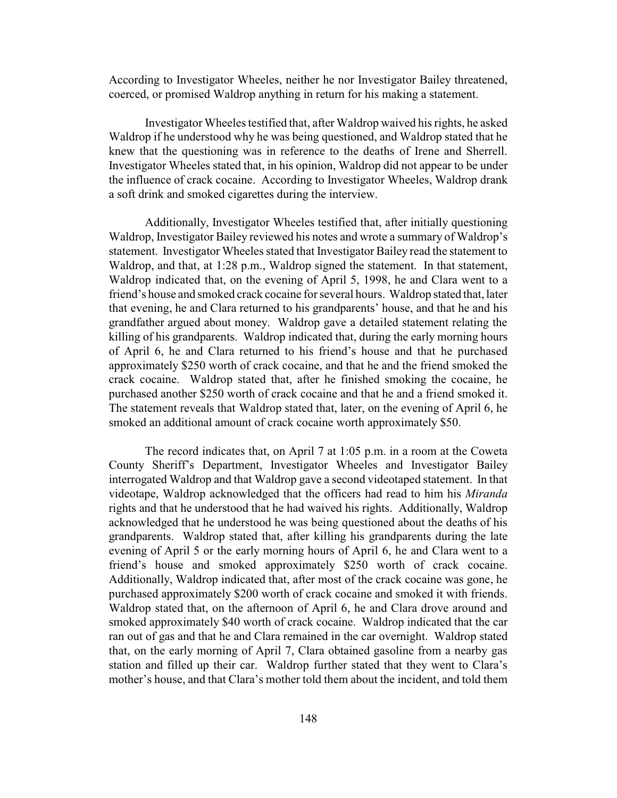According to Investigator Wheeles, neither he nor Investigator Bailey threatened, coerced, or promised Waldrop anything in return for his making a statement.

Investigator Wheeles testified that, after Waldrop waived his rights, he asked Waldrop if he understood why he was being questioned, and Waldrop stated that he knew that the questioning was in reference to the deaths of Irene and Sherrell. Investigator Wheeles stated that, in his opinion, Waldrop did not appear to be under the influence of crack cocaine. According to Investigator Wheeles, Waldrop drank a soft drink and smoked cigarettes during the interview.

Additionally, Investigator Wheeles testified that, after initially questioning Waldrop, Investigator Bailey reviewed his notes and wrote a summary of Waldrop's statement. Investigator Wheeles stated that Investigator Bailey read the statement to Waldrop, and that, at 1:28 p.m., Waldrop signed the statement. In that statement, Waldrop indicated that, on the evening of April 5, 1998, he and Clara went to a friend's house and smoked crack cocaine for several hours. Waldrop stated that, later that evening, he and Clara returned to his grandparents' house, and that he and his grandfather argued about money. Waldrop gave a detailed statement relating the killing of his grandparents. Waldrop indicated that, during the early morning hours of April 6, he and Clara returned to his friend's house and that he purchased approximately \$250 worth of crack cocaine, and that he and the friend smoked the crack cocaine. Waldrop stated that, after he finished smoking the cocaine, he purchased another \$250 worth of crack cocaine and that he and a friend smoked it. The statement reveals that Waldrop stated that, later, on the evening of April 6, he smoked an additional amount of crack cocaine worth approximately \$50.

The record indicates that, on April 7 at 1:05 p.m. in a room at the Coweta County Sheriff's Department, Investigator Wheeles and Investigator Bailey interrogated Waldrop and that Waldrop gave a second videotaped statement. In that videotape, Waldrop acknowledged that the officers had read to him his *Miranda* rights and that he understood that he had waived his rights. Additionally, Waldrop acknowledged that he understood he was being questioned about the deaths of his grandparents. Waldrop stated that, after killing his grandparents during the late evening of April 5 or the early morning hours of April 6, he and Clara went to a friend's house and smoked approximately \$250 worth of crack cocaine. Additionally, Waldrop indicated that, after most of the crack cocaine was gone, he purchased approximately \$200 worth of crack cocaine and smoked it with friends. Waldrop stated that, on the afternoon of April 6, he and Clara drove around and smoked approximately \$40 worth of crack cocaine. Waldrop indicated that the car ran out of gas and that he and Clara remained in the car overnight. Waldrop stated that, on the early morning of April 7, Clara obtained gasoline from a nearby gas station and filled up their car. Waldrop further stated that they went to Clara's mother's house, and that Clara's mother told them about the incident, and told them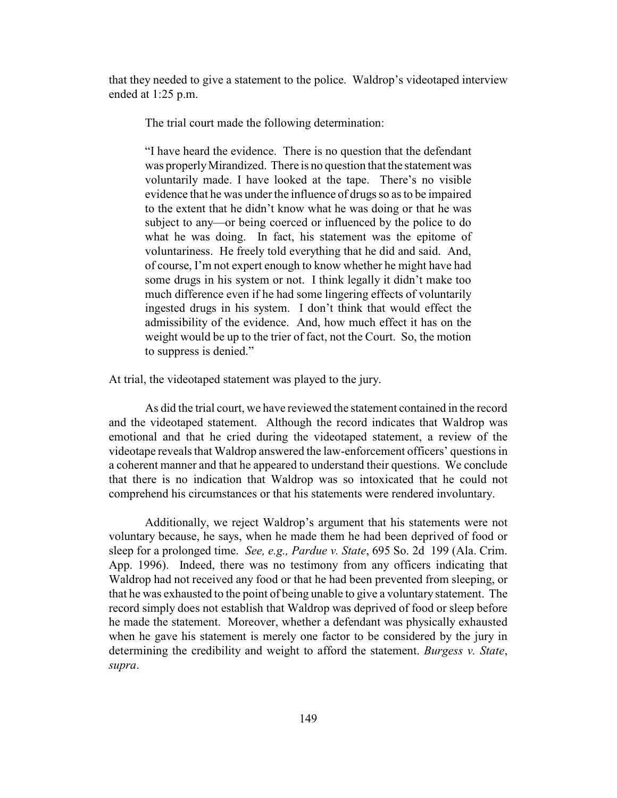that they needed to give a statement to the police. Waldrop's videotaped interview ended at 1:25 p.m.

The trial court made the following determination:

"I have heard the evidence. There is no question that the defendant was properlyMirandized. There is no question that the statement was voluntarily made. I have looked at the tape. There's no visible evidence that he was under the influence of drugs so as to be impaired to the extent that he didn't know what he was doing or that he was subject to any—or being coerced or influenced by the police to do what he was doing. In fact, his statement was the epitome of voluntariness. He freely told everything that he did and said. And, of course, I'm not expert enough to know whether he might have had some drugs in his system or not. I think legally it didn't make too much difference even if he had some lingering effects of voluntarily ingested drugs in his system. I don't think that would effect the admissibility of the evidence. And, how much effect it has on the weight would be up to the trier of fact, not the Court. So, the motion to suppress is denied."

At trial, the videotaped statement was played to the jury.

As did the trial court, we have reviewed the statement contained in the record and the videotaped statement. Although the record indicates that Waldrop was emotional and that he cried during the videotaped statement, a review of the videotape reveals that Waldrop answered the law-enforcement officers' questions in a coherent manner and that he appeared to understand their questions. We conclude that there is no indication that Waldrop was so intoxicated that he could not comprehend his circumstances or that his statements were rendered involuntary.

Additionally, we reject Waldrop's argument that his statements were not voluntary because, he says, when he made them he had been deprived of food or sleep for a prolonged time. *See, e.g., Pardue v. State*, 695 So. 2d 199 (Ala. Crim. App. 1996). Indeed, there was no testimony from any officers indicating that Waldrop had not received any food or that he had been prevented from sleeping, or that he was exhausted to the point of being unable to give a voluntary statement. The record simply does not establish that Waldrop was deprived of food or sleep before he made the statement. Moreover, whether a defendant was physically exhausted when he gave his statement is merely one factor to be considered by the jury in determining the credibility and weight to afford the statement. *Burgess v. State*, *supra*.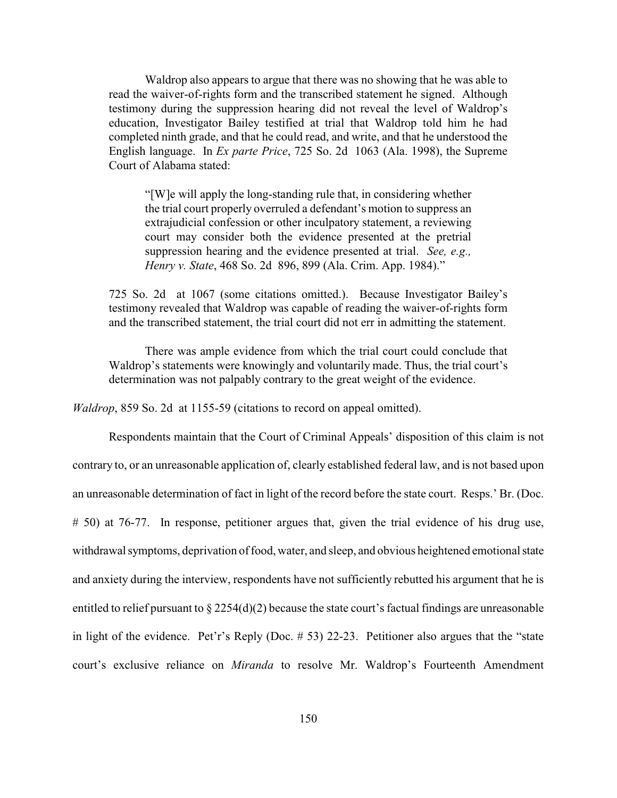Waldrop also appears to argue that there was no showing that he was able to read the waiver-of-rights form and the transcribed statement he signed. Although testimony during the suppression hearing did not reveal the level of Waldrop's education, Investigator Bailey testified at trial that Waldrop told him he had completed ninth grade, and that he could read, and write, and that he understood the English language. In *Ex parte Price*, 725 So. 2d 1063 (Ala. 1998), the Supreme Court of Alabama stated:

"[W]e will apply the long-standing rule that, in considering whether the trial court properly overruled a defendant's motion to suppress an extrajudicial confession or other inculpatory statement, a reviewing court may consider both the evidence presented at the pretrial suppression hearing and the evidence presented at trial. *See, e.g., Henry v. State*, 468 So. 2d 896, 899 (Ala. Crim. App. 1984)."

725 So. 2d at 1067 (some citations omitted.). Because Investigator Bailey's testimony revealed that Waldrop was capable of reading the waiver-of-rights form and the transcribed statement, the trial court did not err in admitting the statement.

There was ample evidence from which the trial court could conclude that Waldrop's statements were knowingly and voluntarily made. Thus, the trial court's determination was not palpably contrary to the great weight of the evidence.

*Waldrop*, 859 So. 2d at 1155-59 (citations to record on appeal omitted).

Respondents maintain that the Court of Criminal Appeals' disposition of this claim is not contrary to, or an unreasonable application of, clearly established federal law, and is not based upon an unreasonable determination of fact in light of the record before the state court. Resps.' Br. (Doc. # 50) at 76-77. In response, petitioner argues that, given the trial evidence of his drug use, withdrawal symptoms, deprivation of food, water, and sleep, and obvious heightened emotional state and anxiety during the interview, respondents have not sufficiently rebutted his argument that he is entitled to relief pursuant to  $\S 2254(d)(2)$  because the state court's factual findings are unreasonable in light of the evidence. Pet'r's Reply (Doc. # 53) 22-23. Petitioner also argues that the "state court's exclusive reliance on *Miranda* to resolve Mr. Waldrop's Fourteenth Amendment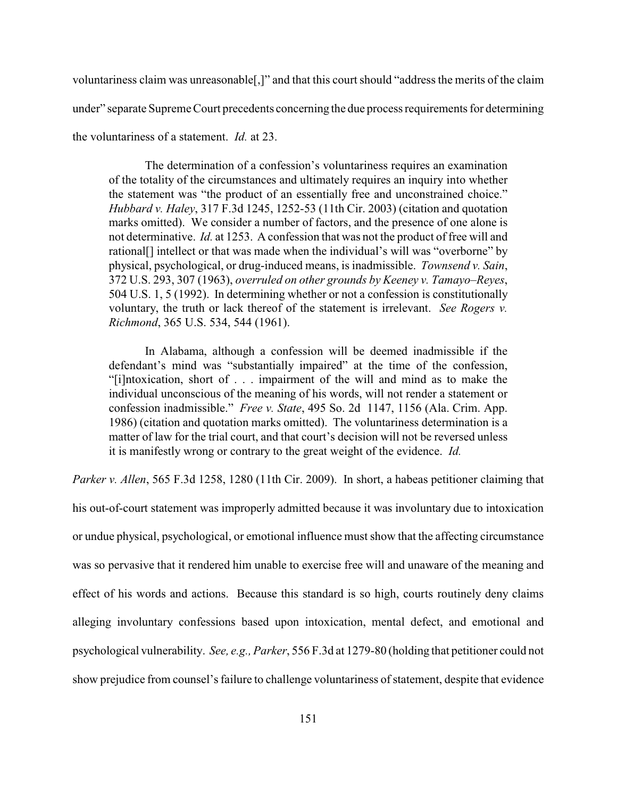voluntariness claim was unreasonable[,]" and that this court should "address the merits of the claim under" separate Supreme Court precedents concerning the due process requirements for determining the voluntariness of a statement. *Id.* at 23.

The determination of a confession's voluntariness requires an examination of the totality of the circumstances and ultimately requires an inquiry into whether the statement was "the product of an essentially free and unconstrained choice." *Hubbard v. Haley*, 317 F.3d 1245, 1252-53 (11th Cir. 2003) (citation and quotation marks omitted). We consider a number of factors, and the presence of one alone is not determinative. *Id.* at 1253. A confession that was not the product of free will and rational[] intellect or that was made when the individual's will was "overborne" by physical, psychological, or drug-induced means, is inadmissible. *Townsend v. Sain*, 372 U.S. 293, 307 (1963), *overruled on other grounds by Keeney v. Tamayo–Reyes*, 504 U.S. 1, 5 (1992). In determining whether or not a confession is constitutionally voluntary, the truth or lack thereof of the statement is irrelevant. *See Rogers v. Richmond*, 365 U.S. 534, 544 (1961).

In Alabama, although a confession will be deemed inadmissible if the defendant's mind was "substantially impaired" at the time of the confession, "[i]ntoxication, short of . . . impairment of the will and mind as to make the individual unconscious of the meaning of his words, will not render a statement or confession inadmissible." *Free v. State*, 495 So. 2d 1147, 1156 (Ala. Crim. App. 1986) (citation and quotation marks omitted). The voluntariness determination is a matter of law for the trial court, and that court's decision will not be reversed unless it is manifestly wrong or contrary to the great weight of the evidence. *Id.*

*Parker v. Allen*, 565 F.3d 1258, 1280 (11th Cir. 2009). In short, a habeas petitioner claiming that

his out-of-court statement was improperly admitted because it was involuntary due to intoxication or undue physical, psychological, or emotional influence must show that the affecting circumstance was so pervasive that it rendered him unable to exercise free will and unaware of the meaning and effect of his words and actions. Because this standard is so high, courts routinely deny claims alleging involuntary confessions based upon intoxication, mental defect, and emotional and psychological vulnerability. *See, e.g., Parker*, 556 F.3d at 1279-80 (holding that petitioner could not show prejudice from counsel's failure to challenge voluntariness of statement, despite that evidence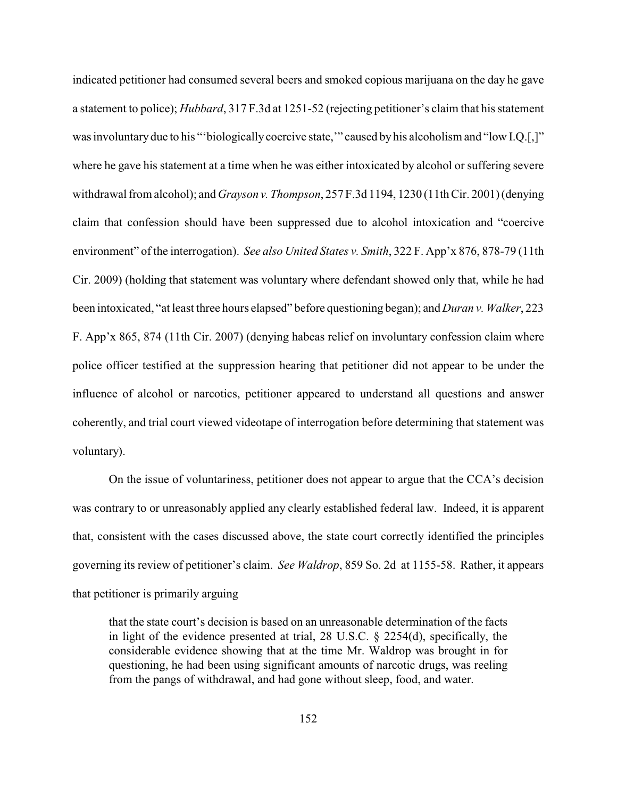indicated petitioner had consumed several beers and smoked copious marijuana on the day he gave a statement to police); *Hubbard*, 317 F.3d at 1251-52 (rejecting petitioner's claim that his statement was involuntary due to his "'biologically coercive state,'" caused by his alcoholism and "low I.Q.[,]" where he gave his statement at a time when he was either intoxicated by alcohol or suffering severe withdrawal from alcohol); and *Grayson v. Thompson*, 257 F.3d 1194, 1230 (11th Cir. 2001) (denying claim that confession should have been suppressed due to alcohol intoxication and "coercive environment" of the interrogation). *See also United States v. Smith*, 322 F. App'x 876, 878-79 (11th Cir. 2009) (holding that statement was voluntary where defendant showed only that, while he had been intoxicated, "at least three hours elapsed" before questioning began); and *Duran v. Walker*, 223 F. App'x 865, 874 (11th Cir. 2007) (denying habeas relief on involuntary confession claim where police officer testified at the suppression hearing that petitioner did not appear to be under the influence of alcohol or narcotics, petitioner appeared to understand all questions and answer coherently, and trial court viewed videotape of interrogation before determining that statement was voluntary).

On the issue of voluntariness, petitioner does not appear to argue that the CCA's decision was contrary to or unreasonably applied any clearly established federal law. Indeed, it is apparent that, consistent with the cases discussed above, the state court correctly identified the principles governing its review of petitioner's claim. *See Waldrop*, 859 So. 2d at 1155-58. Rather, it appears that petitioner is primarily arguing

that the state court's decision is based on an unreasonable determination of the facts in light of the evidence presented at trial, 28 U.S.C. § 2254(d), specifically, the considerable evidence showing that at the time Mr. Waldrop was brought in for questioning, he had been using significant amounts of narcotic drugs, was reeling from the pangs of withdrawal, and had gone without sleep, food, and water.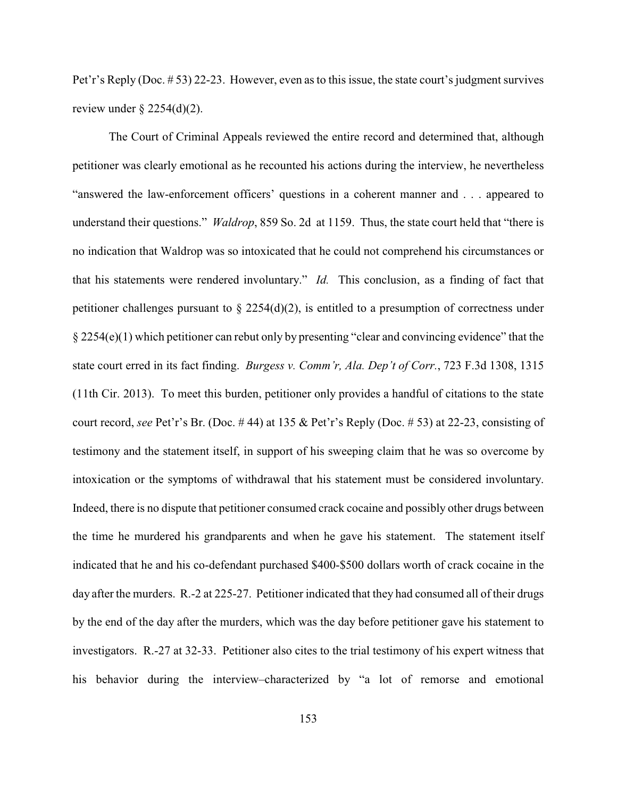Pet'r's Reply (Doc. # 53) 22-23. However, even as to this issue, the state court's judgment survives review under  $\S$  2254(d)(2).

The Court of Criminal Appeals reviewed the entire record and determined that, although petitioner was clearly emotional as he recounted his actions during the interview, he nevertheless "answered the law-enforcement officers' questions in a coherent manner and . . . appeared to understand their questions." *Waldrop*, 859 So. 2d at 1159. Thus, the state court held that "there is no indication that Waldrop was so intoxicated that he could not comprehend his circumstances or that his statements were rendered involuntary." *Id.* This conclusion, as a finding of fact that petitioner challenges pursuant to  $\S 2254(d)(2)$ , is entitled to a presumption of correctness under § 2254(e)(1) which petitioner can rebut only by presenting "clear and convincing evidence" that the state court erred in its fact finding. *Burgess v. Comm'r, Ala. Dep't of Corr.*, 723 F.3d 1308, 1315 (11th Cir. 2013). To meet this burden, petitioner only provides a handful of citations to the state court record, *see* Pet'r's Br. (Doc. # 44) at 135 & Pet'r's Reply (Doc. # 53) at 22-23, consisting of testimony and the statement itself, in support of his sweeping claim that he was so overcome by intoxication or the symptoms of withdrawal that his statement must be considered involuntary. Indeed, there is no dispute that petitioner consumed crack cocaine and possibly other drugs between the time he murdered his grandparents and when he gave his statement. The statement itself indicated that he and his co-defendant purchased \$400-\$500 dollars worth of crack cocaine in the day after the murders. R.-2 at 225-27. Petitioner indicated that they had consumed all of their drugs by the end of the day after the murders, which was the day before petitioner gave his statement to investigators. R.-27 at 32-33. Petitioner also cites to the trial testimony of his expert witness that his behavior during the interview–characterized by "a lot of remorse and emotional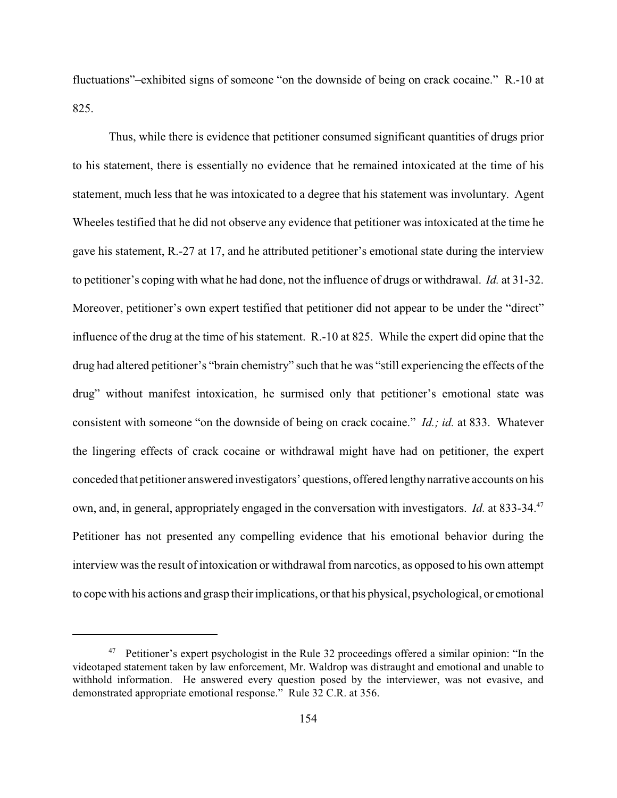fluctuations"–exhibited signs of someone "on the downside of being on crack cocaine." R.-10 at 825.

Thus, while there is evidence that petitioner consumed significant quantities of drugs prior to his statement, there is essentially no evidence that he remained intoxicated at the time of his statement, much less that he was intoxicated to a degree that his statement was involuntary. Agent Wheeles testified that he did not observe any evidence that petitioner was intoxicated at the time he gave his statement, R.-27 at 17, and he attributed petitioner's emotional state during the interview to petitioner's coping with what he had done, not the influence of drugs or withdrawal. *Id.* at 31-32. Moreover, petitioner's own expert testified that petitioner did not appear to be under the "direct" influence of the drug at the time of his statement. R.-10 at 825. While the expert did opine that the drug had altered petitioner's "brain chemistry" such that he was "still experiencing the effects of the drug" without manifest intoxication, he surmised only that petitioner's emotional state was consistent with someone "on the downside of being on crack cocaine." *Id.; id.* at 833. Whatever the lingering effects of crack cocaine or withdrawal might have had on petitioner, the expert conceded that petitioner answered investigators' questions, offered lengthynarrative accounts on his own, and, in general, appropriately engaged in the conversation with investigators. *Id.* at 833-34.<sup>47</sup> Petitioner has not presented any compelling evidence that his emotional behavior during the interview was the result of intoxication or withdrawal from narcotics, as opposed to his own attempt to cope with his actions and grasp their implications, or that his physical, psychological, or emotional

<sup>&</sup>lt;sup>47</sup> Petitioner's expert psychologist in the Rule 32 proceedings offered a similar opinion: "In the videotaped statement taken by law enforcement, Mr. Waldrop was distraught and emotional and unable to withhold information. He answered every question posed by the interviewer, was not evasive, and demonstrated appropriate emotional response." Rule 32 C.R. at 356.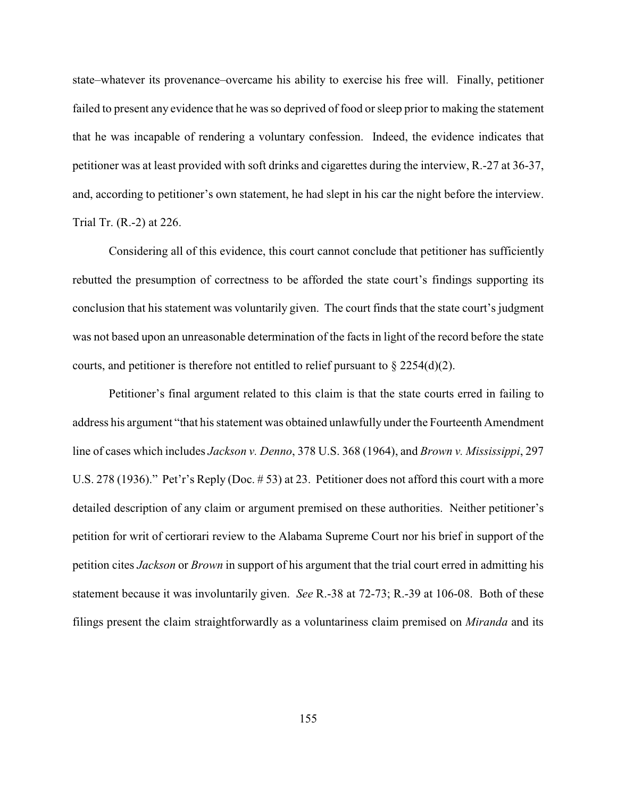state–whatever its provenance–overcame his ability to exercise his free will. Finally, petitioner failed to present any evidence that he was so deprived of food or sleep prior to making the statement that he was incapable of rendering a voluntary confession. Indeed, the evidence indicates that petitioner was at least provided with soft drinks and cigarettes during the interview, R.-27 at 36-37, and, according to petitioner's own statement, he had slept in his car the night before the interview. Trial Tr. (R.-2) at 226.

Considering all of this evidence, this court cannot conclude that petitioner has sufficiently rebutted the presumption of correctness to be afforded the state court's findings supporting its conclusion that his statement was voluntarily given. The court finds that the state court's judgment was not based upon an unreasonable determination of the facts in light of the record before the state courts, and petitioner is therefore not entitled to relief pursuant to  $\S 2254(d)(2)$ .

Petitioner's final argument related to this claim is that the state courts erred in failing to address his argument "that his statement was obtained unlawfully under the Fourteenth Amendment line of cases which includes *Jackson v. Denno*, 378 U.S. 368 (1964), and *Brown v. Mississippi*, 297 U.S. 278 (1936)." Pet'r's Reply (Doc. # 53) at 23. Petitioner does not afford this court with a more detailed description of any claim or argument premised on these authorities. Neither petitioner's petition for writ of certiorari review to the Alabama Supreme Court nor his brief in support of the petition cites *Jackson* or *Brown* in support of his argument that the trial court erred in admitting his statement because it was involuntarily given. *See* R.-38 at 72-73; R.-39 at 106-08. Both of these filings present the claim straightforwardly as a voluntariness claim premised on *Miranda* and its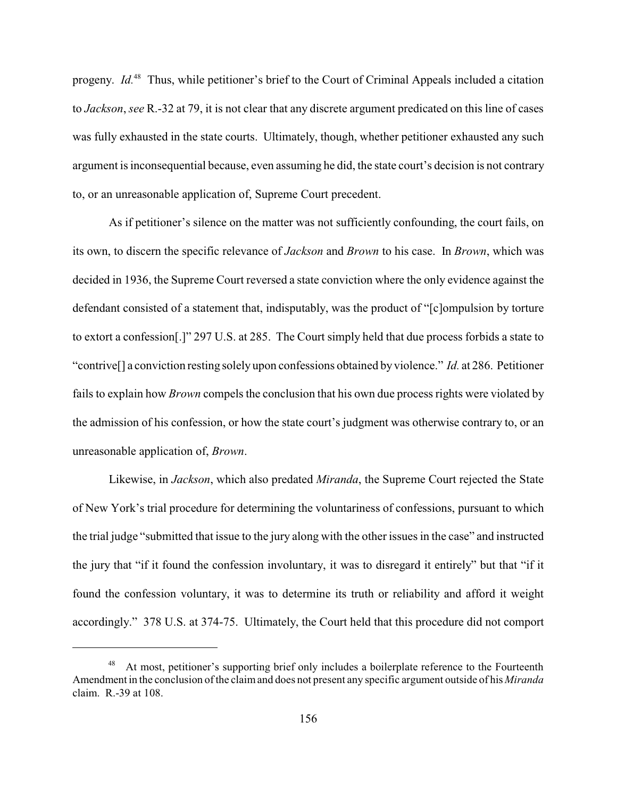progeny. *Id.*<sup>48</sup> Thus, while petitioner's brief to the Court of Criminal Appeals included a citation to *Jackson*, *see* R.-32 at 79, it is not clear that any discrete argument predicated on this line of cases was fully exhausted in the state courts. Ultimately, though, whether petitioner exhausted any such argument is inconsequential because, even assuming he did, the state court's decision is not contrary to, or an unreasonable application of, Supreme Court precedent.

As if petitioner's silence on the matter was not sufficiently confounding, the court fails, on its own, to discern the specific relevance of *Jackson* and *Brown* to his case. In *Brown*, which was decided in 1936, the Supreme Court reversed a state conviction where the only evidence against the defendant consisted of a statement that, indisputably, was the product of "[c]ompulsion by torture to extort a confession[.]" 297 U.S. at 285. The Court simply held that due process forbids a state to "contrive[] a conviction resting solely upon confessions obtained by violence." *Id.* at 286. Petitioner fails to explain how *Brown* compels the conclusion that his own due process rights were violated by the admission of his confession, or how the state court's judgment was otherwise contrary to, or an unreasonable application of, *Brown*.

Likewise, in *Jackson*, which also predated *Miranda*, the Supreme Court rejected the State of New York's trial procedure for determining the voluntariness of confessions, pursuant to which the trial judge "submitted that issue to the jury along with the other issues in the case" and instructed the jury that "if it found the confession involuntary, it was to disregard it entirely" but that "if it found the confession voluntary, it was to determine its truth or reliability and afford it weight accordingly." 378 U.S. at 374-75. Ultimately, the Court held that this procedure did not comport

At most, petitioner's supporting brief only includes a boilerplate reference to the Fourteenth 48 Amendment in the conclusion of the claimand does not present any specific argument outside of his *Miranda* claim. R.-39 at 108.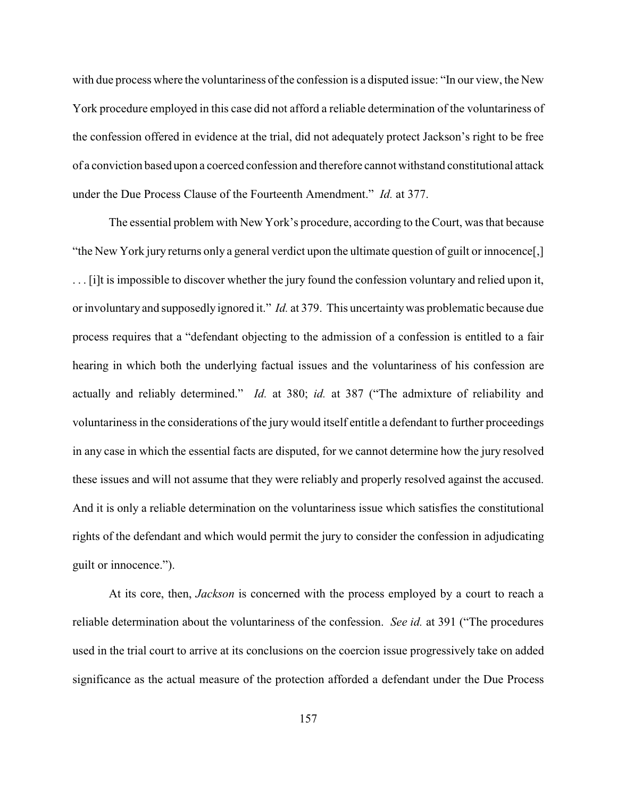with due process where the voluntariness of the confession is a disputed issue: "In our view, the New York procedure employed in this case did not afford a reliable determination of the voluntariness of the confession offered in evidence at the trial, did not adequately protect Jackson's right to be free of a conviction based upon a coerced confession and therefore cannot withstand constitutional attack under the Due Process Clause of the Fourteenth Amendment." *Id.* at 377.

The essential problem with New York's procedure, according to the Court, was that because "the New York jury returns only a general verdict upon the ultimate question of guilt or innocence[,] . . . [i]t is impossible to discover whether the jury found the confession voluntary and relied upon it, or involuntary and supposedly ignored it." *Id.* at 379. This uncertaintywas problematic because due process requires that a "defendant objecting to the admission of a confession is entitled to a fair hearing in which both the underlying factual issues and the voluntariness of his confession are actually and reliably determined." *Id.* at 380; *id.* at 387 ("The admixture of reliability and voluntariness in the considerations of the jury would itself entitle a defendant to further proceedings in any case in which the essential facts are disputed, for we cannot determine how the jury resolved these issues and will not assume that they were reliably and properly resolved against the accused. And it is only a reliable determination on the voluntariness issue which satisfies the constitutional rights of the defendant and which would permit the jury to consider the confession in adjudicating guilt or innocence.").

At its core, then, *Jackson* is concerned with the process employed by a court to reach a reliable determination about the voluntariness of the confession. *See id.* at 391 ("The procedures used in the trial court to arrive at its conclusions on the coercion issue progressively take on added significance as the actual measure of the protection afforded a defendant under the Due Process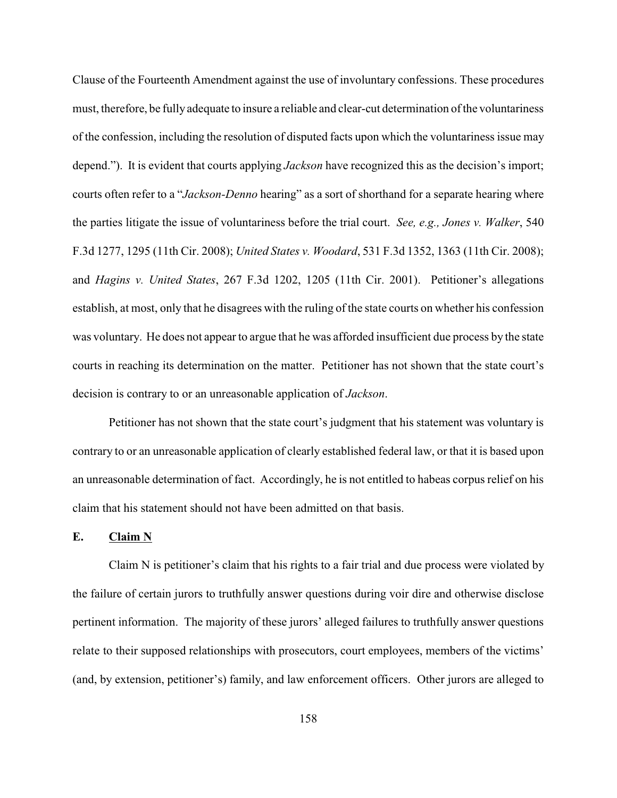Clause of the Fourteenth Amendment against the use of involuntary confessions. These procedures must, therefore, be fully adequate to insure a reliable and clear-cut determination of the voluntariness of the confession, including the resolution of disputed facts upon which the voluntariness issue may depend."). It is evident that courts applying *Jackson* have recognized this as the decision's import; courts often refer to a "*Jackson-Denno* hearing" as a sort of shorthand for a separate hearing where the parties litigate the issue of voluntariness before the trial court. *See, e.g., Jones v. Walker*, 540 F.3d 1277, 1295 (11th Cir. 2008); *United States v. Woodard*, 531 F.3d 1352, 1363 (11th Cir. 2008); and *Hagins v. United States*, 267 F.3d 1202, 1205 (11th Cir. 2001). Petitioner's allegations establish, at most, only that he disagrees with the ruling of the state courts on whether his confession was voluntary. He does not appear to argue that he was afforded insufficient due process by the state courts in reaching its determination on the matter. Petitioner has not shown that the state court's decision is contrary to or an unreasonable application of *Jackson*.

Petitioner has not shown that the state court's judgment that his statement was voluntary is contrary to or an unreasonable application of clearly established federal law, or that it is based upon an unreasonable determination of fact. Accordingly, he is not entitled to habeas corpus relief on his claim that his statement should not have been admitted on that basis.

# **E. Claim N**

Claim N is petitioner's claim that his rights to a fair trial and due process were violated by the failure of certain jurors to truthfully answer questions during voir dire and otherwise disclose pertinent information. The majority of these jurors' alleged failures to truthfully answer questions relate to their supposed relationships with prosecutors, court employees, members of the victims' (and, by extension, petitioner's) family, and law enforcement officers. Other jurors are alleged to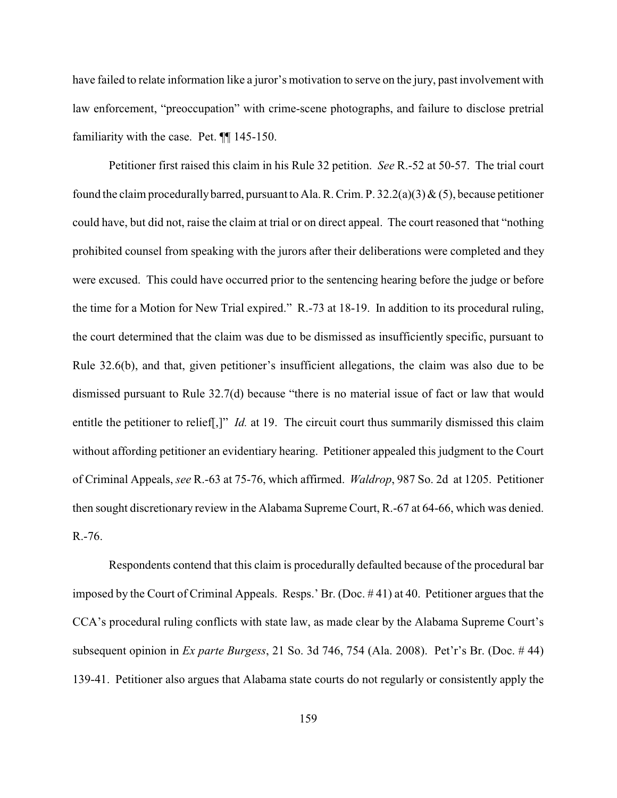have failed to relate information like a juror's motivation to serve on the jury, past involvement with law enforcement, "preoccupation" with crime-scene photographs, and failure to disclose pretrial familiarity with the case. Pet. ¶¶ 145-150.

Petitioner first raised this claim in his Rule 32 petition. *See* R.-52 at 50-57. The trial court found the claim procedurally barred, pursuant to Ala. R. Crim. P.  $32.2(a)(3) \& (5)$ , because petitioner could have, but did not, raise the claim at trial or on direct appeal. The court reasoned that "nothing prohibited counsel from speaking with the jurors after their deliberations were completed and they were excused. This could have occurred prior to the sentencing hearing before the judge or before the time for a Motion for New Trial expired." R.-73 at 18-19. In addition to its procedural ruling, the court determined that the claim was due to be dismissed as insufficiently specific, pursuant to Rule 32.6(b), and that, given petitioner's insufficient allegations, the claim was also due to be dismissed pursuant to Rule 32.7(d) because "there is no material issue of fact or law that would entitle the petitioner to relief<sup>[1]</sup>, *Id.* at 19. The circuit court thus summarily dismissed this claim without affording petitioner an evidentiary hearing. Petitioner appealed this judgment to the Court of Criminal Appeals, *see* R.-63 at 75-76, which affirmed. *Waldrop*, 987 So. 2d at 1205. Petitioner then sought discretionary review in the Alabama Supreme Court, R.-67 at 64-66, which was denied. R.-76.

Respondents contend that this claim is procedurally defaulted because of the procedural bar imposed by the Court of Criminal Appeals. Resps.' Br. (Doc. # 41) at 40. Petitioner argues that the CCA's procedural ruling conflicts with state law, as made clear by the Alabama Supreme Court's subsequent opinion in *Ex parte Burgess*, 21 So. 3d 746, 754 (Ala. 2008). Pet'r's Br. (Doc. # 44) 139-41. Petitioner also argues that Alabama state courts do not regularly or consistently apply the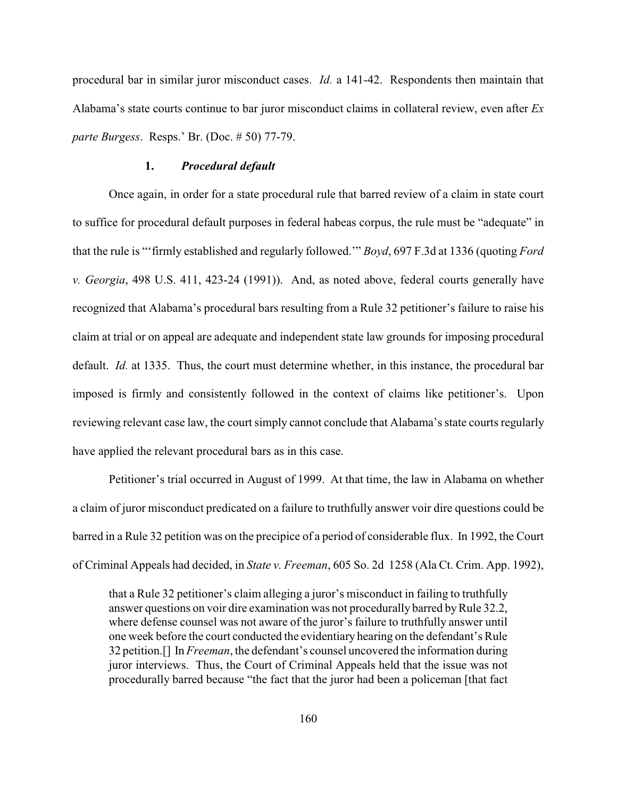procedural bar in similar juror misconduct cases. *Id.* a 141-42. Respondents then maintain that Alabama's state courts continue to bar juror misconduct claims in collateral review, even after *Ex parte Burgess*. Resps.' Br. (Doc. # 50) 77-79.

## **1.** *Procedural default*

Once again, in order for a state procedural rule that barred review of a claim in state court to suffice for procedural default purposes in federal habeas corpus, the rule must be "adequate" in that the rule is "'firmly established and regularly followed.'" *Boyd*, 697 F.3d at 1336 (quoting *Ford v. Georgia*, 498 U.S. 411, 423-24 (1991)). And, as noted above, federal courts generally have recognized that Alabama's procedural bars resulting from a Rule 32 petitioner's failure to raise his claim at trial or on appeal are adequate and independent state law grounds for imposing procedural default. *Id.* at 1335. Thus, the court must determine whether, in this instance, the procedural bar imposed is firmly and consistently followed in the context of claims like petitioner's. Upon reviewing relevant case law, the court simply cannot conclude that Alabama's state courts regularly have applied the relevant procedural bars as in this case.

Petitioner's trial occurred in August of 1999. At that time, the law in Alabama on whether a claim of juror misconduct predicated on a failure to truthfully answer voir dire questions could be barred in a Rule 32 petition was on the precipice of a period of considerable flux. In 1992, the Court of Criminal Appeals had decided, in *State v. Freeman*, 605 So. 2d 1258 (Ala Ct. Crim. App. 1992),

that a Rule 32 petitioner's claim alleging a juror's misconduct in failing to truthfully answer questions on voir dire examination was not procedurally barred by Rule 32.2, where defense counsel was not aware of the juror's failure to truthfully answer until one week before the court conducted the evidentiary hearing on the defendant's Rule 32 petition.[] In *Freeman*, the defendant's counsel uncovered the information during juror interviews. Thus, the Court of Criminal Appeals held that the issue was not procedurally barred because "the fact that the juror had been a policeman [that fact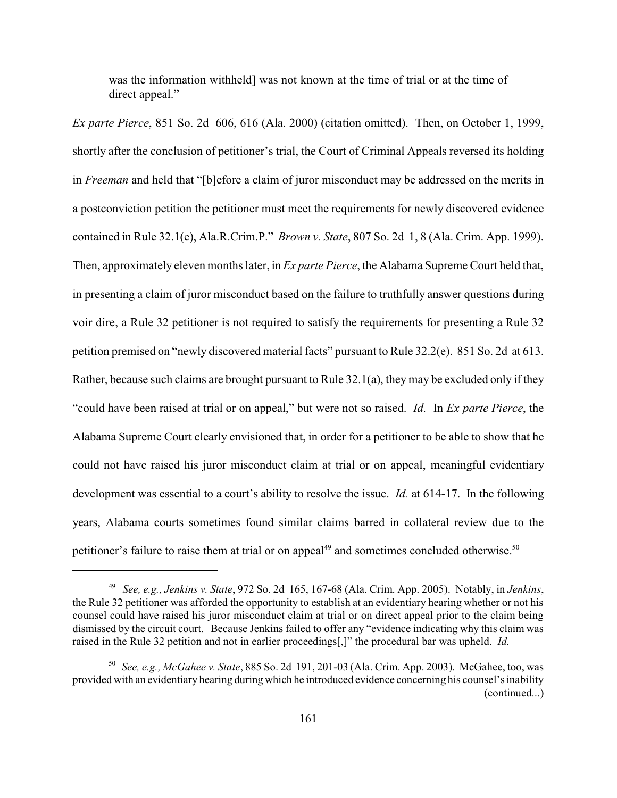was the information withheld] was not known at the time of trial or at the time of direct appeal."

*Ex parte Pierce*, 851 So. 2d 606, 616 (Ala. 2000) (citation omitted). Then, on October 1, 1999, shortly after the conclusion of petitioner's trial, the Court of Criminal Appeals reversed its holding in *Freeman* and held that "[b]efore a claim of juror misconduct may be addressed on the merits in a postconviction petition the petitioner must meet the requirements for newly discovered evidence contained in Rule 32.1(e), Ala.R.Crim.P." *Brown v. State*, 807 So. 2d 1, 8 (Ala. Crim. App. 1999). Then, approximately eleven months later, in *Ex parte Pierce*, the Alabama Supreme Court held that, in presenting a claim of juror misconduct based on the failure to truthfully answer questions during voir dire, a Rule 32 petitioner is not required to satisfy the requirements for presenting a Rule 32 petition premised on "newly discovered material facts" pursuant to Rule 32.2(e). 851 So. 2d at 613. Rather, because such claims are brought pursuant to Rule 32.1(a), they may be excluded only if they "could have been raised at trial or on appeal," but were not so raised. *Id.* In *Ex parte Pierce*, the Alabama Supreme Court clearly envisioned that, in order for a petitioner to be able to show that he could not have raised his juror misconduct claim at trial or on appeal, meaningful evidentiary development was essential to a court's ability to resolve the issue. *Id.* at 614-17. In the following years, Alabama courts sometimes found similar claims barred in collateral review due to the petitioner's failure to raise them at trial or on appeal<sup>49</sup> and sometimes concluded otherwise.<sup>50</sup>

*See, e.g., Jenkins v. State*, 972 So. 2d 165, 167-68 (Ala. Crim. App. 2005). Notably, in *Jenkins*, 49 the Rule 32 petitioner was afforded the opportunity to establish at an evidentiary hearing whether or not his counsel could have raised his juror misconduct claim at trial or on direct appeal prior to the claim being dismissed by the circuit court. Because Jenkins failed to offer any "evidence indicating why this claim was raised in the Rule 32 petition and not in earlier proceedings[,]" the procedural bar was upheld. *Id.*

<sup>&</sup>lt;sup>50</sup> See, e.g., *McGahee v. State*, 885 So. 2d 191, 201-03 (Ala. Crim. App. 2003). McGahee, too, was provided with an evidentiary hearing during which he introduced evidence concerning his counsel's inability (continued...)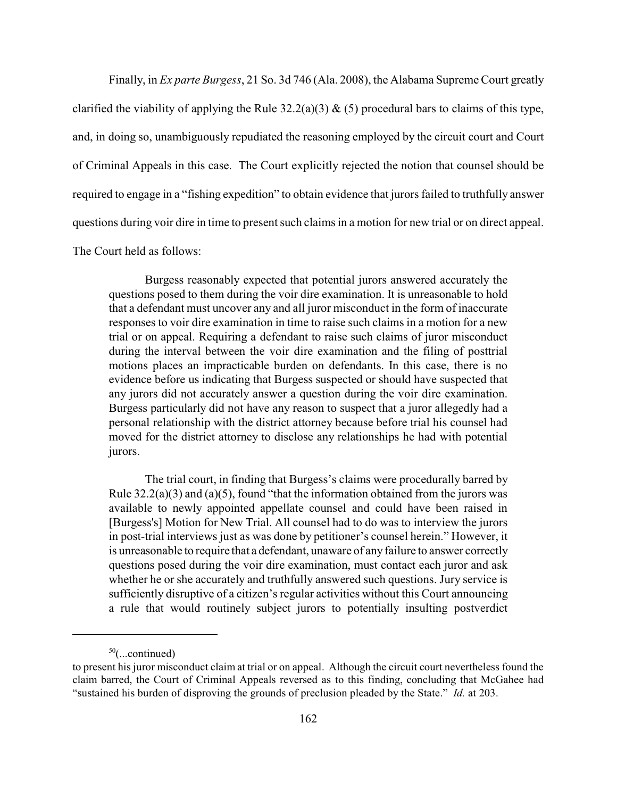Finally, in *Ex parte Burgess*, 21 So. 3d 746 (Ala. 2008), the Alabama Supreme Court greatly clarified the viability of applying the Rule  $32.2(a)(3)$  & (5) procedural bars to claims of this type, and, in doing so, unambiguously repudiated the reasoning employed by the circuit court and Court of Criminal Appeals in this case. The Court explicitly rejected the notion that counsel should be required to engage in a "fishing expedition" to obtain evidence that jurors failed to truthfully answer questions during voir dire in time to present such claims in a motion for new trial or on direct appeal. The Court held as follows:

Burgess reasonably expected that potential jurors answered accurately the questions posed to them during the voir dire examination. It is unreasonable to hold that a defendant must uncover any and all juror misconduct in the form of inaccurate responses to voir dire examination in time to raise such claims in a motion for a new trial or on appeal. Requiring a defendant to raise such claims of juror misconduct during the interval between the voir dire examination and the filing of posttrial motions places an impracticable burden on defendants. In this case, there is no evidence before us indicating that Burgess suspected or should have suspected that any jurors did not accurately answer a question during the voir dire examination. Burgess particularly did not have any reason to suspect that a juror allegedly had a personal relationship with the district attorney because before trial his counsel had moved for the district attorney to disclose any relationships he had with potential jurors.

The trial court, in finding that Burgess's claims were procedurally barred by Rule  $32.2(a)(3)$  and  $(a)(5)$ , found "that the information obtained from the jurors was available to newly appointed appellate counsel and could have been raised in [Burgess's] Motion for New Trial. All counsel had to do was to interview the jurors in post-trial interviews just as was done by petitioner's counsel herein." However, it is unreasonable to require that a defendant, unaware of any failure to answer correctly questions posed during the voir dire examination, must contact each juror and ask whether he or she accurately and truthfully answered such questions. Jury service is sufficiently disruptive of a citizen's regular activities without this Court announcing a rule that would routinely subject jurors to potentially insulting postverdict

 $50$ (...continued)

to present his juror misconduct claim at trial or on appeal. Although the circuit court nevertheless found the claim barred, the Court of Criminal Appeals reversed as to this finding, concluding that McGahee had "sustained his burden of disproving the grounds of preclusion pleaded by the State." *Id.* at 203.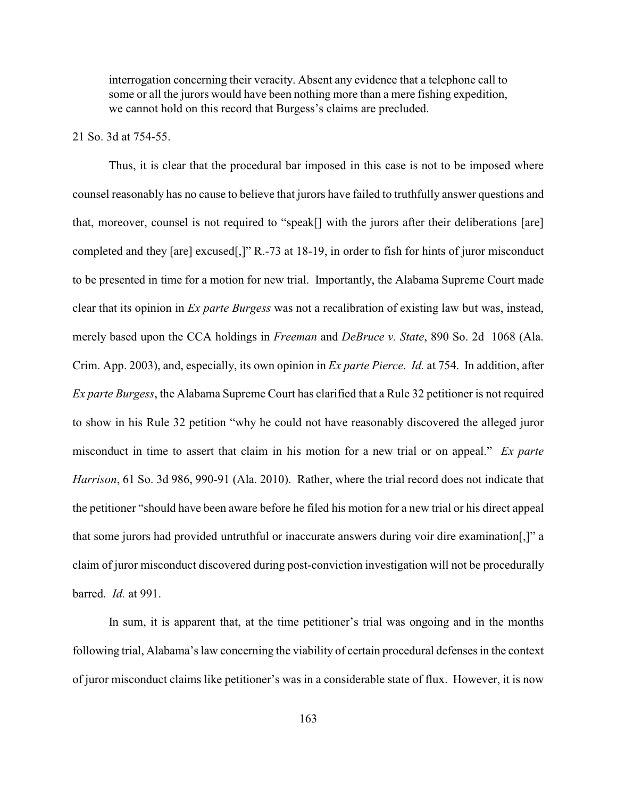interrogation concerning their veracity. Absent any evidence that a telephone call to some or all the jurors would have been nothing more than a mere fishing expedition, we cannot hold on this record that Burgess's claims are precluded.

#### 21 So. 3d at 754-55.

Thus, it is clear that the procedural bar imposed in this case is not to be imposed where counsel reasonably has no cause to believe that jurors have failed to truthfully answer questions and that, moreover, counsel is not required to "speak[] with the jurors after their deliberations [are] completed and they [are] excused[,]" R.-73 at 18-19, in order to fish for hints of juror misconduct to be presented in time for a motion for new trial. Importantly, the Alabama Supreme Court made clear that its opinion in *Ex parte Burgess* was not a recalibration of existing law but was, instead, merely based upon the CCA holdings in *Freeman* and *DeBruce v. State*, 890 So. 2d 1068 (Ala. Crim. App. 2003), and, especially, its own opinion in *Ex parte Pierce*. *Id.* at 754. In addition, after *Ex parte Burgess*, the Alabama Supreme Court has clarified that a Rule 32 petitioner is not required to show in his Rule 32 petition "why he could not have reasonably discovered the alleged juror misconduct in time to assert that claim in his motion for a new trial or on appeal." *Ex parte Harrison*, 61 So. 3d 986, 990-91 (Ala. 2010). Rather, where the trial record does not indicate that the petitioner "should have been aware before he filed his motion for a new trial or his direct appeal that some jurors had provided untruthful or inaccurate answers during voir dire examination[,]" a claim of juror misconduct discovered during post-conviction investigation will not be procedurally barred. *Id.* at 991.

In sum, it is apparent that, at the time petitioner's trial was ongoing and in the months following trial, Alabama's law concerning the viability of certain procedural defenses in the context of juror misconduct claims like petitioner's was in a considerable state of flux. However, it is now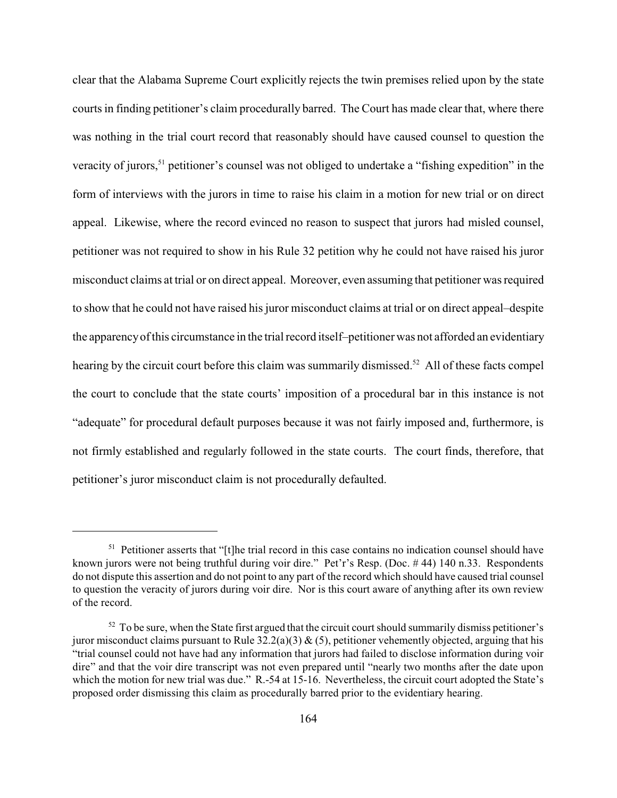clear that the Alabama Supreme Court explicitly rejects the twin premises relied upon by the state courts in finding petitioner's claim procedurally barred. The Court has made clear that, where there was nothing in the trial court record that reasonably should have caused counsel to question the veracity of jurors,<sup>51</sup> petitioner's counsel was not obliged to undertake a "fishing expedition" in the form of interviews with the jurors in time to raise his claim in a motion for new trial or on direct appeal. Likewise, where the record evinced no reason to suspect that jurors had misled counsel, petitioner was not required to show in his Rule 32 petition why he could not have raised his juror misconduct claims at trial or on direct appeal. Moreover, even assuming that petitioner was required to show that he could not have raised his juror misconduct claims at trial or on direct appeal–despite the apparencyof this circumstance in the trial record itself–petitioner was not afforded an evidentiary hearing by the circuit court before this claim was summarily dismissed.<sup>52</sup> All of these facts compel the court to conclude that the state courts' imposition of a procedural bar in this instance is not "adequate" for procedural default purposes because it was not fairly imposed and, furthermore, is not firmly established and regularly followed in the state courts. The court finds, therefore, that petitioner's juror misconduct claim is not procedurally defaulted.

<sup>&</sup>lt;sup>51</sup> Petitioner asserts that "[t]he trial record in this case contains no indication counsel should have known jurors were not being truthful during voir dire." Pet'r's Resp. (Doc. # 44) 140 n.33. Respondents do not dispute this assertion and do not point to any part of the record which should have caused trial counsel to question the veracity of jurors during voir dire. Nor is this court aware of anything after its own review of the record.

 $52$  To be sure, when the State first argued that the circuit court should summarily dismiss petitioner's juror misconduct claims pursuant to Rule  $32.2(a)(3)$  & (5), petitioner vehemently objected, arguing that his "trial counsel could not have had any information that jurors had failed to disclose information during voir dire" and that the voir dire transcript was not even prepared until "nearly two months after the date upon which the motion for new trial was due." R.-54 at 15-16. Nevertheless, the circuit court adopted the State's proposed order dismissing this claim as procedurally barred prior to the evidentiary hearing.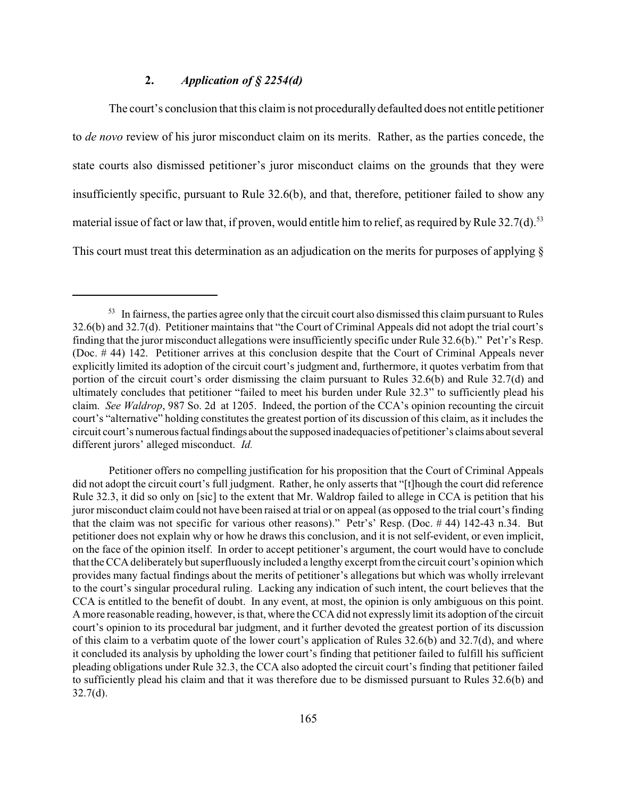## **2.** *Application of § 2254(d)*

The court's conclusion that this claim is not procedurally defaulted does not entitle petitioner to *de novo* review of his juror misconduct claim on its merits. Rather, as the parties concede, the state courts also dismissed petitioner's juror misconduct claims on the grounds that they were insufficiently specific, pursuant to Rule 32.6(b), and that, therefore, petitioner failed to show any material issue of fact or law that, if proven, would entitle him to relief, as required by Rule  $32.7(d)$ .<sup>53</sup> This court must treat this determination as an adjudication on the merits for purposes of applying §

 $53$  In fairness, the parties agree only that the circuit court also dismissed this claim pursuant to Rules 32.6(b) and 32.7(d). Petitioner maintains that "the Court of Criminal Appeals did not adopt the trial court's finding that the juror misconduct allegations were insufficiently specific under Rule 32.6(b)." Pet'r's Resp. (Doc. # 44) 142. Petitioner arrives at this conclusion despite that the Court of Criminal Appeals never explicitly limited its adoption of the circuit court's judgment and, furthermore, it quotes verbatim from that portion of the circuit court's order dismissing the claim pursuant to Rules 32.6(b) and Rule 32.7(d) and ultimately concludes that petitioner "failed to meet his burden under Rule 32.3" to sufficiently plead his claim. *See Waldrop*, 987 So. 2d at 1205. Indeed, the portion of the CCA's opinion recounting the circuit court's "alternative" holding constitutes the greatest portion of its discussion of this claim, as it includes the circuit court's numerousfactual findings about the supposed inadequacies of petitioner's claims about several different jurors' alleged misconduct. *Id.*

Petitioner offers no compelling justification for his proposition that the Court of Criminal Appeals did not adopt the circuit court's full judgment. Rather, he only asserts that "[t]hough the court did reference Rule 32.3, it did so only on [sic] to the extent that Mr. Waldrop failed to allege in CCA is petition that his juror misconduct claim could not have been raised at trial or on appeal (as opposed to the trial court's finding that the claim was not specific for various other reasons)." Petr's' Resp. (Doc. # 44) 142-43 n.34. But petitioner does not explain why or how he draws this conclusion, and it is not self-evident, or even implicit, on the face of the opinion itself. In order to accept petitioner's argument, the court would have to conclude that theCCA deliberately butsuperfluously included a lengthy excerpt fromthe circuit court's opinion which provides many factual findings about the merits of petitioner's allegations but which was wholly irrelevant to the court's singular procedural ruling. Lacking any indication of such intent, the court believes that the CCA is entitled to the benefit of doubt. In any event, at most, the opinion is only ambiguous on this point. A more reasonable reading, however, isthat, where theCCA did not expressly limit its adoption of the circuit court's opinion to its procedural bar judgment, and it further devoted the greatest portion of its discussion of this claim to a verbatim quote of the lower court's application of Rules 32.6(b) and 32.7(d), and where it concluded its analysis by upholding the lower court's finding that petitioner failed to fulfill his sufficient pleading obligations under Rule 32.3, the CCA also adopted the circuit court's finding that petitioner failed to sufficiently plead his claim and that it was therefore due to be dismissed pursuant to Rules 32.6(b) and 32.7(d).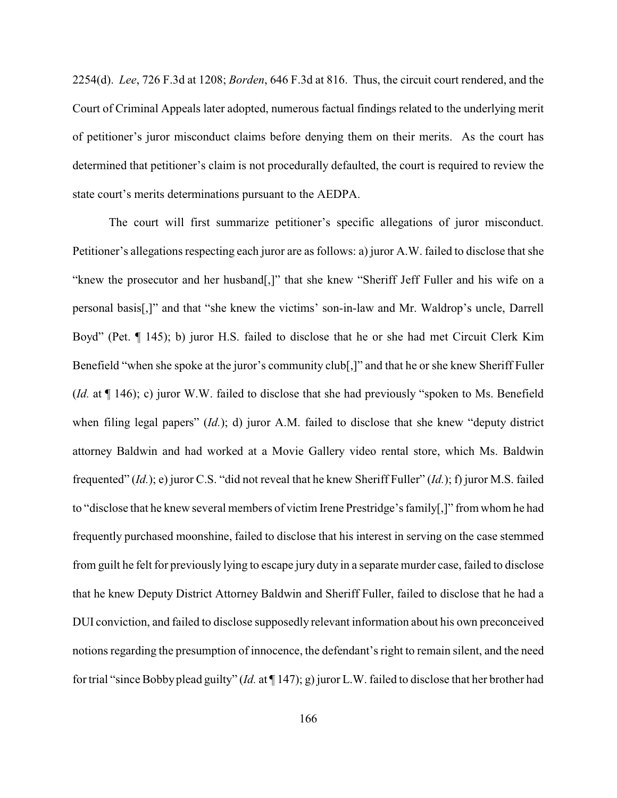2254(d). *Lee*, 726 F.3d at 1208; *Borden*, 646 F.3d at 816. Thus, the circuit court rendered, and the Court of Criminal Appeals later adopted, numerous factual findings related to the underlying merit of petitioner's juror misconduct claims before denying them on their merits. As the court has determined that petitioner's claim is not procedurally defaulted, the court is required to review the state court's merits determinations pursuant to the AEDPA.

The court will first summarize petitioner's specific allegations of juror misconduct. Petitioner's allegations respecting each juror are as follows: a) juror A.W. failed to disclose that she "knew the prosecutor and her husband[,]" that she knew "Sheriff Jeff Fuller and his wife on a personal basis[,]" and that "she knew the victims' son-in-law and Mr. Waldrop's uncle, Darrell Boyd" (Pet. ¶ 145); b) juror H.S. failed to disclose that he or she had met Circuit Clerk Kim Benefield "when she spoke at the juror's community club[,]" and that he or she knew Sheriff Fuller (*Id.* at ¶ 146); c) juror W.W. failed to disclose that she had previously "spoken to Ms. Benefield when filing legal papers" (*Id.*); d) juror A.M. failed to disclose that she knew "deputy district attorney Baldwin and had worked at a Movie Gallery video rental store, which Ms. Baldwin frequented" (*Id.*); e) juror C.S. "did not reveal that he knew Sheriff Fuller" (*Id.*); f) juror M.S. failed to "disclose that he knew several members of victim Irene Prestridge's family[,]" from whom he had frequently purchased moonshine, failed to disclose that his interest in serving on the case stemmed from guilt he felt for previously lying to escape jury duty in a separate murder case, failed to disclose that he knew Deputy District Attorney Baldwin and Sheriff Fuller, failed to disclose that he had a DUI conviction, and failed to disclose supposedly relevant information about his own preconceived notions regarding the presumption of innocence, the defendant's right to remain silent, and the need for trial "sinceBobbyplead guilty" (*Id.* at ¶ 147); g) juror L.W. failed to disclose that her brother had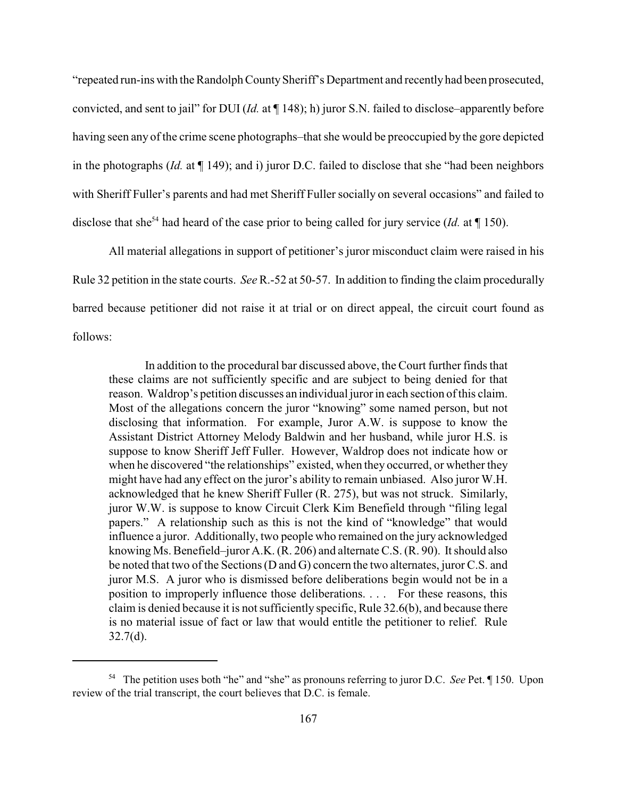"repeated run-ins with the Randolph CountySheriff's Department and recently had been prosecuted, convicted, and sent to jail" for DUI (*Id.* at ¶ 148); h) juror S.N. failed to disclose–apparently before having seen any of the crime scene photographs–that she would be preoccupied by the gore depicted in the photographs (*Id.* at ¶ 149); and i) juror D.C. failed to disclose that she "had been neighbors with Sheriff Fuller's parents and had met Sheriff Fuller socially on several occasions" and failed to disclose that she<sup>54</sup> had heard of the case prior to being called for jury service (*Id.* at  $\P$  150).

All material allegations in support of petitioner's juror misconduct claim were raised in his Rule 32 petition in the state courts. *See* R.-52 at 50-57. In addition to finding the claim procedurally barred because petitioner did not raise it at trial or on direct appeal, the circuit court found as follows:

In addition to the procedural bar discussed above, the Court further finds that these claims are not sufficiently specific and are subject to being denied for that reason. Waldrop's petition discusses an individual juror in each section of this claim. Most of the allegations concern the juror "knowing" some named person, but not disclosing that information. For example, Juror A.W. is suppose to know the Assistant District Attorney Melody Baldwin and her husband, while juror H.S. is suppose to know Sheriff Jeff Fuller. However, Waldrop does not indicate how or when he discovered "the relationships" existed, when they occurred, or whether they might have had any effect on the juror's ability to remain unbiased. Also juror W.H. acknowledged that he knew Sheriff Fuller (R. 275), but was not struck. Similarly, juror W.W. is suppose to know Circuit Clerk Kim Benefield through "filing legal papers." A relationship such as this is not the kind of "knowledge" that would influence a juror. Additionally, two people who remained on the jury acknowledged knowing Ms. Benefield–juror A.K. (R. 206) and alternate C.S. (R. 90). It should also be noted that two of the Sections (D and G) concern the two alternates, juror C.S. and juror M.S. A juror who is dismissed before deliberations begin would not be in a position to improperly influence those deliberations. . . . For these reasons, this claim is denied because it is not sufficiently specific, Rule 32.6(b), and because there is no material issue of fact or law that would entitle the petitioner to relief. Rule  $32.7(d)$ .

<sup>&</sup>lt;sup>54</sup> The petition uses both "he" and "she" as pronouns referring to juror D.C. *See* Pet. 150. Upon review of the trial transcript, the court believes that D.C. is female.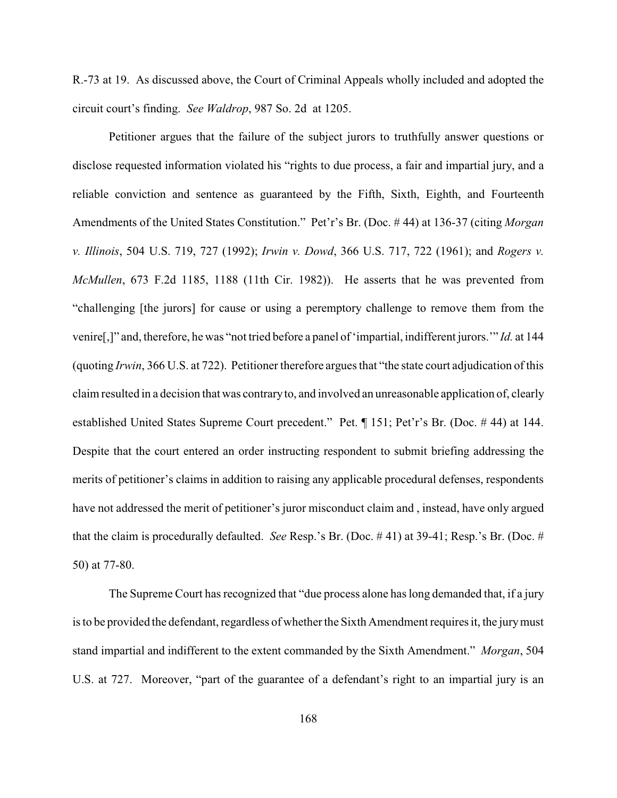R.-73 at 19. As discussed above, the Court of Criminal Appeals wholly included and adopted the circuit court's finding. *See Waldrop*, 987 So. 2d at 1205.

Petitioner argues that the failure of the subject jurors to truthfully answer questions or disclose requested information violated his "rights to due process, a fair and impartial jury, and a reliable conviction and sentence as guaranteed by the Fifth, Sixth, Eighth, and Fourteenth Amendments of the United States Constitution." Pet'r's Br. (Doc. # 44) at 136-37 (citing *Morgan v. Illinois*, 504 U.S. 719, 727 (1992); *Irwin v. Dowd*, 366 U.S. 717, 722 (1961); and *Rogers v. McMullen*, 673 F.2d 1185, 1188 (11th Cir. 1982)). He asserts that he was prevented from "challenging [the jurors] for cause or using a peremptory challenge to remove them from the venire[,]" and, therefore, he was "not tried before a panel of 'impartial, indifferent jurors.'" *Id.* at 144 (quoting *Irwin*, 366 U.S. at 722). Petitioner therefore argues that "the state court adjudication of this claim resulted in a decision that was contraryto, and involved an unreasonable application of, clearly established United States Supreme Court precedent." Pet. ¶ 151; Pet'r's Br. (Doc. # 44) at 144. Despite that the court entered an order instructing respondent to submit briefing addressing the merits of petitioner's claims in addition to raising any applicable procedural defenses, respondents have not addressed the merit of petitioner's juror misconduct claim and , instead, have only argued that the claim is procedurally defaulted. *See* Resp.'s Br. (Doc. # 41) at 39-41; Resp.'s Br. (Doc. # 50) at 77-80.

The Supreme Court has recognized that "due process alone has long demanded that, if a jury is to be provided the defendant, regardless of whether the Sixth Amendment requires it, the jury must stand impartial and indifferent to the extent commanded by the Sixth Amendment." *Morgan*, 504 U.S. at 727. Moreover, "part of the guarantee of a defendant's right to an impartial jury is an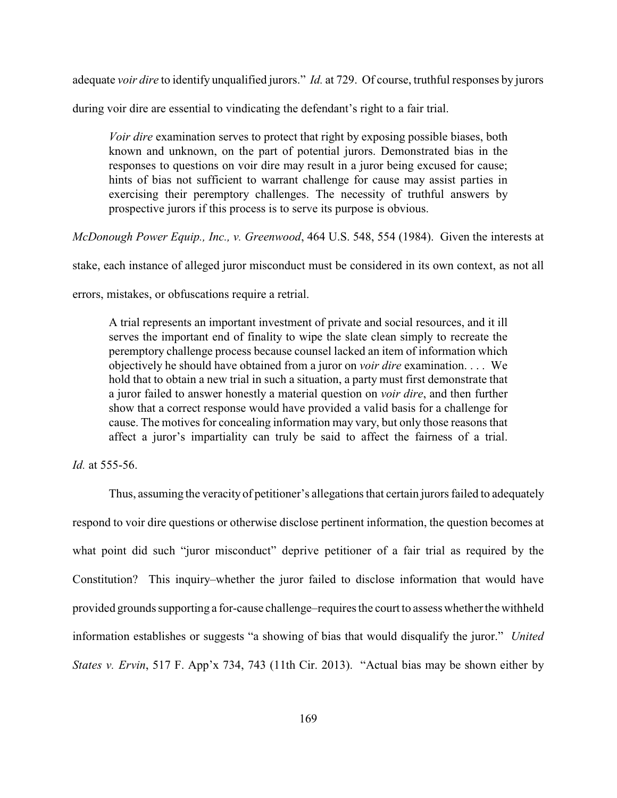adequate *voir dire* to identify unqualified jurors." *Id.* at 729. Of course, truthful responses by jurors

during voir dire are essential to vindicating the defendant's right to a fair trial.

*Voir dire* examination serves to protect that right by exposing possible biases, both known and unknown, on the part of potential jurors. Demonstrated bias in the responses to questions on voir dire may result in a juror being excused for cause; hints of bias not sufficient to warrant challenge for cause may assist parties in exercising their peremptory challenges. The necessity of truthful answers by prospective jurors if this process is to serve its purpose is obvious.

*McDonough Power Equip., Inc., v. Greenwood*, 464 U.S. 548, 554 (1984). Given the interests at

stake, each instance of alleged juror misconduct must be considered in its own context, as not all

errors, mistakes, or obfuscations require a retrial.

A trial represents an important investment of private and social resources, and it ill serves the important end of finality to wipe the slate clean simply to recreate the peremptory challenge process because counsel lacked an item of information which objectively he should have obtained from a juror on *voir dire* examination. . . . We hold that to obtain a new trial in such a situation, a party must first demonstrate that a juror failed to answer honestly a material question on *voir dire*, and then further show that a correct response would have provided a valid basis for a challenge for cause. The motives for concealing information may vary, but only those reasons that affect a juror's impartiality can truly be said to affect the fairness of a trial.

*Id.* at 555-56.

Thus, assuming the veracityof petitioner's allegations that certain jurors failed to adequately respond to voir dire questions or otherwise disclose pertinent information, the question becomes at what point did such "juror misconduct" deprive petitioner of a fair trial as required by the Constitution? This inquiry–whether the juror failed to disclose information that would have provided grounds supporting a for-cause challenge–requires the court to assess whetherthe withheld information establishes or suggests "a showing of bias that would disqualify the juror." *United States v. Ervin*, 517 F. App'x 734, 743 (11th Cir. 2013). "Actual bias may be shown either by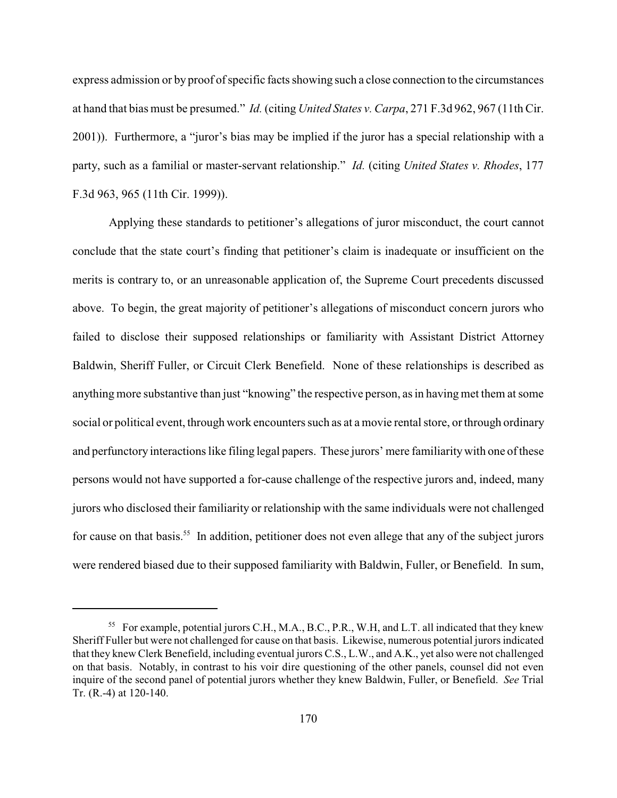express admission or by proof of specific facts showing such a close connection to the circumstances at hand that bias must be presumed." *Id.* (citing *United States v. Carpa*, 271 F.3d 962, 967 (11th Cir. 2001)). Furthermore, a "juror's bias may be implied if the juror has a special relationship with a party, such as a familial or master-servant relationship." *Id.* (citing *United States v. Rhodes*, 177 F.3d 963, 965 (11th Cir. 1999)).

Applying these standards to petitioner's allegations of juror misconduct, the court cannot conclude that the state court's finding that petitioner's claim is inadequate or insufficient on the merits is contrary to, or an unreasonable application of, the Supreme Court precedents discussed above. To begin, the great majority of petitioner's allegations of misconduct concern jurors who failed to disclose their supposed relationships or familiarity with Assistant District Attorney Baldwin, Sheriff Fuller, or Circuit Clerk Benefield. None of these relationships is described as anything more substantive than just "knowing" the respective person, as in having met them at some social or political event, through work encounters such as at a movie rental store, or through ordinary and perfunctory interactions like filing legal papers. These jurors' mere familiaritywith one of these persons would not have supported a for-cause challenge of the respective jurors and, indeed, many jurors who disclosed their familiarity or relationship with the same individuals were not challenged for cause on that basis.<sup>55</sup> In addition, petitioner does not even allege that any of the subject jurors were rendered biased due to their supposed familiarity with Baldwin, Fuller, or Benefield. In sum,

<sup>&</sup>lt;sup>55</sup> For example, potential jurors C.H., M.A., B.C., P.R., W.H, and L.T. all indicated that they knew Sheriff Fuller but were not challenged for cause on that basis. Likewise, numerous potential jurorsindicated that they knew Clerk Benefield, including eventual jurors C.S., L.W., and A.K., yet also were not challenged on that basis. Notably, in contrast to his voir dire questioning of the other panels, counsel did not even inquire of the second panel of potential jurors whether they knew Baldwin, Fuller, or Benefield. *See* Trial Tr. (R.-4) at 120-140.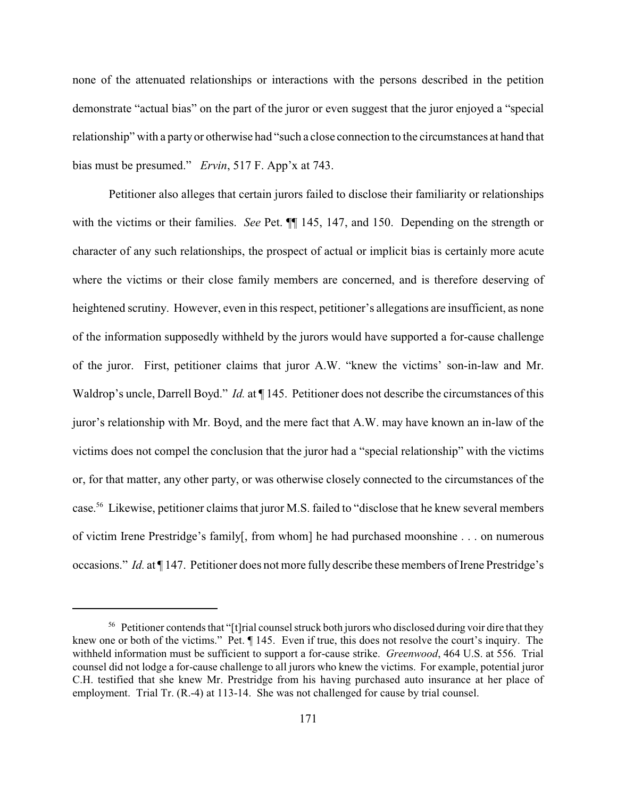none of the attenuated relationships or interactions with the persons described in the petition demonstrate "actual bias" on the part of the juror or even suggest that the juror enjoyed a "special relationship" with a party or otherwise had "such a close connection to the circumstances at hand that bias must be presumed." *Ervin*, 517 F. App'x at 743.

Petitioner also alleges that certain jurors failed to disclose their familiarity or relationships with the victims or their families. *See* Pet. ¶¶ 145, 147, and 150. Depending on the strength or character of any such relationships, the prospect of actual or implicit bias is certainly more acute where the victims or their close family members are concerned, and is therefore deserving of heightened scrutiny. However, even in this respect, petitioner's allegations are insufficient, as none of the information supposedly withheld by the jurors would have supported a for-cause challenge of the juror. First, petitioner claims that juror A.W. "knew the victims' son-in-law and Mr. Waldrop's uncle, Darrell Boyd." *Id.* at ¶ 145. Petitioner does not describe the circumstances of this juror's relationship with Mr. Boyd, and the mere fact that A.W. may have known an in-law of the victims does not compel the conclusion that the juror had a "special relationship" with the victims or, for that matter, any other party, or was otherwise closely connected to the circumstances of the case.<sup>56</sup> Likewise, petitioner claims that juror M.S. failed to "disclose that he knew several members of victim Irene Prestridge's family[, from whom] he had purchased moonshine . . . on numerous occasions." *Id.* at ¶ 147. Petitioner does not more fully describe these members of Irene Prestridge's

 $56$  Petitioner contends that "[t]rial counsel struck both jurors who disclosed during voir dire that they knew one or both of the victims." Pet. ¶ 145. Even if true, this does not resolve the court's inquiry. The withheld information must be sufficient to support a for-cause strike. *Greenwood*, 464 U.S. at 556. Trial counsel did not lodge a for-cause challenge to all jurors who knew the victims. For example, potential juror C.H. testified that she knew Mr. Prestridge from his having purchased auto insurance at her place of employment. Trial Tr. (R.-4) at 113-14. She was not challenged for cause by trial counsel.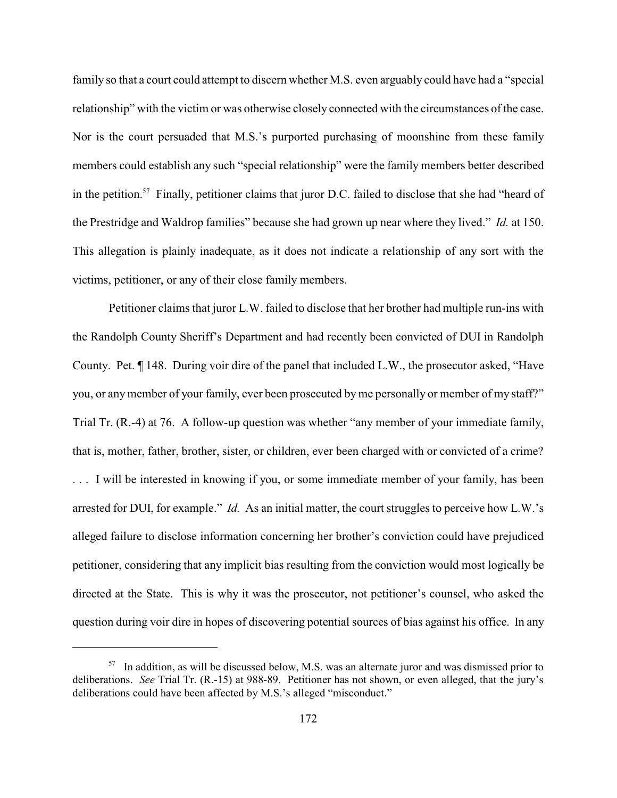family so that a court could attempt to discern whether M.S. even arguably could have had a "special relationship" with the victim or was otherwise closely connected with the circumstances of the case. Nor is the court persuaded that M.S.'s purported purchasing of moonshine from these family members could establish any such "special relationship" were the family members better described in the petition.<sup>57</sup> Finally, petitioner claims that juror D.C. failed to disclose that she had "heard of the Prestridge and Waldrop families" because she had grown up near where they lived." *Id.* at 150. This allegation is plainly inadequate, as it does not indicate a relationship of any sort with the victims, petitioner, or any of their close family members.

Petitioner claims that juror L.W. failed to disclose that her brother had multiple run-ins with the Randolph County Sheriff's Department and had recently been convicted of DUI in Randolph County. Pet. ¶ 148. During voir dire of the panel that included L.W., the prosecutor asked, "Have you, or any member of your family, ever been prosecuted by me personally or member of my staff?" Trial Tr. (R.-4) at 76. A follow-up question was whether "any member of your immediate family, that is, mother, father, brother, sister, or children, ever been charged with or convicted of a crime? . . . I will be interested in knowing if you, or some immediate member of your family, has been arrested for DUI, for example." *Id.* As an initial matter, the court struggles to perceive how L.W.'s alleged failure to disclose information concerning her brother's conviction could have prejudiced petitioner, considering that any implicit bias resulting from the conviction would most logically be directed at the State. This is why it was the prosecutor, not petitioner's counsel, who asked the question during voir dire in hopes of discovering potential sources of bias against his office. In any

 $157$  In addition, as will be discussed below, M.S. was an alternate juror and was dismissed prior to deliberations. *See* Trial Tr. (R.-15) at 988-89. Petitioner has not shown, or even alleged, that the jury's deliberations could have been affected by M.S.'s alleged "misconduct."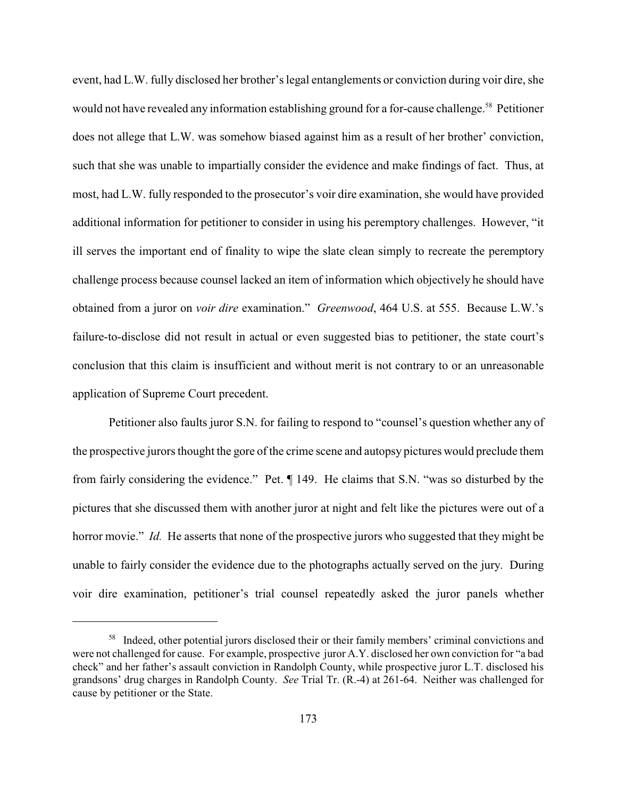event, had L.W. fully disclosed her brother's legal entanglements or conviction during voir dire, she would not have revealed any information establishing ground for a for-cause challenge.<sup>58</sup> Petitioner does not allege that L.W. was somehow biased against him as a result of her brother' conviction, such that she was unable to impartially consider the evidence and make findings of fact. Thus, at most, had L.W. fully responded to the prosecutor's voir dire examination, she would have provided additional information for petitioner to consider in using his peremptory challenges. However, "it ill serves the important end of finality to wipe the slate clean simply to recreate the peremptory challenge process because counsel lacked an item of information which objectively he should have obtained from a juror on *voir dire* examination." *Greenwood*, 464 U.S. at 555. Because L.W.'s failure-to-disclose did not result in actual or even suggested bias to petitioner, the state court's conclusion that this claim is insufficient and without merit is not contrary to or an unreasonable application of Supreme Court precedent.

Petitioner also faults juror S.N. for failing to respond to "counsel's question whether any of the prospective jurors thought the gore of the crime scene and autopsy pictures would preclude them from fairly considering the evidence." Pet. ¶ 149. He claims that S.N. "was so disturbed by the pictures that she discussed them with another juror at night and felt like the pictures were out of a horror movie." *Id.* He asserts that none of the prospective jurors who suggested that they might be unable to fairly consider the evidence due to the photographs actually served on the jury. During voir dire examination, petitioner's trial counsel repeatedly asked the juror panels whether

<sup>&</sup>lt;sup>58</sup> Indeed, other potential jurors disclosed their or their family members' criminal convictions and were not challenged for cause. For example, prospective juror A.Y. disclosed her own conviction for "a bad check" and her father's assault conviction in Randolph County, while prospective juror L.T. disclosed his grandsons' drug charges in Randolph County. *See* Trial Tr. (R.-4) at 261-64. Neither was challenged for cause by petitioner or the State.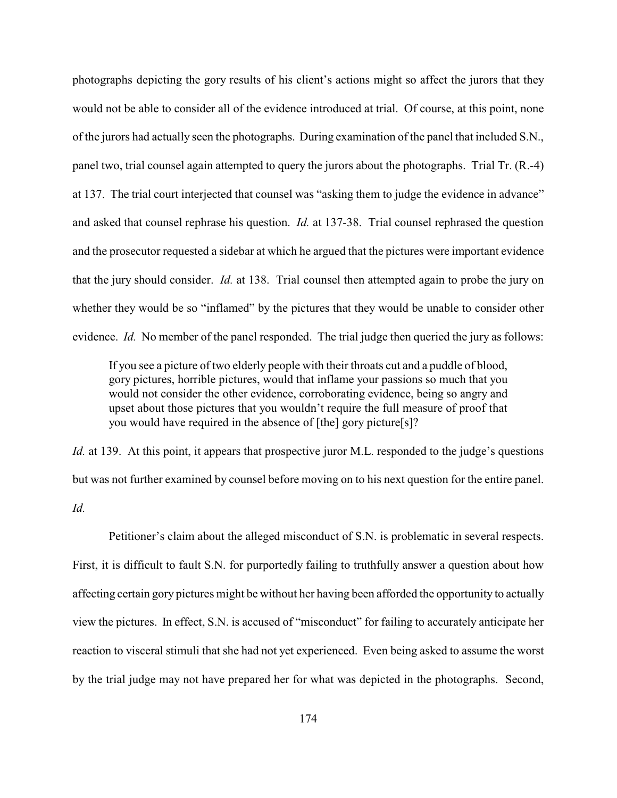photographs depicting the gory results of his client's actions might so affect the jurors that they would not be able to consider all of the evidence introduced at trial. Of course, at this point, none of the jurors had actually seen the photographs. During examination of the panel that included S.N., panel two, trial counsel again attempted to query the jurors about the photographs. Trial Tr. (R.-4) at 137. The trial court interjected that counsel was "asking them to judge the evidence in advance" and asked that counsel rephrase his question. *Id.* at 137-38. Trial counsel rephrased the question and the prosecutor requested a sidebar at which he argued that the pictures were important evidence that the jury should consider. *Id.* at 138. Trial counsel then attempted again to probe the jury on whether they would be so "inflamed" by the pictures that they would be unable to consider other evidence. *Id.* No member of the panel responded. The trial judge then queried the jury as follows:

If you see a picture of two elderly people with their throats cut and a puddle of blood, gory pictures, horrible pictures, would that inflame your passions so much that you would not consider the other evidence, corroborating evidence, being so angry and upset about those pictures that you wouldn't require the full measure of proof that you would have required in the absence of [the] gory picture[s]?

*Id.* at 139. At this point, it appears that prospective juror M.L. responded to the judge's questions but was not further examined by counsel before moving on to his next question for the entire panel. *Id.*

Petitioner's claim about the alleged misconduct of S.N. is problematic in several respects. First, it is difficult to fault S.N. for purportedly failing to truthfully answer a question about how affecting certain gory pictures might be without her having been afforded the opportunity to actually view the pictures. In effect, S.N. is accused of "misconduct" for failing to accurately anticipate her reaction to visceral stimuli that she had not yet experienced. Even being asked to assume the worst by the trial judge may not have prepared her for what was depicted in the photographs. Second,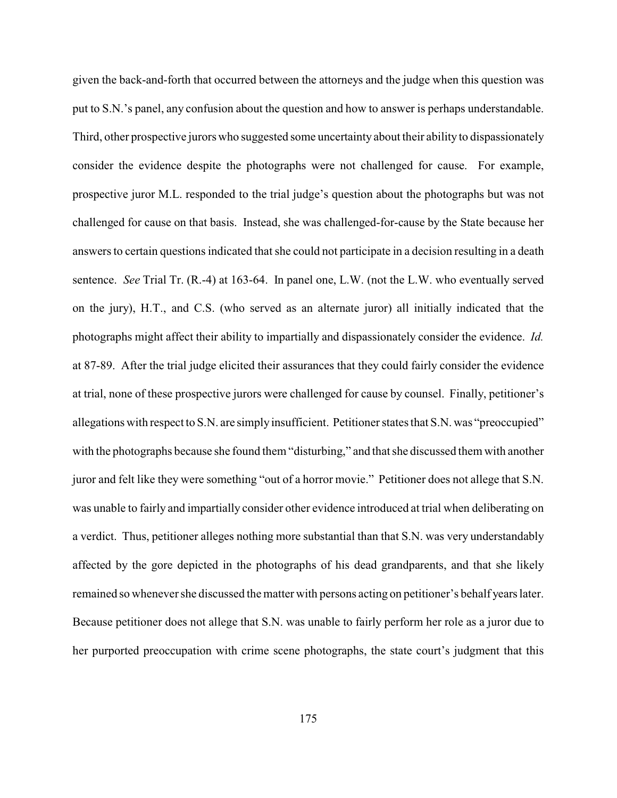given the back-and-forth that occurred between the attorneys and the judge when this question was put to S.N.'s panel, any confusion about the question and how to answer is perhaps understandable. Third, other prospective jurors who suggested some uncertainty about their ability to dispassionately consider the evidence despite the photographs were not challenged for cause. For example, prospective juror M.L. responded to the trial judge's question about the photographs but was not challenged for cause on that basis. Instead, she was challenged-for-cause by the State because her answers to certain questions indicated that she could not participate in a decision resulting in a death sentence. *See* Trial Tr. (R.-4) at 163-64. In panel one, L.W. (not the L.W. who eventually served on the jury), H.T., and C.S. (who served as an alternate juror) all initially indicated that the photographs might affect their ability to impartially and dispassionately consider the evidence. *Id.* at 87-89. After the trial judge elicited their assurances that they could fairly consider the evidence at trial, none of these prospective jurors were challenged for cause by counsel. Finally, petitioner's allegations with respect to S.N. are simply insufficient. Petitioner states that S.N. was "preoccupied" with the photographs because she found them "disturbing," and that she discussed them with another juror and felt like they were something "out of a horror movie." Petitioner does not allege that S.N. was unable to fairly and impartially consider other evidence introduced at trial when deliberating on a verdict. Thus, petitioner alleges nothing more substantial than that S.N. was very understandably affected by the gore depicted in the photographs of his dead grandparents, and that she likely remained so whenever she discussed the matter with persons acting on petitioner's behalf years later. Because petitioner does not allege that S.N. was unable to fairly perform her role as a juror due to her purported preoccupation with crime scene photographs, the state court's judgment that this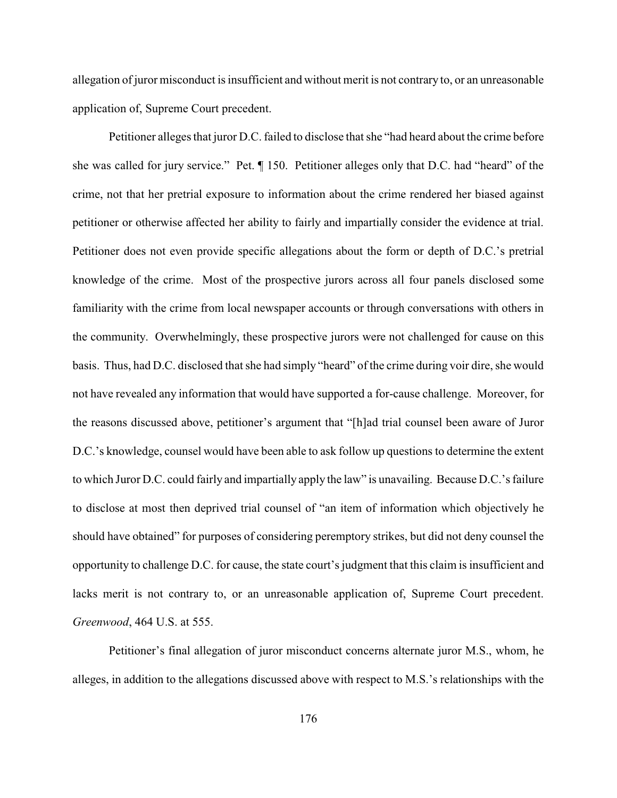allegation of juror misconduct is insufficient and without merit is not contrary to, or an unreasonable application of, Supreme Court precedent.

Petitioner alleges that juror D.C. failed to disclose that she "had heard about the crime before she was called for jury service." Pet. ¶ 150. Petitioner alleges only that D.C. had "heard" of the crime, not that her pretrial exposure to information about the crime rendered her biased against petitioner or otherwise affected her ability to fairly and impartially consider the evidence at trial. Petitioner does not even provide specific allegations about the form or depth of D.C.'s pretrial knowledge of the crime. Most of the prospective jurors across all four panels disclosed some familiarity with the crime from local newspaper accounts or through conversations with others in the community. Overwhelmingly, these prospective jurors were not challenged for cause on this basis. Thus, had D.C. disclosed that she had simply "heard" of the crime during voir dire, she would not have revealed any information that would have supported a for-cause challenge. Moreover, for the reasons discussed above, petitioner's argument that "[h]ad trial counsel been aware of Juror D.C.'s knowledge, counsel would have been able to ask follow up questions to determine the extent to which Juror D.C. could fairly and impartially apply the law" is unavailing. Because D.C.'s failure to disclose at most then deprived trial counsel of "an item of information which objectively he should have obtained" for purposes of considering peremptory strikes, but did not deny counsel the opportunity to challenge D.C. for cause, the state court's judgment that this claim is insufficient and lacks merit is not contrary to, or an unreasonable application of, Supreme Court precedent. *Greenwood*, 464 U.S. at 555.

Petitioner's final allegation of juror misconduct concerns alternate juror M.S., whom, he alleges, in addition to the allegations discussed above with respect to M.S.'s relationships with the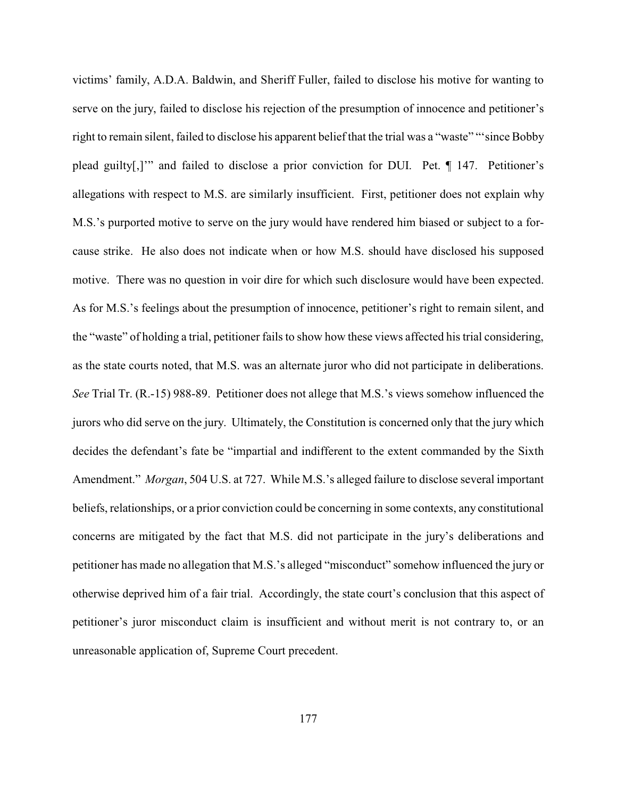victims' family, A.D.A. Baldwin, and Sheriff Fuller, failed to disclose his motive for wanting to serve on the jury, failed to disclose his rejection of the presumption of innocence and petitioner's right to remain silent, failed to disclose his apparent belief that the trial was a "waste" "'since Bobby plead guilty[,]'" and failed to disclose a prior conviction for DUI. Pet. ¶ 147. Petitioner's allegations with respect to M.S. are similarly insufficient. First, petitioner does not explain why M.S.'s purported motive to serve on the jury would have rendered him biased or subject to a forcause strike. He also does not indicate when or how M.S. should have disclosed his supposed motive. There was no question in voir dire for which such disclosure would have been expected. As for M.S.'s feelings about the presumption of innocence, petitioner's right to remain silent, and the "waste" of holding a trial, petitioner fails to show how these views affected his trial considering, as the state courts noted, that M.S. was an alternate juror who did not participate in deliberations. *See* Trial Tr. (R.-15) 988-89. Petitioner does not allege that M.S.'s views somehow influenced the jurors who did serve on the jury. Ultimately, the Constitution is concerned only that the jury which decides the defendant's fate be "impartial and indifferent to the extent commanded by the Sixth Amendment." *Morgan*, 504 U.S. at 727. While M.S.'s alleged failure to disclose several important beliefs, relationships, or a prior conviction could be concerning in some contexts, any constitutional concerns are mitigated by the fact that M.S. did not participate in the jury's deliberations and petitioner has made no allegation that M.S.'s alleged "misconduct" somehow influenced the jury or otherwise deprived him of a fair trial. Accordingly, the state court's conclusion that this aspect of petitioner's juror misconduct claim is insufficient and without merit is not contrary to, or an unreasonable application of, Supreme Court precedent.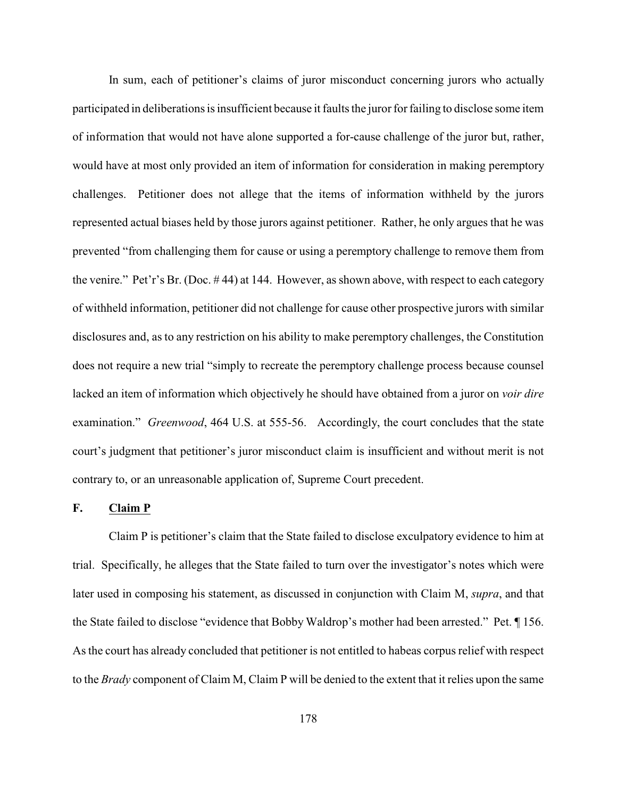In sum, each of petitioner's claims of juror misconduct concerning jurors who actually participated in deliberations is insufficient because it faults the juror for failing to disclose some item of information that would not have alone supported a for-cause challenge of the juror but, rather, would have at most only provided an item of information for consideration in making peremptory challenges. Petitioner does not allege that the items of information withheld by the jurors represented actual biases held by those jurors against petitioner. Rather, he only argues that he was prevented "from challenging them for cause or using a peremptory challenge to remove them from the venire." Pet'r's Br. (Doc. # 44) at 144. However, as shown above, with respect to each category of withheld information, petitioner did not challenge for cause other prospective jurors with similar disclosures and, as to any restriction on his ability to make peremptory challenges, the Constitution does not require a new trial "simply to recreate the peremptory challenge process because counsel lacked an item of information which objectively he should have obtained from a juror on *voir dire* examination." *Greenwood*, 464 U.S. at 555-56. Accordingly, the court concludes that the state court's judgment that petitioner's juror misconduct claim is insufficient and without merit is not contrary to, or an unreasonable application of, Supreme Court precedent.

#### **F. Claim P**

Claim P is petitioner's claim that the State failed to disclose exculpatory evidence to him at trial. Specifically, he alleges that the State failed to turn over the investigator's notes which were later used in composing his statement, as discussed in conjunction with Claim M, *supra*, and that the State failed to disclose "evidence that Bobby Waldrop's mother had been arrested." Pet. ¶ 156. As the court has already concluded that petitioner is not entitled to habeas corpus relief with respect to the *Brady* component of Claim M, Claim P will be denied to the extent that it relies upon the same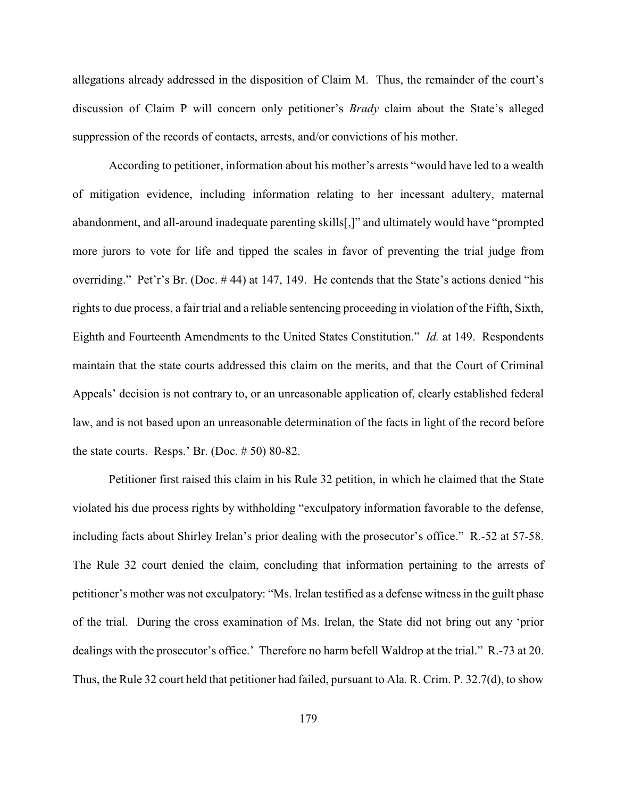allegations already addressed in the disposition of Claim M. Thus, the remainder of the court's discussion of Claim P will concern only petitioner's *Brady* claim about the State's alleged suppression of the records of contacts, arrests, and/or convictions of his mother.

According to petitioner, information about his mother's arrests "would have led to a wealth of mitigation evidence, including information relating to her incessant adultery, maternal abandonment, and all-around inadequate parenting skills[,]" and ultimately would have "prompted more jurors to vote for life and tipped the scales in favor of preventing the trial judge from overriding." Pet'r's Br. (Doc. # 44) at 147, 149. He contends that the State's actions denied "his rights to due process, a fair trial and a reliable sentencing proceeding in violation of the Fifth, Sixth, Eighth and Fourteenth Amendments to the United States Constitution." *Id.* at 149. Respondents maintain that the state courts addressed this claim on the merits, and that the Court of Criminal Appeals' decision is not contrary to, or an unreasonable application of, clearly established federal law, and is not based upon an unreasonable determination of the facts in light of the record before the state courts. Resps.' Br. (Doc.  $# 50$ ) 80-82.

Petitioner first raised this claim in his Rule 32 petition, in which he claimed that the State violated his due process rights by withholding "exculpatory information favorable to the defense, including facts about Shirley Irelan's prior dealing with the prosecutor's office." R.-52 at 57-58. The Rule 32 court denied the claim, concluding that information pertaining to the arrests of petitioner's mother was not exculpatory: "Ms. Irelan testified as a defense witness in the guilt phase of the trial. During the cross examination of Ms. Irelan, the State did not bring out any 'prior dealings with the prosecutor's office.' Therefore no harm befell Waldrop at the trial." R.-73 at 20. Thus, the Rule 32 court held that petitioner had failed, pursuant to Ala. R. Crim. P. 32.7(d), to show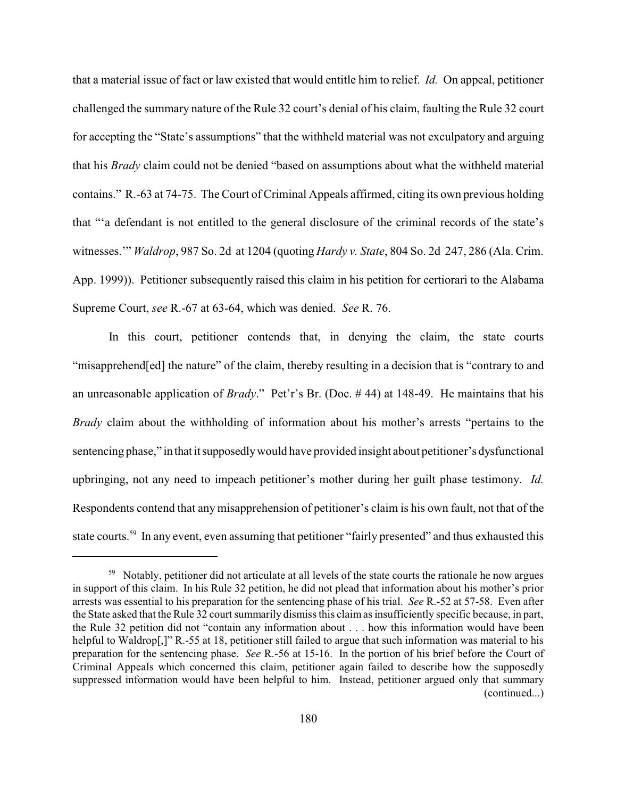that a material issue of fact or law existed that would entitle him to relief. *Id.* On appeal, petitioner challenged the summary nature of the Rule 32 court's denial of his claim, faulting the Rule 32 court for accepting the "State's assumptions" that the withheld material was not exculpatory and arguing that his *Brady* claim could not be denied "based on assumptions about what the withheld material contains." R.-63 at 74-75. The Court of Criminal Appeals affirmed, citing its own previous holding that "'a defendant is not entitled to the general disclosure of the criminal records of the state's witnesses.'" *Waldrop*, 987 So. 2d at 1204 (quoting *Hardy v. State*, 804 So. 2d 247, 286 (Ala. Crim. App. 1999)). Petitioner subsequently raised this claim in his petition for certiorari to the Alabama Supreme Court, *see* R.-67 at 63-64, which was denied. *See* R. 76.

In this court, petitioner contends that, in denying the claim, the state courts "misapprehend[ed] the nature" of the claim, thereby resulting in a decision that is "contrary to and an unreasonable application of *Brady*." Pet'r's Br. (Doc. # 44) at 148-49. He maintains that his *Brady* claim about the withholding of information about his mother's arrests "pertains to the sentencing phase," in that itsupposedlywould have provided insight about petitioner's dysfunctional upbringing, not any need to impeach petitioner's mother during her guilt phase testimony. *Id.* Respondents contend that any misapprehension of petitioner's claim is his own fault, not that of the state courts.<sup>59</sup> In any event, even assuming that petitioner "fairly presented" and thus exhausted this

<sup>&</sup>lt;sup>59</sup> Notably, petitioner did not articulate at all levels of the state courts the rationale he now argues in support of this claim. In his Rule 32 petition, he did not plead that information about his mother's prior arrests was essential to his preparation for the sentencing phase of his trial. *See* R.-52 at 57-58. Even after the State asked that the Rule 32 court summarily dismiss this claim as insufficiently specific because, in part, the Rule 32 petition did not "contain any information about . . . how this information would have been helpful to Waldrop[,]" R.-55 at 18, petitioner still failed to argue that such information was material to his preparation for the sentencing phase. *See* R.-56 at 15-16. In the portion of his brief before the Court of Criminal Appeals which concerned this claim, petitioner again failed to describe how the supposedly suppressed information would have been helpful to him. Instead, petitioner argued only that summary (continued...)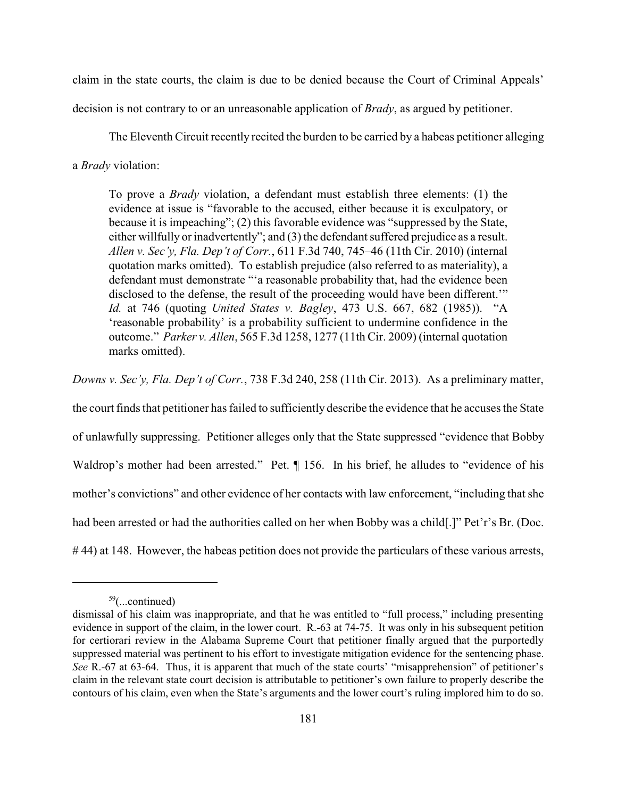claim in the state courts, the claim is due to be denied because the Court of Criminal Appeals'

decision is not contrary to or an unreasonable application of *Brady*, as argued by petitioner.

The Eleventh Circuit recently recited the burden to be carried by a habeas petitioner alleging

a *Brady* violation:

To prove a *Brady* violation, a defendant must establish three elements: (1) the evidence at issue is "favorable to the accused, either because it is exculpatory, or because it is impeaching"; (2) this favorable evidence was "suppressed by the State, either willfully or inadvertently"; and (3) the defendant suffered prejudice as a result. *Allen v. Sec'y, Fla. Dep't of Corr.*, 611 F.3d 740, 745–46 (11th Cir. 2010) (internal quotation marks omitted). To establish prejudice (also referred to as materiality), a defendant must demonstrate "'a reasonable probability that, had the evidence been disclosed to the defense, the result of the proceeding would have been different.'" *Id.* at 746 (quoting *United States v. Bagley*, 473 U.S. 667, 682 (1985)). "A 'reasonable probability' is a probability sufficient to undermine confidence in the outcome." *Parker v. Allen*, 565 F.3d 1258, 1277 (11th Cir. 2009) (internal quotation marks omitted).

*Downs v. Sec'y, Fla. Dep't of Corr.*, 738 F.3d 240, 258 (11th Cir. 2013). As a preliminary matter,

the court finds that petitioner has failed to sufficiently describe the evidence that he accuses the State of unlawfully suppressing. Petitioner alleges only that the State suppressed "evidence that Bobby Waldrop's mother had been arrested." Pet.  $\P$  156. In his brief, he alludes to "evidence of his mother's convictions" and other evidence of her contacts with law enforcement, "including that she had been arrested or had the authorities called on her when Bobby was a child. ["Pet'r's Br. (Doc. # 44) at 148. However, the habeas petition does not provide the particulars of these various arrests,

 $59$ (...continued)

dismissal of his claim was inappropriate, and that he was entitled to "full process," including presenting evidence in support of the claim, in the lower court. R.-63 at 74-75. It was only in his subsequent petition for certiorari review in the Alabama Supreme Court that petitioner finally argued that the purportedly suppressed material was pertinent to his effort to investigate mitigation evidence for the sentencing phase. *See* R.-67 at 63-64. Thus, it is apparent that much of the state courts' "misapprehension" of petitioner's claim in the relevant state court decision is attributable to petitioner's own failure to properly describe the contours of his claim, even when the State's arguments and the lower court's ruling implored him to do so.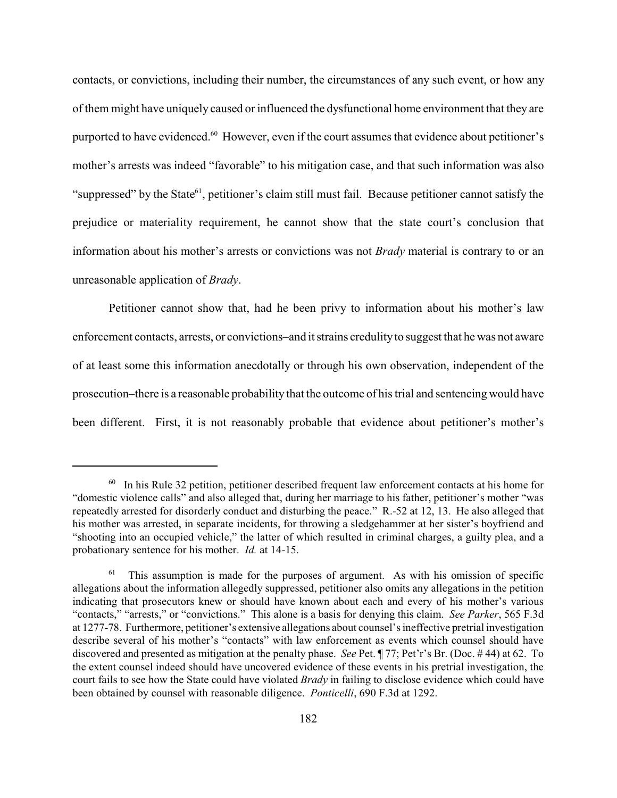contacts, or convictions, including their number, the circumstances of any such event, or how any of them might have uniquely caused or influenced the dysfunctional home environment that they are purported to have evidenced.<sup>60</sup> However, even if the court assumes that evidence about petitioner's mother's arrests was indeed "favorable" to his mitigation case, and that such information was also "suppressed" by the State $^{61}$ , petitioner's claim still must fail. Because petitioner cannot satisfy the prejudice or materiality requirement, he cannot show that the state court's conclusion that information about his mother's arrests or convictions was not *Brady* material is contrary to or an unreasonable application of *Brady*.

Petitioner cannot show that, had he been privy to information about his mother's law enforcement contacts, arrests, or convictions–and it strains credulity to suggest that he was not aware of at least some this information anecdotally or through his own observation, independent of the prosecution–there is a reasonable probability that the outcome of his trial and sentencing would have been different. First, it is not reasonably probable that evidence about petitioner's mother's

 $60$  In his Rule 32 petition, petitioner described frequent law enforcement contacts at his home for "domestic violence calls" and also alleged that, during her marriage to his father, petitioner's mother "was repeatedly arrested for disorderly conduct and disturbing the peace." R.-52 at 12, 13. He also alleged that his mother was arrested, in separate incidents, for throwing a sledgehammer at her sister's boyfriend and "shooting into an occupied vehicle," the latter of which resulted in criminal charges, a guilty plea, and a probationary sentence for his mother. *Id.* at 14-15.

This assumption is made for the purposes of argument. As with his omission of specific 61 allegations about the information allegedly suppressed, petitioner also omits any allegations in the petition indicating that prosecutors knew or should have known about each and every of his mother's various "contacts," "arrests," or "convictions." This alone is a basis for denying this claim. *See Parker*, 565 F.3d at 1277-78. Furthermore, petitioner's extensive allegations about counsel's ineffective pretrial investigation describe several of his mother's "contacts" with law enforcement as events which counsel should have discovered and presented as mitigation at the penalty phase. *See* Pet. ¶ 77; Pet'r's Br. (Doc. # 44) at 62. To the extent counsel indeed should have uncovered evidence of these events in his pretrial investigation, the court fails to see how the State could have violated *Brady* in failing to disclose evidence which could have been obtained by counsel with reasonable diligence. *Ponticelli*, 690 F.3d at 1292.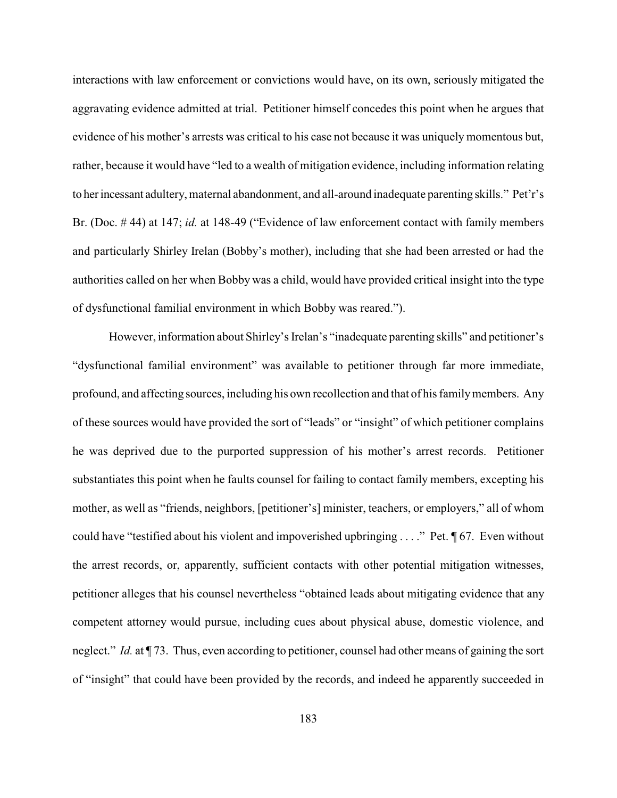interactions with law enforcement or convictions would have, on its own, seriously mitigated the aggravating evidence admitted at trial. Petitioner himself concedes this point when he argues that evidence of his mother's arrests was critical to his case not because it was uniquely momentous but, rather, because it would have "led to a wealth of mitigation evidence, including information relating to herincessant adultery, maternal abandonment, and all-around inadequate parenting skills." Pet'r's Br. (Doc. # 44) at 147; *id.* at 148-49 ("Evidence of law enforcement contact with family members and particularly Shirley Irelan (Bobby's mother), including that she had been arrested or had the authorities called on her when Bobby was a child, would have provided critical insight into the type of dysfunctional familial environment in which Bobby was reared.").

However, information about Shirley's Irelan's "inadequate parenting skills" and petitioner's "dysfunctional familial environment" was available to petitioner through far more immediate, profound, and affecting sources, including his own recollection and that of his familymembers. Any of these sources would have provided the sort of "leads" or "insight" of which petitioner complains he was deprived due to the purported suppression of his mother's arrest records. Petitioner substantiates this point when he faults counsel for failing to contact family members, excepting his mother, as well as "friends, neighbors, [petitioner's] minister, teachers, or employers," all of whom could have "testified about his violent and impoverished upbringing . . . ." Pet. ¶ 67. Even without the arrest records, or, apparently, sufficient contacts with other potential mitigation witnesses, petitioner alleges that his counsel nevertheless "obtained leads about mitigating evidence that any competent attorney would pursue, including cues about physical abuse, domestic violence, and neglect." *Id.* at ¶ 73. Thus, even according to petitioner, counsel had other means of gaining the sort of "insight" that could have been provided by the records, and indeed he apparently succeeded in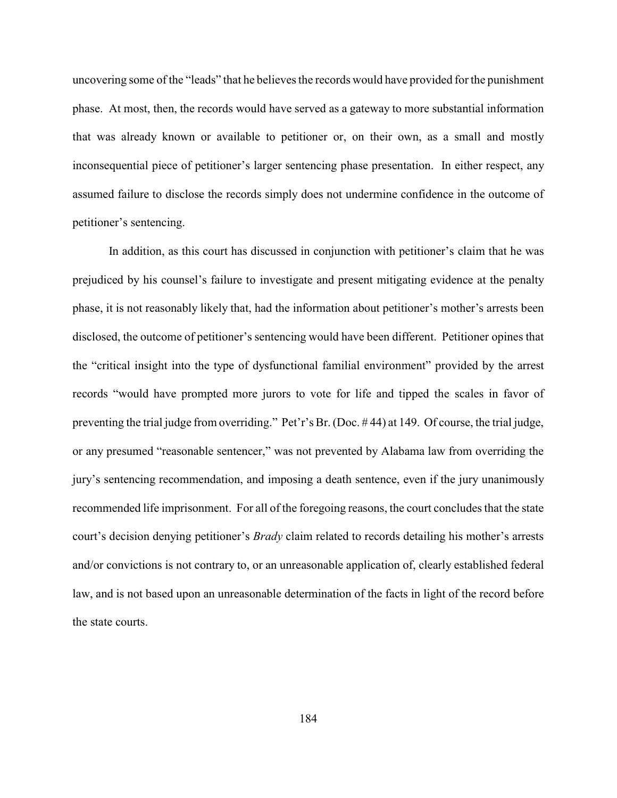uncovering some of the "leads" that he believes the records would have provided for the punishment phase. At most, then, the records would have served as a gateway to more substantial information that was already known or available to petitioner or, on their own, as a small and mostly inconsequential piece of petitioner's larger sentencing phase presentation. In either respect, any assumed failure to disclose the records simply does not undermine confidence in the outcome of petitioner's sentencing.

In addition, as this court has discussed in conjunction with petitioner's claim that he was prejudiced by his counsel's failure to investigate and present mitigating evidence at the penalty phase, it is not reasonably likely that, had the information about petitioner's mother's arrests been disclosed, the outcome of petitioner's sentencing would have been different. Petitioner opines that the "critical insight into the type of dysfunctional familial environment" provided by the arrest records "would have prompted more jurors to vote for life and tipped the scales in favor of preventing the trial judge from overriding." Pet'r's Br. (Doc. # 44) at 149. Of course, the trial judge, or any presumed "reasonable sentencer," was not prevented by Alabama law from overriding the jury's sentencing recommendation, and imposing a death sentence, even if the jury unanimously recommended life imprisonment. For all of the foregoing reasons, the court concludes that the state court's decision denying petitioner's *Brady* claim related to records detailing his mother's arrests and/or convictions is not contrary to, or an unreasonable application of, clearly established federal law, and is not based upon an unreasonable determination of the facts in light of the record before the state courts.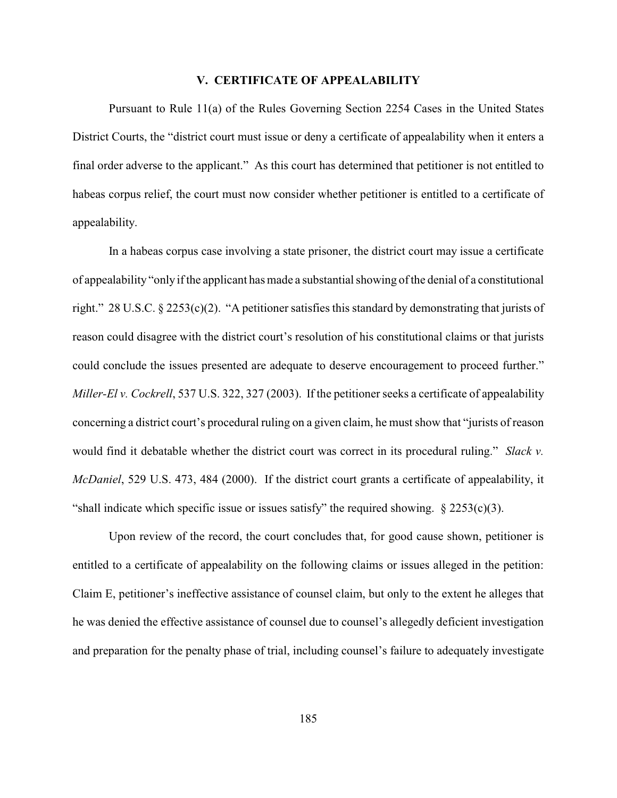## **V. CERTIFICATE OF APPEALABILITY**

Pursuant to Rule 11(a) of the Rules Governing Section 2254 Cases in the United States District Courts, the "district court must issue or deny a certificate of appealability when it enters a final order adverse to the applicant." As this court has determined that petitioner is not entitled to habeas corpus relief, the court must now consider whether petitioner is entitled to a certificate of appealability.

In a habeas corpus case involving a state prisoner, the district court may issue a certificate of appealability "only if the applicant has made a substantial showing of the denial of a constitutional right." 28 U.S.C. § 2253(c)(2). "A petitioner satisfies this standard by demonstrating that jurists of reason could disagree with the district court's resolution of his constitutional claims or that jurists could conclude the issues presented are adequate to deserve encouragement to proceed further." *Miller-El v. Cockrell*, 537 U.S. 322, 327 (2003). If the petitioner seeks a certificate of appealability concerning a district court's procedural ruling on a given claim, he must show that "jurists of reason would find it debatable whether the district court was correct in its procedural ruling." *Slack v. McDaniel*, 529 U.S. 473, 484 (2000). If the district court grants a certificate of appealability, it "shall indicate which specific issue or issues satisfy" the required showing.  $\S 2253(c)(3)$ .

Upon review of the record, the court concludes that, for good cause shown, petitioner is entitled to a certificate of appealability on the following claims or issues alleged in the petition: Claim E, petitioner's ineffective assistance of counsel claim, but only to the extent he alleges that he was denied the effective assistance of counsel due to counsel's allegedly deficient investigation and preparation for the penalty phase of trial, including counsel's failure to adequately investigate